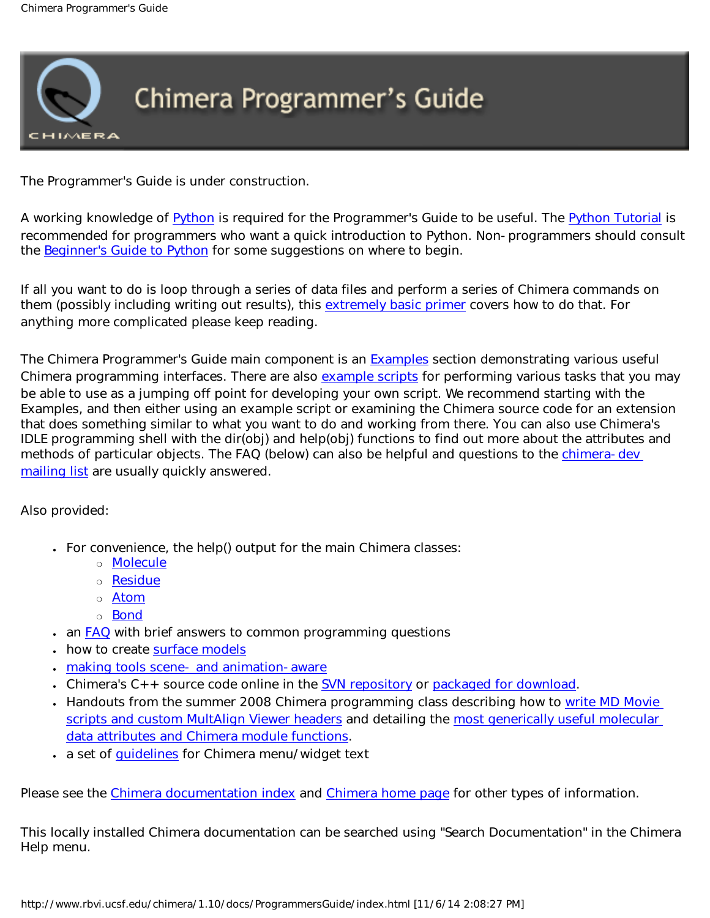

The Programmer's Guide is under construction.

A working knowledge of [Python](http://www.python.org/) is required for the Programmer's Guide to be useful. The [Python Tutorial](http://docs.python.org/tutorial/index.html) is recommended for programmers who want a quick introduction to Python. Non-programmers should consult the [Beginner's Guide to Python](http://wiki.python.org/moin/BeginnersGuide) for some suggestions on where to begin.

If all you want to do is loop through a series of data files and perform a series of Chimera commands on them (possibly including writing out results), this [extremely basic primer](#page-1-0) covers how to do that. For anything more complicated please keep reading.

The Chimera Programmer's Guide main component is an [Examples](#page-3-0) section demonstrating various useful Chimera programming interfaces. There are also [example scripts](http://plato.cgl.ucsf.edu/trac/chimera/wiki/Scripts) for performing various tasks that you may be able to use as a jumping off point for developing your own script. We recommend starting with the Examples, and then either using an example script or examining the Chimera source code for an extension that does something similar to what you want to do and working from there. You can also use Chimera's IDLE programming shell with the dir(obj) and help(obj) functions to find out more about the attributes and methods of particular objects. The FAQ (below) can also be helpful and questions to the chimera-dev [mailing list](http://www.rbvi.ucsf.edu/chimera/1.10/docs/feedback.html#developers) are usually quickly answered.

Also provided:

- For convenience, the help() output for the main Chimera classes:
	- ❍ [Molecule](#page-4-0)
	- ❍ [Residue](#page-11-0)
	- ❍ [Atom](#page-16-0)
	- ❍ [Bond](#page-21-0)
- an [FAQ](#page-24-0) with brief answers to common programming questions
- how to create [surface models](#page-31-0)
- [making tools scene- and animation-aware](#page-34-0)
- Chimera's  $C_{++}$  source code online in the [SVN repository](http://plato.cgl.ucsf.edu/trac/chimera/browser/trunk) or [packaged for download.](http://www.cgl.ucsf.edu/chimera/sourcecode.html)
- Handouts from the summer 2008 Chimera programming class describing how to write MD Movie [scripts and custom MultAlign Viewer headers](#page-36-0) and detailing the [most generically useful molecular](#page-38-0)  [data attributes and Chimera module functions.](#page-38-0)
- a set of quidelines for Chimera menu/widget text

Please see the [Chimera documentation index](http://www.rbvi.ucsf.edu/chimera/1.10/docs/index.html) and [Chimera home page](http://www.cgl.ucsf.edu/chimera/index.html) for other types of information.

This locally installed Chimera documentation can be searched using "Search Documentation" in the Chimera Help menu.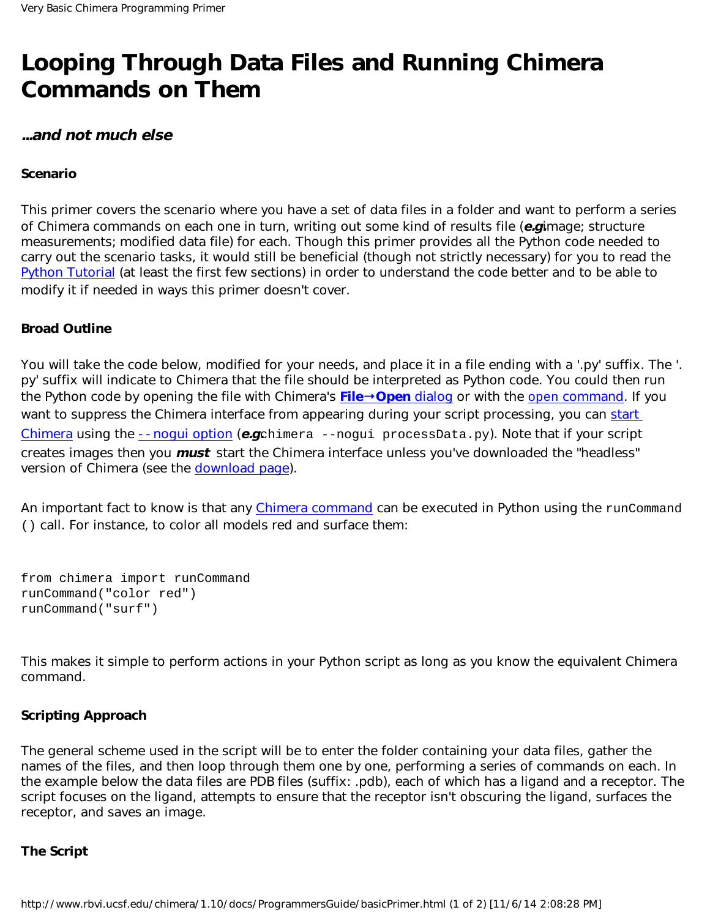## <span id="page-1-0"></span>**Looping Through Data Files and Running Chimera Commands on Them**

#### **...and not much else**

#### **Scenario**

This primer covers the scenario where you have a set of data files in a folder and want to perform a series of Chimera commands on each one in turn, writing out some kind of results file (e. *gimage*; structure measurements; modified data file) for each. Though this primer provides all the Python code needed to carry out the scenario tasks, it would still be beneficial (though not strictly necessary) for you to read the [Python Tutorial](http://docs.python.org/tutorial/index.html) (at least the first few sections) in order to understand the code better and to be able to modify it if needed in ways this primer doesn't cover.

#### **Broad Outline**

You will take the code below, modified for your needs, and place it in a file ending with a '.py' suffix. The '. py' suffix will indicate to Chimera that the file should be interpreted as Python code. You could then run the Python code by opening the file with Chimera's **File→Open** [dialog](http://www.rbvi.ucsf.edu/chimera/1.10/docs/UsersGuide/opensave.html#opendialog) or with the open [command](http://www.rbvi.ucsf.edu/chimera/1.10/docs/UsersGuide/midas/open.html). If you want to suppress the Chimera interface from appearing during your script processing, you can [start](http://www.rbvi.ucsf.edu/chimera/1.10/docs/UsersGuide/startup.html) [Chimera](http://www.rbvi.ucsf.edu/chimera/1.10/docs/UsersGuide/startup.html) using the [--nogui option](http://www.rbvi.ucsf.edu/chimera/1.10/docs/UsersGuide/options.html#nogui) (**e.g.**chimera --nogui processData.py). Note that if your script creates images then you **must** start the Chimera interface unless you've downloaded the "headless" version of Chimera (see the [download page](http://www.cgl.ucsf.edu/chimera/download.html)).

An important fact to know is that any [Chimera command](http://www.rbvi.ucsf.edu/chimera/1.10/docs/UsersGuide/framecommand.html) can be executed in Python using the runCommand () call. For instance, to color all models red and surface them:

```
from chimera import runCommand
runCommand("color red")
runCommand("surf")
```
This makes it simple to perform actions in your Python script as long as you know the equivalent Chimera command.

#### **Scripting Approach**

The general scheme used in the script will be to enter the folder containing your data files, gather the names of the files, and then loop through them one by one, performing a series of commands on each. In the example below the data files are PDB files (suffix: .pdb), each of which has a ligand and a receptor. The script focuses on the ligand, attempts to ensure that the receptor isn't obscuring the ligand, surfaces the receptor, and saves an image.

#### **The Script**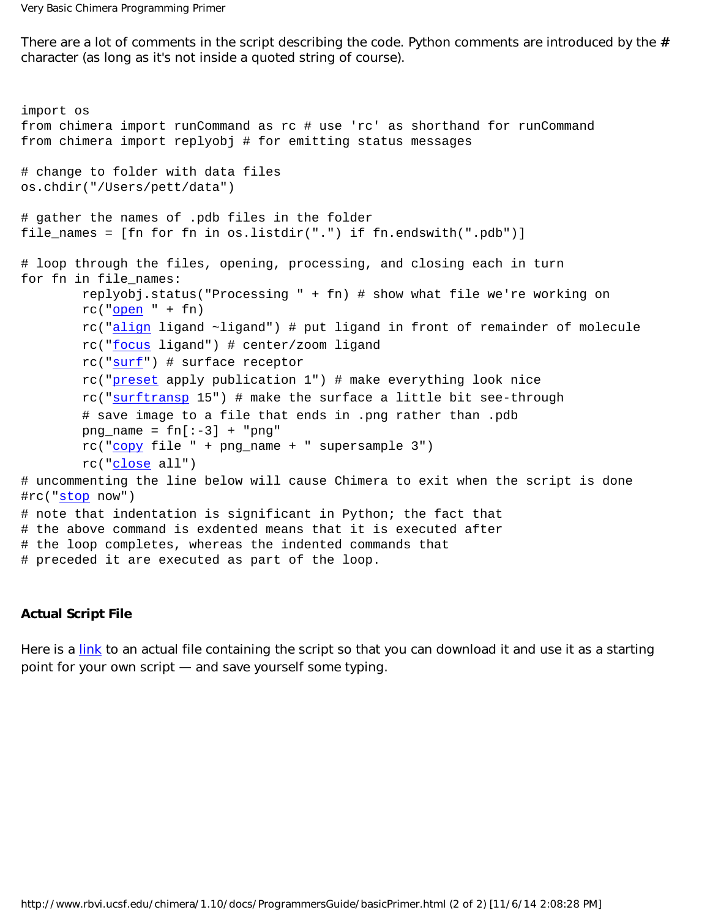Very Basic Chimera Programming Primer

There are a lot of comments in the script describing the code. Python comments are introduced by the **#** character (as long as it's not inside a quoted string of course).

```
import os
from chimera import runCommand as rc # use 'rc' as shorthand for runCommand
from chimera import replyobj # for emitting status messages
# change to folder with data files
os.chdir("/Users/pett/data")
# gather the names of .pdb files in the folder
file_names = [fn for fn in os.listdir(".") if fn.endswith(".pdb")]
# loop through the files, opening, processing, and closing each in turn
for fn in file_names:
        replyobj.status("Processing " + fn) # show what file we're working on
       "open " + fn) rc("align ligand ~ligand") # put ligand in front of remainder of molecule
        rc("focus ligand") # center/zoom ligand
       "surf") # surface receptor
        rc("preset apply publication 1") # make everything look nice
       "surftransp 15") # make the surface a little bit see-through
        # save image to a file that ends in .png rather than .pdb
       png name = fn[:-3] + "png"
        rc("copy file " + png_name + " supersample 3")
        rc("close all")
# uncommenting the line below will cause Chimera to exit when the script is done
stop now")
# note that indentation is significant in Python; the fact that
# the above command is exdented means that it is executed after
# the loop completes, whereas the indented commands that 
# preceded it are executed as part of the loop.
```
#### **Actual Script File**

Here is a [link](#page-43-0) to an actual file containing the script so that you can download it and use it as a starting point for your own script — and save yourself some typing.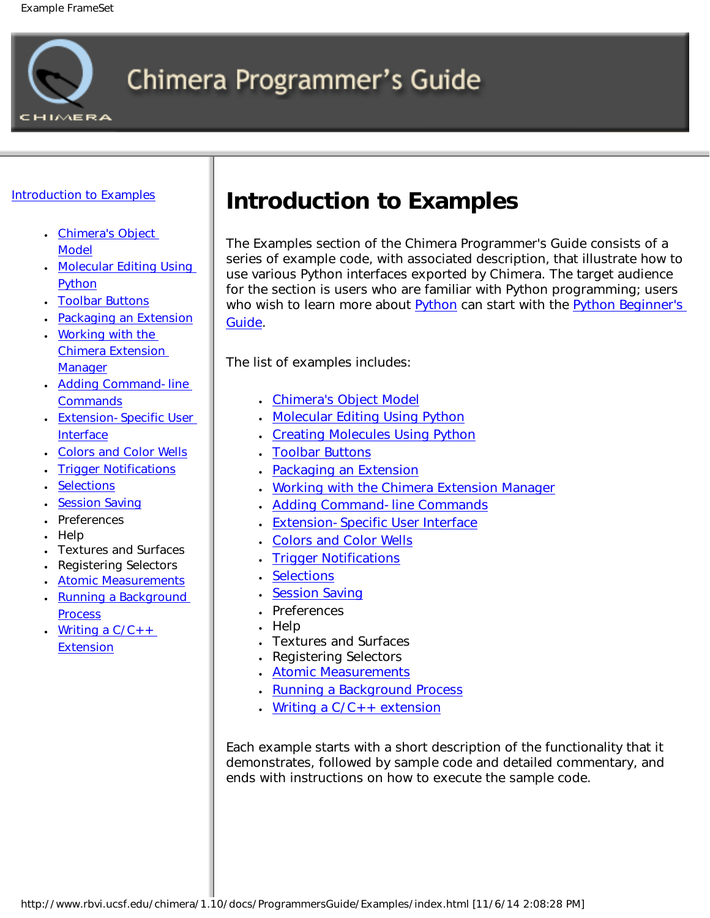# Chimera Programmer's Guide

#### [Introduction to Examples](#page-44-0)

<span id="page-3-0"></span>1 MERA

- Chimera's Object [Model](#page-45-0)
- [Molecular Editing Using](#page-55-0) [Python](#page-55-0)
- [Toolbar Buttons](#page-57-0)
- [Packaging an Extension](#page-59-0)
- Working with the [Chimera Extension](#page-61-0)  **[Manager](#page-61-0)**
- Adding Command-line **[Commands](#page-64-0)**
- Extension-Specific User [Interface](#page-69-0)
- [Colors and Color Wells](#page-75-0)
- **[Trigger Notifications](#page-79-0)**
- **[Selections](#page-84-0)**
- **[Session Saving](#page-87-0)**
- **Preferences**
- Help
- **Textures and Surfaces**
- **Registering Selectors**
- **[Atomic Measurements](#page-92-0)**
- [Running a Background](#page-96-0) **[Process](#page-96-0)**
- Writing a  $C/C++$ [Extension](#page-100-0)

## **Introduction to Examples**

The Examples section of the Chimera Programmer's Guide consists of a series of example code, with associated description, that illustrate how to use various Python interfaces exported by Chimera. The target audience for the section is users who are familiar with Python programming; users who wish to learn more about [Python](http://www.python.org/) can start with the [Python Beginner's](http://wiki.python.org/moin/BeginnersGuide) [Guide](http://wiki.python.org/moin/BeginnersGuide).

The list of examples includes:

- [Chimera's Object Model](#page-45-0)
- [Molecular Editing Using Python](#page-55-0)
- [Creating Molecules Using Python](#page-101-0)
- [Toolbar Buttons](#page-57-0)
- [Packaging an Extension](#page-59-0)
- [Working with the Chimera Extension Manager](#page-61-0)
- [Adding Command-line Commands](#page-64-0)
- [Extension-Specific User Interface](#page-69-0)
- [Colors and Color Wells](#page-75-0)
- [Trigger Notifications](#page-79-0)
- **[Selections](#page-84-0)**
- [Session Saving](#page-87-0)
- Preferences
- Help
- Textures and Surfaces
- **Registering Selectors**
- **[Atomic Measurements](#page-92-0)**
- [Running a Background Process](#page-96-0)
- $\cdot$  [Writing a C/C++ extension](#page-100-0)

Each example starts with a short description of the functionality that it demonstrates, followed by sample code and detailed commentary, and ends with instructions on how to execute the sample code.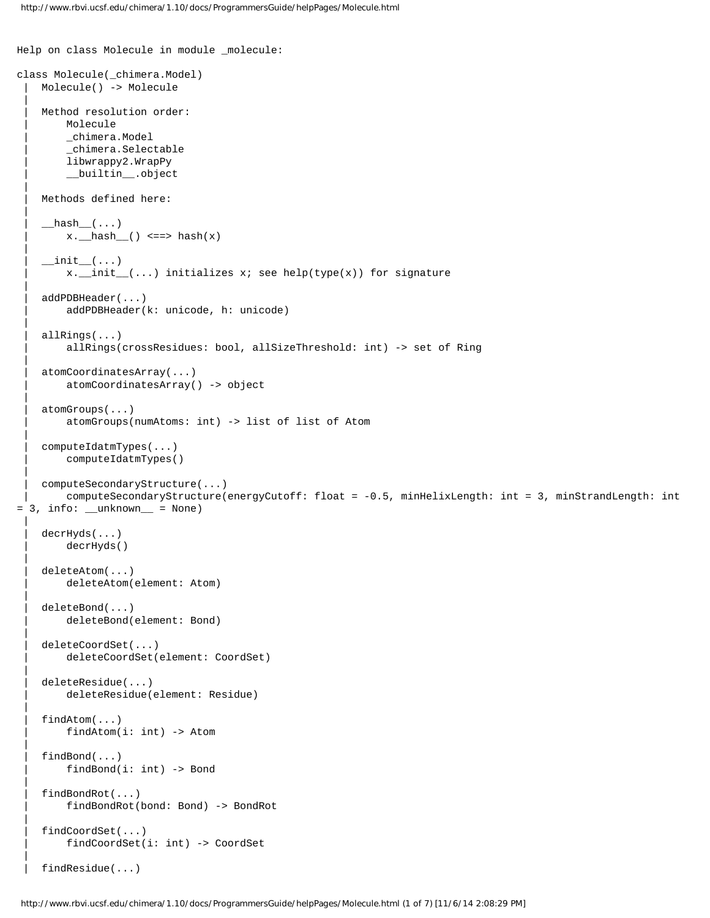```
Help on class Molecule in module _molecule:
class Molecule(_chimera.Model)
     | Molecule() -> Molecule
\mathbb{R}Method resolution order:
         | Molecule
          | _chimera.Model
          | _chimera.Selectable
          | libwrappy2.WrapPy
          | __builtin__.object
\mathbb{R}Methods defined here:
\mathbb{R}_ hash ( \ldots )x.\_\_hash(\ ) \ \ \leq \ =\> \ \ \text{hash}(x)\mathbb{R}\__init__(...)x.__init__(...) initializes x; see help(type(x)) for signature
\mathbb{R} | addPDBHeader(...)
          | addPDBHeader(k: unicode, h: unicode)
\mathbb{R}allRings(...)
          | allRings(crossResidues: bool, allSizeThreshold: int) -> set of Ring
\mathbb{R} | atomCoordinatesArray(...)
          | atomCoordinatesArray() -> object
\mathbb{R}atomGroups(...)
          | atomGroups(numAtoms: int) -> list of list of Atom
\mathbb{R} | computeIdatmTypes(...)
          | computeIdatmTypes()
\mathbb{R} | computeSecondaryStructure(...)
          | computeSecondaryStructure(energyCutoff: float = -0.5, minHelixLength: int = 3, minStrandLength: int 
= 3, info: __unknown__ = None)
\mathbb{R} | decrHyds(...)
         decrHyds()
\mathbb{R}deleteAtom(...)
          | deleteAtom(element: Atom)
\mathbb{R}deleteBond(...)
          | deleteBond(element: Bond)
\mathbb{R} | deleteCoordSet(...)
          | deleteCoordSet(element: CoordSet)
\mathbb{R}deleteResidue(...)
          | deleteResidue(element: Residue)
\mathbb{R} | findAtom(...)
          | findAtom(i: int) -> Atom
\mathbb{R}findBond(...) | findBond(i: int) -> Bond
\mathbb{R} | findBondRot(...)
          | findBondRot(bond: Bond) -> BondRot
\mathbb{R} | findCoordSet(...)
          | findCoordSet(i: int) -> CoordSet
\mathbb{R} | findResidue(...)
```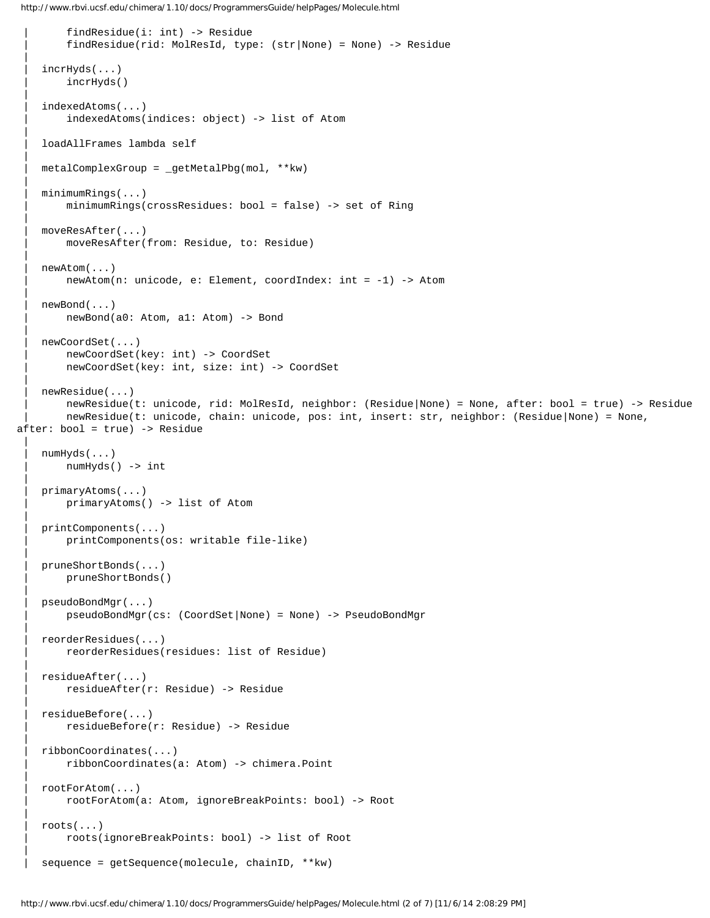| findResidue(i: int) -> Residue

```
 | findResidue(rid: MolResId, type: (str|None) = None) -> Residue
\mathbb{R} | incrHyds(...)
         incrHyds()
\mathbb{R} | indexedAtoms(...)
         indexedAtoms(indices: object) -> list of Atom
\mathbb{R} | loadAllFrames lambda self
\mathbb{R} | metalComplexGroup = _getMetalPbg(mol, **kw)
\mathbb{R} | minimumRings(...)
          | minimumRings(crossResidues: bool = false) -> set of Ring
\mathbb{R} | moveResAfter(...)
          | moveResAfter(from: Residue, to: Residue)
\mathbb{R} | newAtom(...)
          | newAtom(n: unicode, e: Element, coordIndex: int = -1) -> Atom
\mathbb{R} | newBond(...)
          | newBond(a0: Atom, a1: Atom) -> Bond
\mathbb{R} | newCoordSet(...)
          | newCoordSet(key: int) -> CoordSet
          | newCoordSet(key: int, size: int) -> CoordSet
\mathbb{R} | newResidue(...)
          | newResidue(t: unicode, rid: MolResId, neighbor: (Residue|None) = None, after: bool = true) -> Residue
          | newResidue(t: unicode, chain: unicode, pos: int, insert: str, neighbor: (Residue|None) = None, 
after: bool = true) -> Residue
\mathbb{R} | numHyds(...)
         | numHyds() -> int
\mathbb{R} | primaryAtoms(...)
          | primaryAtoms() -> list of Atom
\mathbb{R} | printComponents(...)
          | printComponents(os: writable file-like)
\mathbb{R} | pruneShortBonds(...)
          | pruneShortBonds()
\mathbb{R} | pseudoBondMgr(...)
          | pseudoBondMgr(cs: (CoordSet|None) = None) -> PseudoBondMgr
\mathbb{R} | reorderResidues(...)
          | reorderResidues(residues: list of Residue)
\mathbb{R} | residueAfter(...)
          | residueAfter(r: Residue) -> Residue
\mathbb{R} | residueBefore(...)
          | residueBefore(r: Residue) -> Residue
\mathbb{R} | ribbonCoordinates(...)
          | ribbonCoordinates(a: Atom) -> chimera.Point
\mathbb{R} | rootForAtom(...)
          | rootForAtom(a: Atom, ignoreBreakPoints: bool) -> Root
\mathbb{R}roots(...) | roots(ignoreBreakPoints: bool) -> list of Root
\mathbb{R}sequence = getSequence(molecule, chainID, **kw)
```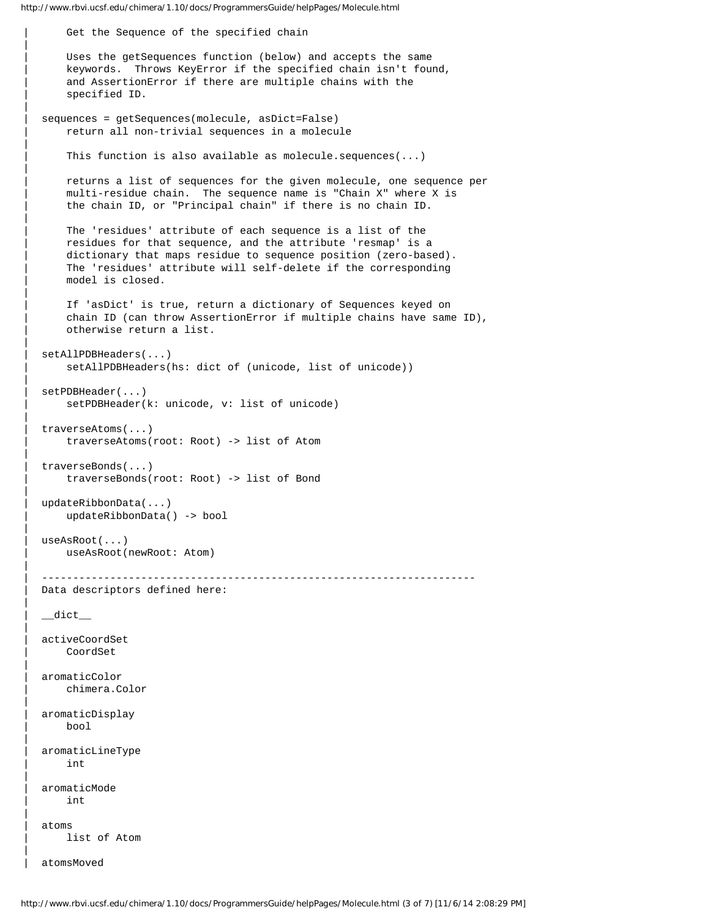```
http://www.rbvi.ucsf.edu/chimera/1.10/docs/ProgrammersGuide/helpPages/Molecule.html
```
 $\mathbb{R}$ 

 $\mathbb{R}$ 

 $\mathbb{R}$ 

 $\mathbb{R}$ 

 $\mathbb{R}$ 

 $\mathbb{R}$ 

 $\mathbb{R}$ 

 $\mathbb{R}$ 

 $\mathbb{R}$ 

 $\mathbb{R}$ 

 $\mathbb{R}$ 

 $\mathbb{R}$ 

 $\mathbb{R}$ 

 $\mathbb{R}$ 

 $\mathbb{R}$ 

 $\mathbb{R}$ 

 $\mathbb{R}$ 

 $\mathbb{R}$ 

 $\mathbb{R}$ 

 $\mathbb{R}$ 

```
Get the Sequence of the specified chain
    Uses the getSequences function (below) and accepts the same
     | keywords. Throws KeyError if the specified chain isn't found,
    and AssertionError if there are multiple chains with the
    specified ID.
 | sequences = getSequences(molecule, asDict=False)
    return all non-trivial sequences in a molecule
    This function is also available as molecule.sequences(\ldots)returns a list of sequences for the given molecule, one sequence per
     | multi-residue chain. The sequence name is "Chain X" where X is
    the chain ID, or "Principal chain" if there is no chain ID.
    The 'residues' attribute of each sequence is a list of the
    residues for that sequence, and the attribute 'resmap' is a
     | dictionary that maps residue to sequence position (zero-based).
    The 'residues' attribute will self-delete if the corresponding
    model is closed.
     | If 'asDict' is true, return a dictionary of Sequences keyed on
     | chain ID (can throw AssertionError if multiple chains have same ID),
    otherwise return a list.
setAllPDBHeaders(...)
    setAllPDBHeaders(hs: dict of (unicode, list of unicode))
 | setPDBHeader(...)
    setPDBHeader(k: unicode, v: list of unicode)
 | traverseAtoms(...)
     | traverseAtoms(root: Root) -> list of Atom
 | traverseBonds(...)
     | traverseBonds(root: Root) -> list of Bond
 | updateRibbonData(...)
     | updateRibbonData() -> bool
useAsRoot(...)
   useAsRoot(newRoot: Atom)
 | ----------------------------------------------------------------------
Data descriptors defined here:
\_ dict
 | activeCoordSet
     | CoordSet
 | aromaticColor
     | chimera.Color
aromaticDisplay
    hnol
 | aromaticLineType
     | int
 | aromaticMode
    int
 | atoms
    list of Atom
 | atomsMoved
```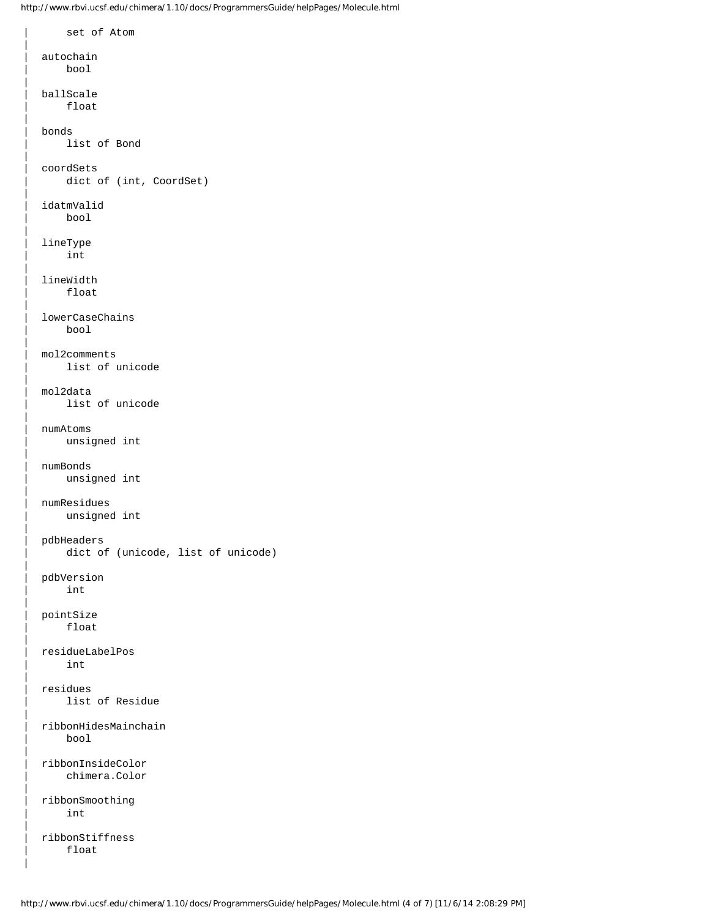```
set of Atom
\mathbb{R}autochain
           | bool
\mathbb{R} | ballScale
          float
\mathbb{R} | bonds
          list of Bond
\mathbb{R} | coordSets
          dict of (int, CoordSet)
\mathbb{R}idatmValid
           | bool
\mathbb{R} | lineType
           | int
\mathbb{R} | lineWidth
          float
\mathbb{R} | lowerCaseChains
           | bool
\mathbb{R} | mol2comments
          list of unicode
\mathbb{R} | mol2data
          list of unicode
\mathbb{R} | numAtoms
         unsigned int
\mathbb{R} | numBonds
          unsigned int
\mathbb{R} | numResidues
          unsigned int
\mathbb{R} | pdbHeaders
          dict of (unicode, list of unicode)
\mathbb{R} | pdbVersion
          int
\mathbb{R}pointSize
          float
\mathbb{R} | residueLabelPos
           | int
\mathbb{R}residues
          list of Residue
\mathbb{R} | ribbonHidesMainchain
           | bool
\mathbb{R} | ribbonInsideColor
           | chimera.Color
\mathbb{R}ribbonSmoothing
          int
\mathbb{R} | ribbonStiffness
          float
```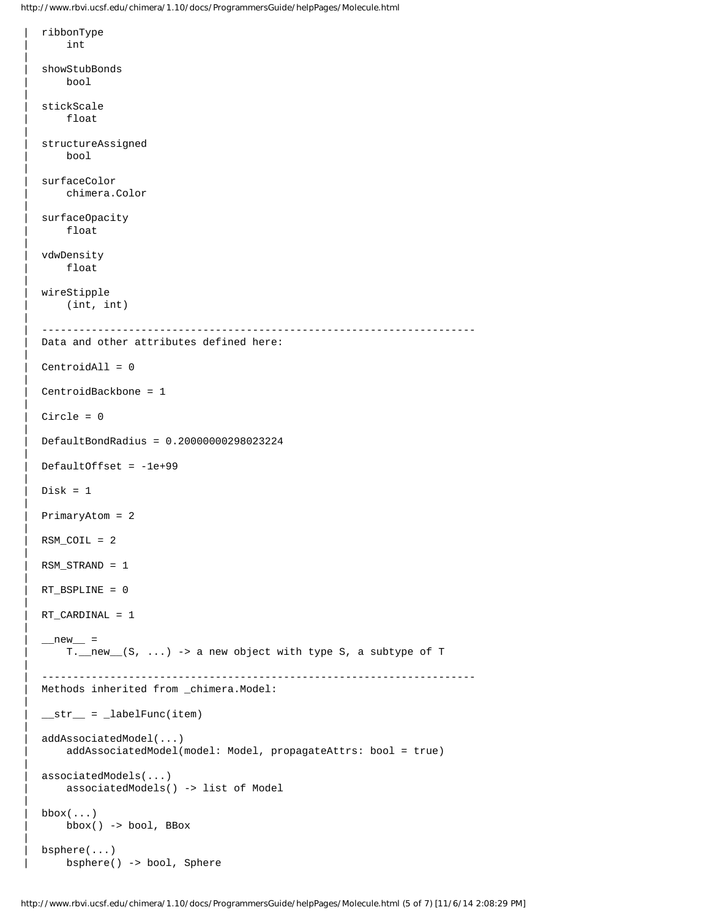http://www.rbvi.ucsf.edu/chimera/1.10/docs/ProgrammersGuide/helpPages/Molecule.html

```
 | ribbonType
          | int
\mathbb{R}showStubBonds
          | bool
\mathbb{R}stickScale
         float
\mathbb{R}structureAssigned
          | bool
\mathbb{R} | surfaceColor
          | chimera.Color
\mathbb{R}surfaceOpacity
         float
\mathbb{R}vdwDensity
         float
\mathbb{R}wireStipple
          (int, int)
\mathbb{R} | ----------------------------------------------------------------------
    Data and other attributes defined here:
\mathbb{R} | CentroidAll = 0
\mathbb{R} | CentroidBackbone = 1
\mathbb{R}Circle = 0\mathbb{R} | DefaultBondRadius = 0.20000000298023224
\mathbb{R} | DefaultOffset = -1e+99
\mathbb{R}Disk = 1\mathbb{R} | PrimaryAtom = 2
\mathbb{R} | RSM_COIL = 2
\mathbb{R} | RSM_STRAND = 1
\mathbb{R} | RT_BSPLINE = 0
\mathbb{R} | RT_CARDINAL = 1
\mathbb{R}_new_ =T. __new_(S, ...) -> a new object with type S, a subtype of T
\mathbb{R} | ----------------------------------------------------------------------
     | Methods inherited from _chimera.Model:
\mathbb{R}_{{\rm \_strut}} = _{{\rm \_label} {\rm \_} {\rm \_} } = _{{\rm \_} } labelFunc(item)
\mathbb{R} | addAssociatedModel(...)
          | addAssociatedModel(model: Model, propagateAttrs: bool = true)
\mathbb{R} | associatedModels(...)
          associatedModels() -> list of Model
\mathbb{R}bbox(...)bbox() -> bood, BBox\mathbb{R} | bsphere(...)
           | bsphere() -> bool, Sphere
```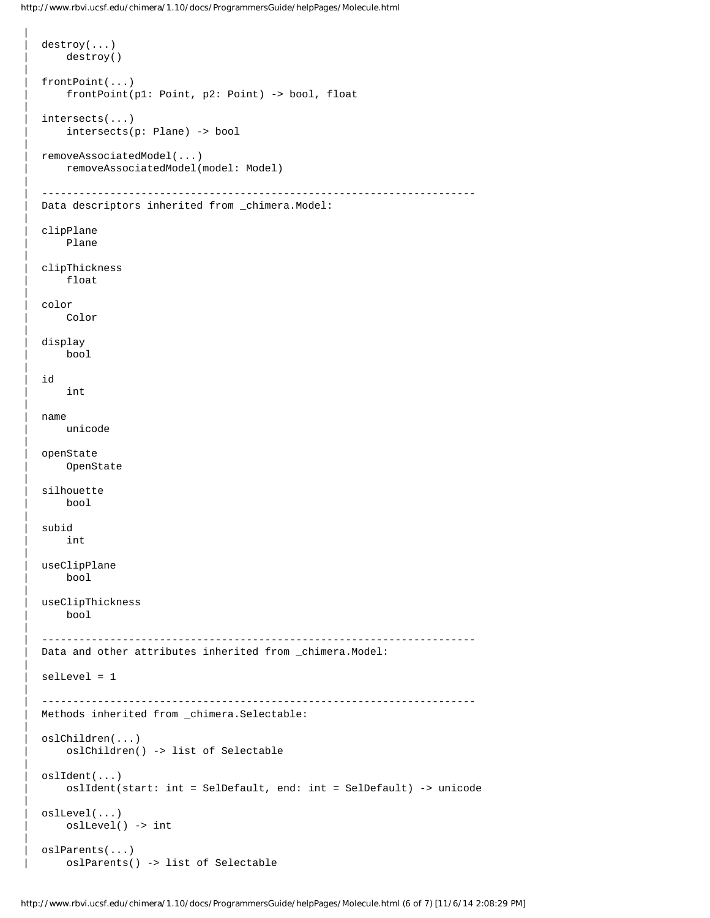```
\mathbb{R}destroy(...)destroy()
\mathbb{R} | frontPoint(...)
          | frontPoint(p1: Point, p2: Point) -> bool, float
\mathbb{R}intersects(...) | intersects(p: Plane) -> bool
\mathbb{R} | removeAssociatedModel(...)
          | removeAssociatedModel(model: Model)
\mathbb{R} | ----------------------------------------------------------------------
    Data descriptors inherited from _chimera.Model:
\mathbb{R} | clipPlane
         | Plane
\mathbb{R} | clipThickness
         float
\mathbb{R} | color
         Color
\mathbb{R}display
          | bool
\mathbb{R} | id
          | int
\mathbb{R} | name
         unicode
\mathbb{R} | openState
         | OpenState
\mathbb{R}silhouette
         | bool
\mathbb{R}subid
        int
\mathbb{R}useClipPlane
         | bool
\mathbb{R} | useClipThickness
         | bool
\mathbb{R} | ----------------------------------------------------------------------
    Data and other attributes inherited from _chimera.Model:
\mathbb{R} | selLevel = 1
\mathbb{R} | ----------------------------------------------------------------------
    Methods inherited from _chimera.Selectable:
\mathbb{R} | oslChildren(...)
          | oslChildren() -> list of Selectable
\mathbb{R} | oslIdent(...)
          | oslIdent(start: int = SelDefault, end: int = SelDefault) -> unicode
\mathbb{R} | oslLevel(...)
          | oslLevel() -> int
\mathbb{R} | oslParents(...)
          | oslParents() -> list of Selectable
```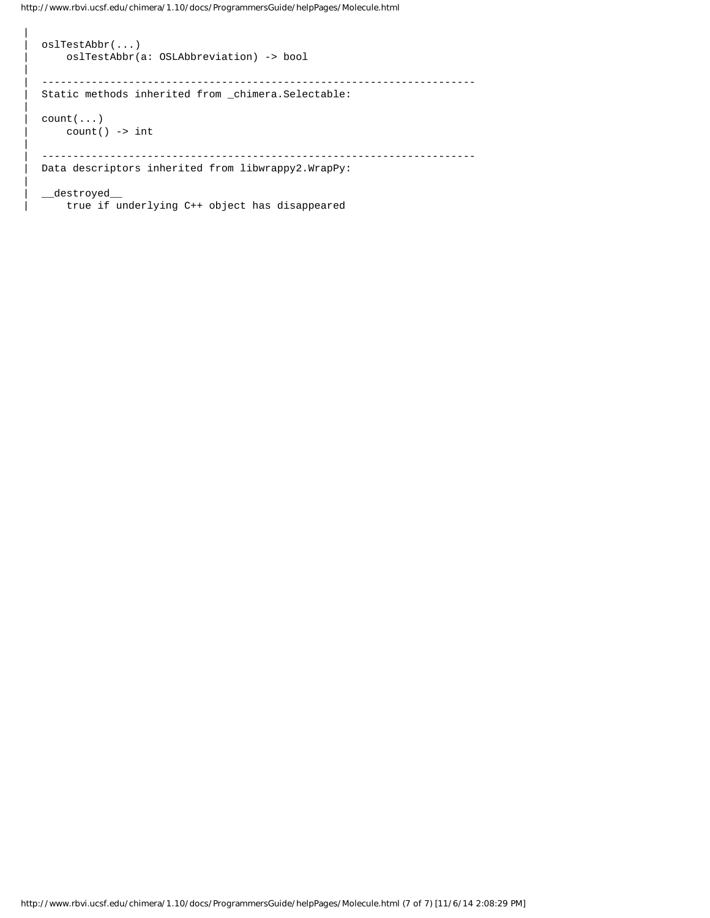```
\mathbb{R} | oslTestAbbr(...)
        | oslTestAbbr(a: OSLAbbreviation) -> bool
\mathbb{R} | ----------------------------------------------------------------------
   Static methods inherited from _chimera.Selectable:
\mathbb{R}count(\ldots)count() \rightarrow int\mathbb{R} | ----------------------------------------------------------------------
   Data descriptors inherited from libwrappy2.WrapPy:
\mathbb{R} | __destroyed__
       true if underlying C++ object has disappeared
```
http://www.rbvi.ucsf.edu/chimera/1.10/docs/ProgrammersGuide/helpPages/Molecule.html (7 of 7) [11/6/14 2:08:29 PM]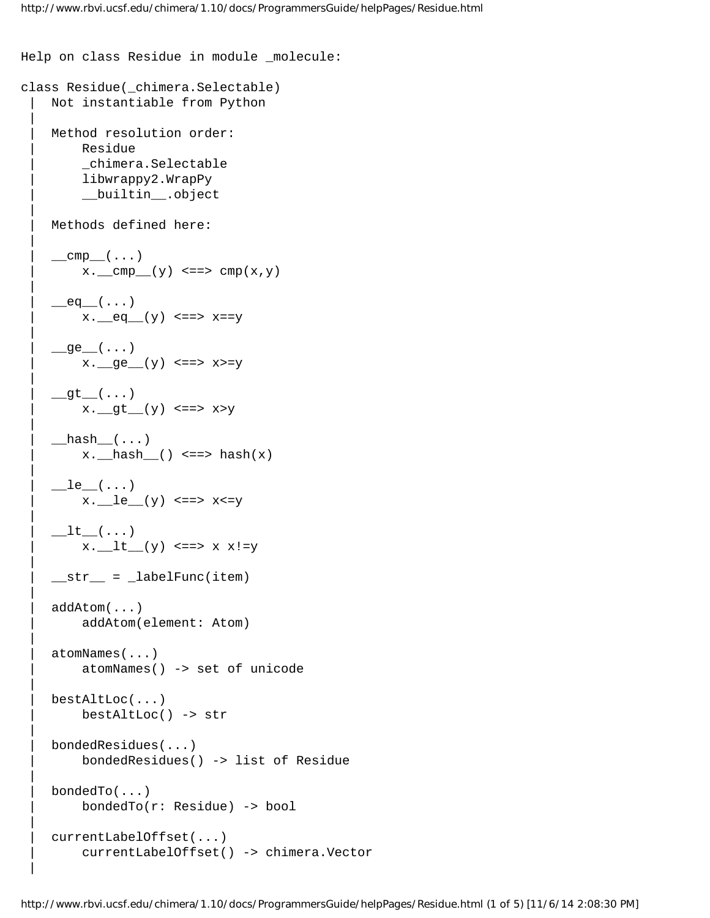```
Help on class Residue in module _molecule:
class Residue(_chimera.Selectable)
     Not instantiable from Python
\BoxMethod resolution order:
           | Residue
           | _chimera.Selectable
           | libwrappy2.WrapPy
           | __builtin__.object
\BoxMethods defined here:
\mathbb{R}\text{comp}(\dots)x. \text{comp}(y) \leq x - \text{cmp}(x, y)\Boxeq \dots)
          x. eq (y) \leq y x=y\mathbb{R}\_\{ge\_\_}( \ldots )
          x. \text{ige}(y) \leq x \leq y\mathbb{R}gt<sub>(...</sub>)
          x. \underline{\hspace{2cm}} gt \underline{\hspace{2cm}} (y) \leq x \leq y\Box\_hash_ ( \dots )x. hash () \leq y \leq -\frac{1}{2} hash(x)
\mathbb{R} | __le__(...)
          x.__le__(y) \iff x \iff y\Box_l_t = l_t ...
          x. lt (t) \leq t \times x! = y
\mathbb{R}_{{}_{\text{start}}_{\text{max}}} = _{{}_{\text{labelFunc}}(item)}\BoxaddAtom(...)addAtom(element: Atom)
\mathbb{R}atomNames(...) | atomNames() -> set of unicode
\mathbb{R}bestAltLoc(...) | bestAltLoc() -> str
\Box | bondedResidues(...)
           | bondedResidues() -> list of Residue
\mathbb{R}bondedTo(...) | bondedTo(r: Residue) -> bool
\Box | currentLabelOffset(...)
            | currentLabelOffset() -> chimera.Vector
```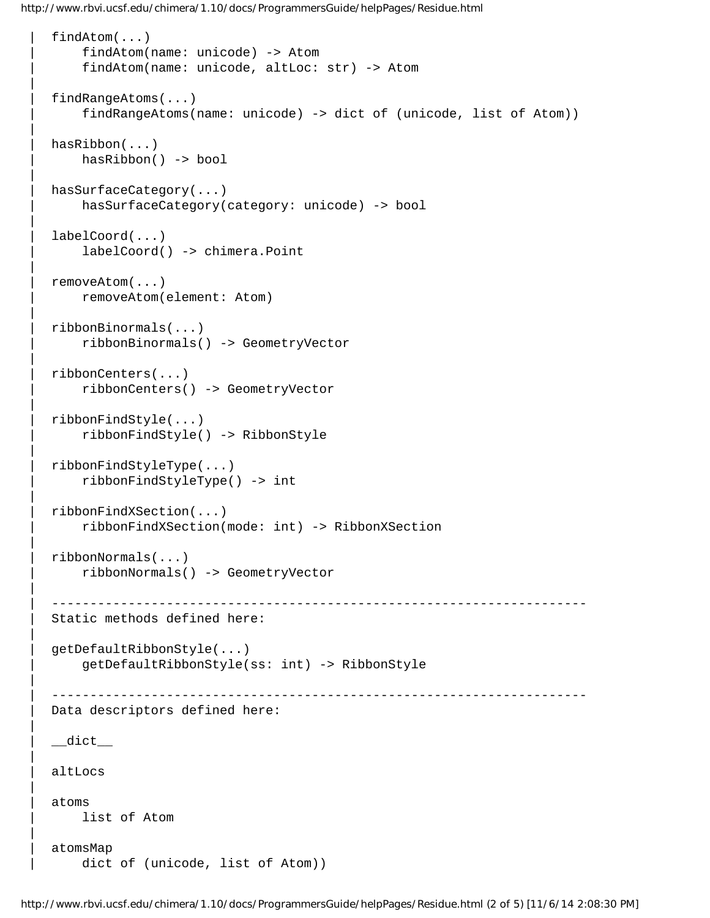```
 | findAtom(...)
          | findAtom(name: unicode) -> Atom
          | findAtom(name: unicode, altLoc: str) -> Atom
\mathbb{R} | findRangeAtoms(...)
          | findRangeAtoms(name: unicode) -> dict of (unicode, list of Atom))
\mathbb{R} | hasRibbon(...)
          | hasRibbon() -> bool
\BoxhasSurfaceCategory(...)
          | hasSurfaceCategory(category: unicode) -> bool
\mathbb{R} | labelCoord(...)
          | labelCoord() -> chimera.Point
\mathbb{R} | removeAtom(...)
          | removeAtom(element: Atom)
\mathbb{R} | ribbonBinormals(...)
          | ribbonBinormals() -> GeometryVector
\mathbb{R} | ribbonCenters(...)
          | ribbonCenters() -> GeometryVector
\Box | ribbonFindStyle(...)
          | ribbonFindStyle() -> RibbonStyle
\mathbb{R} | ribbonFindStyleType(...)
          | ribbonFindStyleType() -> int
\mathbb{R} | ribbonFindXSection(...)
          | ribbonFindXSection(mode: int) -> RibbonXSection
\Box | ribbonNormals(...)
          | ribbonNormals() -> GeometryVector
\mathbb{R} | ----------------------------------------------------------------------
    Static methods defined here:
\Box | getDefaultRibbonStyle(...)
          | getDefaultRibbonStyle(ss: int) -> RibbonStyle
\mathbb{R} | ----------------------------------------------------------------------
    Data descriptors defined here:
\mathbb{R}\_dict\_\mathbb{R}altLocs
\mathbf{I} | atoms
         list of Atom
\mathbb{R}atomsMap
         dict of (unicode, list of Atom))
```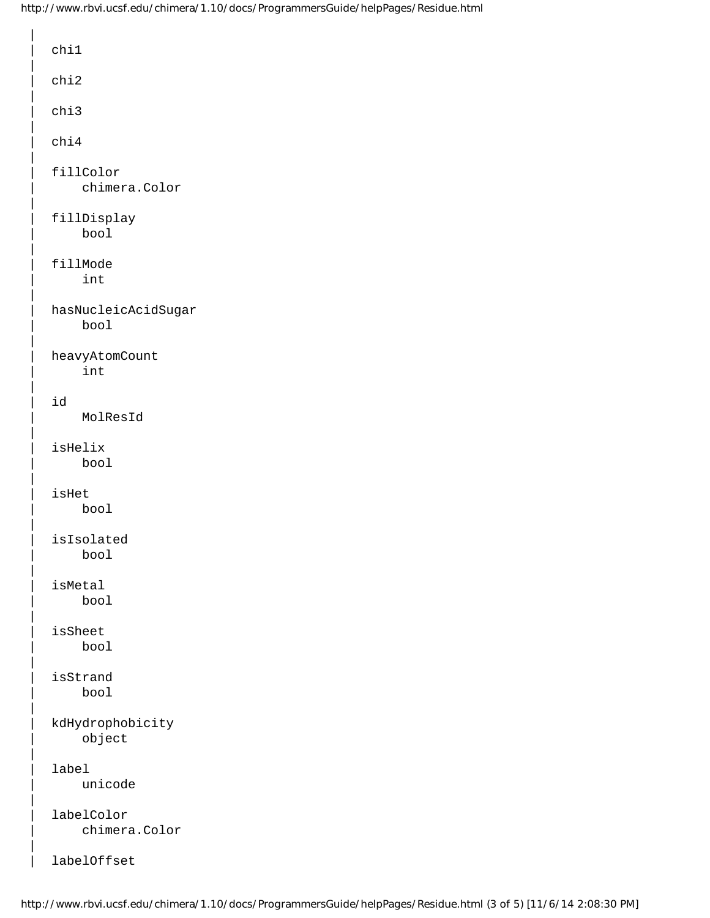```
\mathbb{R}chi1\mathbb{R} | chi2
\mathbb{R} | chi3
\mathbb{R}\chichi4
\mathbf{I}fillColor
             | chimera.Color
\mathbb{R}fillDisplay
             | bool
\mathbb{R} | fillMode
             int
\mathbb{R} | hasNucleicAcidSugar
             | bool
\mathbb{R}heavyAtomCount
             | int
\mathbf{I} | id
             | MolResId
\mathbb{R} | isHelix
             | bool
\mathbb{R} | isHet
             | bool
\mathbf{I}isIsolated
             | bool
\mathbb{R} | isMetal
             | bool
\BoxisSheet
             | bool
\mathbb{R}isStrand
             | bool
\mathbb{R} | kdHydrophobicity
             | object
\Box | label
            unicode
\mathbb{R} | labelColor
             | chimera.Color
\Box | labelOffset
```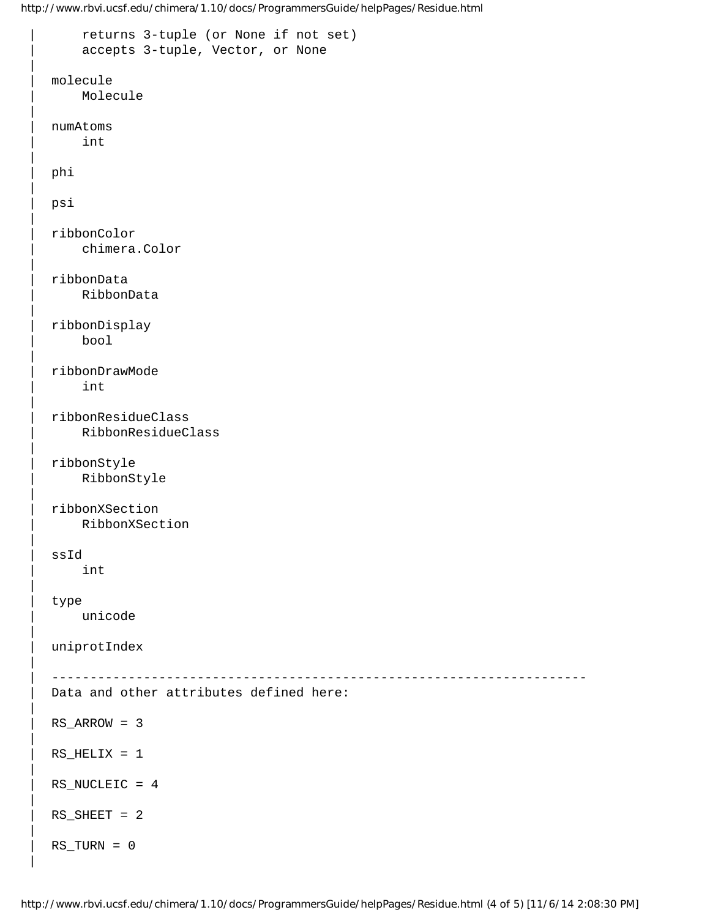```
 | returns 3-tuple (or None if not set)
          accepts 3-tuple, Vector, or None
\mathbb{R} | molecule
           | Molecule
\mathbb{R} | numAtoms
           | int
\Box | phi
\mathbb{R} | psi
\mathbb{R}ribbonColor
           | chimera.Color
\mathbb{R}ribbonData
           | RibbonData
\BoxribbonDisplay
           | bool
\mathbb{R} | ribbonDrawMode
          int
\mathbb{R} | ribbonResidueClass
           | RibbonResidueClass
\mathbf{I}ribbonStyle
          RibbonStyle
\mathbb{R}ribbonXSection
           | RibbonXSection
\mathbf{I} | ssId
           | int
\mathbb{R}type
          unicode
\mathbb{R} | uniprotIndex
\mathbb{R} | ----------------------------------------------------------------------
     Data and other attributes defined here:
\mathbb{R} | RS_ARROW = 3
\mathbb{R}RS HELIX = 1
\mathbf{I} | RS_NUCLEIC = 4
\mathbb{R}RS\_SHEET = 2\mathbf{I}RS_TURN = 0
```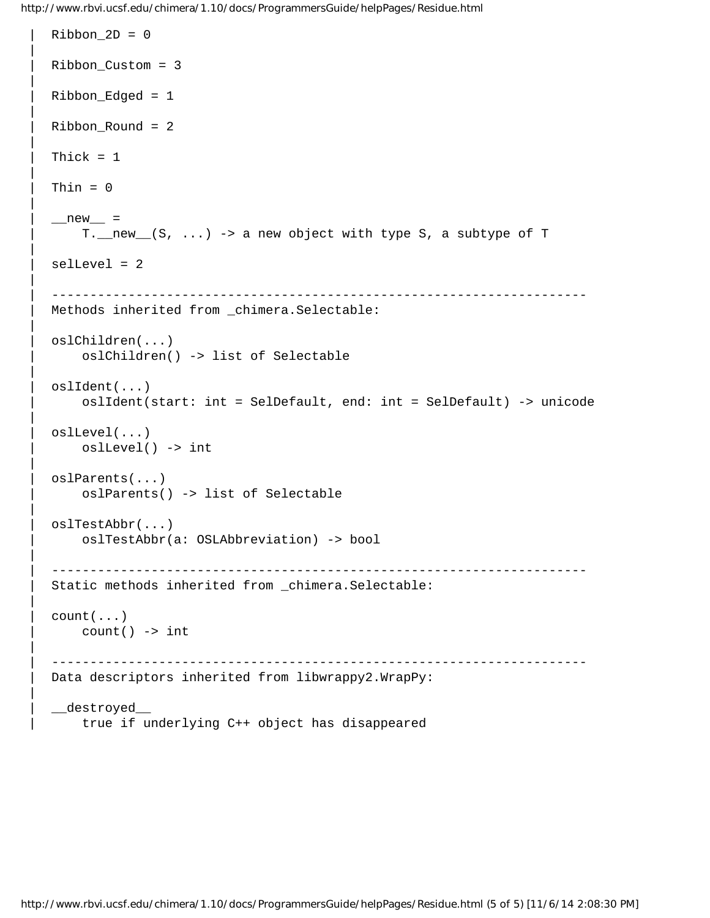```
Ribbon_2D = 0\mathbb{R} | Ribbon_Custom = 3
\mathbf{I} | Ribbon_Edged = 1
\mathbb{R} | Ribbon_Round = 2
\mathbb{R}Thick = 1\mathbb{R}Thin = 0\mathbb{R}new =
         T. new (S, \ldots) -> a new object with type S, a subtype of T
\mathbb{R} | selLevel = 2
\mathbb{R} | ----------------------------------------------------------------------
    Methods inherited from _chimera.Selectable:
\mathbb{R} | oslChildren(...)
          | oslChildren() -> list of Selectable
\mathbb{R} | oslIdent(...)
          | oslIdent(start: int = SelDefault, end: int = SelDefault) -> unicode
\mathbb{R}oslLevel( \dots ) | oslLevel() -> int
\mathbf{I} | oslParents(...)
          | oslParents() -> list of Selectable
\mathbb{R} | oslTestAbbr(...)
          | oslTestAbbr(a: OSLAbbreviation) -> bool
\mathbb{R} | ----------------------------------------------------------------------
    Static methods inherited from _chimera.Selectable:
\mathbf{I}count(\ldots)count() -> int
\mathbb{R} | ----------------------------------------------------------------------
    Data descriptors inherited from libwrappy2.WrapPy:
\mathbf{I} | __destroyed__
         true if underlying C++ object has disappeared
```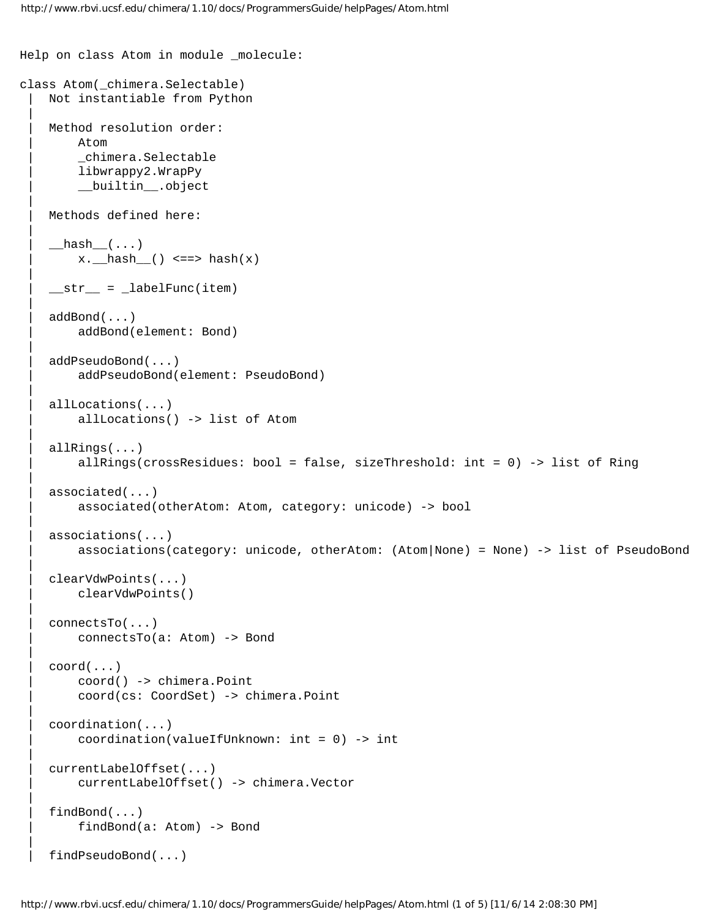```
Help on class Atom in module _molecule:
class Atom(_chimera.Selectable)
    Not instantiable from Python
\mathbb{R}Method resolution order:
          | Atom
          | _chimera.Selectable
          | libwrappy2.WrapPy
          | __builtin__.object
\mathbb{R}Methods defined here:
\mathbb{R}_{\_\_hash_{\_\_}( \ldots )x. hash ( ) \leq = > hash(x)\mathbb{R}_{{}_{\text{max}}} = _{{}_{\text{labelFunc}}(item)}\mathbb{R} | addBond(...)
          | addBond(element: Bond)
\mathbb{R} | addPseudoBond(...)
          | addPseudoBond(element: PseudoBond)
\mathbb{R}allLocations(...)
         allLocations() -> list of Atom
\mathbb{R}allRings(...) | allRings(crossResidues: bool = false, sizeThreshold: int = 0) -> list of Ring
\mathbb{R}associated(\ldots)associated(otherAtom: Atom, category: unicode) -> bool
 | 
     | associations(...)
          | associations(category: unicode, otherAtom: (Atom|None) = None) -> list of PseudoBond
\mathbb{R} | clearVdwPoints(...)
          | clearVdwPoints()
 | 
     | connectsTo(...)
          | connectsTo(a: Atom) -> Bond
\mathbb{R}coord(...) | coord() -> chimera.Point
          | coord(cs: CoordSet) -> chimera.Point
\mathbb{R} | coordination(...)
          | coordination(valueIfUnknown: int = 0) -> int
\mathbb{R} | currentLabelOffset(...)
          | currentLabelOffset() -> chimera.Vector
\mathbb{R} | findBond(...)
          | findBond(a: Atom) -> Bond
\mathbb{R} | findPseudoBond(...)
```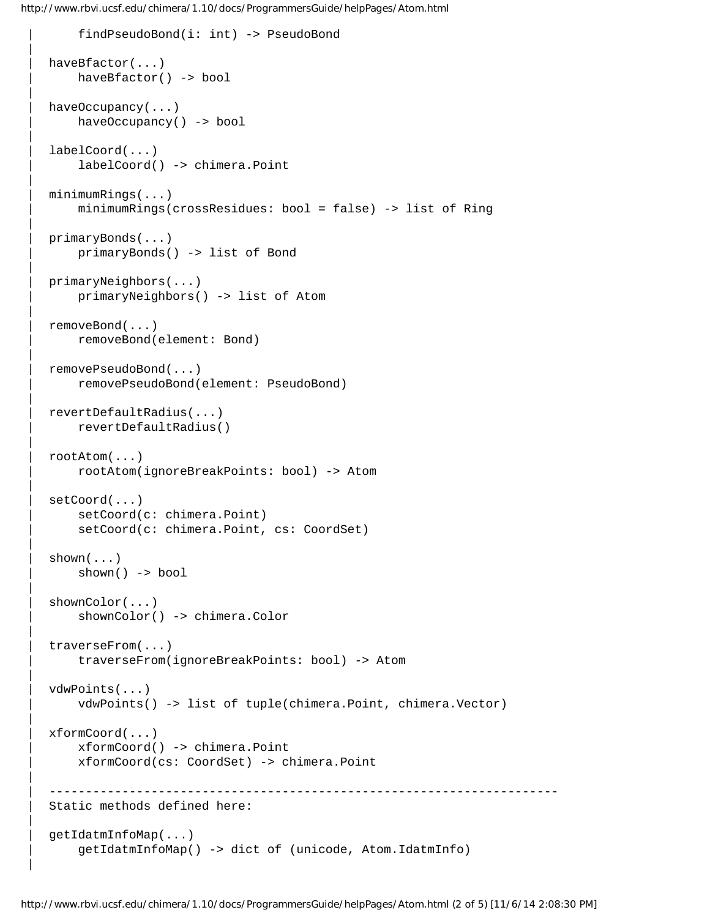```
 | findPseudoBond(i: int) -> PseudoBond
\mathbb{R}haveBfactor(...)
        haveBfactor() -> bool
 | 
    haveOccupancy(...)
         haveOccupancy() -> bool
\mathbb{R} | labelCoord(...)
          | labelCoord() -> chimera.Point
 | 
    minimumRings(...) | minimumRings(crossResidues: bool = false) -> list of Ring
\mathbb{R} | primaryBonds(...)
          | primaryBonds() -> list of Bond
\mathbb{R} | primaryNeighbors(...)
          | primaryNeighbors() -> list of Atom
\mathbb{R} | removeBond(...)
          | removeBond(element: Bond)
\mathbb{R} | removePseudoBond(...)
          | removePseudoBond(element: PseudoBond)
\mathbb{R} | revertDefaultRadius(...)
          | revertDefaultRadius()
\mathbb{R}rootAtom(...) | rootAtom(ignoreBreakPoints: bool) -> Atom
\mathbb{R}setCoord(...) | setCoord(c: chimera.Point)
         setCoord(c: chimera.Point, cs: CoordSet)
\mathbb{R}shown(\ldots)shown() -> bool
\mathbb{R}shownColor(...)shownColor() -> chimera.Color
\mathbb{R} | traverseFrom(...)
          | traverseFrom(ignoreBreakPoints: bool) -> Atom
\mathbb{R}vdwPoints(...)
          | vdwPoints() -> list of tuple(chimera.Point, chimera.Vector)
\mathbb{R} | xformCoord(...)
          | xformCoord() -> chimera.Point
          | xformCoord(cs: CoordSet) -> chimera.Point
\mathbb{R} | ----------------------------------------------------------------------
    Static methods defined here:
\mathbb{R} | getIdatmInfoMap(...)
          | getIdatmInfoMap() -> dict of (unicode, Atom.IdatmInfo)
```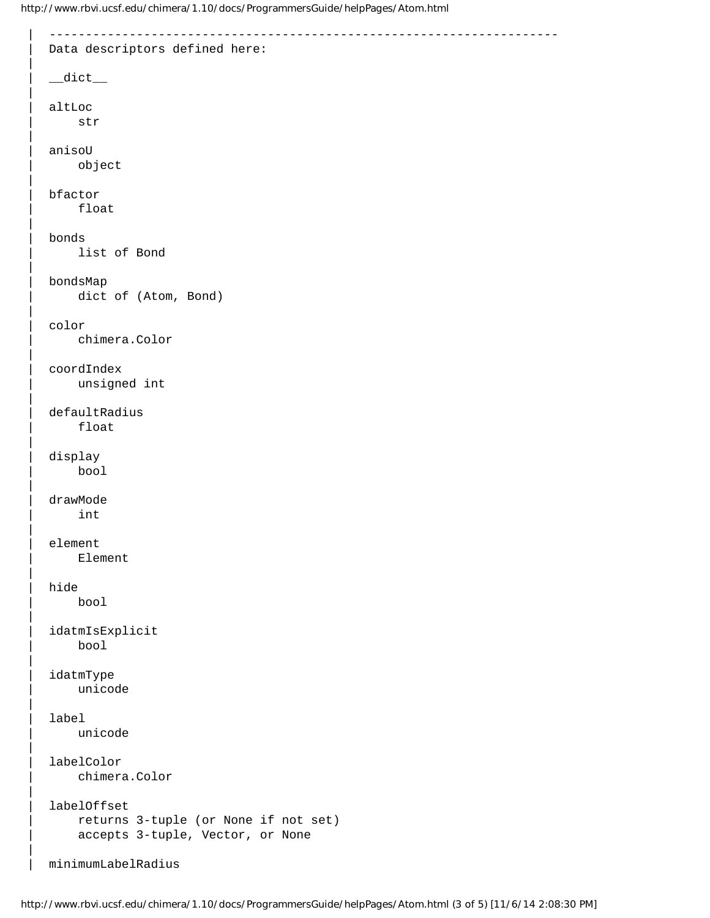```
 | ----------------------------------------------------------------------
    Data descriptors defined here:
 | 
    \_dict\_ | 
    altLoc
           | str
\mathbb{R}anisoU
           | object
 | 
     | bfactor
          float
\mathbb{R} | bonds
          list of Bond
\mathbb{R} | bondsMap
          dict of (Atom, Bond)
\mathbb{R} | color
           | chimera.Color
\mathbb{R} | coordIndex
          unsigned int
\mathbb{R}defaultRadius
          float
\mathbb{R}display
           | bool
\mathbb{R}drawMode
           | int
\mathbb{R}element
           | Element
\mathbb{R}hide
           | bool
\mathbb{R} | idatmIsExplicit
           | bool
\mathbb{R}idatmType
          unicode
\mathbb{R} | label
          unicode
\mathbb{R} | labelColor
           | chimera.Color
\mathbb{R} | labelOffset
           | returns 3-tuple (or None if not set)
          accepts 3-tuple, Vector, or None
\mathbb{R} | minimumLabelRadius
```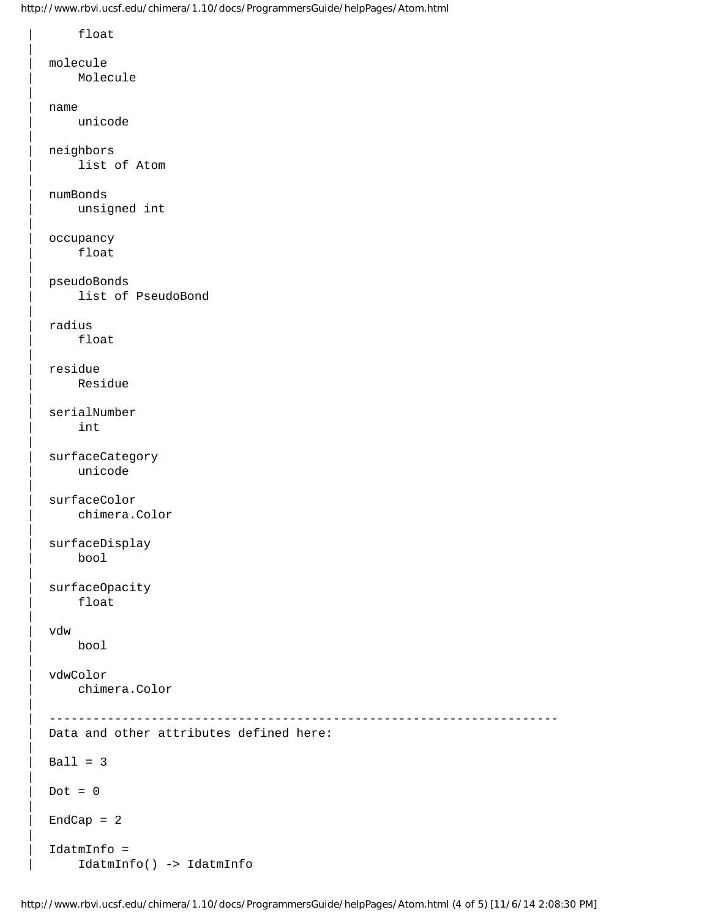$\mathbb{R}$ 

|

 $\mathbb{R}$ 

|

 $\mathbb{R}$ 

 $\mathbb{R}$ 

 $\mathbb{R}$ 

 $\mathbb{R}$ 

 $\mathbb{R}$ 

 $\mathbb{R}$ 

 $\mathbb{R}$ 

 $\mathbb{R}$ 

 $\mathbb{R}$ 

 $\mathbb{R}$ 

 $\mathbb{R}$ 

 $\mathbb{R}$ 

 $\mathbb{R}$ 

 $\mathbb{R}$ 

 $\mathbb{R}$ 

```
float
 | molecule
     | Molecule
 | name
    unicode
neighbors
    list of Atom
 | numBonds
    unsigned int
occupancy
    float
 | pseudoBonds
     | list of PseudoBond
radius
    float
residue
     | Residue
 | serialNumber
     | int
surfaceCategory
    unicode
 | surfaceColor
     | chimera.Color
surfaceDisplay
     | bool
surfaceOpacity
    float
 | vdw
     | bool
 | vdwColor
     | chimera.Color
 | ----------------------------------------------------------------------
Data and other attributes defined here:
Ball = 3Dot = 0EndCap = 2 | IdatmInfo = 
     | IdatmInfo() -> IdatmInfo
```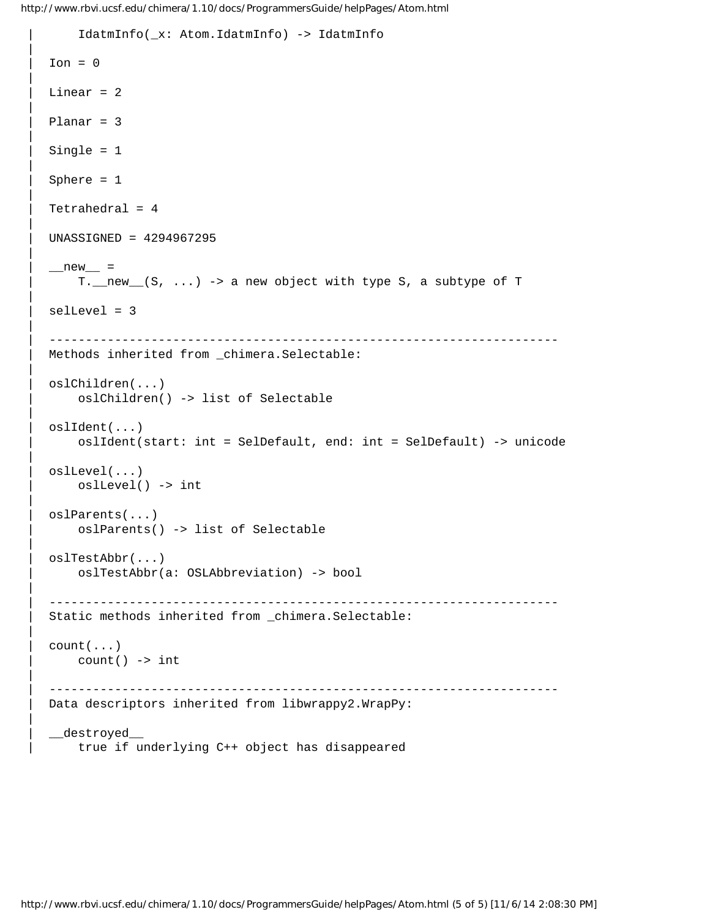| IdatmInfo(\_x: Atom.IdatmInfo) -> IdatmInfo

```
\mathbb{R}Ion = 0
\mathbb{R}Linear = 2\mathbb{R}Planar = 3\mathbb{R}Single = 1\mathbb{R}Sphere = 1\mathbb{R} | Tetrahedral = 4
\mathbb{R} | UNASSIGNED = 4294967295
\mathbb{R}_new_ =
         T. new (S, \ldots) -> a new object with type S, a subtype of T
\mathbb{R} | selLevel = 3
\mathbb{R} | ----------------------------------------------------------------------
    Methods inherited from chimera.Selectable:
\mathbb{R} | oslChildren(...)
          | oslChildren() -> list of Selectable
\mathbb{R} | oslIdent(...)
          | oslIdent(start: int = SelDefault, end: int = SelDefault) -> unicode
\mathbb{R} | oslLevel(...)
          | oslLevel() -> int
\mathbb{R} | oslParents(...)
          | oslParents() -> list of Selectable
\mathbb{R} | oslTestAbbr(...)
          | oslTestAbbr(a: OSLAbbreviation) -> bool
\mathbb{R} | ----------------------------------------------------------------------
    Static methods inherited from _chimera.Selectable:
\mathbb{R}count(...)count() \rightarrow int\mathbb{R} | ----------------------------------------------------------------------
    Data descriptors inherited from libwrappy2.WrapPy:
\mathbb{R} | __destroyed__
         true if underlying C++ object has disappeared
```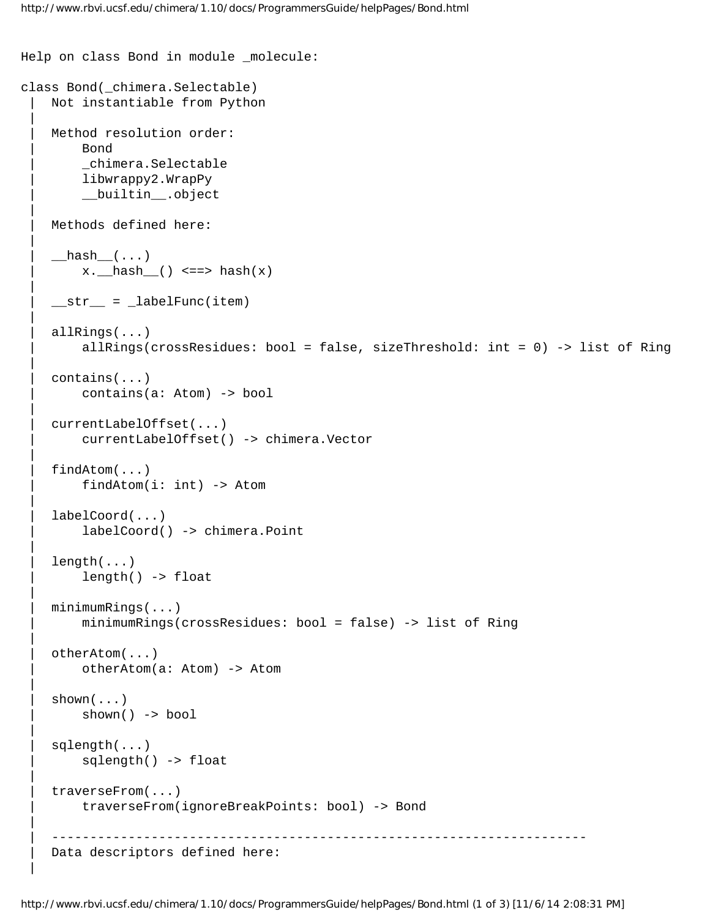```
Help on class Bond in module _molecule:
class Bond(_chimera.Selectable)
    Not instantiable from Python
\mathbf{I}Method resolution order:
          | Bond
          | _chimera.Selectable
          | libwrappy2.WrapPy
          | __builtin__.object
\BoxMethods defined here:
\mathbb{R}hash (\ldots)x.__hash__() \leq => hash(x)\Box_{{\rm \_strut}} = _{{\rm \_label} {\rm 1}} = _{{\rm \_label} {\rm 1}} abelFunc(item)
\mathbb{R}allRings(...) | allRings(crossResidues: bool = false, sizeThreshold: int = 0) -> list of Ring
\Boxcontains(\ldots) | contains(a: Atom) -> bool
\mathbb{R} | currentLabelOffset(...)
           | currentLabelOffset() -> chimera.Vector
\mathbb{R} | findAtom(...)
           | findAtom(i: int) -> Atom
\Box | labelCoord(...)
           | labelCoord() -> chimera.Point
\mathbb{R}length( \dots ) | length() -> float
\BoxminimumRings...)
          | minimumRings(crossResidues: bool = false) -> list of Ring
\mathbb{R} | otherAtom(...)
           | otherAtom(a: Atom) -> Atom
\mathbb{R}shown(\ldots)shown() -> bool
\Boxsqlength(...)sqlength() -> float
\mathbb{R} | traverseFrom(...)
           | traverseFrom(ignoreBreakPoints: bool) -> Bond
\Box | ----------------------------------------------------------------------
     Data descriptors defined here:
\mathbb{R}
```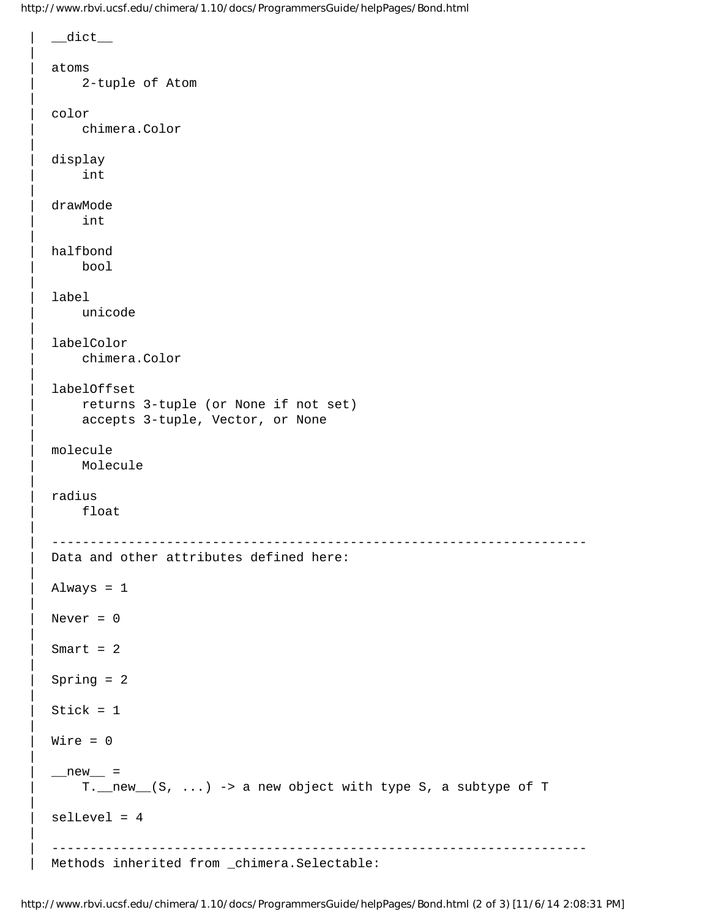http://www.rbvi.ucsf.edu/chimera/1.10/docs/ProgrammersGuide/helpPages/Bond.html

```
\_dict\mathbb{R} | atoms
           | 2-tuple of Atom
\Box | color
           | chimera.Color
\mathbb{R}display
          int
\mathbb{R}drawMode
          int
\mathbb{R}halfbond
           | bool
\mathbb{R} | label
          unicode
\Box | labelColor
           | chimera.Color
\mathbb{R} | labelOffset
           | returns 3-tuple (or None if not set)
          accepts 3-tuple, Vector, or None
\mathbb{R} | molecule
           | Molecule
\Boxradius
          float
\mathbb{R} | ----------------------------------------------------------------------
    Data and other attributes defined here:
\mathbb{R}\text{Always} = 1\mathbb{R}Never = 0\BoxSmart = 2\mathbb{R} | Spring = 2
\BoxStick = 1\mathbb{R}Wire = 0\mathbb{R}\text{new} =
          T. __new__(S, ...) -> a new object with type S, a subtype of T
\mathbb{R} | selLevel = 4
\mathbb{R} | ----------------------------------------------------------------------
    Methods inherited from _chimera.Selectable:
```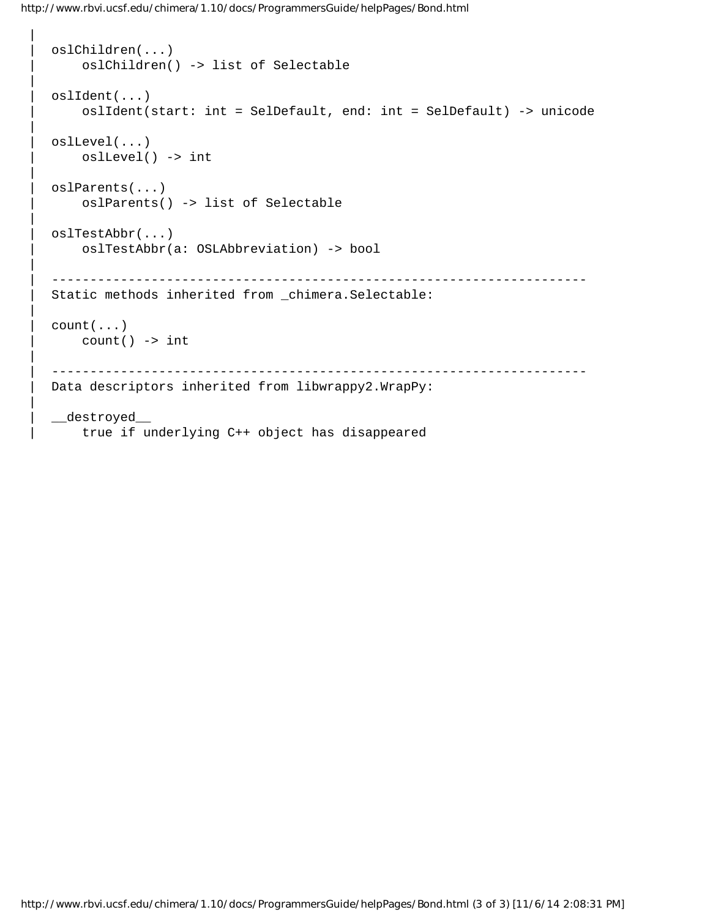```
\mathbb{R} | oslChildren(...)
         | oslChildren() -> list of Selectable
\BoxoslIdent(...) | oslIdent(start: int = SelDefault, end: int = SelDefault) -> unicode
\mathbb{R}oslLevel( \dots ) | oslLevel() -> int
\mathbb{R} | oslParents(...)
          | oslParents() -> list of Selectable
\mathbb{R} | oslTestAbbr(...)
          | oslTestAbbr(a: OSLAbbreviation) -> bool
\mathbb{R} | ----------------------------------------------------------------------
    Static methods inherited from _chimera.Selectable:
\Boxcount(\ldots)count() \rightarrow int\mathbb{R} | ----------------------------------------------------------------------
    Data descriptors inherited from libwrappy2.WrapPy:
\mathbb{R} | __destroyed__
         true if underlying C++ object has disappeared
```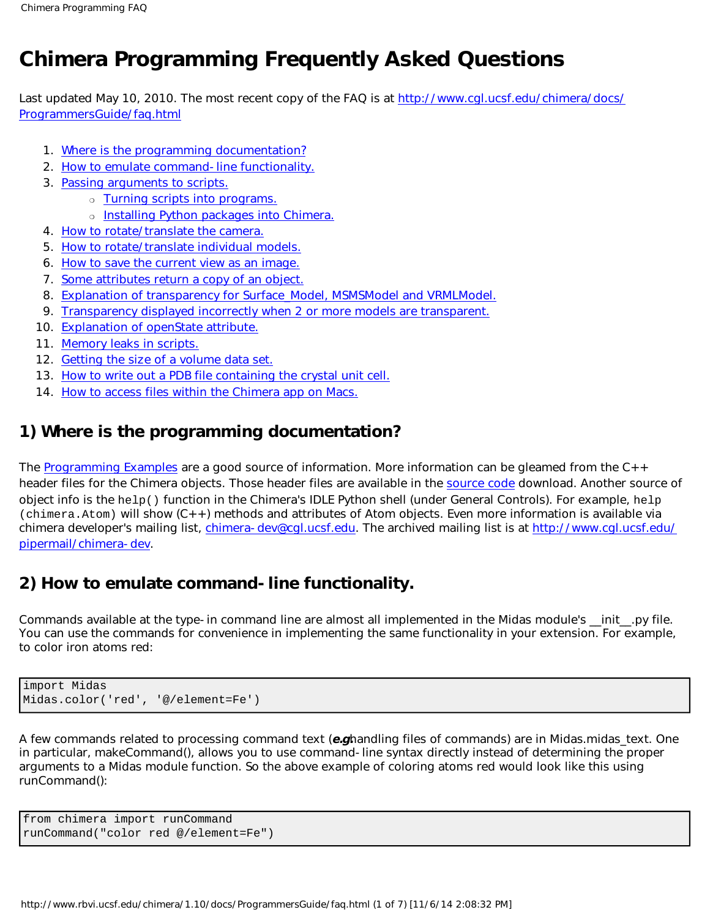## <span id="page-24-0"></span>**Chimera Programming Frequently Asked Questions**

Last updated May 10, 2010. The most recent copy of the FAQ is at [http://www.cgl.ucsf.edu/chimera/docs/](http://www.cgl.ucsf.edu/chimera/docs/ProgrammersGuide/faq.html) [ProgrammersGuide/faq.html](http://www.cgl.ucsf.edu/chimera/docs/ProgrammersGuide/faq.html)

- 1. [Where is the programming documentation?](#page-24-1)
- 2. [How to emulate command-line functionality.](#page-24-2)
- 3. [Passing arguments to scripts.](#page-25-0)
	- ❍ [Turning scripts into programs.](#page-25-1)
	- ❍ [Installing Python packages into Chimera.](#page-26-0)
- 4. [How to rotate/translate the camera.](#page-27-0)
- 5. [How to rotate/translate individual models.](#page-27-1)
- 6. [How to save the current view as an image.](#page-28-0)
- 7. [Some attributes return a copy of an object.](#page-28-1)
- 8. [Explanation of transparency for Surface\\_Model, MSMSModel and VRMLModel.](#page-28-2)
- 9. [Transparency displayed incorrectly when 2 or more models are transparent.](#page-28-3)
- 10. [Explanation of openState attribute.](#page-29-0)
- 11. [Memory leaks in scripts.](#page-29-1)
- 12. [Getting the size of a volume data set.](#page-29-2)
- 13. [How to write out a PDB file containing the crystal unit cell.](#page-29-3)
- 14. [How to access files within the Chimera app on Macs.](#page-30-0)

## <span id="page-24-1"></span>**1) Where is the programming documentation?**

The [Programming Examples](#page-3-0) are a good source of information. More information can be gleamed from the  $C_{+}$ + header files for the Chimera objects. Those header files are available in the [source code](http://www.cgl.ucsf.edu/chimera/sourcecode.html) download. Another source of object info is the help() function in the Chimera's IDLE Python shell (under General Controls). For example, help (chimera.Atom) will show (C++) methods and attributes of Atom objects. Even more information is available via chimera developer's mailing list, [chimera-dev@cgl.ucsf.edu.](mailto:chimera-dev@cgl.ucsf.edu) The archived mailing list is at [http://www.cgl.ucsf.edu/](http://www.cgl.ucsf.edu/pipermail/chimera-dev/) [pipermail/chimera-dev](http://www.cgl.ucsf.edu/pipermail/chimera-dev/).

## <span id="page-24-2"></span>**2) How to emulate command-line functionality.**

Commands available at the type-in command line are almost all implemented in the Midas module's \_\_init\_\_.py file. You can use the commands for convenience in implementing the same functionality in your extension. For example, to color iron atoms red:

```
import Midas
Midas.color('red', '@/element=Fe')
```
A few commands related to processing command text (e.ghandling files of commands) are in Midas.midas\_text. One in particular, makeCommand(), allows you to use command-line syntax directly instead of determining the proper arguments to a Midas module function. So the above example of coloring atoms red would look like this using runCommand():

```
from chimera import runCommand
runCommand("color red @/element=Fe")
```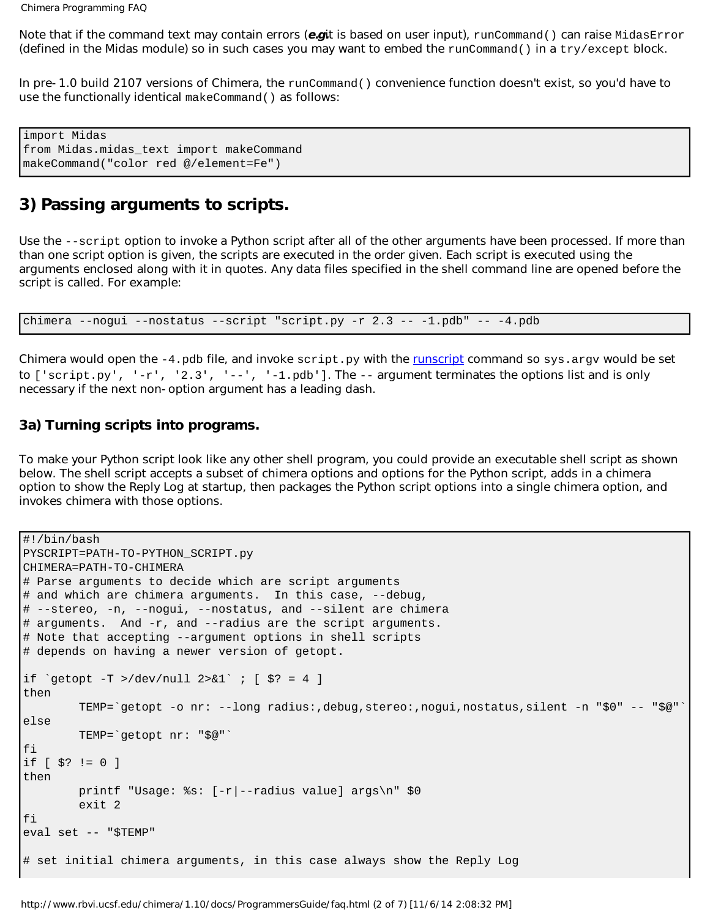Chimera Programming FAQ

Note that if the command text may contain errors (**e.g.** it is based on user input), runCommand() can raise MidasError (defined in the Midas module) so in such cases you may want to embed the runCommand() in a try/except block.

In pre-1.0 build 2107 versions of Chimera, the runCommand() convenience function doesn't exist, so you'd have to use the functionally identical makeCommand() as follows:

import Midas from Midas.midas text import makeCommand makeCommand("color red @/element=Fe")

## <span id="page-25-0"></span>**3) Passing arguments to scripts.**

Use the --script option to invoke a Python script after all of the other arguments have been processed. If more than than one script option is given, the scripts are executed in the order given. Each script is executed using the arguments enclosed along with it in quotes. Any data files specified in the shell command line are opened before the script is called. For example:

chimera --nogui --nostatus --script "script.py -r 2.3 -- -1.pdb" -- -4.pdb

Chimera would open the -4.pdb file, and invoke script.py with the <u>runscript</u> command so sys.argv would be set to  $[$ 'script.py', '-r', '2.3', '--', '-1.pdb']. The  $-$  argument terminates the options list and is only necessary if the next non-option argument has a leading dash.

#### <span id="page-25-1"></span>**3a) Turning scripts into programs.**

To make your Python script look like any other shell program, you could provide an executable shell script as shown below. The shell script accepts a subset of chimera options and options for the Python script, adds in a chimera option to show the Reply Log at startup, then packages the Python script options into a single chimera option, and invokes chimera with those options.

```
#!/bin/bash
PYSCRIPT=PATH-TO-PYTHON_SCRIPT.py
CHIMERA=PATH-TO-CHIMERA
# Parse arguments to decide which are script arguments
# and which are chimera arguments. In this case, --debug,
# --stereo, -n, --nogui, --nostatus, and --silent are chimera
# arguments. And -r, and --radius are the script arguments.
# Note that accepting --argument options in shell scripts
# depends on having a newer version of getopt.
if `getopt -T >/dev/null 2 > 1` ; [ \frac{2}{3} = 4 ]
then
         TEMP=`getopt -o nr: --long radius:,debug,stereo:,nogui,nostatus,silent -n "$0" -- "$@"`
else
         TEMP=`getopt nr: "$@"`
fi
if [ $? != 0 ]
then
         printf "Usage: %s: [-r|--radius value] args\n" $0
         exit 2
fi
eval set -- "$TEMP"
# set initial chimera arguments, in this case always show the Reply Log
```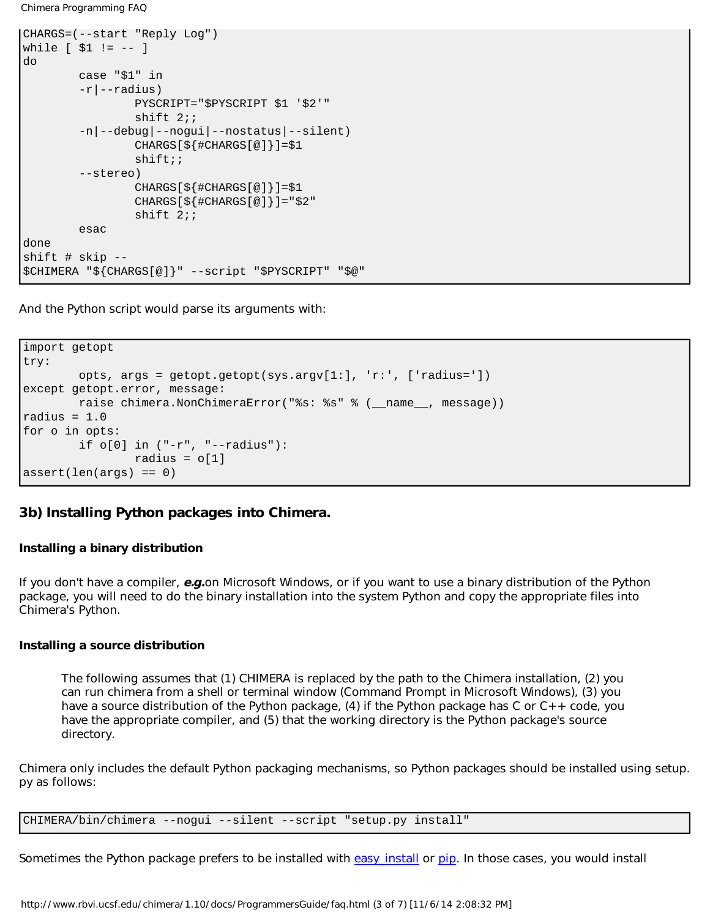Chimera Programming FAQ

```
CHARGS=(--start "Reply Log")
while [ $1 := - - ]do
         case "$1" in
        -r|--radius)
                  PYSCRIPT="$PYSCRIPT $1 '$2'"
                  shift 2;;
         -n|--debug|--nogui|--nostatus|--silent)
                  CHARGS[${#CHARGS[@]}]=$1
                  shift;;
         --stereo)
                  CHARGS[${#CHARGS[@]}]=$1
                 CHARGS[$]{\#CHARGS[@]}]="$2" shift 2;;
         esac
done
shift # skip --
$CHIMERA "${CHARGS[@]}" --script "$PYSCRIPT" "$@"
```
And the Python script would parse its arguments with:

```
import getopt
try:
        opts, args = getopt.getopt(sys.argv[1:], 'r:', ['radius='])
except getopt.error, message:
       raise chimera.NonChimeraError("%s: %s" % ( name , message))
radius = 1.0for o in opts:
         if o[0] in ("-r", "--radius"):
                radius = o[1]assert(len(args) == 0)
```
#### <span id="page-26-0"></span>**3b) Installing Python packages into Chimera.**

#### **Installing a binary distribution**

If you don't have a compiler, e.g. on Microsoft Windows, or if you want to use a binary distribution of the Python package, you will need to do the binary installation into the system Python and copy the appropriate files into Chimera's Python.

#### **Installing a source distribution**

The following assumes that (1) CHIMERA is replaced by the path to the Chimera installation, (2) you can run chimera from a shell or terminal window (Command Prompt in Microsoft Windows), (3) you have a source distribution of the Python package, (4) if the Python package has C or C++ code, you have the appropriate compiler, and (5) that the working directory is the Python package's source directory.

Chimera only includes the default Python packaging mechanisms, so Python packages should be installed using setup. py as follows:

CHIMERA/bin/chimera --nogui --silent --script "setup.py install"

Sometimes the Python package prefers to be installed with [easy\\_install](https://pypi.python.org/pypi/setuptools) or [pip.](https://pypi.python.org/pypi/pip) In those cases, you would install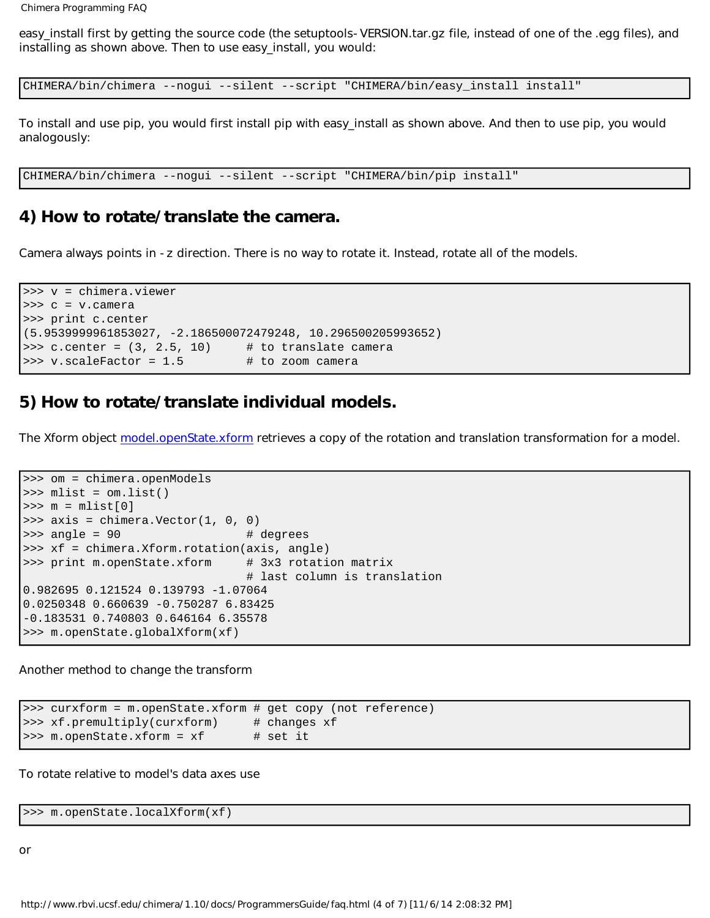easy install first by getting the source code (the setuptools-VERSION.tar.gz file, instead of one of the .egg files), and installing as shown above. Then to use easy\_install, you would:

CHIMERA/bin/chimera --nogui --silent --script "CHIMERA/bin/easy\_install install"

To install and use pip, you would first install pip with easy\_install as shown above. And then to use pip, you would analogously:

CHIMERA/bin/chimera --nogui --silent --script "CHIMERA/bin/pip install"

#### <span id="page-27-0"></span>**4) How to rotate/translate the camera.**

Camera always points in -z direction. There is no way to rotate it. Instead, rotate all of the models.

```
>>> v = chimera.viewer
\Rightarrow > \circ = v. camera
>>> print c.center
(5.9539999961853027, -2.186500072479248, 10.296500205993652)
>>> c.center = (3, 2.5, 10) # to translate camera
\Rightarrow v.scaleFactor = 1.5 # to zoom camera
```
### <span id="page-27-1"></span>**5) How to rotate/translate individual models.**

The Xform object [model.openState.xform](#page-29-0) retrieves a copy of the rotation and translation transformation for a model.

```
>>> om = chimera.openModels
\Rightarrow mlist = om.list()\Rightarrow \ge m = mlist[0]\Rightarrow \Rightarrow axis = \text{chimera}.\text{Vector}(1, 0, 0)>>> angle = 90 # degrees
>>> xf = chimera.Xform.rotation(axis, angle)
>>> print m.openState.xform # 3x3 rotation matrix
                                    # last column is translation
0.982695 0.121524 0.139793 -1.07064
0.0250348 0.660639 -0.750287 6.83425
-0.183531 0.740803 0.646164 6.35578
>>> m.openState.globalXform(xf)
```
Another method to change the transform

```
>>> curxform = m.openState.xform # get copy (not reference)
>>> xf.premultiply(curxform) # changes xf
>>> m.openState.xform = xf # set it
```
To rotate relative to model's data axes use

>>> m.openState.localXform(xf)

or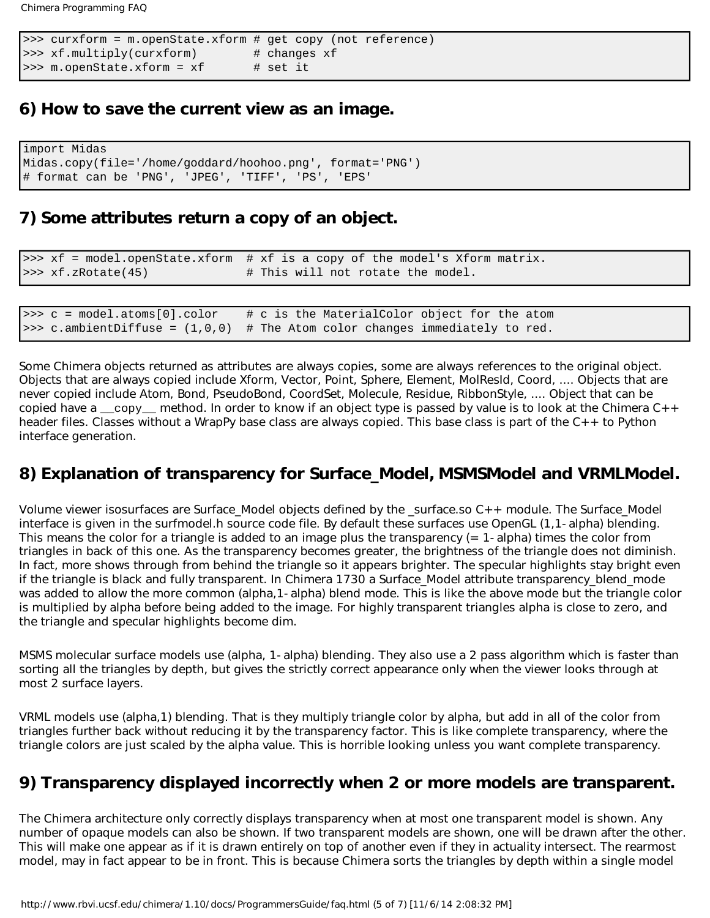Chimera Programming FAQ

>>> curxform = m.openState.xform # get copy (not reference) >>> xf.multiply(curxform) # changes xf >>> m.openState.xform = xf # set it

### <span id="page-28-0"></span>**6) How to save the current view as an image.**

```
import Midas
Midas.copy(file='/home/goddard/hoohoo.png', format='PNG')
# format can be 'PNG', 'JPEG', 'TIFF', 'PS', 'EPS'
```
## <span id="page-28-1"></span>**7) Some attributes return a copy of an object.**

```
>>> xf = model.openState.xform # xf is a copy of the model's Xform matrix.
>>> xf.zRotate(45) # This will not rotate the model.
```
>>> c = model.atoms[0].color # c is the MaterialColor object for the atom >>> c.ambientDiffuse = (1,0,0) # The Atom color changes immediately to red.

Some Chimera objects returned as attributes are always copies, some are always references to the original object. Objects that are always copied include Xform, Vector, Point, Sphere, Element, MolResId, Coord, .... Objects that are never copied include Atom, Bond, PseudoBond, CoordSet, Molecule, Residue, RibbonStyle, .... Object that can be copied have a  $\_\text{copy}$  method. In order to know if an object type is passed by value is to look at the Chimera  $C_{++}$ header files. Classes without a WrapPy base class are always copied. This base class is part of the C++ to Python interface generation.

## <span id="page-28-2"></span>**8) Explanation of transparency for Surface\_Model, MSMSModel and VRMLModel.**

Volume viewer isosurfaces are Surface\_Model objects defined by the \_surface.so C++ module. The Surface\_Model interface is given in the surfmodel.h source code file. By default these surfaces use OpenGL (1,1-alpha) blending. This means the color for a triangle is added to an image plus the transparency (= 1-alpha) times the color from triangles in back of this one. As the transparency becomes greater, the brightness of the triangle does not diminish. In fact, more shows through from behind the triangle so it appears brighter. The specular highlights stay bright even if the triangle is black and fully transparent. In Chimera 1730 a Surface\_Model attribute transparency\_blend\_mode was added to allow the more common (alpha,1-alpha) blend mode. This is like the above mode but the triangle color is multiplied by alpha before being added to the image. For highly transparent triangles alpha is close to zero, and the triangle and specular highlights become dim.

MSMS molecular surface models use (alpha, 1-alpha) blending. They also use a 2 pass algorithm which is faster than sorting all the triangles by depth, but gives the strictly correct appearance only when the viewer looks through at most 2 surface layers.

VRML models use (alpha,1) blending. That is they multiply triangle color by alpha, but add in all of the color from triangles further back without reducing it by the transparency factor. This is like complete transparency, where the triangle colors are just scaled by the alpha value. This is horrible looking unless you want complete transparency.

## <span id="page-28-3"></span>**9) Transparency displayed incorrectly when 2 or more models are transparent.**

The Chimera architecture only correctly displays transparency when at most one transparent model is shown. Any number of opaque models can also be shown. If two transparent models are shown, one will be drawn after the other. This will make one appear as if it is drawn entirely on top of another even if they in actuality intersect. The rearmost model, may in fact appear to be in front. This is because Chimera sorts the triangles by depth within a single model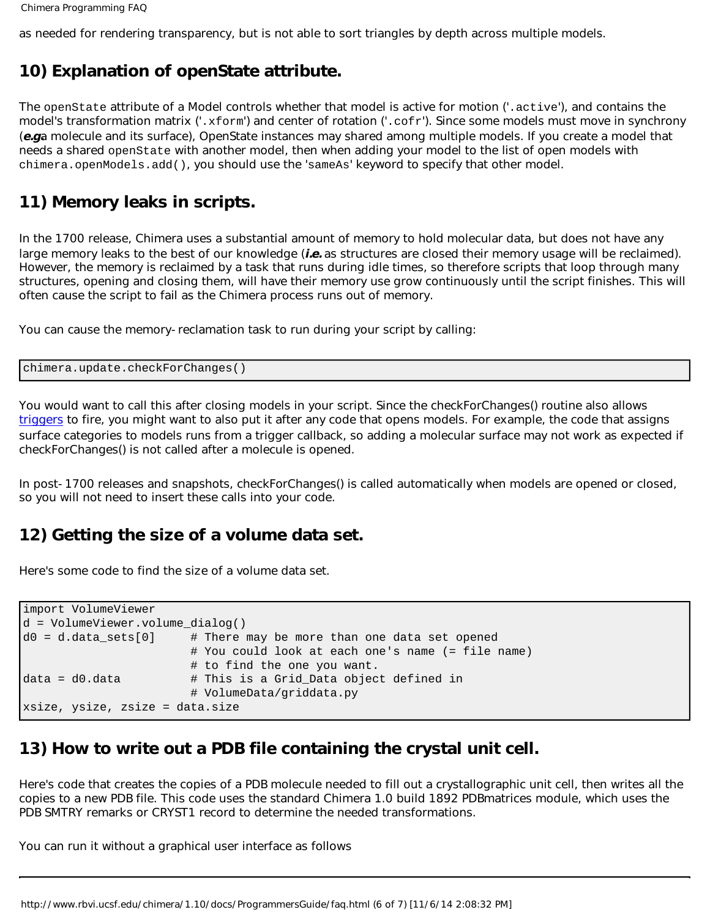as needed for rendering transparency, but is not able to sort triangles by depth across multiple models.

## <span id="page-29-0"></span>**10) Explanation of openState attribute.**

The openState attribute of a Model controls whether that model is active for motion ('.active'), and contains the model's transformation matrix ('.xform') and center of rotation ('.cofr'). Since some models must move in synchrony (**e.g.** a molecule and its surface), OpenState instances may shared among multiple models. If you create a model that needs a shared openState with another model, then when adding your model to the list of open models with chimera.openModels.add(), you should use the 'sameAs' keyword to specify that other model.

## <span id="page-29-1"></span>**11) Memory leaks in scripts.**

In the 1700 release, Chimera uses a substantial amount of memory to hold molecular data, but does not have any large memory leaks to the best of our knowledge (**i.e.** as structures are closed their memory usage will be reclaimed). However, the memory is reclaimed by a task that runs during idle times, so therefore scripts that loop through many structures, opening and closing them, will have their memory use grow continuously until the script finishes. This will often cause the script to fail as the Chimera process runs out of memory.

You can cause the memory-reclamation task to run during your script by calling:

```
chimera.update.checkForChanges()
```
You would want to call this after closing models in your script. Since the checkForChanges() routine also allows [triggers](http://www.cgl.ucsf.edu/chimera/docs/ProgrammersGuide/Examples/Main_AtomTrigger.html) to fire, you might want to also put it after any code that opens models. For example, the code that assigns surface categories to models runs from a trigger callback, so adding a molecular surface may not work as expected if checkForChanges() is not called after a molecule is opened.

In post-1700 releases and snapshots, checkForChanges() is called automatically when models are opened or closed, so you will not need to insert these calls into your code.

#### <span id="page-29-2"></span>**12) Getting the size of a volume data set.**

Here's some code to find the size of a volume data set.

```
import VolumeViewer
d = VolumeViewer.volume_dialog()
d0 = d.data_sets[0] # There may be more than one data set opened
                        # You could look at each one's name (= file name)
                        # to find the one you want.
data = d0.data # This is a Grid_Data object defined in
                        # VolumeData/griddata.py
xsize, ysize, zsize = data.size
```
## <span id="page-29-3"></span>**13) How to write out a PDB file containing the crystal unit cell.**

Here's code that creates the copies of a PDB molecule needed to fill out a crystallographic unit cell, then writes all the copies to a new PDB file. This code uses the standard Chimera 1.0 build 1892 PDBmatrices module, which uses the PDB SMTRY remarks or CRYST1 record to determine the needed transformations.

You can run it without a graphical user interface as follows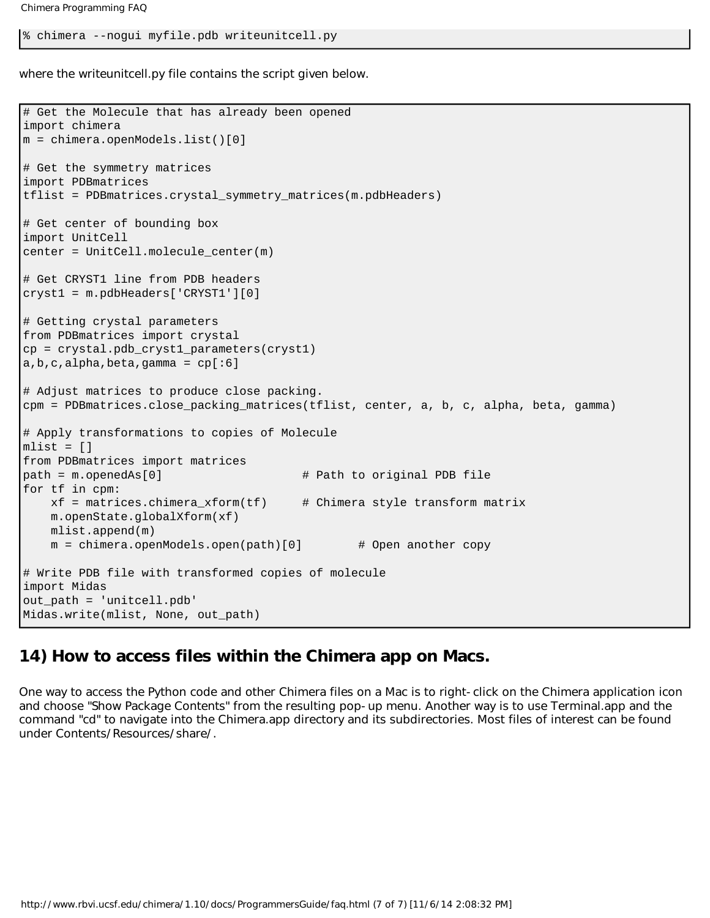Chimera Programming FAQ

% chimera --nogui myfile.pdb writeunitcell.py

where the writeunitcell.py file contains the script given below.

```
# Get the Molecule that has already been opened
import chimera
m = chimera.openModels.list()[0]
# Get the symmetry matrices
import PDBmatrices
tflist = PDBmatrices.crystal_symmetry_matrices(m.pdbHeaders)
# Get center of bounding box
import UnitCell
center = UnitCell.molecule_center(m)
# Get CRYST1 line from PDB headers
cryst1 = m.pdbHeaders['CRYST1'][0]
# Getting crystal parameters
from PDBmatrices import crystal
cp = crystal.pdb_cryst1_parameters(cryst1)
a,b,c,alpha,beta,gamma = cp[:6]# Adjust matrices to produce close packing.
cpm = PDBmatrices.close_packing_matrices(tflist, center, a, b, c, alpha, beta, gamma)
# Apply transformations to copies of Molecule
mlist = []
from PDBmatrices import matrices
path = m.openedAs[0] \qquad # Path to original PDB file
for tf in cpm:
    xf = matrices.chimera_xform(tf) # Chimera style transform matrix
    m.openState.globalXform(xf)
    mlist.append(m)
    m = chimera.openModels.open(path)[0] # Open another copy
# Write PDB file with transformed copies of molecule
import Midas
out_path = 'unitcell.pdb'
Midas.write(mlist, None, out_path)
```
## <span id="page-30-0"></span>**14) How to access files within the Chimera app on Macs.**

One way to access the Python code and other Chimera files on a Mac is to right-click on the Chimera application icon and choose "Show Package Contents" from the resulting pop-up menu. Another way is to use Terminal.app and the command "cd" to navigate into the Chimera.app directory and its subdirectories. Most files of interest can be found under Contents/Resources/share/.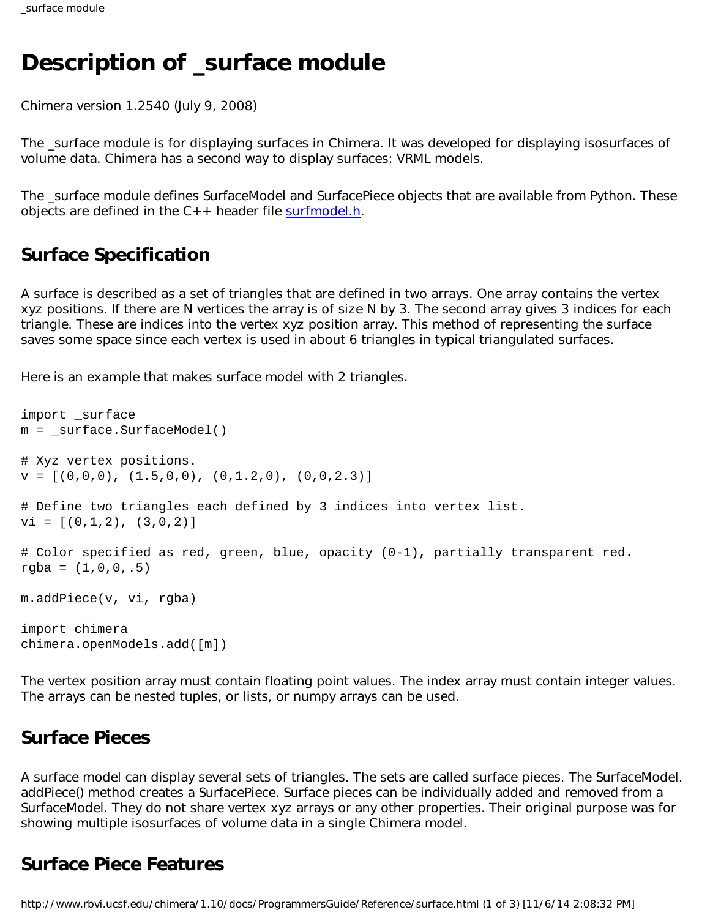## <span id="page-31-0"></span>**Description of \_surface module**

```
Chimera version 1.2540 (July 9, 2008)
```
The \_surface module is for displaying surfaces in Chimera. It was developed for displaying isosurfaces of volume data. Chimera has a second way to display surfaces: VRML models.

The \_surface module defines SurfaceModel and SurfacePiece objects that are available from Python. These objects are defined in the  $C++$  header file [surfmodel.h.](https://plato.cgl.ucsf.edu/trac/chimera/browser/trunk/contrib/_surface/surfmodel.h)

## **Surface Specification**

A surface is described as a set of triangles that are defined in two arrays. One array contains the vertex xyz positions. If there are N vertices the array is of size N by 3. The second array gives 3 indices for each triangle. These are indices into the vertex xyz position array. This method of representing the surface saves some space since each vertex is used in about 6 triangles in typical triangulated surfaces.

Here is an example that makes surface model with 2 triangles.

```
import _surface
m = _surface.SurfaceModel()
# Xyz vertex positions.
v = [(0,0,0), (1.5,0,0), (0,1.2,0), (0,0,2.3)]# Define two triangles each defined by 3 indices into vertex list.
vi = [(0,1,2), (3,0,2)]# Color specified as red, green, blue, opacity (0-1), partially transparent red.
rgba = (1, 0, 0, .5)m.addPiece(v, vi, rgba)
import chimera
chimera.openModels.add([m])
```
The vertex position array must contain floating point values. The index array must contain integer values. The arrays can be nested tuples, or lists, or numpy arrays can be used.

## **Surface Pieces**

A surface model can display several sets of triangles. The sets are called surface pieces. The SurfaceModel. addPiece() method creates a SurfacePiece. Surface pieces can be individually added and removed from a SurfaceModel. They do not share vertex xyz arrays or any other properties. Their original purpose was for showing multiple isosurfaces of volume data in a single Chimera model.

## **Surface Piece Features**

http://www.rbvi.ucsf.edu/chimera/1.10/docs/ProgrammersGuide/Reference/surface.html (1 of 3) [11/6/14 2:08:32 PM]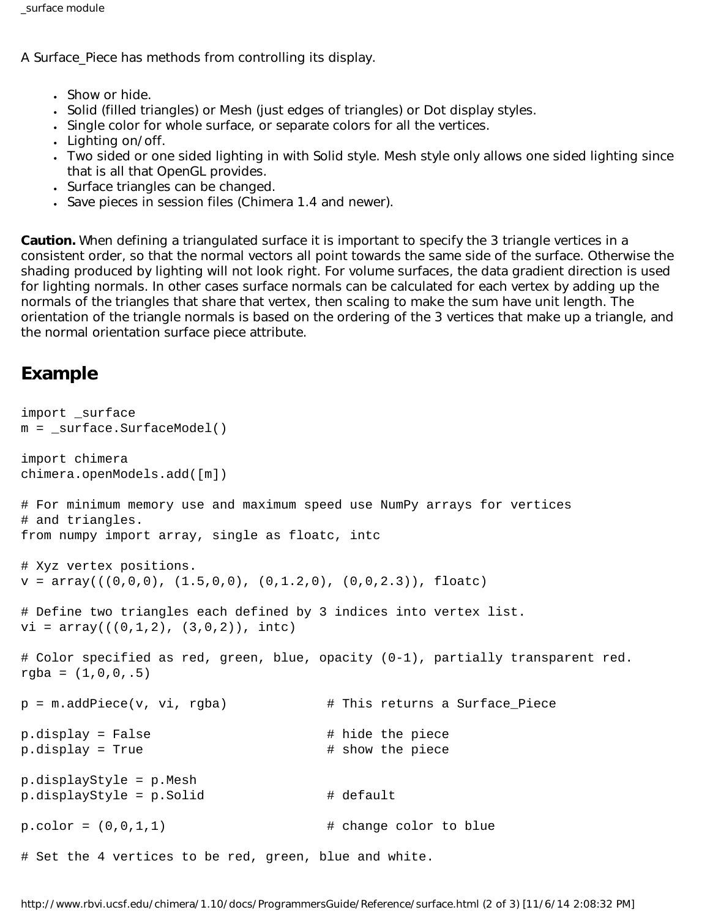A Surface\_Piece has methods from controlling its display.

- Show or hide.
- Solid (filled triangles) or Mesh (just edges of triangles) or Dot display styles.
- Single color for whole surface, or separate colors for all the vertices.
- $\cdot$  Lighting on/off.
- Two sided or one sided lighting in with Solid style. Mesh style only allows one sided lighting since that is all that OpenGL provides.
- Surface triangles can be changed.
- Save pieces in session files (Chimera 1.4 and newer).

**Caution.** When defining a triangulated surface it is important to specify the 3 triangle vertices in a consistent order, so that the normal vectors all point towards the same side of the surface. Otherwise the shading produced by lighting will not look right. For volume surfaces, the data gradient direction is used for lighting normals. In other cases surface normals can be calculated for each vertex by adding up the normals of the triangles that share that vertex, then scaling to make the sum have unit length. The orientation of the triangle normals is based on the ordering of the 3 vertices that make up a triangle, and the normal orientation surface piece attribute.

## **Example**

```
import _surface
m = _surface.SurfaceModel()
import chimera
chimera.openModels.add([m])
# For minimum memory use and maximum speed use NumPy arrays for vertices
# and triangles.
from numpy import array, single as floatc, intc
# Xyz vertex positions.
v = array(((0,0,0), (1.5,0,0), (0,1.2,0), (0,0,2.3)), floatc)# Define two triangles each defined by 3 indices into vertex list.
vi = array(((0,1,2), (3,0,2)), intc)# Color specified as red, green, blue, opacity (0-1), partially transparent red.
rgba = (1,0,0,.5)p = m.addPiece(v, vi, rgba) # This returns a Surface_Piece
p.display = False # hide the piece
p.display = True \qquad # show the piece
p.displayStyle = p.Mesh
p.displayStyle = p.Solid # defaultp.color = (0,0,1,1) # change color to blue
# Set the 4 vertices to be red, green, blue and white.
```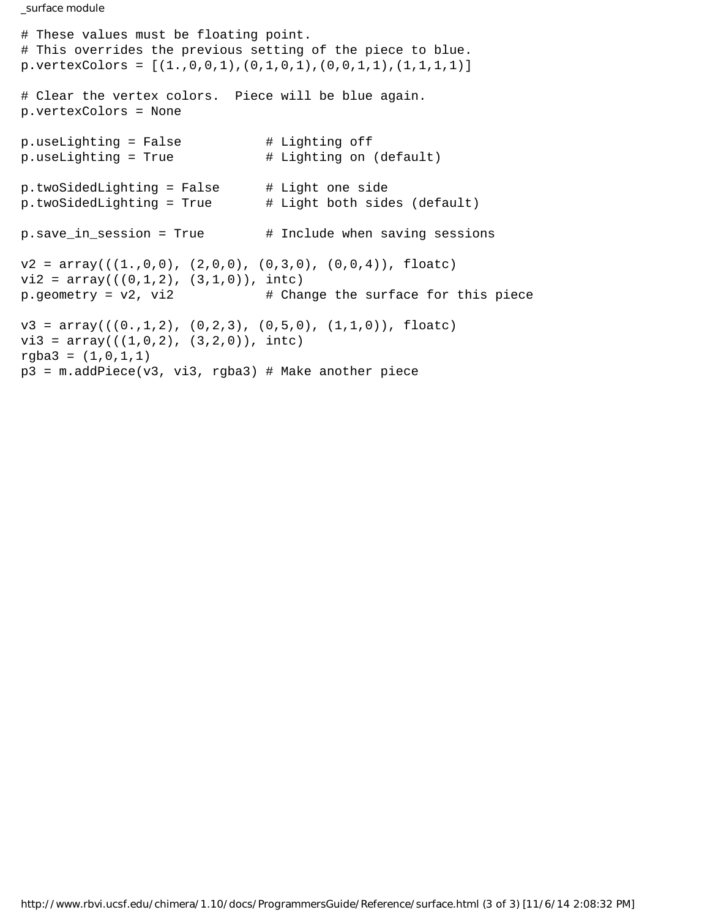\_surface module

```
# These values must be floating point.
# This overrides the previous setting of the piece to blue.
p.\text{vertexColors} = \{ (1.,0,0,1), (0,1,0,1), (0,0,1,1), (1,1,1,1,1) \}# Clear the vertex colors. Piece will be blue again.
p.vertexColors = None
p.useLighting = False # Lighting off
p.useLighting = True \qquad # Lighting on (default)
p.twoSidedLighting = False # Light one side<br>p.twoSidedLighting = True # Light both side
                               # Light both sides (default)
p.save_in_session = True # Include when saving sessions
v2 = array(((1.,0,0), (2,0,0), (0,3,0), (0,0,4)), floatc)vi2 = array(((0,1,2), (3,1,0)), intc)
p.geometry = v2, vi2 # Change the surface for this piece
v3 = array(((0.,1,2), (0,2,3), (0,5,0), (1,1,0)), floatc)vi3 = array(((1,0,2), (3,2,0)), intc)rgba3 = (1,0,1,1)p3 = m.addPiece(v3, vi3, rgba3) # Make another piece
```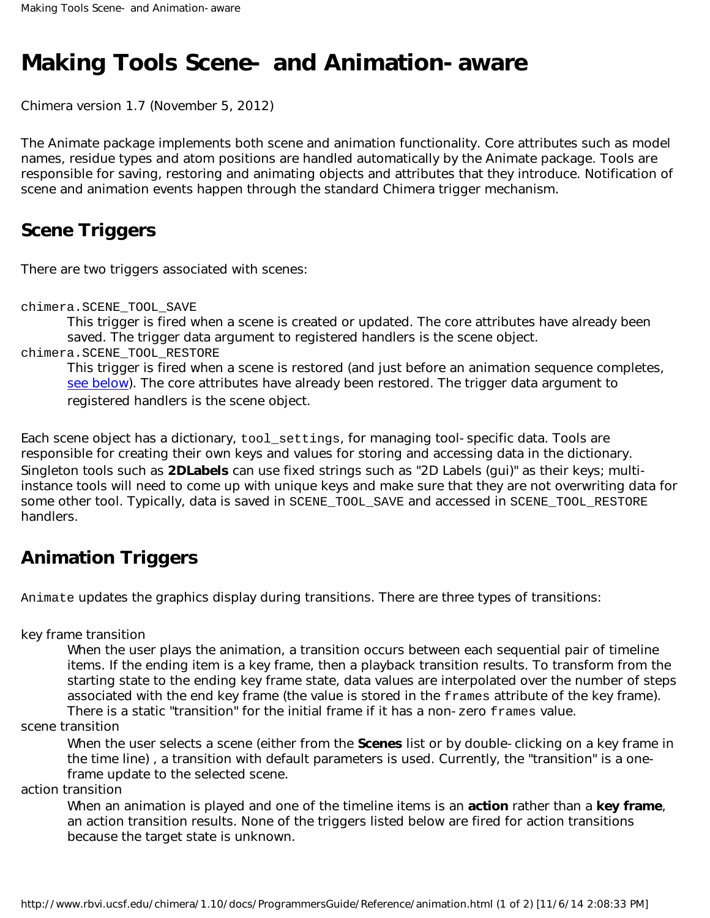## <span id="page-34-0"></span>**Making Tools Scene- and Animation-aware**

Chimera version 1.7 (November 5, 2012)

The Animate package implements both scene and animation functionality. Core attributes such as model names, residue types and atom positions are handled automatically by the Animate package. Tools are responsible for saving, restoring and animating objects and attributes that they introduce. Notification of scene and animation events happen through the standard Chimera trigger mechanism.

## **Scene Triggers**

There are two triggers associated with scenes:

chimera.SCENE\_TOOL\_SAVE

This trigger is fired when a scene is created or updated. The core attributes have already been saved. The trigger data argument to registered handlers is the scene object. chimera.SCENE\_TOOL\_RESTORE

This trigger is fired when a scene is restored (and just before an animation sequence completes, see below). The core attributes have already been restored. The trigger data argument to registered handlers is the scene object.

Each scene object has a dictionary, tool\_settings, for managing tool-specific data. Tools are responsible for creating their own keys and values for storing and accessing data in the dictionary. Singleton tools such as **2DLabels** can use fixed strings such as "2D Labels (gui)" as their keys; multiinstance tools will need to come up with unique keys and make sure that they are not overwriting data for some other tool. Typically, data is saved in SCENE\_TOOL\_SAVE and accessed in SCENE\_TOOL\_RESTORE handlers.

## **Animation Triggers**

Animate updates the graphics display during transitions. There are three types of transitions:

key frame transition

When the user plays the animation, a transition occurs between each sequential pair of timeline items. If the ending item is a key frame, then a playback transition results. To transform from the starting state to the ending key frame state, data values are interpolated over the number of steps associated with the end key frame (the value is stored in the frames attribute of the key frame). There is a static "transition" for the initial frame if it has a non-zero frames value.

#### scene transition

When the user selects a scene (either from the **Scenes** list or by double-clicking on a key frame in the time line) , a transition with default parameters is used. Currently, the "transition" is a oneframe update to the selected scene.

action transition

When an animation is played and one of the timeline items is an **action** rather than a **key frame**, an action transition results. None of the triggers listed below are fired for action transitions because the target state is unknown.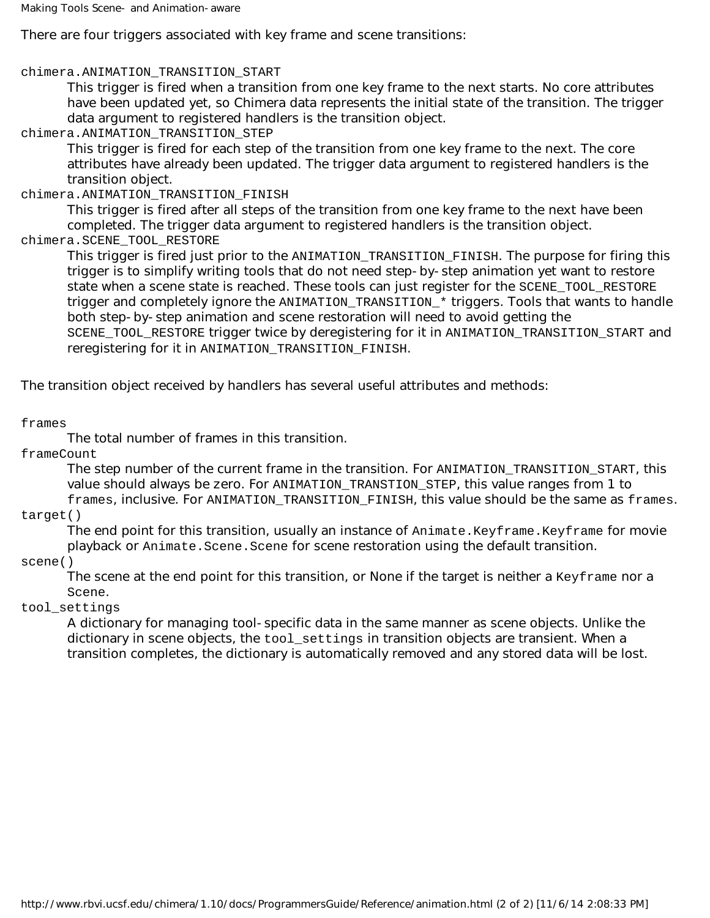Making Tools Scene- and Animation-aware

There are four triggers associated with key frame and scene transitions:

#### chimera.ANIMATION\_TRANSITION\_START

This trigger is fired when a transition from one key frame to the next starts. No core attributes have been updated yet, so Chimera data represents the initial state of the transition. The trigger data argument to registered handlers is the transition object.

chimera.ANIMATION\_TRANSITION\_STEP

This trigger is fired for each step of the transition from one key frame to the next. The core attributes have already been updated. The trigger data argument to registered handlers is the transition object.

#### chimera.ANIMATION\_TRANSITION\_FINISH

This trigger is fired after all steps of the transition from one key frame to the next have been completed. The trigger data argument to registered handlers is the transition object.

#### chimera.SCENE\_TOOL\_RESTORE

This trigger is fired just prior to the ANIMATION TRANSITION FINISH. The purpose for firing this trigger is to simplify writing tools that do not need step-by-step animation yet want to restore state when a scene state is reached. These tools can just register for the SCENE\_TOOL\_RESTORE trigger and completely ignore the ANIMATION TRANSITION \* triggers. Tools that wants to handle both step-by-step animation and scene restoration will need to avoid getting the SCENE TOOL RESTORE trigger twice by deregistering for it in ANIMATION TRANSITION START and reregistering for it in ANIMATION\_TRANSITION\_FINISH.

The transition object received by handlers has several useful attributes and methods:

#### frames

The total number of frames in this transition.

frameCount

The step number of the current frame in the transition. For ANIMATION TRANSITION START, this value should always be zero. For ANIMATION\_TRANSTION\_STEP, this value ranges from 1 to frames, inclusive. For ANIMATION\_TRANSITION\_FINISH, this value should be the same as frames.

#### target()

The end point for this transition, usually an instance of Animate.Keyframe.Keyframe for movie playback or Animate.Scene.Scene for scene restoration using the default transition.

#### scene()

The scene at the end point for this transition, or None if the target is neither a Keyframe nor a Scene.

#### tool\_settings

A dictionary for managing tool-specific data in the same manner as scene objects. Unlike the dictionary in scene objects, the tool settings in transition objects are transient. When a transition completes, the dictionary is automatically removed and any stored data will be lost.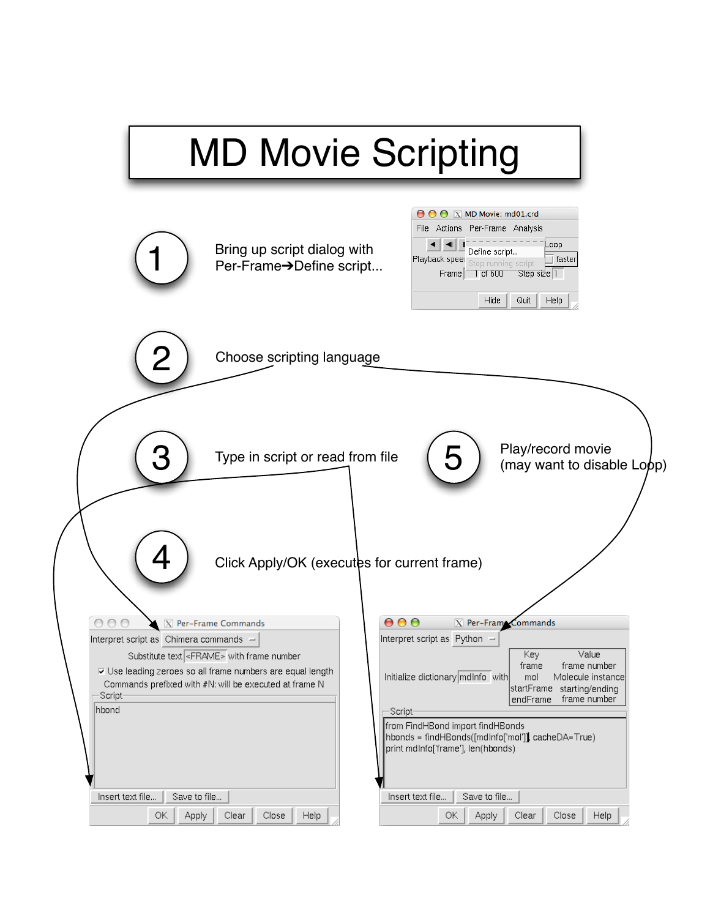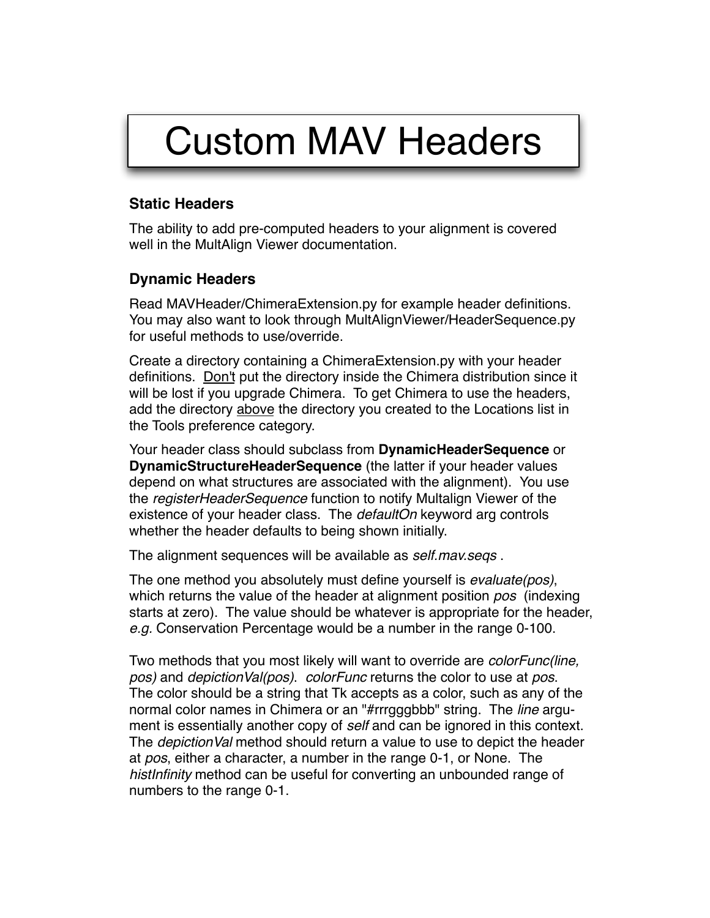# Custom MAV Headers

#### **Static Headers**

The ability to add pre-computed headers to your alignment is covered well in the MultAlign Viewer documentation.

### **Dynamic Headers**

Read MAVHeader/ChimeraExtension.py for example header definitions. You may also want to look through MultAlignViewer/HeaderSequence.py for useful methods to use/override.

Create a directory containing a ChimeraExtension.py with your header definitions. Don't put the directory inside the Chimera distribution since it will be lost if you upgrade Chimera. To get Chimera to use the headers, add the directory above the directory you created to the Locations list in the Tools preference category.

Your header class should subclass from **DynamicHeaderSequence** or **DynamicStructureHeaderSequence** (the latter if your header values depend on what structures are associated with the alignment). You use the *registerHeaderSequence* function to notify Multalign Viewer of the existence of your header class. The *defaultOn* keyword arg controls whether the header defaults to being shown initially.

The alignment sequences will be available as *self.mav.seqs* .

The one method you absolutely must define yourself is *evaluate(pos)*, which returns the value of the header at alignment position *pos* (indexing starts at zero). The value should be whatever is appropriate for the header, *e.g.* Conservation Percentage would be a number in the range 0-100.

Two methods that you most likely will want to override are *colorFunc(line, pos)* and *depictionVal(pos)*. *colorFunc* returns the color to use at *pos*. The color should be a string that Tk accepts as a color, such as any of the normal color names in Chimera or an "#rrrgggbbb" string. The *line* argument is essentially another copy of *self* and can be ignored in this context. The *depictionVal* method should return a value to use to depict the header at *pos*, either a character, a number in the range 0-1, or None. The *histInfinity* method can be useful for converting an unbounded range of numbers to the range 0-1.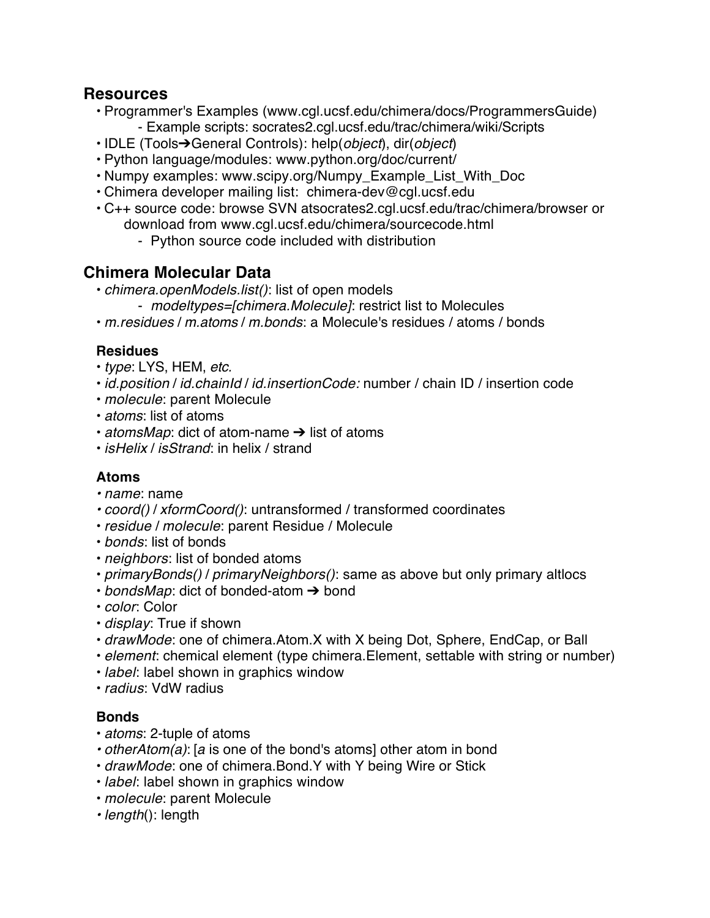### **Resources**

- Programmer's Examples (www.cgl.ucsf.edu/chimera/docs/ProgrammersGuide) - Example scripts: socrates2.cgl.ucsf.edu/trac/chimera/wiki/Scripts
- IDLE (Tools➔General Controls): help(*object*), dir(*object*)
- Python language/modules: www.python.org/doc/current/
- Numpy examples: www.scipy.org/Numpy\_Example\_List\_With\_Doc
- Chimera developer mailing list: chimera-dev@cgl.ucsf.edu
- C++ source code: browse SVN atsocrates2.cgl.ucsf.edu/trac/chimera/browser or download from www.cgl.ucsf.edu/chimera/sourcecode.html
	- ⁃ Python source code included with distribution

## **Chimera Molecular Data**

- *chimera.openModels.list()*: list of open models
	- ⁃ *modeltypes=[chimera.Molecule]*: restrict list to Molecules
- *m.residues* / *m.atoms* / *m.bonds*: a Molecule's residues / atoms / bonds

#### **Residues**

- *type*: LYS, HEM, *etc.*
- *id.position* / *id.chainId* / *id.insertionCode:* number / chain ID / insertion code
- *molecule*: parent Molecule
- *atoms*: list of atoms
- *atomsMap*: dict of atom-name ➔ list of atoms
- *isHelix* / *isStrand*: in helix / strand

#### **Atoms**

- *• name*: name
- *• coord()* / *xformCoord()*: untransformed / transformed coordinates
- *residue* / *molecule*: parent Residue / Molecule
- *bonds*: list of bonds
- *neighbors*: list of bonded atoms
- *primaryBonds()* / *primaryNeighbors()*: same as above but only primary altlocs
- *bondsMap*: dict of bonded-atom ➔ bond
- *color*: Color
- *display*: True if shown
- *drawMode*: one of chimera.Atom.X with X being Dot, Sphere, EndCap, or Ball
- *element*: chemical element (type chimera.Element, settable with string or number)
- *label*: label shown in graphics window
- *radius*: VdW radius

#### **Bonds**

- *atoms*: 2-tuple of atoms
- *• otherAtom(a)*: [*a* is one of the bond's atoms] other atom in bond
- *drawMode*: one of chimera.Bond.Y with Y being Wire or Stick
- *label*: label shown in graphics window
- *molecule*: parent Molecule
- *• length*(): length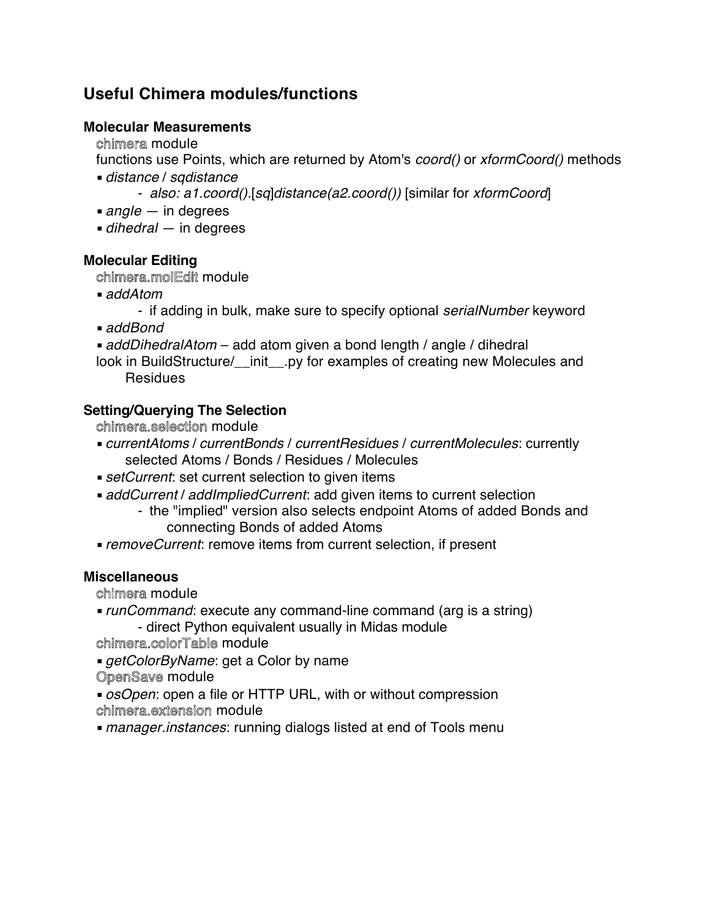# **Useful Chimera modules/functions**

#### **Molecular Measurements**

#### chimera module

functions use Points, which are returned by Atom's *coord()* or *xformCoord()* methods

- *distance* / *sqdistance*
	- ⁃ *also: a1.coord().*[*sq*]*distance(a2.coord())* [similar for *xformCoord*]
- *angle* in degrees
- *dihedral* in degrees

### **Molecular Editing**

#### chimera.molEdit module

- *addAtom* 
	- ⁃ if adding in bulk, make sure to specify optional *serialNumber* keyword
- *addBond*
- *addDihedralAtom* add atom given a bond length / angle / dihedral
- look in BuildStructure/\_\_init\_\_.py for examples of creating new Molecules and **Residues**

### **Setting/Querying The Selection**

#### chimera.selection module

- *currentAtoms* / *currentBonds* / *currentResidues* / *currentMolecules*: currently selected Atoms / Bonds / Residues / Molecules
- **E** setCurrent: set current selection to given items
- *addCurrent* / *addImpliedCurrent*: add given items to current selection
	- ⁃ the "implied" version also selects endpoint Atoms of added Bonds and connecting Bonds of added Atoms
- *removeCurrent*: remove items from current selection, if present

### **Miscellaneous**

### chimera module

▪ *runCommand*: execute any command-line command (arg is a string) ⁃ direct Python equivalent usually in Midas module

### chimera.colorTable module

- *getColorByName*: get a Color by name
- OpenSave module
- *osOpen*: open a file or HTTP URL, with or without compression chimera.extension module
- **E** *manager.instances:* running dialogs listed at end of Tools menu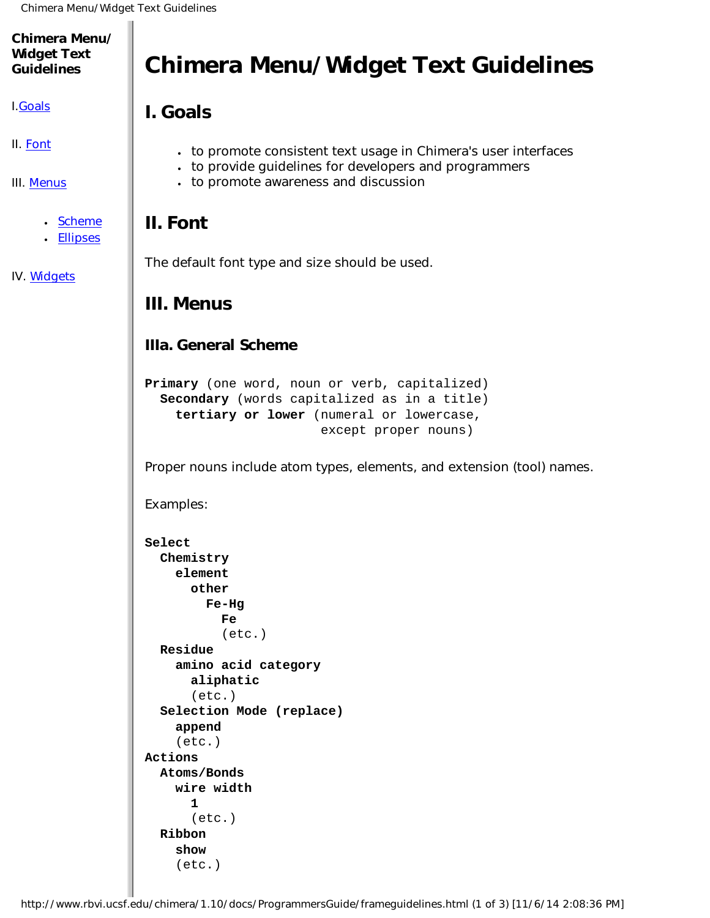#### **Chimera Menu/ Widget Text Guidelines**

I[.Goals](#page-103-0)

II. [Font](#page-103-1)

III. [Menus](#page-103-2)

- [Scheme](#page-103-2)
- [Ellipses](#page-104-0)

IV. [Widgets](#page-104-1)

# **Chimera Menu/Widget Text Guidelines**

# **I. Goals**

- to promote consistent text usage in Chimera's user interfaces
- to provide quidelines for developers and programmers
- $\cdot$  to promote awareness and discussion

### **II. Font**

The default font type and size should be used.

# **III. Menus**

### **IIIa. General Scheme**

```
Primary (one word, noun or verb, capitalized)
   Secondary (words capitalized as in a title)
     tertiary or lower (numeral or lowercase,
                         except proper nouns)
```
Proper nouns include atom types, elements, and extension (tool) names.

Examples:

```
Select
   Chemistry
     element
        other
          Fe-Hg
            Fe
             (etc.)
   Residue
     amino acid category
       aliphatic
        (etc.)
   Selection Mode (replace)
     append
     (etc.)
Actions
   Atoms/Bonds
     wire width
       1
        (etc.)
   Ribbon
     show
     (etc.)
```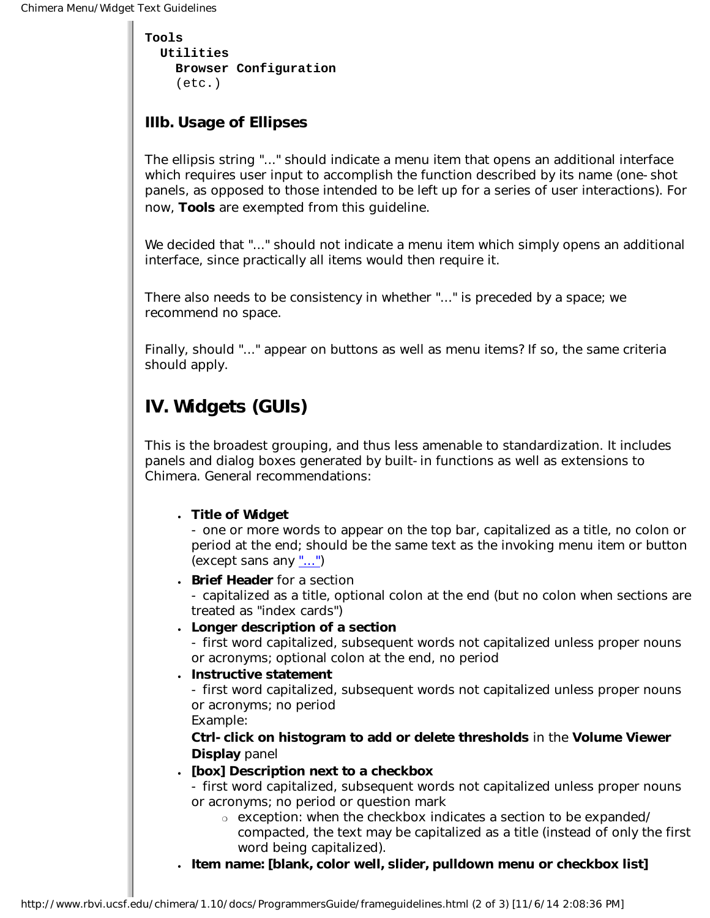```
Tools
   Utilities
     Browser Configuration
     (etc.)
```
### **IIIb. Usage of Ellipses**

The ellipsis string "..." should indicate a menu item that opens an additional interface which requires user input to accomplish the function described by its name (one-shot panels, as opposed to those intended to be left up for a series of user interactions). For now, **Tools** are exempted from this guideline.

We decided that "..." should not indicate a menu item which simply opens an additional interface, since practically all items would then require it.

There also needs to be consistency in whether "..." is preceded by a space; we recommend no space.

Finally, should "..." appear on buttons as well as menu items? If so, the same criteria should apply.

# **IV. Widgets (GUIs)**

This is the broadest grouping, and thus less amenable to standardization. It includes panels and dialog boxes generated by built-in functions as well as extensions to Chimera. General recommendations:

#### ● **Title of Widget**

- one or more words to appear on the top bar, capitalized as a title, no colon or period at the end; should be the same text as the invoking menu item or button (except sans any "...")

● **Brief Header** for a section

- capitalized as a title, optional colon at the end (but no colon when sections are treated as "index cards")

● **Longer description of a section**

- first word capitalized, subsequent words not capitalized unless proper nouns or acronyms; optional colon at the end, no period

#### ● **Instructive statement**

- first word capitalized, subsequent words not capitalized unless proper nouns or acronyms; no period

Example:

**Ctrl-click on histogram to add or delete thresholds** in the **Volume Viewer Display** panel

● **[box] Description next to a checkbox**

- first word capitalized, subsequent words not capitalized unless proper nouns or acronyms; no period or question mark

- ❍ exception: when the checkbox indicates a section to be expanded/ compacted, the text may be capitalized as a title (instead of only the first word being capitalized).
- **Item name: [blank, color well, slider, pulldown menu or checkbox list]**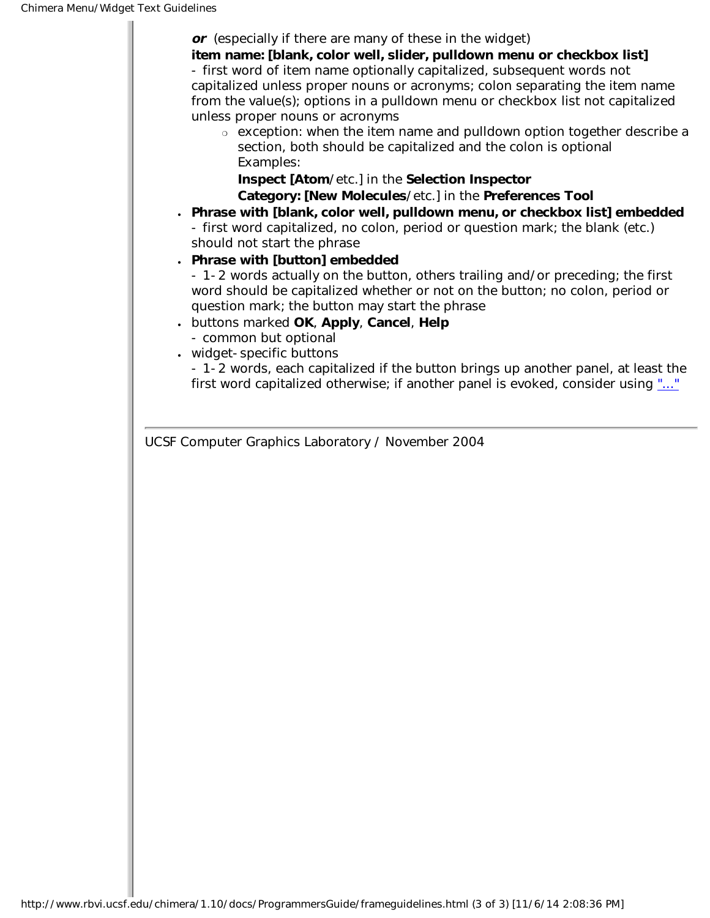**or** (especially if there are many of these in the widget)

**item name: [blank, color well, slider, pulldown menu or checkbox list]** - first word of item name optionally capitalized, subsequent words not capitalized unless proper nouns or acronyms; colon separating the item name from the value(s); options in a pulldown menu or checkbox list not capitalized unless proper nouns or acronyms

❍ exception: when the item name and pulldown option together describe a section, both should be capitalized and the colon is optional Examples:

**Inspect [Atom**/etc.] in the **Selection Inspector**

**Category: [New Molecules**/etc.] in the **Preferences Tool**

- **Phrase with [blank, color well, pulldown menu, or checkbox list] embedded** - first word capitalized, no colon, period or question mark; the blank (etc.) should not start the phrase
- **Phrase with [button] embedded**

- 1-2 words actually on the button, others trailing and/or preceding; the first word should be capitalized whether or not on the button; no colon, period or question mark; the button may start the phrase

- buttons marked **OK**, **Apply**, **Cancel**, **Help**
	- common but optional
- widget-specific buttons

- 1-2 words, each capitalized if the button brings up another panel, at least the first word capitalized otherwise; if another panel is evoked, consider using "..."

UCSF Computer Graphics Laboratory / November 2004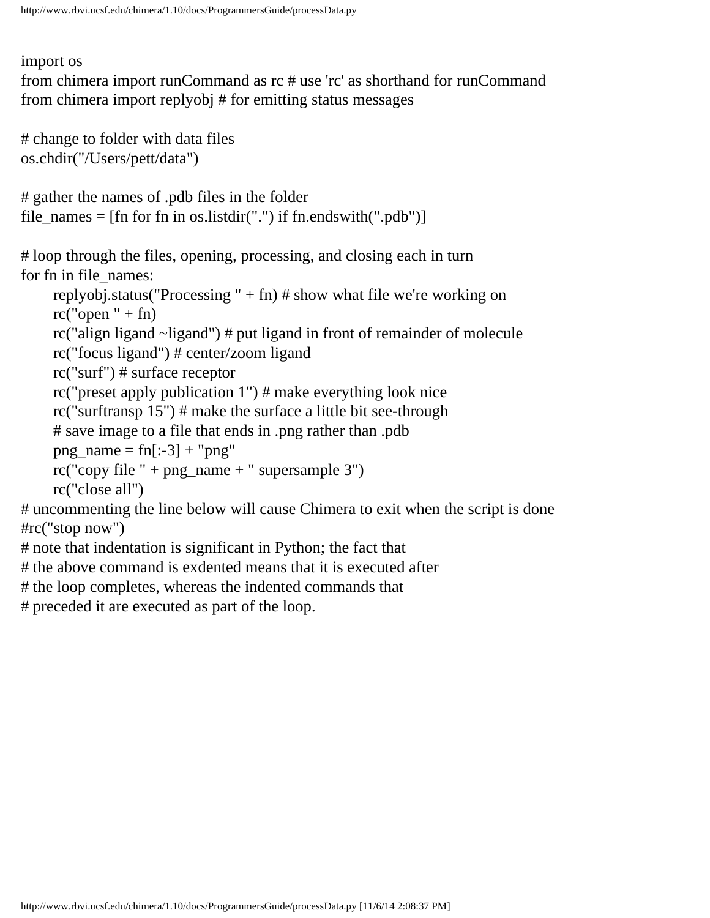import os

from chimera import runCommand as rc # use 'rc' as shorthand for runCommand from chimera import replyobj # for emitting status messages

# change to folder with data files os.chdir("/Users/pett/data")

# gather the names of .pdb files in the folder file\_names =  $[$ fn for fn in os.listdir(".") if fn.endswith(".pdb") $]$ 

# loop through the files, opening, processing, and closing each in turn for fn in file\_names:

replyobj.status("Processing " + fn)  $#$  show what file we're working on  $rc("open" + fn)$ 

rc("align ligand ~ligand") # put ligand in front of remainder of molecule

rc("focus ligand") # center/zoom ligand

rc("surf") # surface receptor

rc("preset apply publication 1") # make everything look nice

rc("surftransp 15") # make the surface a little bit see-through

# save image to a file that ends in .png rather than .pdb

 $png_name = fn[:-3] + "png"$ 

rc("copy file " + png\_name + " supersample 3")

rc("close all")

# uncommenting the line below will cause Chimera to exit when the script is done #rc("stop now")

# note that indentation is significant in Python; the fact that

# the above command is exdented means that it is executed after

# the loop completes, whereas the indented commands that

# preceded it are executed as part of the loop.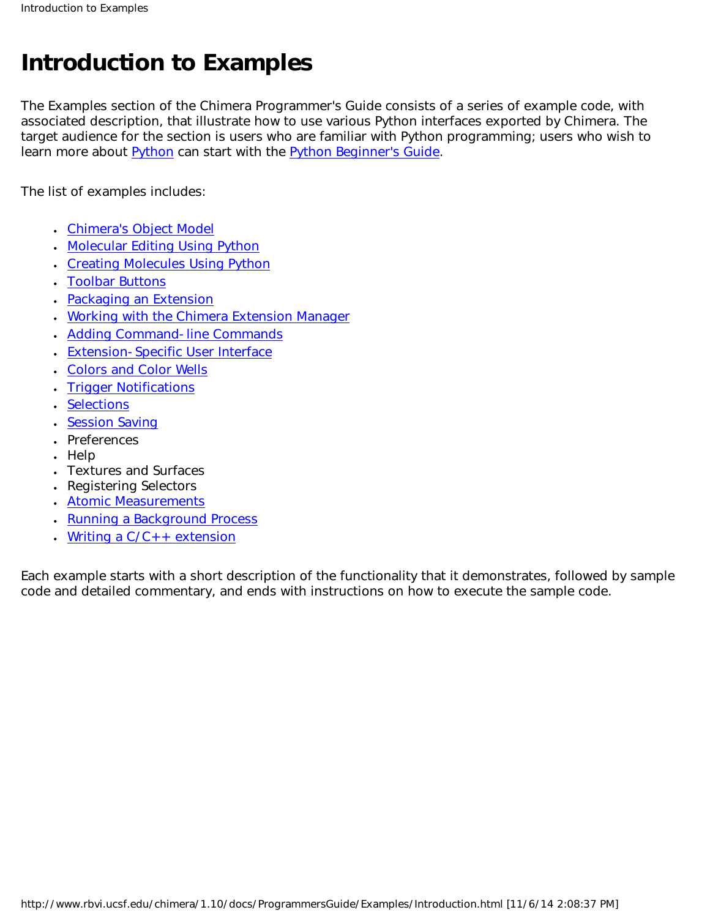# **Introduction to Examples**

The Examples section of the Chimera Programmer's Guide consists of a series of example code, with associated description, that illustrate how to use various Python interfaces exported by Chimera. The target audience for the section is users who are familiar with Python programming; users who wish to learn more about [Python](http://www.python.org/) can start with the [Python Beginner's Guide](http://wiki.python.org/moin/BeginnersGuide).

The list of examples includes:

- [Chimera's Object Model](#page-45-0)
- [Molecular Editing Using Python](#page-55-0)
- [Creating Molecules Using Python](#page-101-0)
- [Toolbar Buttons](#page-57-0)
- [Packaging an Extension](#page-59-0)
- [Working with the Chimera Extension Manager](#page-61-0)
- [Adding Command-line Commands](#page-64-0)
- [Extension-Specific User Interface](#page-69-0)
- [Colors and Color Wells](#page-75-0)
- [Trigger Notifications](#page-79-0)
- [Selections](#page-84-0)
- [Session Saving](#page-87-0)
- Preferences
- Help
- Textures and Surfaces
- Registering Selectors
- [Atomic Measurements](#page-92-0)
- [Running a Background Process](#page-96-0)
- $\cdot$  [Writing a C/C++ extension](#page-100-0)

Each example starts with a short description of the functionality that it demonstrates, followed by sample code and detailed commentary, and ends with instructions on how to execute the sample code.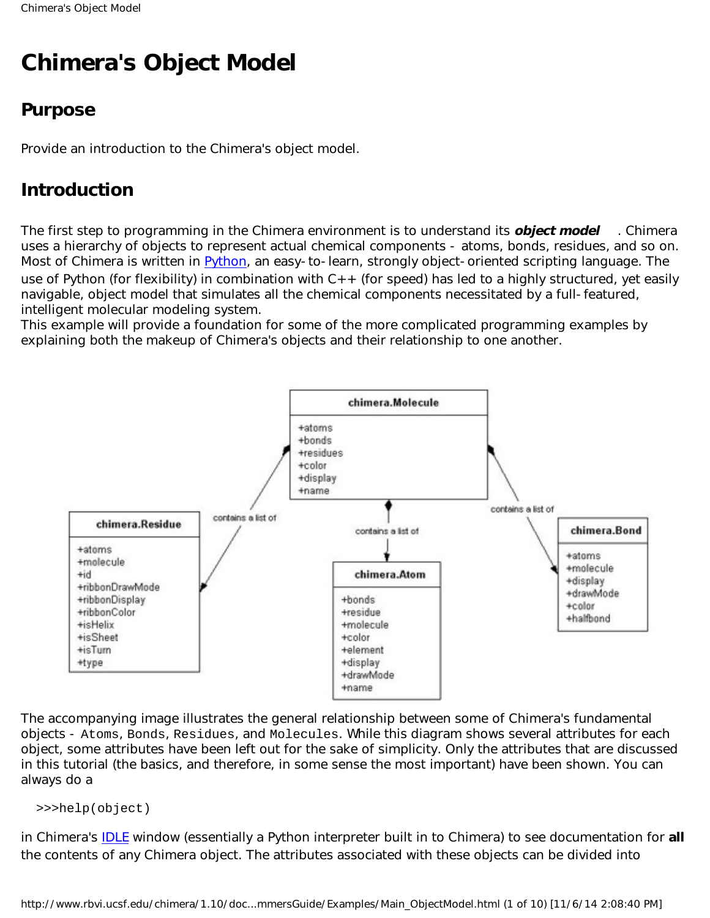# <span id="page-45-0"></span>**Purpose**

Provide an introduction to the Chimera's object model.

# **Introduction**

The first step to programming in the Chimera environment is to understand its **object model** . Chimera uses a hierarchy of objects to represent actual chemical components - atoms, bonds, residues, and so on. Most of Chimera is written in [Python,](http://www.python.org/) an easy-to-learn, strongly object-oriented scripting language. The use of Python (for flexibility) in combination with  $C++$  (for speed) has led to a highly structured, yet easily navigable, object model that simulates all the chemical components necessitated by a full-featured, intelligent molecular modeling system.

This example will provide a foundation for some of the more complicated programming examples by explaining both the makeup of Chimera's objects and their relationship to one another.



The accompanying image illustrates the general relationship between some of Chimera's fundamental objects - Atoms, Bonds, Residues, and Molecules. While this diagram shows several attributes for each object, some attributes have been left out for the sake of simplicity. Only the attributes that are discussed in this tutorial (the basics, and therefore, in some sense the most important) have been shown. You can always do a

>>>help(object)

in Chimera's [IDLE](http://www.cgl.ucsf.edu/chimera/docs/ContributedSoftware/idle/idle.html) window (essentially a Python interpreter built in to Chimera) to see documentation for **all** the contents of any Chimera object. The attributes associated with these objects can be divided into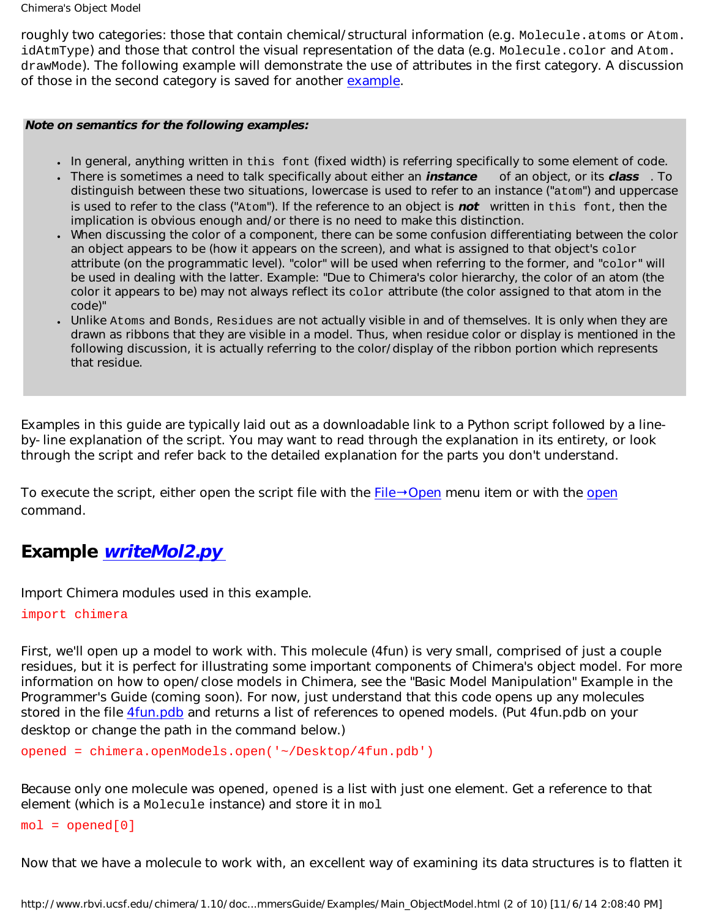roughly two categories: those that contain chemical/structural information (e.g. Molecule.atoms or Atom. idAtmType) and those that control the visual representation of the data (e.g. Molecule.color and Atom. drawMode). The following example will demonstrate the use of attributes in the first category. A discussion of those in the second category is saved for another example.

#### **Note on semantics for the following examples:**

- In general, anything written in this font (fixed width) is referring specifically to some element of code.
- There is sometimes a need to talk specifically about either an **instance** of an object, or its **class** . To distinguish between these two situations, lowercase is used to refer to an instance ("atom") and uppercase is used to refer to the class ("Atom"). If the reference to an object is **not** written in this font, then the implication is obvious enough and/or there is no need to make this distinction.
- When discussing the color of a component, there can be some confusion differentiating between the color an object appears to be (how it appears on the screen), and what is assigned to that object's color attribute (on the programmatic level). "color" will be used when referring to the former, and "color" will be used in dealing with the latter. Example: "Due to Chimera's color hierarchy, the color of an atom (the color it appears to be) may not always reflect its color attribute (the color assigned to that atom in the code)"
- Unlike Atoms and Bonds, Residues are not actually visible in and of themselves. It is only when they are drawn as ribbons that they are visible in a model. Thus, when residue color or display is mentioned in the following discussion, it is actually referring to the color/display of the ribbon portion which represents that residue.

Examples in this guide are typically laid out as a downloadable link to a Python script followed by a lineby-line explanation of the script. You may want to read through the explanation in its entirety, or look through the script and refer back to the detailed explanation for the parts you don't understand.

To execute the script, either open the script file with the File→[Open](http://www.cgl.ucsf.edu/chimera/docs/UsersGuide/opensave.html#opendialog) menu item or with the [open](http://www.cgl.ucsf.edu/chimera/docs/UsersGuide/midas/open.html) command.

# **Example [writeMol2.py](#page-106-0)**

Import Chimera modules used in this example.

import chimera

First, we'll open up a model to work with. This molecule (4fun) is very small, comprised of just a couple residues, but it is perfect for illustrating some important components of Chimera's object model. For more information on how to open/close models in Chimera, see the "Basic Model Manipulation" Example in the Programmer's Guide (coming soon). For now, just understand that this code opens up any molecules stored in the file [4fun.pdb](http://www.rbvi.ucsf.edu/chimera/1.10/docs/ProgrammersGuide/Examples/4fun.pdb) and returns a list of references to opened models. (Put 4fun.pdb on your desktop or change the path in the command below.)

opened = chimera.openModels.open('~/Desktop/4fun.pdb')

Because only one molecule was opened, opened is a list with just one element. Get a reference to that element (which is a Molecule instance) and store it in mol

 $mol = opened[0]$ 

Now that we have a molecule to work with, an excellent way of examining its data structures is to flatten it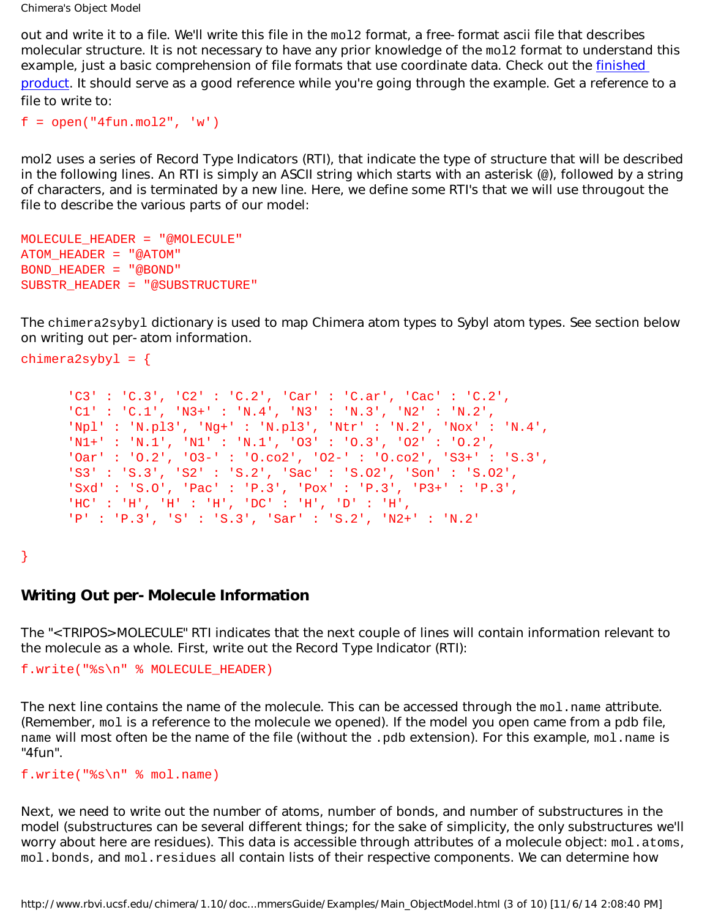out and write it to a file. We'll write this file in the mol2 format, a free-format ascii file that describes molecular structure. It is not necessary to have any prior knowledge of the mol2 format to understand this example, just a basic comprehension of file formats that use coordinate data. Check out the finished [product.](#page-111-0) It should serve as a good reference while you're going through the example. Get a reference to a file to write to:

 $f = open("4fun.mol2", 'w')$ 

mol2 uses a series of Record Type Indicators (RTI), that indicate the type of structure that will be described in the following lines. An RTI is simply an ASCII string which starts with an asterisk (@), followed by a string of characters, and is terminated by a new line. Here, we define some RTI's that we will use througout the file to describe the various parts of our model:

```
MOLECULE_HEADER = "@MOLECULE" 
ATOM_HEADER = "@ATOM" 
BOND_HEADER = "@BOND" 
SUBSTR_HEADER = "@SUBSTRUCTURE"
```
The chimera2sybyl dictionary is used to map Chimera atom types to Sybyl atom types. See section below on writing out per-atom information.

```
chimera2sybyl = \{'C3' : 'C.3', 'C2' : 'C.2', 'Car' : 'C.ar', 'Cac' : 'C.2', 
      'C1' : 'C.1', 'N3+' : 'N.4', 'N3' : 'N.3', 'N2' : 'N.2', 
      'Npl' : 'N.pl3', 'Ng+' : 'N.pl3', 'Ntr' : 'N.2', 'Nox' : 'N.4', 
      'N1+' : 'N.1', 'N1' : 'N.1', 'O3' : 'O.3', 'O2' : 'O.2', 
      'Oar' : 'O.2', 'O3-' : 'O.co2', 'O2-' : 'O.co2', 'S3+' : 'S.3', 
      'S3' : 'S.3', 'S2' : 'S.2', 'Sac' : 'S.O2', 'Son' : 'S.O2', 
      'Sxd' : 'S.O', 'Pac' : 'P.3', 'Pox' : 'P.3', 'P3+' : 'P.3', 
      'HC' : 'H', 'H' : 'H', 'DC' : 'H', 'D' : 'H', 
      'P' : 'P.3', 'S' : 'S.3', 'Sar' : 'S.2', 'N2+' : 'N.2'
```
}

#### **Writing Out per-Molecule Information**

The "<TRIPOS>MOLECULE" RTI indicates that the next couple of lines will contain information relevant to the molecule as a whole. First, write out the Record Type Indicator (RTI):

f.write("%s\n" % MOLECULE\_HEADER)

The next line contains the name of the molecule. This can be accessed through the mol.name attribute. (Remember, mol is a reference to the molecule we opened). If the model you open came from a pdb file, name will most often be the name of the file (without the .pdb extension). For this example, mol.name is "4fun".

```
f.write("%s\n" % mol.name)
```
Next, we need to write out the number of atoms, number of bonds, and number of substructures in the model (substructures can be several different things; for the sake of simplicity, the only substructures we'll worry about here are residues). This data is accessible through attributes of a molecule object: mol.atoms, mol.bonds, and mol.residues all contain lists of their respective components. We can determine how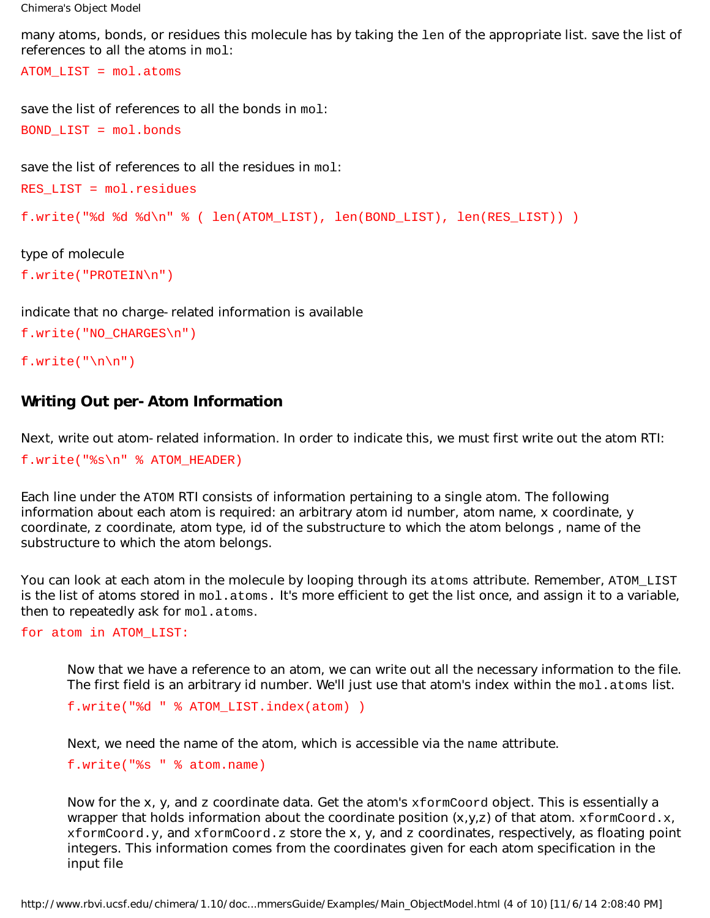many atoms, bonds, or residues this molecule has by taking the len of the appropriate list. save the list of references to all the atoms in mol:

```
ATOM_LIST = mol.atoms
```
save the list of references to all the bonds in mol:

```
BOND_LIST = mol.bonds
```
save the list of references to all the residues in mol:

```
RES_LIST = mol.residues
```
f.write("%d %d %d\n" % ( len(ATOM\_LIST), len(BOND\_LIST), len(RES\_LIST)) )

#### type of molecule

```
f.write("PROTEIN\n")
```
indicate that no charge-related information is available

```
f.write("NO_CHARGES\n")
```
f.write(" $\n\langle n \rangle$ n")

#### **Writing Out per-Atom Information**

Next, write out atom-related information. In order to indicate this, we must first write out the atom RTI: f.write("%s\n" % ATOM\_HEADER)

Each line under the ATOM RTI consists of information pertaining to a single atom. The following information about each atom is required: an arbitrary atom id number, atom name, x coordinate, y coordinate, z coordinate, atom type, id of the substructure to which the atom belongs , name of the substructure to which the atom belongs.

You can look at each atom in the molecule by looping through its atoms attribute. Remember, ATOM\_LIST is the list of atoms stored in mol.atoms. It's more efficient to get the list once, and assign it to a variable, then to repeatedly ask for mol.atoms.

#### for atom in ATOM\_LIST:

Now that we have a reference to an atom, we can write out all the necessary information to the file. The first field is an arbitrary id number. We'll just use that atom's index within the mol.atoms list.

```
f.write("%d " % ATOM_LIST.index(atom) )
```
Next, we need the name of the atom, which is accessible via the name attribute.

```
f.write("%s " % atom.name)
```
Now for the x, y, and z coordinate data. Get the atom's xformCoord object. This is essentially a wrapper that holds information about the coordinate position  $(x,y,z)$  of that atom.  $xf \circ r \circ \circ \circ ct.x$ , xformCoord.y, and xformCoord.z store the x, y, and z coordinates, respectively, as floating point integers. This information comes from the coordinates given for each atom specification in the input file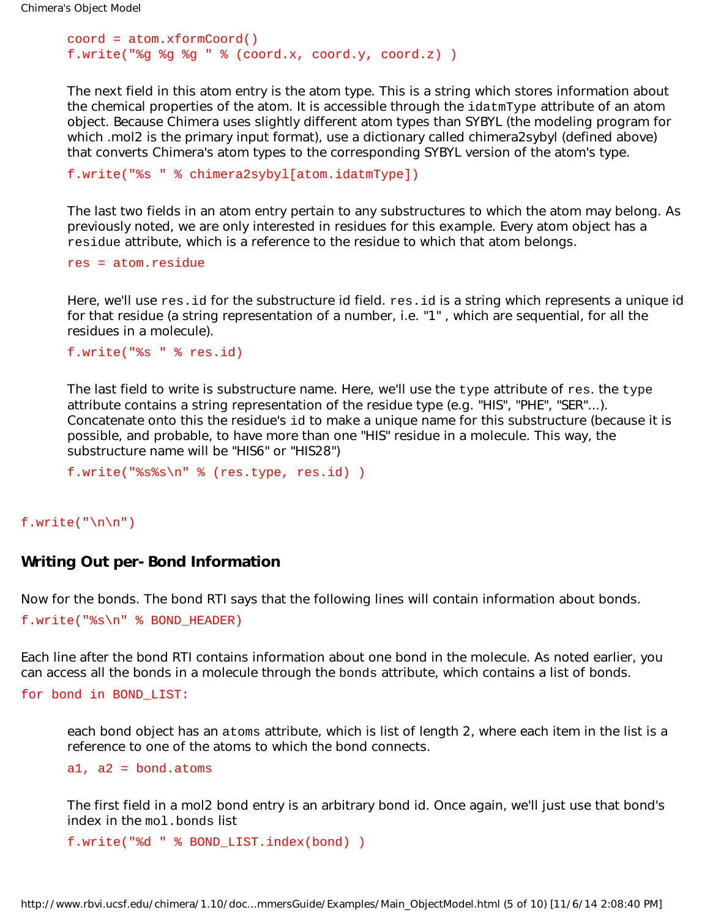```
coord = atom.xformCoord() 
f.write("%g %g %g " % (coord.x, coord.y, coord.z) )
```
The next field in this atom entry is the atom type. This is a string which stores information about the chemical properties of the atom. It is accessible through the idatmType attribute of an atom object. Because Chimera uses slightly different atom types than SYBYL (the modeling program for which .mol2 is the primary input format), use a dictionary called chimera2sybyl (defined above) that converts Chimera's atom types to the corresponding SYBYL version of the atom's type.

```
f.write("%s " % chimera2sybyl[atom.idatmType])
```
The last two fields in an atom entry pertain to any substructures to which the atom may belong. As previously noted, we are only interested in residues for this example. Every atom object has a residue attribute, which is a reference to the residue to which that atom belongs.

```
res = atom.residue
```
Here, we'll use res.id for the substructure id field. res.id is a string which represents a unique id for that residue (a string representation of a number, i.e. "1" , which are sequential, for all the residues in a molecule).

f.write("%s " % res.id)

The last field to write is substructure name. Here, we'll use the type attribute of res. the type attribute contains a string representation of the residue type (e.g. "HIS", "PHE", "SER"...). Concatenate onto this the residue's id to make a unique name for this substructure (because it is possible, and probable, to have more than one "HIS" residue in a molecule. This way, the substructure name will be "HIS6" or "HIS28")

```
f.write("%s%s\n" % (res.type, res.id) )
```
#### f.write(" $\n\t\frac{\n}{\n}$ ")

#### **Writing Out per-Bond Information**

Now for the bonds. The bond RTI says that the following lines will contain information about bonds.

```
f.write("%s\n" % BOND_HEADER)
```
Each line after the bond RTI contains information about one bond in the molecule. As noted earlier, you can access all the bonds in a molecule through the bonds attribute, which contains a list of bonds.

```
for bond in BOND_LIST:
```
each bond object has an atoms attribute, which is list of length 2, where each item in the list is a reference to one of the atoms to which the bond connects.

```
a1, a2 = bond.atoms
```
The first field in a mol2 bond entry is an arbitrary bond id. Once again, we'll just use that bond's index in the mol.bonds list

```
f.write("%d " % BOND_LIST.index(bond) )
```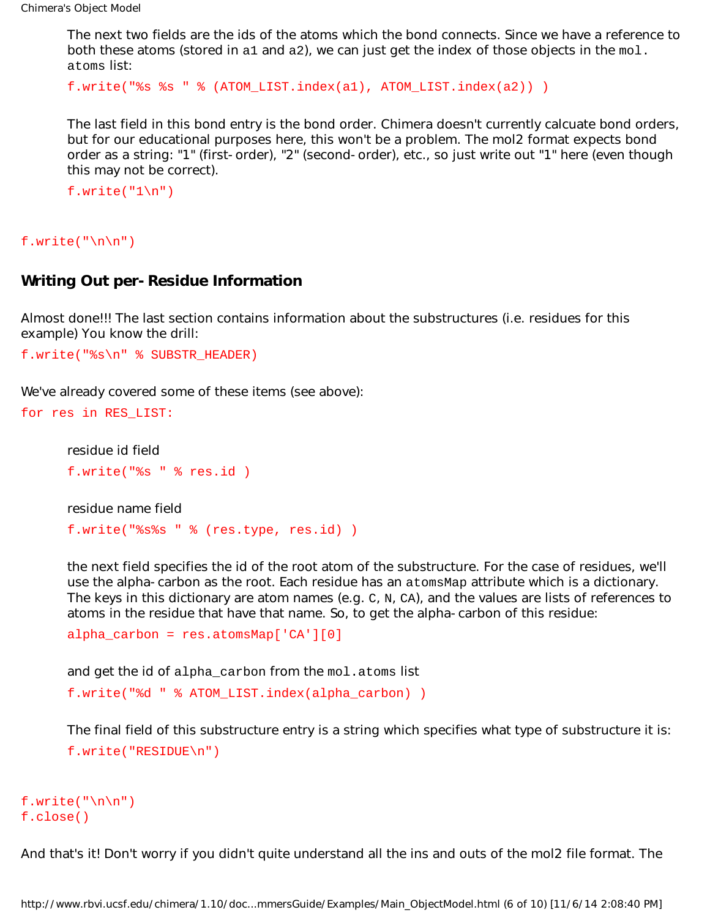The next two fields are the ids of the atoms which the bond connects. Since we have a reference to both these atoms (stored in a1 and a2), we can just get the index of those objects in the mol. atoms list:

f.write("%s %s " % (ATOM\_LIST.index(a1), ATOM\_LIST.index(a2)) )

The last field in this bond entry is the bond order. Chimera doesn't currently calcuate bond orders, but for our educational purposes here, this won't be a problem. The mol2 format expects bond order as a string: "1" (first-order), "2" (second-order), etc., so just write out "1" here (even though this may not be correct).

f.write( $"\,1\$ n")

f.write(" $\n\times$ ")

#### **Writing Out per-Residue Information**

Almost done!!! The last section contains information about the substructures (i.e. residues for this example) You know the drill:

```
f.write("%s\n" % SUBSTR_HEADER)
```
We've already covered some of these items (see above):

```
for res in RES_LIST:
```
residue id field f.write("%s " % res.id )

residue name field

f.write("%s%s " % (res.type, res.id) )

the next field specifies the id of the root atom of the substructure. For the case of residues, we'll use the alpha-carbon as the root. Each residue has an atomsMap attribute which is a dictionary. The keys in this dictionary are atom names (e.g. C, N, CA), and the values are lists of references to atoms in the residue that have that name. So, to get the alpha-carbon of this residue:

```
alpha_carbon = res.atomsMap['CA'][0]
```
and get the id of alpha carbon from the mol.atoms list f.write("%d " % ATOM\_LIST.index(alpha\_carbon) )

The final field of this substructure entry is a string which specifies what type of substructure it is: f.write("RESIDUE\n")

```
f.write("\n\t\frac{\n}{\n}")
f.close()
```
And that's it! Don't worry if you didn't quite understand all the ins and outs of the mol2 file format. The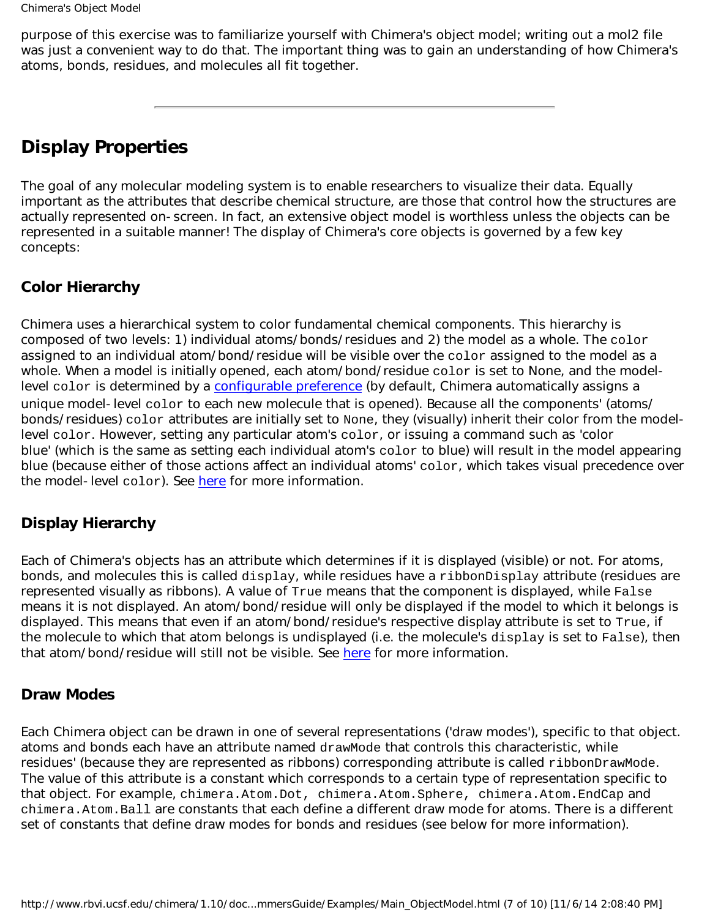purpose of this exercise was to familiarize yourself with Chimera's object model; writing out a mol2 file was just a convenient way to do that. The important thing was to gain an understanding of how Chimera's atoms, bonds, residues, and molecules all fit together.

# **Display Properties**

The goal of any molecular modeling system is to enable researchers to visualize their data. Equally important as the attributes that describe chemical structure, are those that control how the structures are actually represented on-screen. In fact, an extensive object model is worthless unless the objects can be represented in a suitable manner! The display of Chimera's core objects is governed by a few key concepts:

#### **Color Hierarchy**

Chimera uses a hierarchical system to color fundamental chemical components. This hierarchy is composed of two levels: 1) individual atoms/bonds/residues and 2) the model as a whole. The color assigned to an individual atom/bond/residue will be visible over the color assigned to the model as a whole. When a model is initially opened, each atom/bond/residue color is set to None, and the modellevel color is determined by a [configurable preference](http://www.cgl.ucsf.edu/chimera/docs/UsersGuide/preferences.html#New%20Molecules) (by default, Chimera automatically assigns a unique model-level color to each new molecule that is opened). Because all the components' (atoms/ bonds/residues) color attributes are initially set to None, they (visually) inherit their color from the modellevel color. However, setting any particular atom's color, or issuing a command such as 'color blue' (which is the same as setting each individual atom's color to blue) will result in the model appearing blue (because either of those actions affect an individual atoms' color, which takes visual precedence over the model-level color). See [here](http://www.cgl.ucsf.edu/chimera/docs/UsersGuide/hierarchy.html) for more information.

#### **Display Hierarchy**

Each of Chimera's objects has an attribute which determines if it is displayed (visible) or not. For atoms, bonds, and molecules this is called display, while residues have a ribbonDisplay attribute (residues are represented visually as ribbons). A value of True means that the component is displayed, while False means it is not displayed. An atom/bond/residue will only be displayed if the model to which it belongs is displayed. This means that even if an atom/bond/residue's respective display attribute is set to True, if the molecule to which that atom belongs is undisplayed (i.e. the molecule's display is set to False), then that atom/bond/residue will still not be visible. See [here](http://www.cgl.ucsf.edu/chimera/docs/UsersGuide/hierarchy.html#displevels) for more information.

#### **Draw Modes**

Each Chimera object can be drawn in one of several representations ('draw modes'), specific to that object. atoms and bonds each have an attribute named drawMode that controls this characteristic, while residues' (because they are represented as ribbons) corresponding attribute is called ribbonDrawMode. The value of this attribute is a constant which corresponds to a certain type of representation specific to that object. For example, chimera.Atom.Dot, chimera.Atom.Sphere, chimera.Atom.EndCap and chimera.Atom.Ball are constants that each define a different draw mode for atoms. There is a different set of constants that define draw modes for bonds and residues (see below for more information).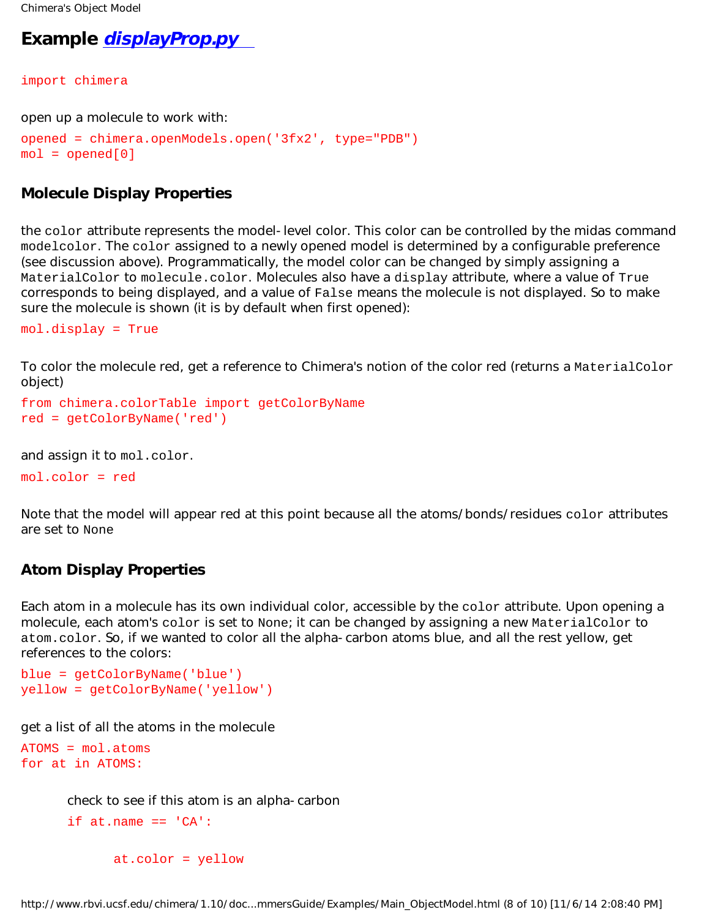**Example [displayProp.py](#page-114-0)**

import chimera

open up a molecule to work with:

```
opened = chimera.openModels.open('3fx2', type="PDB") 
mol = opened[0]
```
#### **Molecule Display Properties**

the color attribute represents the model-level color. This color can be controlled by the midas command modelcolor. The color assigned to a newly opened model is determined by a configurable preference (see discussion above). Programmatically, the model color can be changed by simply assigning a MaterialColor to molecule.color. Molecules also have a display attribute, where a value of True corresponds to being displayed, and a value of False means the molecule is not displayed. So to make sure the molecule is shown (it is by default when first opened):

mol.display = True

To color the molecule red, get a reference to Chimera's notion of the color red (returns a MaterialColor object)

```
from chimera.colorTable import getColorByName 
red = getColorByName('red')
```
and assign it to mol.color.

mol.color = red

Note that the model will appear red at this point because all the atoms/bonds/residues color attributes are set to None

#### **Atom Display Properties**

Each atom in a molecule has its own individual color, accessible by the color attribute. Upon opening a molecule, each atom's color is set to None; it can be changed by assigning a new MaterialColor to atom.color. So, if we wanted to color all the alpha-carbon atoms blue, and all the rest yellow, get references to the colors:

```
blue = getColorByName('blue') 
yellow = getColorByName('yellow')
```
get a list of all the atoms in the molecule

```
ATOMS = mol.atoms 
for at in ATOMS:
```
check to see if this atom is an alpha-carbon

```
if at.name == 'CA':
```
at.color = yellow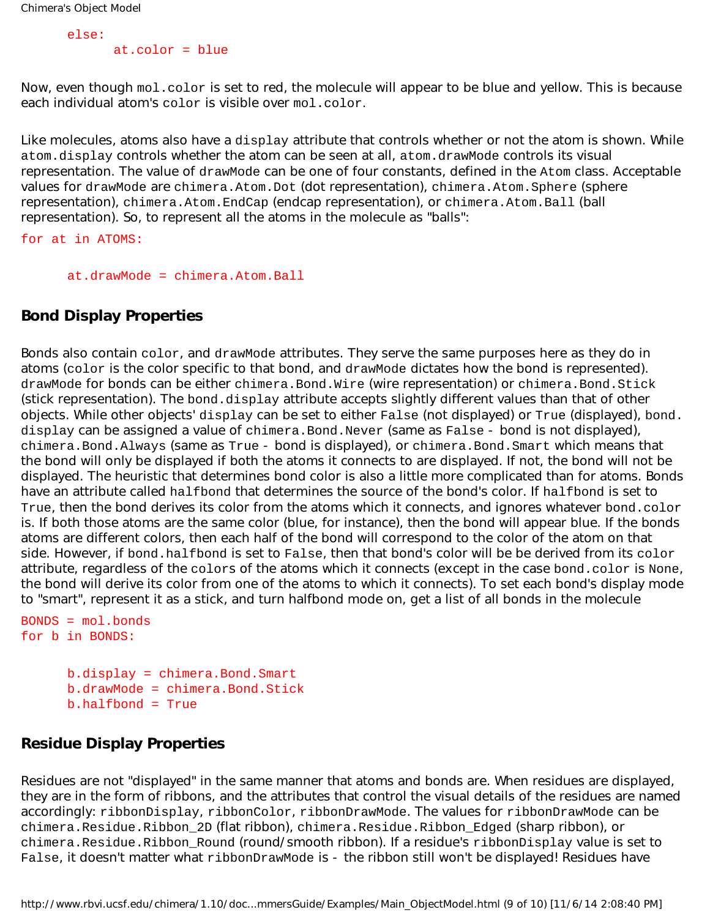```
else:
```
at.color = blue

Now, even though mol.color is set to red, the molecule will appear to be blue and yellow. This is because each individual atom's color is visible over mol.color.

Like molecules, atoms also have a display attribute that controls whether or not the atom is shown. While atom.display controls whether the atom can be seen at all, atom.drawMode controls its visual representation. The value of drawMode can be one of four constants, defined in the Atom class. Acceptable values for drawMode are chimera.Atom.Dot (dot representation), chimera.Atom.Sphere (sphere representation), chimera.Atom.EndCap (endcap representation), or chimera.Atom.Ball (ball representation). So, to represent all the atoms in the molecule as "balls":

for at in ATOMS:

at.drawMode = chimera.Atom.Ball

#### **Bond Display Properties**

Bonds also contain color, and drawMode attributes. They serve the same purposes here as they do in atoms (color is the color specific to that bond, and drawMode dictates how the bond is represented). drawMode for bonds can be either chimera.Bond.Wire (wire representation) or chimera.Bond.Stick (stick representation). The bond.display attribute accepts slightly different values than that of other objects. While other objects' display can be set to either False (not displayed) or True (displayed), bond. display can be assigned a value of chimera.Bond.Never (same as False - bond is not displayed), chimera.Bond.Always (same as True - bond is displayed), or chimera.Bond.Smart which means that the bond will only be displayed if both the atoms it connects to are displayed. If not, the bond will not be displayed. The heuristic that determines bond color is also a little more complicated than for atoms. Bonds have an attribute called halfbond that determines the source of the bond's color. If halfbond is set to True, then the bond derives its color from the atoms which it connects, and ignores whatever bond.color is. If both those atoms are the same color (blue, for instance), then the bond will appear blue. If the bonds atoms are different colors, then each half of the bond will correspond to the color of the atom on that side. However, if bond.halfbond is set to False, then that bond's color will be be derived from its color attribute, regardless of the colors of the atoms which it connects (except in the case bond.color is None, the bond will derive its color from one of the atoms to which it connects). To set each bond's display mode to "smart", represent it as a stick, and turn halfbond mode on, get a list of all bonds in the molecule

```
BONDS = mol.bonds 
for b in BONDS: 
      b.display = chimera.Bond.Smart 
      b.drawMode = chimera.Bond.Stick 
      b.halfbond = True
```
#### **Residue Display Properties**

Residues are not "displayed" in the same manner that atoms and bonds are. When residues are displayed, they are in the form of ribbons, and the attributes that control the visual details of the residues are named accordingly: ribbonDisplay, ribbonColor, ribbonDrawMode. The values for ribbonDrawMode can be chimera.Residue.Ribbon\_2D (flat ribbon), chimera.Residue.Ribbon\_Edged (sharp ribbon), or chimera.Residue.Ribbon\_Round (round/smooth ribbon). If a residue's ribbonDisplay value is set to False, it doesn't matter what ribbonDrawMode is - the ribbon still won't be displayed! Residues have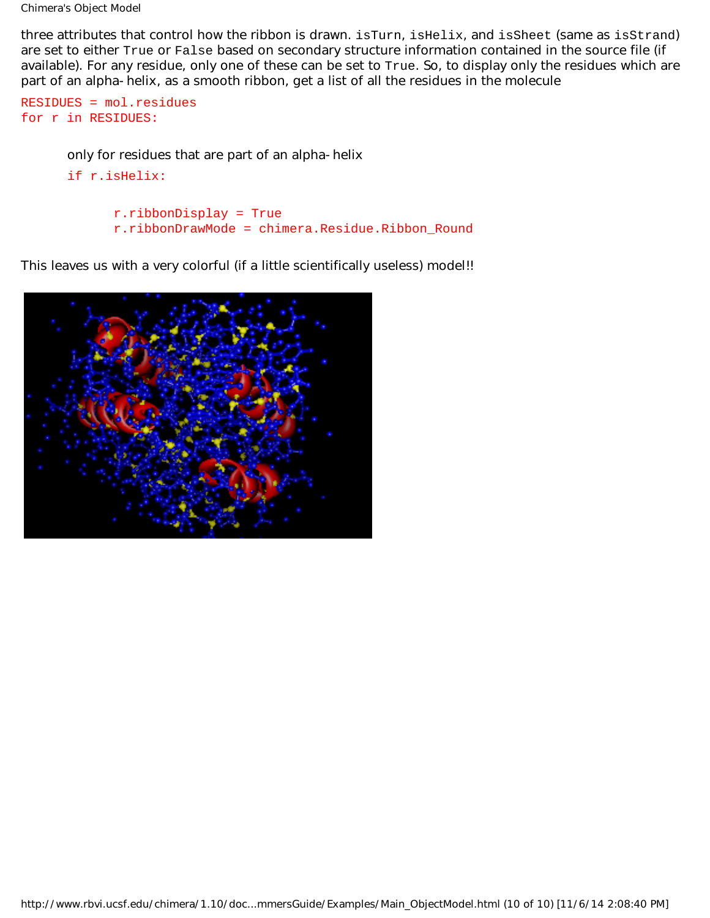three attributes that control how the ribbon is drawn. isTurn, isHelix, and isSheet (same as isStrand) are set to either True or False based on secondary structure information contained in the source file (if available). For any residue, only one of these can be set to True. So, to display only the residues which are part of an alpha-helix, as a smooth ribbon, get a list of all the residues in the molecule

```
RESIDUES = mol.residues 
for r in RESIDUES:
```
only for residues that are part of an alpha-helix

```
if r.isHelix: 
      r.ribbonDisplay = True 
      r.ribbonDrawMode = chimera.Residue.Ribbon_Round
```
This leaves us with a very colorful (if a little scientifically useless) model!!

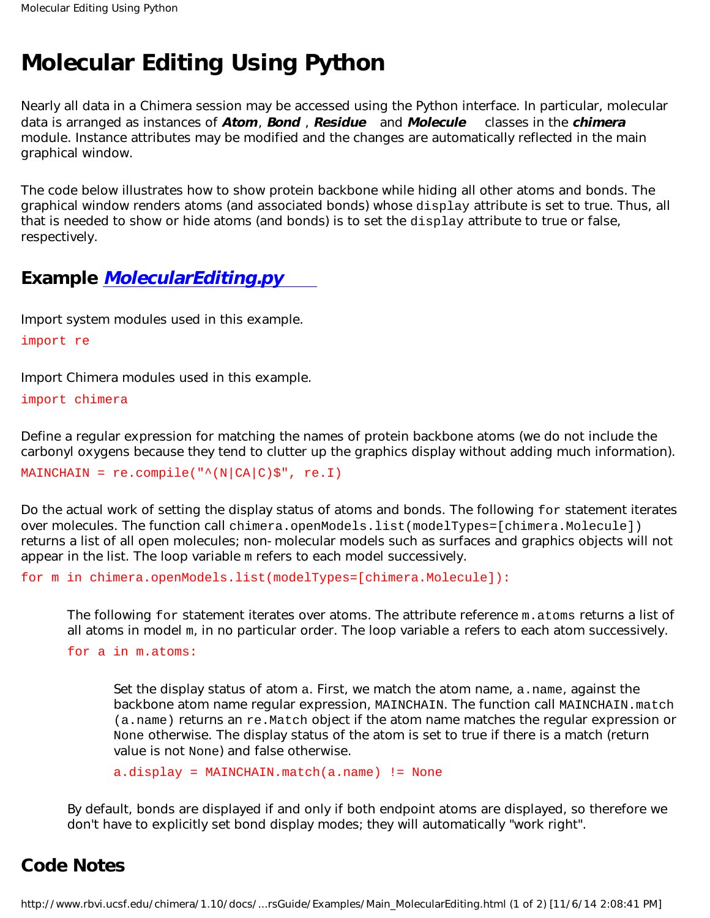# <span id="page-55-0"></span>**Molecular Editing Using Python**

Nearly all data in a Chimera session may be accessed using the Python interface. In particular, molecular data is arranged as instances of **Atom**, **Bond** , **Residue** and **Molecule** classes in the **chimera** module. Instance attributes may be modified and the changes are automatically reflected in the main graphical window.

The code below illustrates how to show protein backbone while hiding all other atoms and bonds. The graphical window renders atoms (and associated bonds) whose display attribute is set to true. Thus, all that is needed to show or hide atoms (and bonds) is to set the display attribute to true or false, respectively.

# **Example [MolecularEditing.py](#page-117-0)**

Import system modules used in this example.

import re

Import Chimera modules used in this example.

import chimera

Define a regular expression for matching the names of protein backbone atoms (we do not include the carbonyl oxygens because they tend to clutter up the graphics display without adding much information).

MAINCHAIN = re.compile(" $(N|CA|C)$ \$", re.I)

Do the actual work of setting the display status of atoms and bonds. The following for statement iterates over molecules. The function call chimera.openModels.list(modelTypes=[chimera.Molecule]) returns a list of all open molecules; non-molecular models such as surfaces and graphics objects will not appear in the list. The loop variable m refers to each model successively.

for m in chimera.openModels.list(modelTypes=[chimera.Molecule]):

The following for statement iterates over atoms. The attribute reference m.atoms returns a list of all atoms in model m, in no particular order. The loop variable a refers to each atom successively.

for a in m.atoms:

Set the display status of atom a. First, we match the atom name,  $a$ . name, against the backbone atom name regular expression, MAINCHAIN. The function call MAINCHAIN.match (a.name) returns an re.Match object if the atom name matches the regular expression or None otherwise. The display status of the atom is set to true if there is a match (return value is not None) and false otherwise.

a.display = MAINCHAIN.match(a.name) != None

By default, bonds are displayed if and only if both endpoint atoms are displayed, so therefore we don't have to explicitly set bond display modes; they will automatically "work right".

# **Code Notes**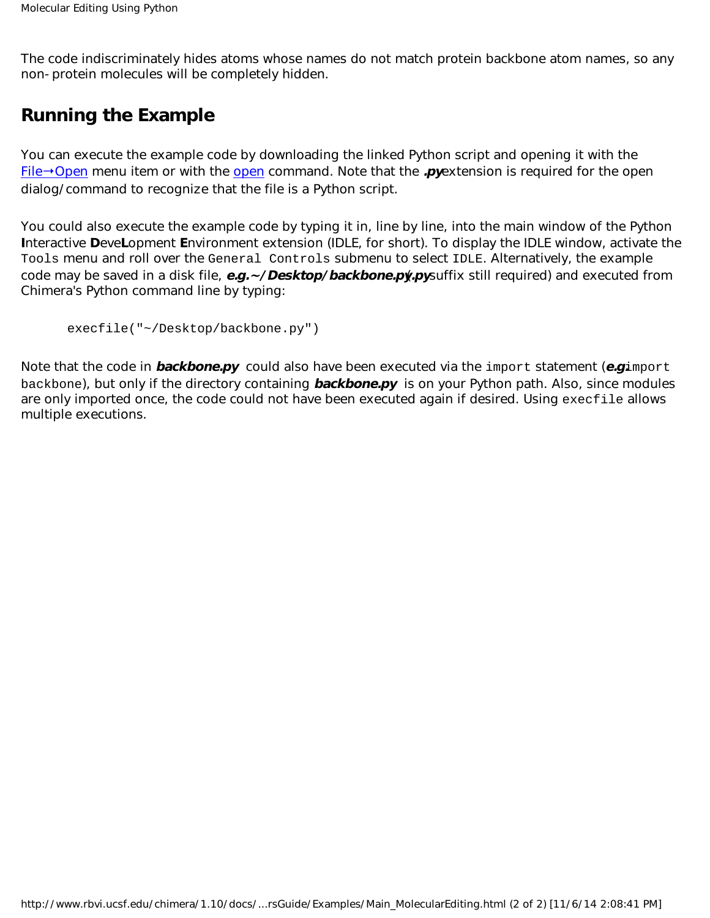The code indiscriminately hides atoms whose names do not match protein backbone atom names, so any non-protein molecules will be completely hidden.

# **Running the Example**

You can execute the example code by downloading the linked Python script and opening it with the File→[Open](http://www.cgl.ucsf.edu/chimera/docs/UsersGuide/opensave.html#opendialog) menu item or with the [open](http://www.cgl.ucsf.edu/chimera/docs/UsersGuide/midas/open.html) command. Note that the *pyextension is required for the open* dialog/command to recognize that the file is a Python script.

You could also execute the example code by typing it in, line by line, into the main window of the Python **I**nteractive **D**eve**L**opment **E**nvironment extension (IDLE, for short). To display the IDLE window, activate the Tools menu and roll over the General Controls submenu to select IDLE. Alternatively, the example code may be saved in a disk file, e.g. ~/Desktop/backbone.py.pysuffix still required) and executed from Chimera's Python command line by typing:

```
execfile("~/Desktop/backbone.py")
```
Note that the code in **backbone.py** could also have been executed via the import statement (**e.g.**import backbone), but only if the directory containing **backbone.py** is on your Python path. Also, since modules are only imported once, the code could not have been executed again if desired. Using execfile allows multiple executions.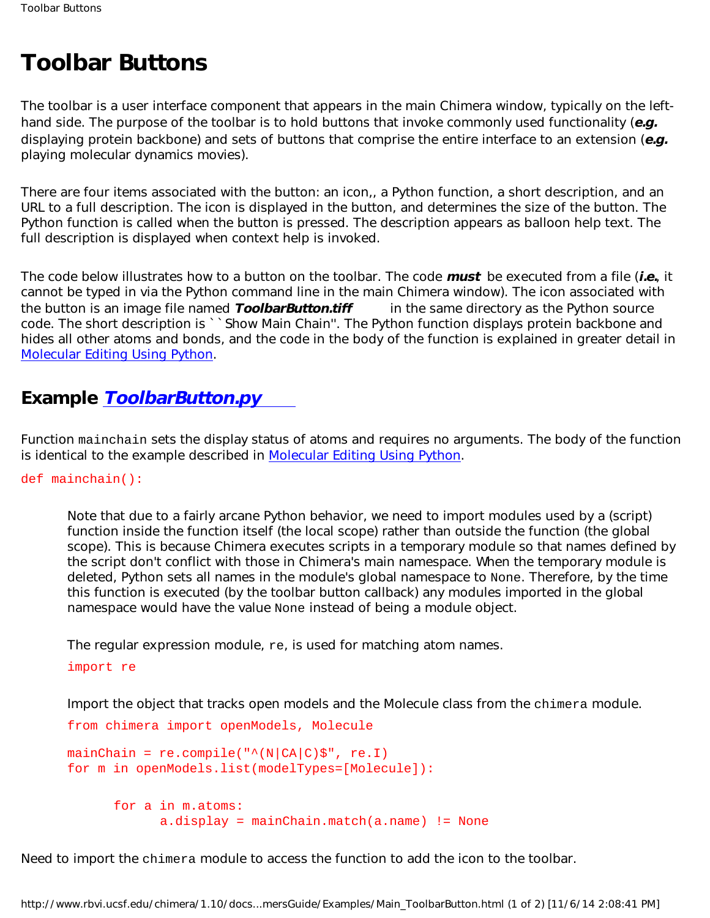# <span id="page-57-0"></span>**Toolbar Buttons**

The toolbar is a user interface component that appears in the main Chimera window, typically on the lefthand side. The purpose of the toolbar is to hold buttons that invoke commonly used functionality (**e.g.**, displaying protein backbone) and sets of buttons that comprise the entire interface to an extension (**e.g.**, playing molecular dynamics movies).

There are four items associated with the button: an icon,, a Python function, a short description, and an URL to a full description. The icon is displayed in the button, and determines the size of the button. The Python function is called when the button is pressed. The description appears as balloon help text. The full description is displayed when context help is invoked.

The code below illustrates how to a button on the toolbar. The code **must** be executed from a file (**i.e.**, it cannot be typed in via the Python command line in the main Chimera window). The icon associated with the button is an image file named **ToolbarButton.tiff** in the same directory as the Python source code. The short description is ``Show Main Chain''. The Python function displays protein backbone and hides all other atoms and bonds, and the code in the body of the function is explained in greater detail in [Molecular Editing Using Python.](#page-55-0)

# **Example [ToolbarButton.py](#page-118-0)**

Function mainchain sets the display status of atoms and requires no arguments. The body of the function is identical to the example described in [Molecular Editing Using Python](#page-120-0).

def mainchain():

Note that due to a fairly arcane Python behavior, we need to import modules used by a (script) function inside the function itself (the local scope) rather than outside the function (the global scope). This is because Chimera executes scripts in a temporary module so that names defined by the script don't conflict with those in Chimera's main namespace. When the temporary module is deleted, Python sets all names in the module's global namespace to None. Therefore, by the time this function is executed (by the toolbar button callback) any modules imported in the global namespace would have the value None instead of being a module object.

The regular expression module, re, is used for matching atom names.

import re

Import the object that tracks open models and the Molecule class from the chimera module.

```
from chimera import openModels, Molecule
```

```
mainChain = re.compile("^(N|CA|C);", re.I)
for m in openModels.list(modelTypes=[Molecule]):
```

```
for a in m.atoms: 
      a.display = mainChain.match(a.name) != None
```
Need to import the chimera module to access the function to add the icon to the toolbar.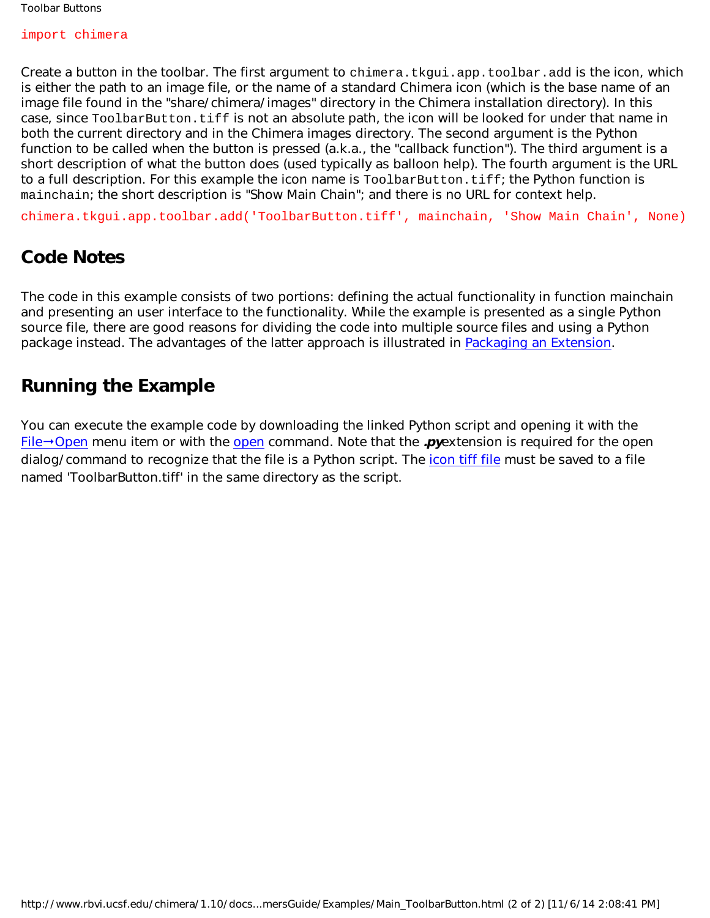import chimera

Create a button in the toolbar. The first argument to chimera.tkgui.app.toolbar.add is the icon, which is either the path to an image file, or the name of a standard Chimera icon (which is the base name of an image file found in the "share/chimera/images" directory in the Chimera installation directory). In this case, since ToolbarButton.tiff is not an absolute path, the icon will be looked for under that name in both the current directory and in the Chimera images directory. The second argument is the Python function to be called when the button is pressed (a.k.a., the "callback function"). The third argument is a short description of what the button does (used typically as balloon help). The fourth argument is the URL to a full description. For this example the icon name is ToolbarButton.tiff; the Python function is mainchain; the short description is "Show Main Chain"; and there is no URL for context help.

chimera.tkgui.app.toolbar.add('ToolbarButton.tiff', mainchain, 'Show Main Chain', None)

# **Code Notes**

The code in this example consists of two portions: defining the actual functionality in function mainchain and presenting an user interface to the functionality. While the example is presented as a single Python source file, there are good reasons for dividing the code into multiple source files and using a Python package instead. The advantages of the latter approach is illustrated in [Packaging an Extension](#page-59-0).

# **Running the Example**

You can execute the example code by downloading the linked Python script and opening it with the File→[Open](http://www.cgl.ucsf.edu/chimera/docs/UsersGuide/opensave.html#opendialog) menu item or with the [open](http://www.cgl.ucsf.edu/chimera/docs/UsersGuide/midas/open.html) command. Note that the *pyextension* is required for the open dialog/command to recognize that the file is a Python script. The *icon tiff file* must be saved to a file named 'ToolbarButton.tiff' in the same directory as the script.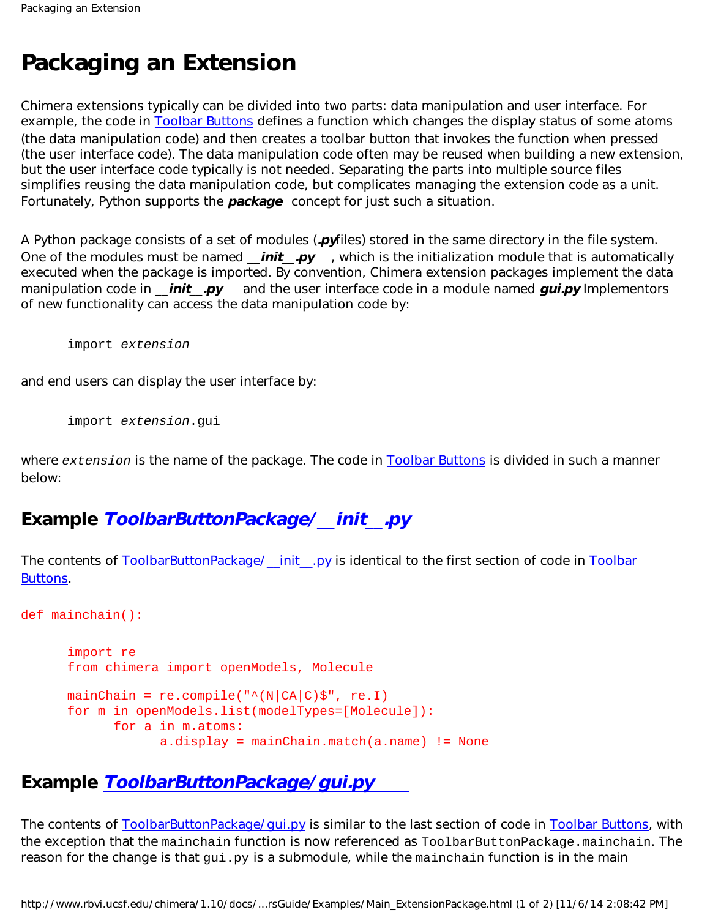# <span id="page-59-0"></span>**Packaging an Extension**

Chimera extensions typically can be divided into two parts: data manipulation and user interface. For example, the code in [Toolbar Buttons](#page-57-0) defines a function which changes the display status of some atoms (the data manipulation code) and then creates a toolbar button that invokes the function when pressed (the user interface code). The data manipulation code often may be reused when building a new extension, but the user interface code typically is not needed. Separating the parts into multiple source files simplifies reusing the data manipulation code, but complicates managing the extension code as a unit. Fortunately, Python supports the **package** concept for just such a situation.

A Python package consists of a set of modules (*.py* files) stored in the same directory in the file system. One of the modules must be named **\_\_init\_\_.py** , which is the initialization module that is automatically executed when the package is imported. By convention, Chimera extension packages implement the data manipulation code in **\_\_init\_\_.py** and the user interface code in a module named *gui.py* Implementors of new functionality can access the data manipulation code by:

import *extension*

and end users can display the user interface by:

import *extension*.gui

def mainchain():

where *extension* is the name of the package. The code in [Toolbar Buttons](#page-57-0) is divided in such a manner below:

```
Example ToolbarButtonPackage/__init__.py
```
The contents of ToolbarButtonPackage/\_init\_.py is identical to the first section of code in Toolbar [Buttons.](#page-122-0)

```
import re 
from chimera import openModels, Molecule 
mainChain = re.compile("^(N|CA|C);", re.I)
for m in openModels.list(modelTypes=[Molecule]): 
      for a in m.atoms: 
            a.display = mainChain.match(a.name) != None
```
# **Example [ToolbarButtonPackage/gui.py](#page-123-0)**

The contents of [ToolbarButtonPackage/gui.py](#page-123-0) is similar to the last section of code in [Toolbar Buttons](#page-122-0), with the exception that the mainchain function is now referenced as ToolbarButtonPackage.mainchain. The reason for the change is that  $qui.py$  is a submodule, while the mainchain function is in the main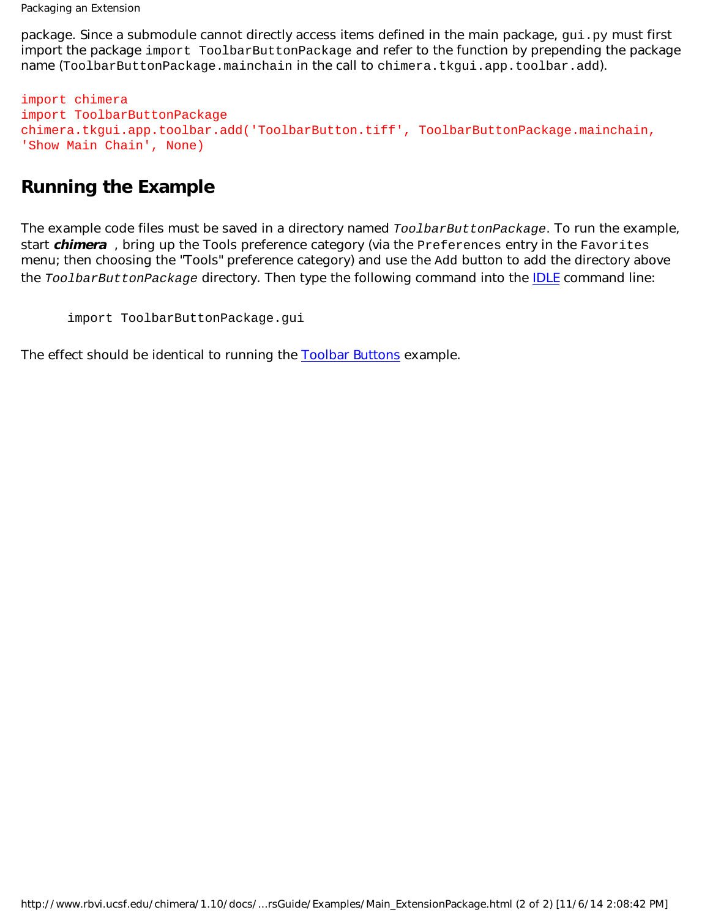Packaging an Extension

package. Since a submodule cannot directly access items defined in the main package, gui.py must first import the package import ToolbarButtonPackage and refer to the function by prepending the package name (ToolbarButtonPackage.mainchain in the call to chimera.tkgui.app.toolbar.add).

```
import chimera 
import ToolbarButtonPackage 
chimera.tkgui.app.toolbar.add('ToolbarButton.tiff', ToolbarButtonPackage.mainchain, 
'Show Main Chain', None)
```
# **Running the Example**

The example code files must be saved in a directory named *ToolbarButtonPackage*. To run the example, start **chimera** , bring up the Tools preference category (via the Preferences entry in the Favorites menu; then choosing the "Tools" preference category) and use the Add button to add the directory above the *ToolbarButtonPackage* directory. Then type the following command into the [IDLE](http://www.rbvi.ucsf.edu/chimera/1.10/docs/ContributedSoftware/idle/idle.html) command line:

```
import ToolbarButtonPackage.gui
```
The effect should be identical to running the [Toolbar Buttons](#page-57-0) example.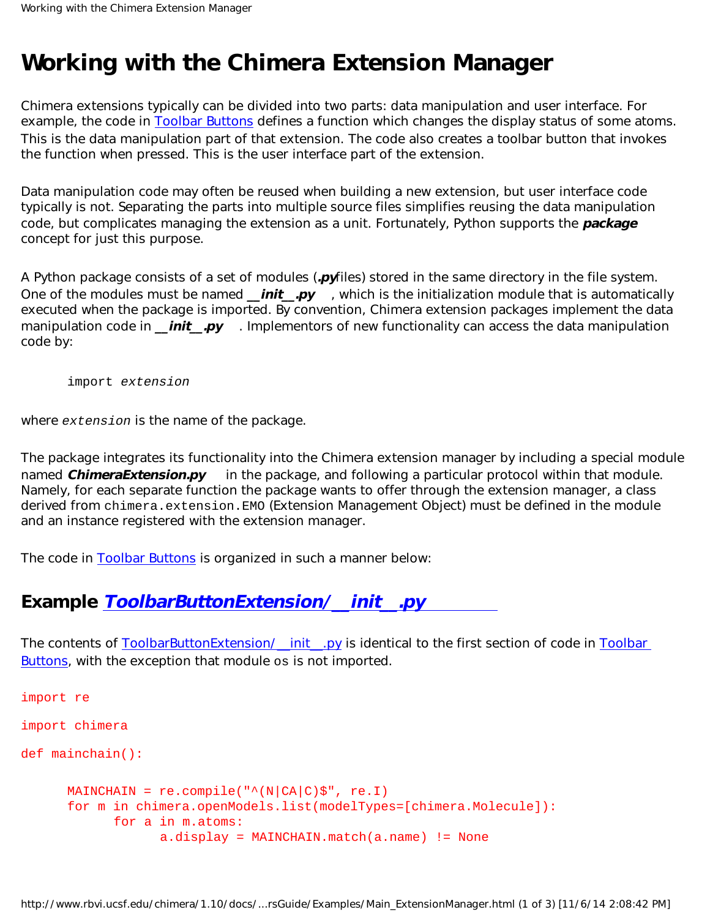# <span id="page-61-0"></span>**Working with the Chimera Extension Manager**

Chimera extensions typically can be divided into two parts: data manipulation and user interface. For example, the code in [Toolbar Buttons](#page-57-0) defines a function which changes the display status of some atoms. This is the data manipulation part of that extension. The code also creates a toolbar button that invokes the function when pressed. This is the user interface part of the extension.

Data manipulation code may often be reused when building a new extension, but user interface code typically is not. Separating the parts into multiple source files simplifies reusing the data manipulation code, but complicates managing the extension as a unit. Fortunately, Python supports the **package** concept for just this purpose.

A Python package consists of a set of modules (*.py* files) stored in the same directory in the file system. One of the modules must be named **\_\_init\_\_.py** , which is the initialization module that is automatically executed when the package is imported. By convention, Chimera extension packages implement the data manipulation code in **\_\_init\_\_.py** . Implementors of new functionality can access the data manipulation code by:

import *extension*

where *extension* is the name of the package.

The package integrates its functionality into the Chimera extension manager by including a special module named **ChimeraExtension.py** in the package, and following a particular protocol within that module. Namely, for each separate function the package wants to offer through the extension manager, a class derived from chimera.extension.EMO (Extension Management Object) must be defined in the module and an instance registered with the extension manager.

The code in [Toolbar Buttons](#page-57-0) is organized in such a manner below:

```
Example ToolbarButtonExtension/__init__.py
```
The contents of [Toolbar](#page-122-0)ButtonExtension/\_init\_.py is identical to the first section of code in Toolbar [Buttons,](#page-122-0) with the exception that module os is not imported.

```
import re 
import chimera 
def mainchain(): 
      MAINCHAIN = re.compile("^(N|CA|C)\", re.I)
      for m in chimera.openModels.list(modelTypes=[chimera.Molecule]): 
            for a in m.atoms: 
                  a.display = MAINCHAIN.match(a.name) != None
```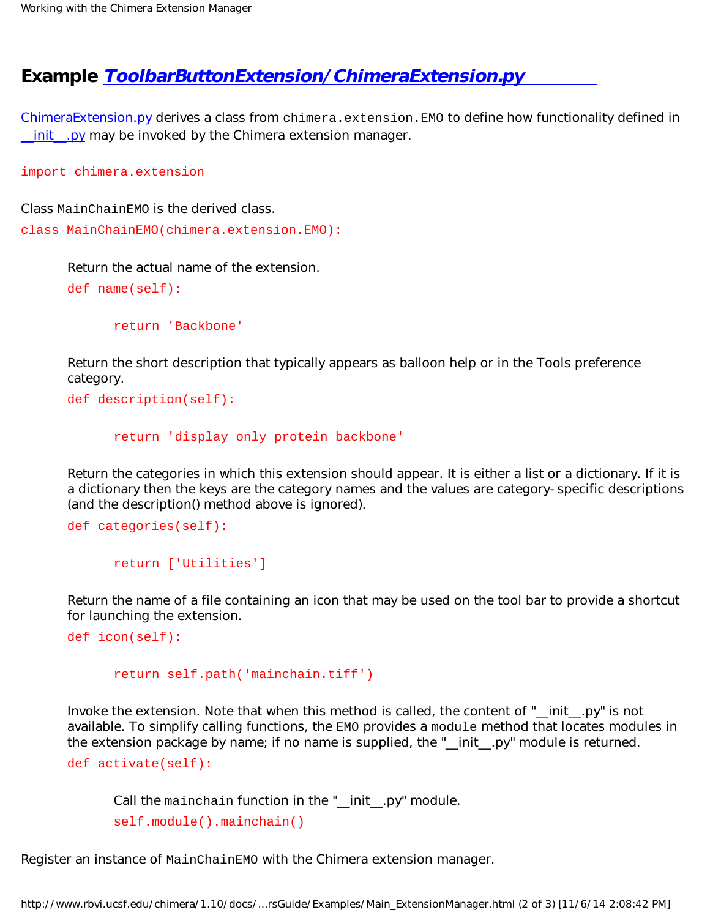# **Example [ToolbarButtonExtension/ChimeraExtension.py](#page-125-0)**

[ChimeraExtension.py](#page-125-0) derives a class from chimera.extension.EMO to define how functionality defined in [\\_\\_init\\_\\_.py](#page-124-0) may be invoked by the Chimera extension manager.

import chimera.extension

Class MainChainEMO is the derived class.

```
class MainChainEMO(chimera.extension.EMO):
```
Return the actual name of the extension.

```
def name(self):
```
return 'Backbone'

Return the short description that typically appears as balloon help or in the Tools preference category.

```
def description(self):
```
return 'display only protein backbone'

Return the categories in which this extension should appear. It is either a list or a dictionary. If it is a dictionary then the keys are the category names and the values are category-specific descriptions (and the description() method above is ignored).

```
def categories(self):
```

```
return ['Utilities']
```
Return the name of a file containing an icon that may be used on the tool bar to provide a shortcut for launching the extension.

```
def icon(self):
```
return self.path('mainchain.tiff')

Invoke the extension. Note that when this method is called, the content of "\_\_init\_\_.py" is not available. To simplify calling functions, the EMO provides a module method that locates modules in the extension package by name; if no name is supplied, the "\_init\_\_.py" module is returned.

```
def activate(self):
```
Call the mainchain function in the "\_\_init\_\_.py" module.

```
self.module().mainchain()
```
Register an instance of MainChainEMO with the Chimera extension manager.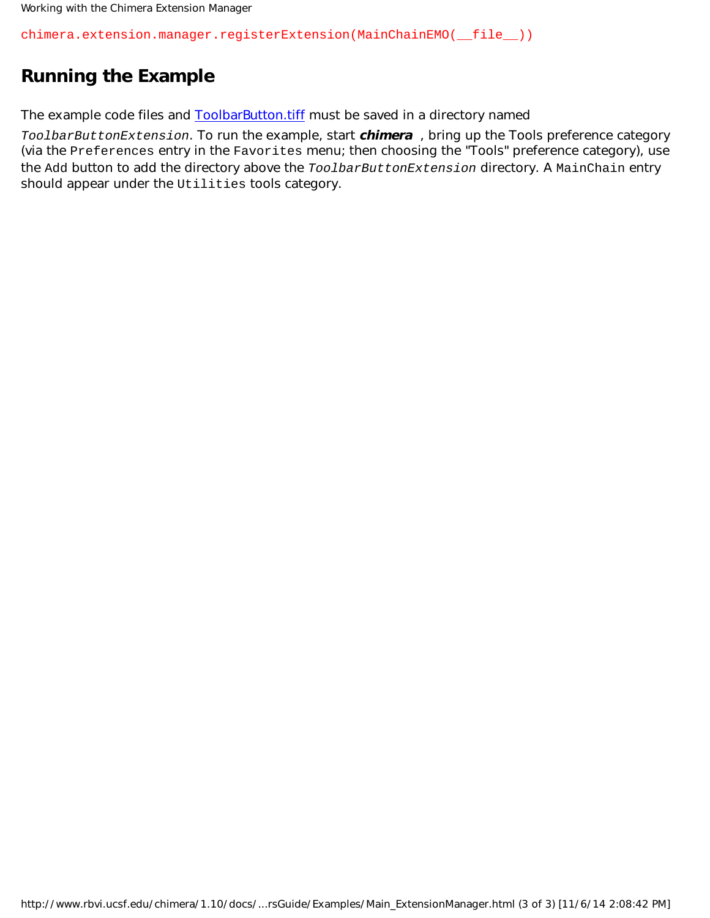Working with the Chimera Extension Manager

chimera.extension.manager.registerExtension(MainChainEMO(\_\_file\_\_))

# **Running the Example**

The example code files and [ToolbarButton.tiff](http://www.rbvi.ucsf.edu/chimera/1.10/docs/ProgrammersGuide/Examples/ToolbarButtonExtension/ToolbarButton.tiff) must be saved in a directory named

*ToolbarButtonExtension*. To run the example, start **chimera** , bring up the Tools preference category (via the Preferences entry in the Favorites menu; then choosing the "Tools" preference category), use the Add button to add the directory above the *ToolbarButtonExtension* directory. A MainChain entry should appear under the Utilities tools category.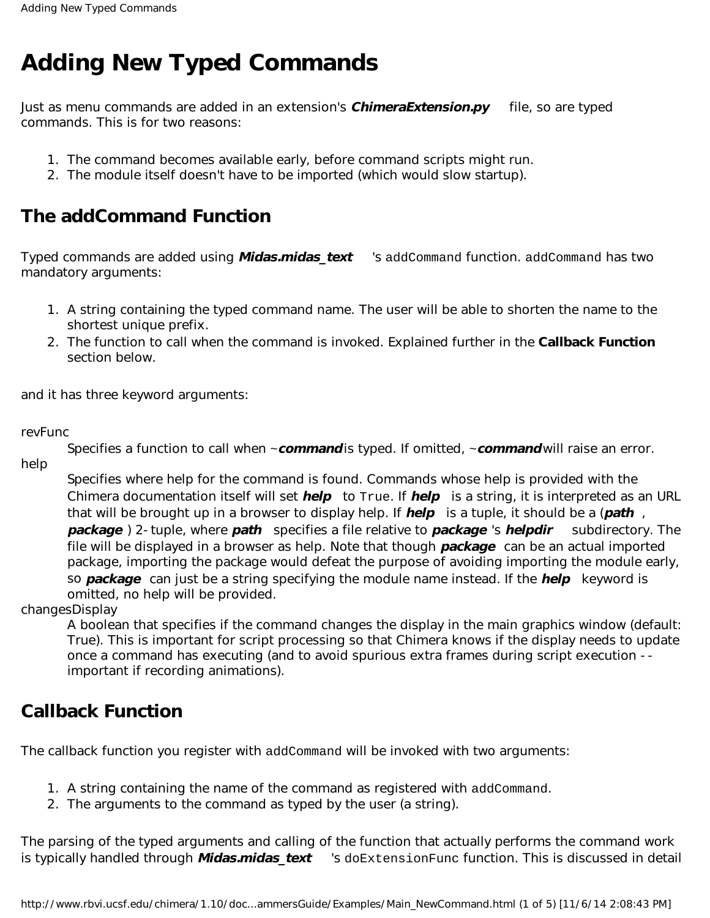# <span id="page-64-0"></span>**Adding New Typed Commands**

Just as menu commands are added in an extension's **ChimeraExtension.py** file, so are typed commands. This is for two reasons:

- 1. The command becomes available early, before command scripts might run.
- 2. The module itself doesn't have to be imported (which would slow startup).

# **The addCommand Function**

Typed commands are added using **Midas.midas\_text** 's addCommand function. addCommand has two mandatory arguments:

- 1. A string containing the typed command name. The user will be able to shorten the name to the shortest unique prefix.
- 2. The function to call when the command is invoked. Explained further in the **Callback Function** section below.

and it has three keyword arguments:

revFunc

Specifies a function to call when ~**command** is typed. If omitted, ~**command** will raise an error.

help

Specifies where help for the command is found. Commands whose help is provided with the Chimera documentation itself will set **help** to True. If **help** is a string, it is interpreted as an URL that will be brought up in a browser to display help. If **help** is a tuple, it should be a (**path** , **package** ) 2-tuple, where **path** specifies a file relative to **package** 's **helpdir** subdirectory. The file will be displayed in a browser as help. Note that though **package** can be an actual imported package, importing the package would defeat the purpose of avoiding importing the module early, so **package** can just be a string specifying the module name instead. If the **help** keyword is omitted, no help will be provided.

changesDisplay

A boolean that specifies if the command changes the display in the main graphics window (default: True). This is important for script processing so that Chimera knows if the display needs to update once a command has executing (and to avoid spurious extra frames during script execution - important if recording animations).

# **Callback Function**

The callback function you register with addCommand will be invoked with two arguments:

- 1. A string containing the name of the command as registered with addCommand.
- 2. The arguments to the command as typed by the user (a string).

The parsing of the typed arguments and calling of the function that actually performs the command work is typically handled through **Midas.midas\_text** 's doExtensionFunc function. This is discussed in detail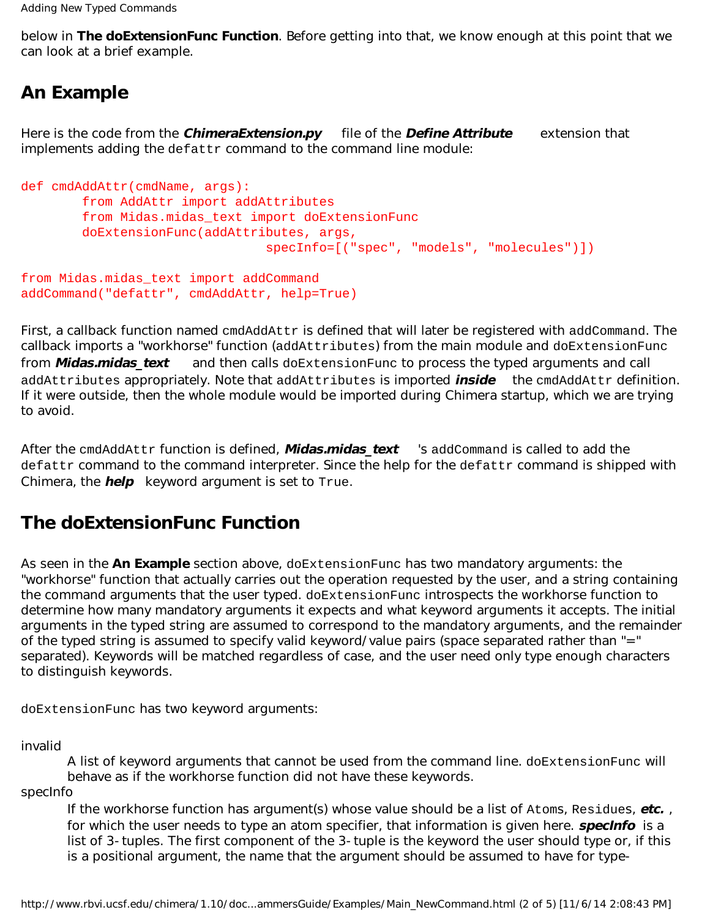Adding New Typed Commands

below in **The doExtensionFunc Function**. Before getting into that, we know enough at this point that we can look at a brief example.

# **An Example**

Here is the code from the **ChimeraExtension.py** file of the **Define Attribute** extension that implements adding the defattr command to the command line module:

```
def cmdAddAttr(cmdName, args):
         from AddAttr import addAttributes
         from Midas.midas_text import doExtensionFunc
         doExtensionFunc(addAttributes, args,
                                 specInfo=[("spec", "models", "molecules")])
from Midas.midas_text import addCommand
```
addCommand("defattr", cmdAddAttr, help=True)

First, a callback function named cmdAddAttr is defined that will later be registered with addCommand. The callback imports a "workhorse" function (addAttributes) from the main module and doExtensionFunc from **Midas.midas\_text** and then calls doExtensionFunc to process the typed arguments and call addAttributes appropriately. Note that addAttributes is imported **inside** the cmdAddAttr definition. If it were outside, then the whole module would be imported during Chimera startup, which we are trying to avoid.

After the cmdAddAttr function is defined, **Midas.midas\_text** 's addCommand is called to add the defattr command to the command interpreter. Since the help for the defattr command is shipped with Chimera, the **help** keyword argument is set to True.

# **The doExtensionFunc Function**

As seen in the **An Example** section above, doExtensionFunc has two mandatory arguments: the "workhorse" function that actually carries out the operation requested by the user, and a string containing the command arguments that the user typed. doExtensionFunc introspects the workhorse function to determine how many mandatory arguments it expects and what keyword arguments it accepts. The initial arguments in the typed string are assumed to correspond to the mandatory arguments, and the remainder of the typed string is assumed to specify valid keyword/value pairs (space separated rather than "=" separated). Keywords will be matched regardless of case, and the user need only type enough characters to distinguish keywords.

doExtensionFunc has two keyword arguments:

invalid

A list of keyword arguments that cannot be used from the command line. doExtensionFunc will behave as if the workhorse function did not have these keywords.

specInfo

If the workhorse function has argument(s) whose value should be a list of Atoms, Residues, **etc.** , for which the user needs to type an atom specifier, that information is given here. **specInfo** is a list of 3-tuples. The first component of the 3-tuple is the keyword the user should type or, if this is a positional argument, the name that the argument should be assumed to have for type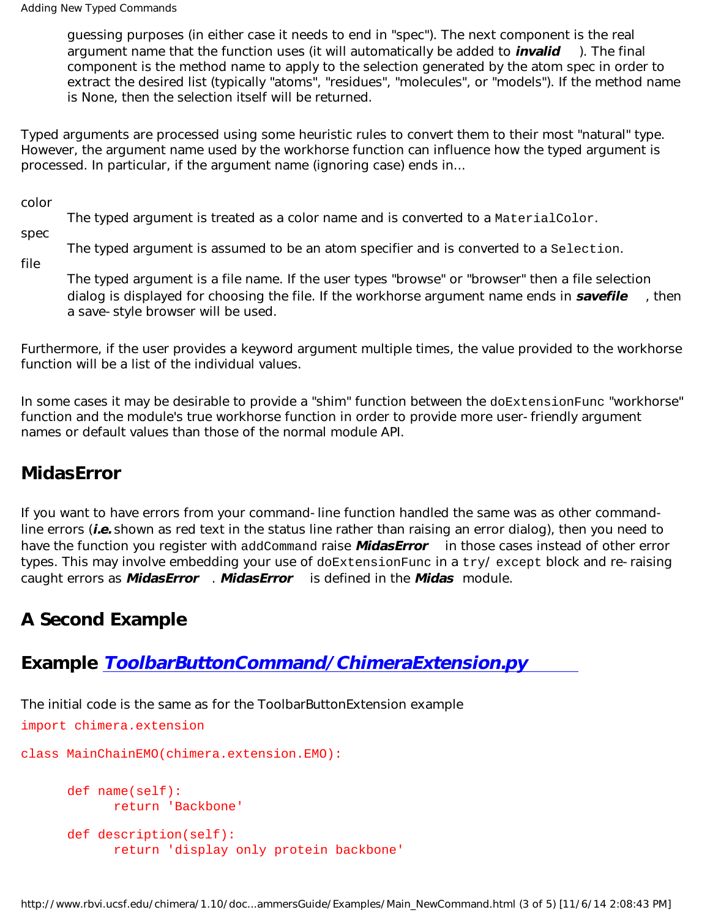guessing purposes (in either case it needs to end in "spec"). The next component is the real argument name that the function uses (it will automatically be added to **invalid** ). The final component is the method name to apply to the selection generated by the atom spec in order to extract the desired list (typically "atoms", "residues", "molecules", or "models"). If the method name is None, then the selection itself will be returned.

Typed arguments are processed using some heuristic rules to convert them to their most "natural" type. However, the argument name used by the workhorse function can influence how the typed argument is processed. In particular, if the argument name (ignoring case) ends in...

color

The typed argument is treated as a color name and is converted to a MaterialColor.

spec

The typed argument is assumed to be an atom specifier and is converted to a Selection.

file

The typed argument is a file name. If the user types "browse" or "browser" then a file selection dialog is displayed for choosing the file. If the workhorse argument name ends in **savefile** , then a save-style browser will be used.

Furthermore, if the user provides a keyword argument multiple times, the value provided to the workhorse function will be a list of the individual values.

In some cases it may be desirable to provide a "shim" function between the doExtensionFunc "workhorse" function and the module's true workhorse function in order to provide more user-friendly argument names or default values than those of the normal module API.

# **MidasError**

If you want to have errors from your command-line function handled the same was as other commandline errors (**i.e.** shown as red text in the status line rather than raising an error dialog), then you need to have the function you register with addCommand raise **MidasError** in those cases instead of other error types. This may involve embedding your use of doExtensionFunc in a try/ except block and re-raising caught errors as **MidasError** . **MidasError** is defined in the **Midas** module.

# **A Second Example**

# **Example [ToolbarButtonCommand/ChimeraExtension.py](#page-127-0)**

The initial code is the same as for the ToolbarButtonExtension example

import chimera.extension

class MainChainEMO(chimera.extension.EMO):

```
def name(self): 
      return 'Backbone' 
def description(self): 
      return 'display only protein backbone'
```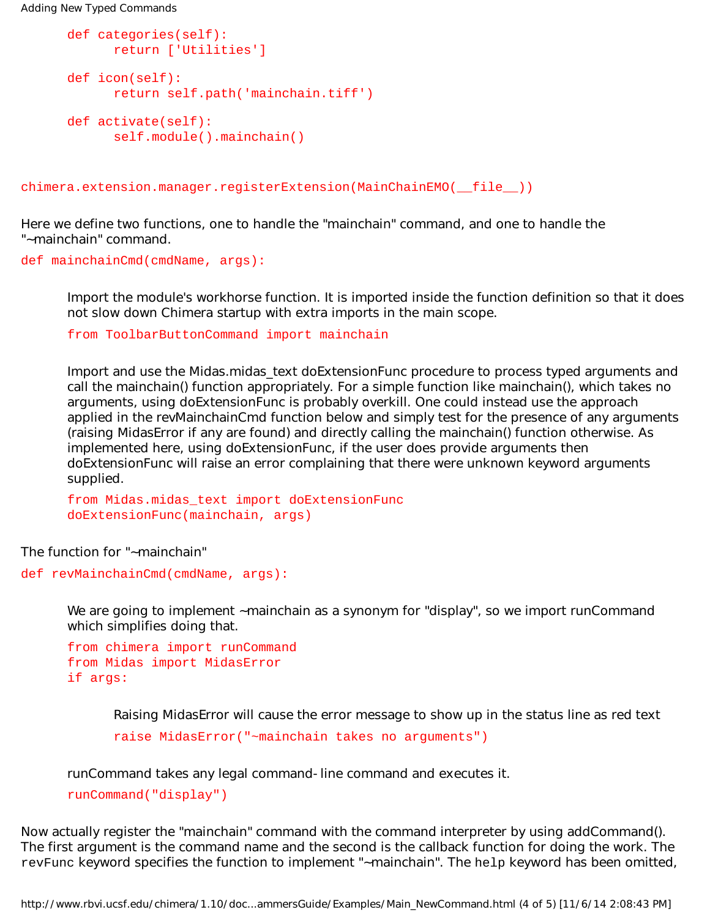Adding New Typed Commands

```
def categories(self): 
      return ['Utilities'] 
def icon(self): 
      return self.path('mainchain.tiff') 
def activate(self): 
      self.module().mainchain()
```
chimera.extension.manager.registerExtension(MainChainEMO(\_\_file\_\_))

Here we define two functions, one to handle the "mainchain" command, and one to handle the "~mainchain" command.

def mainchainCmd(cmdName, args):

Import the module's workhorse function. It is imported inside the function definition so that it does not slow down Chimera startup with extra imports in the main scope.

from ToolbarButtonCommand import mainchain

Import and use the Midas.midas\_text doExtensionFunc procedure to process typed arguments and call the mainchain() function appropriately. For a simple function like mainchain(), which takes no arguments, using doExtensionFunc is probably overkill. One could instead use the approach applied in the revMainchainCmd function below and simply test for the presence of any arguments (raising MidasError if any are found) and directly calling the mainchain() function otherwise. As implemented here, using doExtensionFunc, if the user does provide arguments then doExtensionFunc will raise an error complaining that there were unknown keyword arguments supplied.

from Midas.midas\_text import doExtensionFunc doExtensionFunc(mainchain, args)

The function for "~mainchain"

def revMainchainCmd(cmdName, args):

We are going to implement ~mainchain as a synonym for "display", so we import runCommand which simplifies doing that.

```
from chimera import runCommand 
from Midas import MidasError 
if args:
```
Raising MidasError will cause the error message to show up in the status line as red text

raise MidasError("~mainchain takes no arguments")

runCommand takes any legal command-line command and executes it.

runCommand("display")

Now actually register the "mainchain" command with the command interpreter by using addCommand(). The first argument is the command name and the second is the callback function for doing the work. The revFunc keyword specifies the function to implement "~mainchain". The help keyword has been omitted,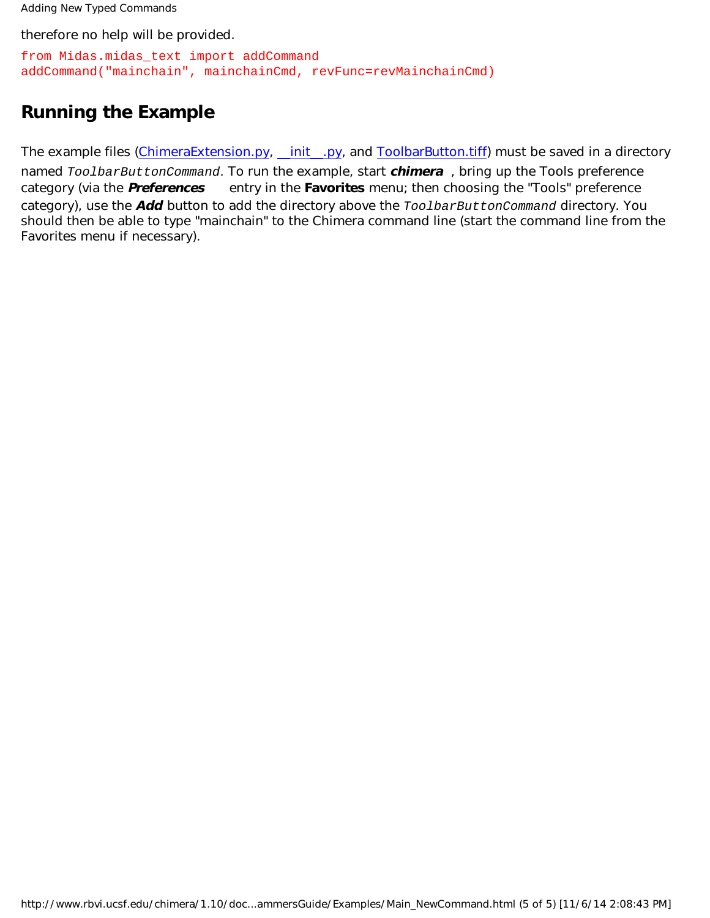Adding New Typed Commands

therefore no help will be provided.

from Midas.midas\_text import addCommand addCommand("mainchain", mainchainCmd, revFunc=revMainchainCmd)

# **Running the Example**

The example files [\(ChimeraExtension.py](#page-127-0), \_init\_.py, and [ToolbarButton.tiff\)](http://www.rbvi.ucsf.edu/chimera/1.10/docs/ProgrammersGuide/Examples/ToolbarButtonCommand/ToolbarButton.tiff) must be saved in a directory named *ToolbarButtonCommand*. To run the example, start **chimera** , bring up the Tools preference category (via the **Preferences** entry in the **Favorites** menu; then choosing the "Tools" preference category), use the **Add** button to add the directory above the *ToolbarButtonCommand* directory. You should then be able to type "mainchain" to the Chimera command line (start the command line from the Favorites menu if necessary).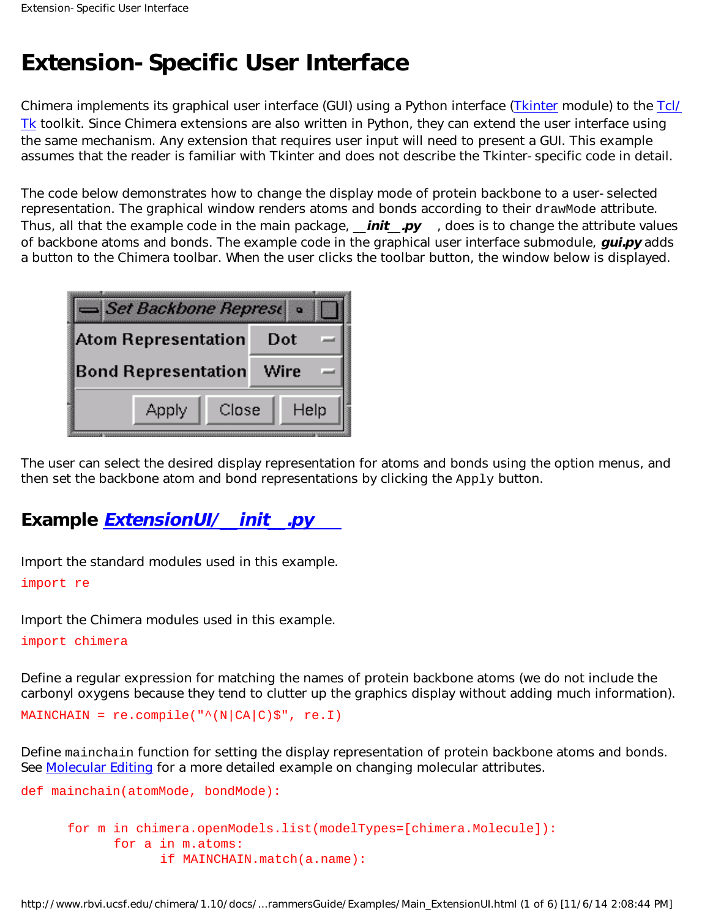# <span id="page-69-0"></span>**Extension-Specific User Interface**

Chimera implements its graphical user interface (GUI) using a Python interface [\(Tkinter](http://www.pythonware.com/library/) module) to the [Tcl/](http://www.scriptics.com/) [Tk](http://www.scriptics.com/) toolkit. Since Chimera extensions are also written in Python, they can extend the user interface using the same mechanism. Any extension that requires user input will need to present a GUI. This example assumes that the reader is familiar with Tkinter and does not describe the Tkinter-specific code in detail.

The code below demonstrates how to change the display mode of protein backbone to a user-selected representation. The graphical window renders atoms and bonds according to their drawMode attribute. Thus, all that the example code in the main package, **\_\_init\_\_.py** , does is to change the attribute values of backbone atoms and bonds. The example code in the graphical user interface submodule, **gui.py**, adds a button to the Chimera toolbar. When the user clicks the toolbar button, the window below is displayed.



The user can select the desired display representation for atoms and bonds using the option menus, and then set the backbone atom and bond representations by clicking the Apply button.

# **Example [ExtensionUI/\\_\\_init\\_\\_.py](#page-129-0)**

Import the standard modules used in this example.

import re

Import the Chimera modules used in this example.

import chimera

Define a regular expression for matching the names of protein backbone atoms (we do not include the carbonyl oxygens because they tend to clutter up the graphics display without adding much information).

```
MAINCHAIN = re.compile("^N(N|CA|C) ; re.I)
```
Define mainchain function for setting the display representation of protein backbone atoms and bonds. See [Molecular Editing](#page-120-0) for a more detailed example on changing molecular attributes.

```
def mainchain(atomMode, bondMode): 
      for m in chimera.openModels.list(modelTypes=[chimera.Molecule]): 
            for a in m.atoms: 
                   if MAINCHAIN.match(a.name):
```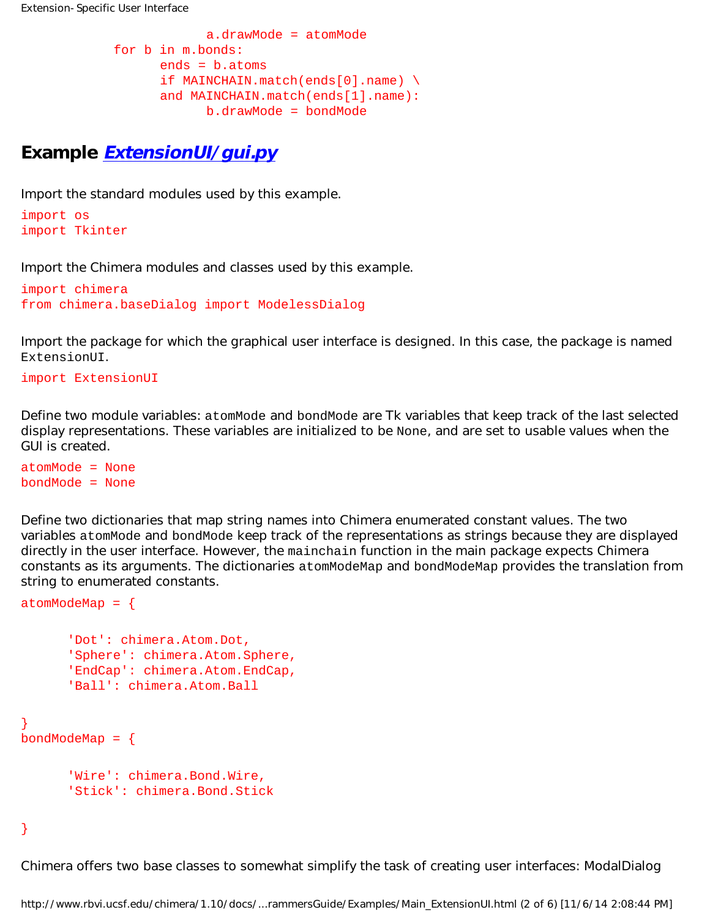Extension-Specific User Interface

```
a.drawMode = atomMode 
for b in m.bonds: 
      ends = b.atoms 
      if MAINCHAIN.match(ends[0].name) \
      and MAINCHAIN.match(ends[1].name):
            b.drawMode = bondMode
```
# **Example [ExtensionUI/gui.py](#page-130-0)**

Import the standard modules used by this example.

```
import os 
import Tkinter
```
Import the Chimera modules and classes used by this example.

```
import chimera 
from chimera.baseDialog import ModelessDialog
```
Import the package for which the graphical user interface is designed. In this case, the package is named ExtensionUI.

```
import ExtensionUI
```
Define two module variables: atomMode and bondMode are Tk variables that keep track of the last selected display representations. These variables are initialized to be None, and are set to usable values when the GUI is created.

```
atomMode = None 
bondMode = None
```
Define two dictionaries that map string names into Chimera enumerated constant values. The two variables atomMode and bondMode keep track of the representations as strings because they are displayed directly in the user interface. However, the mainchain function in the main package expects Chimera constants as its arguments. The dictionaries atomModeMap and bondModeMap provides the translation from string to enumerated constants.

```
atomModelMap = \{'Dot': chimera.Atom.Dot, 
      'Sphere': chimera.Atom.Sphere, 
      'EndCap': chimera.Atom.EndCap, 
      'Ball': chimera.Atom.Ball 
} 
bondModeMap = { 
      'Wire': chimera.Bond.Wire, 
      'Stick': chimera.Bond.Stick 
}
```
Chimera offers two base classes to somewhat simplify the task of creating user interfaces: ModalDialog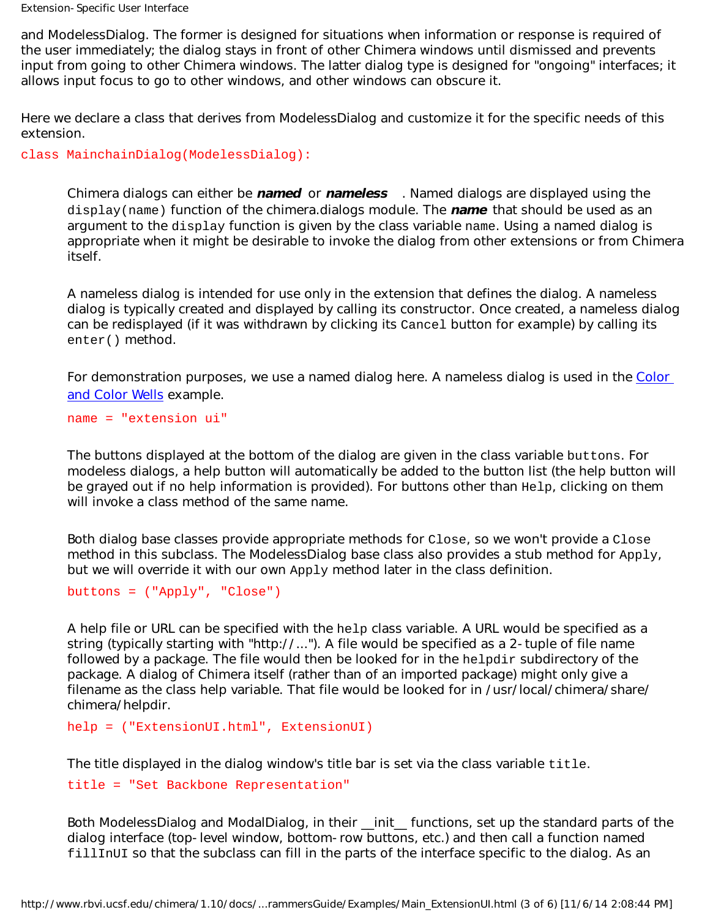Extension-Specific User Interface

and ModelessDialog. The former is designed for situations when information or response is required of the user immediately; the dialog stays in front of other Chimera windows until dismissed and prevents input from going to other Chimera windows. The latter dialog type is designed for "ongoing" interfaces; it allows input focus to go to other windows, and other windows can obscure it.

Here we declare a class that derives from ModelessDialog and customize it for the specific needs of this extension.

class MainchainDialog(ModelessDialog):

Chimera dialogs can either be **named** or **nameless** . Named dialogs are displayed using the display(name) function of the chimera.dialogs module. The **name** that should be used as an argument to the display function is given by the class variable name. Using a named dialog is appropriate when it might be desirable to invoke the dialog from other extensions or from Chimera itself.

A nameless dialog is intended for use only in the extension that defines the dialog. A nameless dialog is typically created and displayed by calling its constructor. Once created, a nameless dialog can be redisplayed (if it was withdrawn by clicking its Cancel button for example) by calling its enter() method.

For demonstration purposes, we use a named dialog here. A nameless dialog is used in the [Color](#page-75-0)  [and Color Wells](#page-75-0) example.

name = "extension ui"

The buttons displayed at the bottom of the dialog are given in the class variable buttons. For modeless dialogs, a help button will automatically be added to the button list (the help button will be grayed out if no help information is provided). For buttons other than  $He1p$ , clicking on them will invoke a class method of the same name.

Both dialog base classes provide appropriate methods for Close, so we won't provide a Close method in this subclass. The ModelessDialog base class also provides a stub method for Apply, but we will override it with our own Apply method later in the class definition.

buttons = ("Apply", "Close")

A help file or URL can be specified with the help class variable. A URL would be specified as a string (typically starting with "http://..."). A file would be specified as a 2-tuple of file name followed by a package. The file would then be looked for in the helpdir subdirectory of the package. A dialog of Chimera itself (rather than of an imported package) might only give a filename as the class help variable. That file would be looked for in /usr/local/chimera/share/ chimera/helpdir.

help = ("ExtensionUI.html", ExtensionUI)

The title displayed in the dialog window's title bar is set via the class variable title.

```
title = "Set Backbone Representation"
```
Both ModelessDialog and ModalDialog, in their \_\_init\_\_ functions, set up the standard parts of the dialog interface (top-level window, bottom-row buttons, etc.) and then call a function named fillInUI so that the subclass can fill in the parts of the interface specific to the dialog. As an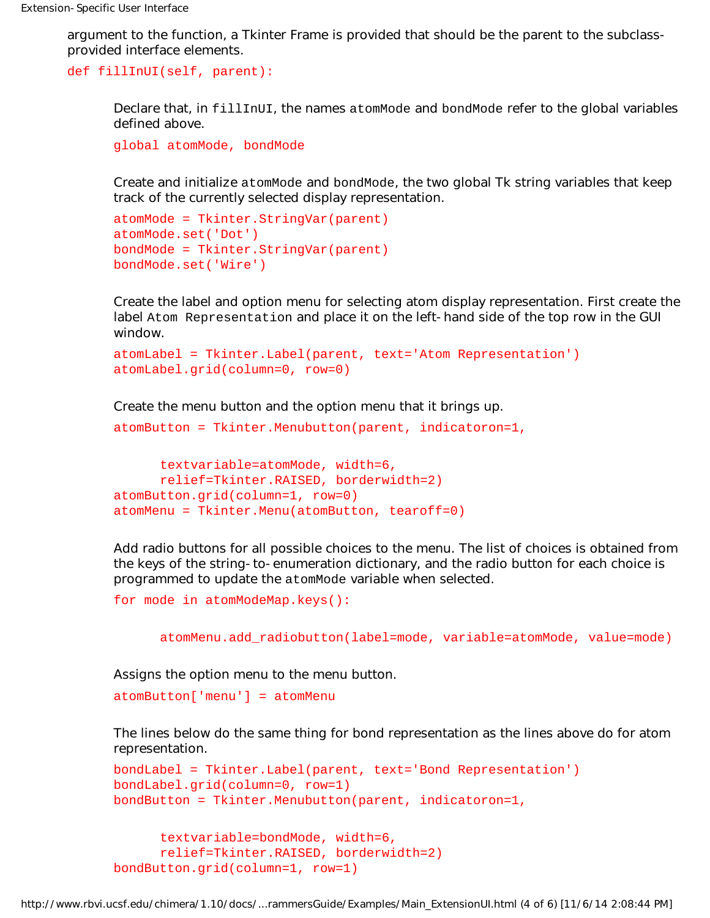argument to the function, a Tkinter Frame is provided that should be the parent to the subclassprovided interface elements.

def fillInUI(self, parent):

Declare that, in fillInUI, the names atomMode and bondMode refer to the global variables defined above.

global atomMode, bondMode

Create and initialize atomMode and bondMode, the two global Tk string variables that keep track of the currently selected display representation.

```
atomMode = Tkinter.StringVar(parent) 
atomMode.set('Dot') 
bondMode = Tkinter.StringVar(parent) 
bondMode.set('Wire')
```
Create the label and option menu for selecting atom display representation. First create the label Atom Representation and place it on the left-hand side of the top row in the GUI window.

```
atomLabel = Tkinter.Label(parent, text='Atom Representation') 
atomLabel.grid(column=0, row=0)
```
Create the menu button and the option menu that it brings up.

```
atomButton = Tkinter.Menubutton(parent, indicatoron=1,
```

```
textvariable=atomMode, width=6, 
      relief=Tkinter.RAISED, borderwidth=2) 
atomButton.grid(column=1, row=0) 
atomMenu = Tkinter.Menu(atomButton, tearoff=0)
```
Add radio buttons for all possible choices to the menu. The list of choices is obtained from the keys of the string-to-enumeration dictionary, and the radio button for each choice is programmed to update the atomMode variable when selected.

for mode in atomModeMap.keys():

atomMenu.add\_radiobutton(label=mode, variable=atomMode, value=mode)

Assigns the option menu to the menu button.

atomButton['menu'] = atomMenu

The lines below do the same thing for bond representation as the lines above do for atom representation.

```
bondLabel = Tkinter.Label(parent, text='Bond Representation') 
bondLabel.grid(column=0, row=1) 
bondButton = Tkinter.Menubutton(parent, indicatoron=1,
```

```
textvariable=bondMode, width=6, 
      relief=Tkinter.RAISED, borderwidth=2) 
bondButton.grid(column=1, row=1)
```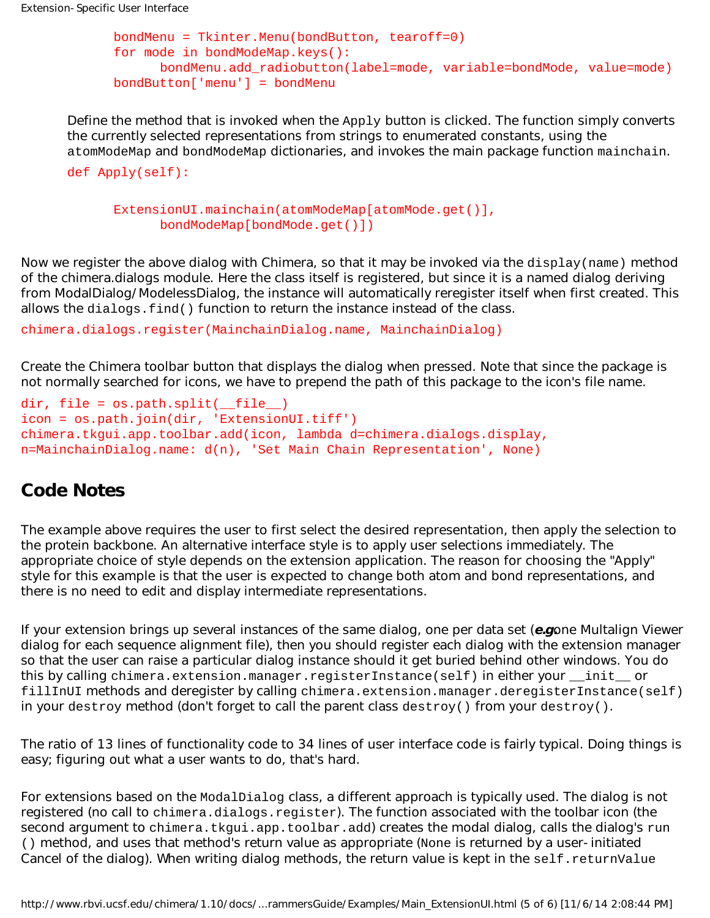Extension-Specific User Interface

```
bondMenu = Tkinter.Menu(bondButton, tearoff=0) 
for mode in bondModeMap.keys(): 
      bondMenu.add_radiobutton(label=mode, variable=bondMode, value=mode) 
bondButton['menu'] = bondMenu
```
Define the method that is invoked when the Apply button is clicked. The function simply converts the currently selected representations from strings to enumerated constants, using the atomModeMap and bondModeMap dictionaries, and invokes the main package function mainchain.

```
def Apply(self):
```

```
ExtensionUI.mainchain(atomModeMap[atomMode.get()], 
      bondModeMap[bondMode.get()])
```
Now we register the above dialog with Chimera, so that it may be invoked via the display(name) method of the chimera.dialogs module. Here the class itself is registered, but since it is a named dialog deriving from ModalDialog/ModelessDialog, the instance will automatically reregister itself when first created. This allows the dialogs.find() function to return the instance instead of the class.

chimera.dialogs.register(MainchainDialog.name, MainchainDialog)

Create the Chimera toolbar button that displays the dialog when pressed. Note that since the package is not normally searched for icons, we have to prepend the path of this package to the icon's file name.

```
dir, file = os.path.split(\_file)icon = os.path.join(dir, 'ExtensionUI.tiff') 
chimera.tkgui.app.toolbar.add(icon, lambda d=chimera.dialogs.display, 
n=MainchainDialog.name: d(n), 'Set Main Chain Representation', None)
```
# **Code Notes**

The example above requires the user to first select the desired representation, then apply the selection to the protein backbone. An alternative interface style is to apply user selections immediately. The appropriate choice of style depends on the extension application. The reason for choosing the "Apply" style for this example is that the user is expected to change both atom and bond representations, and there is no need to edit and display intermediate representations.

If your extension brings up several instances of the same dialog, one per data set (e.gone Multalign Viewer dialog for each sequence alignment file), then you should register each dialog with the extension manager so that the user can raise a particular dialog instance should it get buried behind other windows. You do this by calling chimera.extension.manager.registerInstance(self) in either your \_\_init\_\_ or fillInUI methods and deregister by calling chimera.extension.manager.deregisterInstance(self) in your destroy method (don't forget to call the parent class destroy() from your destroy().

The ratio of 13 lines of functionality code to 34 lines of user interface code is fairly typical. Doing things is easy; figuring out what a user wants to do, that's hard.

For extensions based on the ModalDialog class, a different approach is typically used. The dialog is not registered (no call to chimera.dialogs.register). The function associated with the toolbar icon (the second argument to chimera.tkgui.app.toolbar.add) creates the modal dialog, calls the dialog's run () method, and uses that method's return value as appropriate (None is returned by a user-initiated Cancel of the dialog). When writing dialog methods, the return value is kept in the self.returnValue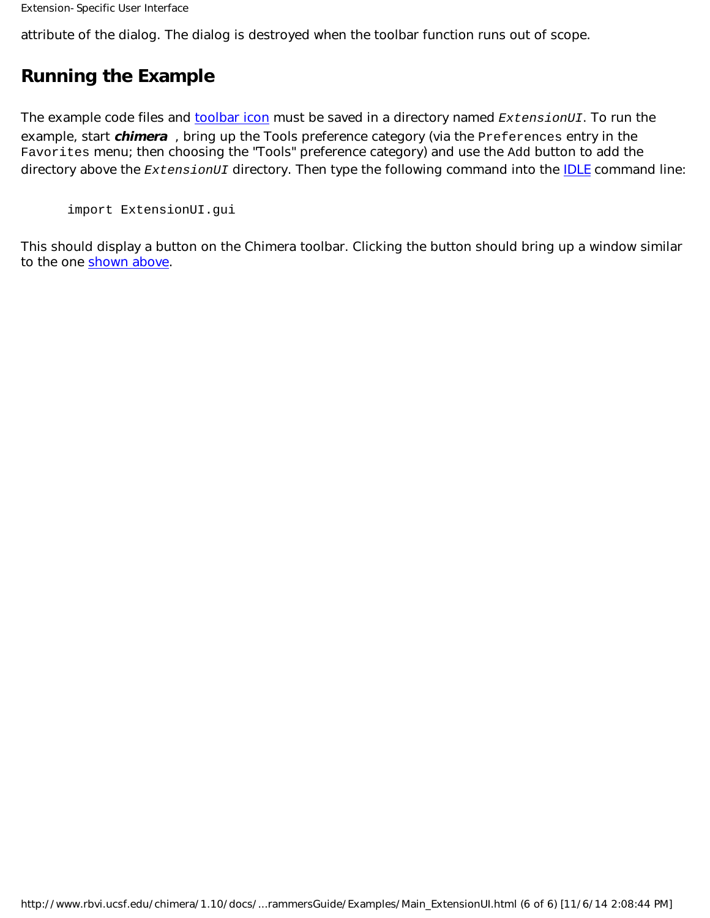Extension-Specific User Interface

attribute of the dialog. The dialog is destroyed when the toolbar function runs out of scope.

# **Running the Example**

The example code files and [toolbar icon](http://www.rbvi.ucsf.edu/chimera/1.10/docs/ProgrammersGuide/Examples/ExtensionUI/ExtensionUI.tiff) must be saved in a directory named *ExtensionUI*. To run the example, start **chimera** , bring up the Tools preference category (via the Preferences entry in the Favorites menu; then choosing the "Tools" preference category) and use the Add button to add the directory above the *ExtensionUI* directory. Then type the following command into the [IDLE](http://www.rbvi.ucsf.edu/chimera/1.10/docs/ContributedSoftware/idle/idle.html) command line:

```
import ExtensionUI.gui
```
This should display a button on the Chimera toolbar. Clicking the button should bring up a window similar to the one shown above.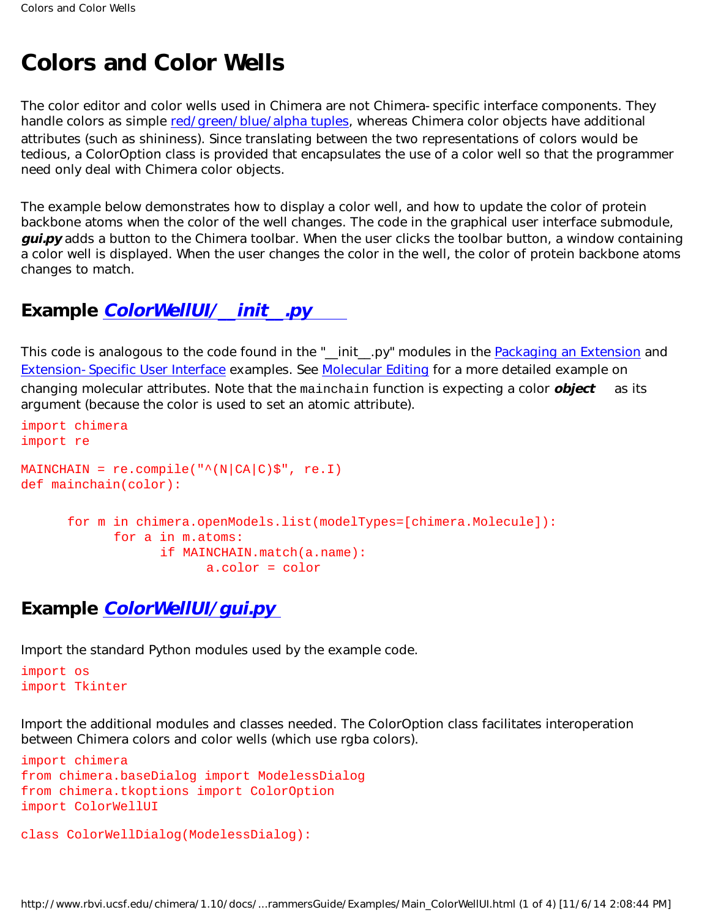# <span id="page-75-0"></span>**Colors and Color Wells**

The color editor and color wells used in Chimera are not Chimera-specific interface components. They handle colors as simple [red/green/blue/alpha tuples,](#page-134-0) whereas Chimera color objects have additional attributes (such as shininess). Since translating between the two representations of colors would be tedious, a ColorOption class is provided that encapsulates the use of a color well so that the programmer need only deal with Chimera color objects.

The example below demonstrates how to display a color well, and how to update the color of protein backbone atoms when the color of the well changes. The code in the graphical user interface submodule, **gui.py**, adds a button to the Chimera toolbar. When the user clicks the toolbar button, a window containing a color well is displayed. When the user changes the color in the well, the color of protein backbone atoms changes to match.

## **Example [ColorWellUI/\\_\\_init\\_\\_.py](#page-135-0)**

This code is analogous to the code found in the "\_init\_\_.py" modules in the [Packaging an Extension](#page-59-0) and [Extension-Specific User Interface](#page-69-0) examples. See [Molecular Editing](#page-120-0) for a more detailed example on changing molecular attributes. Note that the mainchain function is expecting a color **object** as its argument (because the color is used to set an atomic attribute).

```
import chimera 
import re 
MAINCHAIN = re.compile("N|CA|C)$", re.I)
def mainchain(color): 
      for m in chimera.openModels.list(modelTypes=[chimera.Molecule]): 
            for a in m.atoms: 
                  if MAINCHAIN.match(a.name): 
                         a.color = color
```
# **Example [ColorWellUI/gui.py](#page-136-0)**

Import the standard Python modules used by the example code.

import os import Tkinter

Import the additional modules and classes needed. The ColorOption class facilitates interoperation between Chimera colors and color wells (which use rgba colors).

```
import chimera 
from chimera.baseDialog import ModelessDialog 
from chimera.tkoptions import ColorOption 
import ColorWellUI
```

```
class ColorWellDialog(ModelessDialog):
```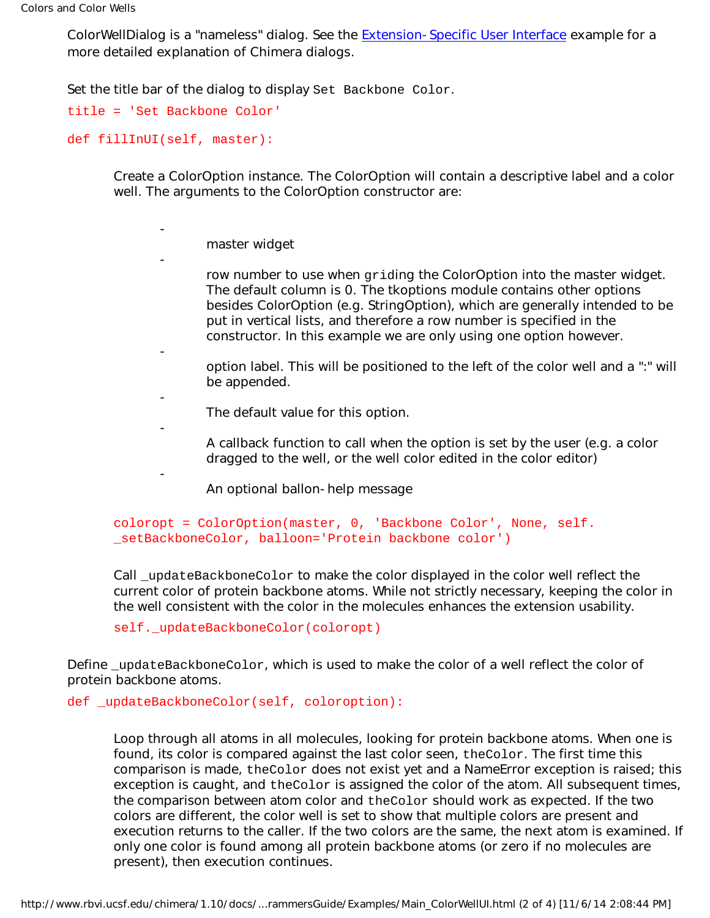ColorWellDialog is a "nameless" dialog. See the [Extension-Specific User Interface](#page-69-0) example for a more detailed explanation of Chimera dialogs.

Set the title bar of the dialog to display Set Backbone Color.

```
title = 'Set Backbone Color'
```

```
def fillInUI(self, master):
```
-

-

Create a ColorOption instance. The ColorOption will contain a descriptive label and a color well. The arguments to the ColorOption constructor are:

- master widget row number to use when griding the ColorOption into the master widget. The default column is 0. The tkoptions module contains other options besides ColorOption (e.g. StringOption), which are generally intended to be put in vertical lists, and therefore a row number is specified in the constructor. In this example we are only using one option however. option label. This will be positioned to the left of the color well and a ":" will be appended. - The default value for this option.
	- A callback function to call when the option is set by the user (e.g. a color dragged to the well, or the well color edited in the color editor)

An optional ballon-help message

```
coloropt = ColorOption(master, 0, 'Backbone Color', None, self.
_setBackboneColor, balloon='Protein backbone color')
```
Call \_updateBackboneColor to make the color displayed in the color well reflect the current color of protein backbone atoms. While not strictly necessary, keeping the color in the well consistent with the color in the molecules enhances the extension usability.

```
self._updateBackboneColor(coloropt)
```
Define updateBackboneColor, which is used to make the color of a well reflect the color of protein backbone atoms.

```
def _updateBackboneColor(self, coloroption):
```
Loop through all atoms in all molecules, looking for protein backbone atoms. When one is found, its color is compared against the last color seen, theColor. The first time this comparison is made, theColor does not exist yet and a NameError exception is raised; this exception is caught, and theColor is assigned the color of the atom. All subsequent times, the comparison between atom color and theColor should work as expected. If the two colors are different, the color well is set to show that multiple colors are present and execution returns to the caller. If the two colors are the same, the next atom is examined. If only one color is found among all protein backbone atoms (or zero if no molecules are present), then execution continues.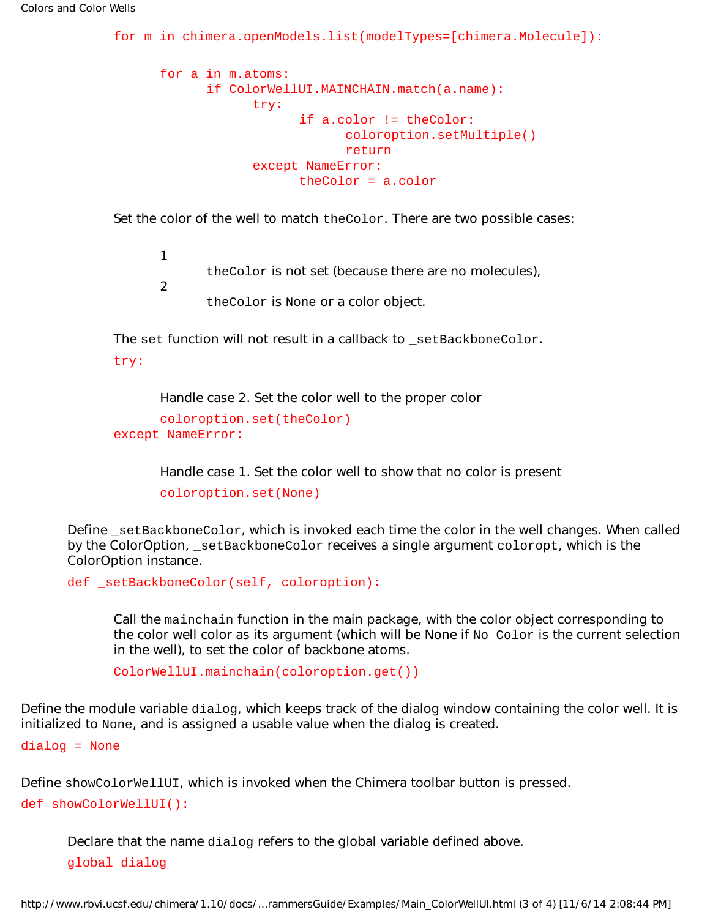Colors and Color Wells

```
for m in chimera.openModels.list(modelTypes=[chimera.Molecule]):
```

```
for a in m.atoms: 
      if ColorWellUI.MAINCHAIN.match(a.name): 
            try: 
                   if a.color != theColor: 
                        coloroption.setMultiple() 
                         return 
            except NameError: 
                  theColor = a.color
```
Set the color of the well to match the Color. There are two possible cases:

1 theColor is not set (because there are no molecules), 2 theColor is None or a color object.

The set function will not result in a callback to \_setBackboneColor.

try:

Handle case 2. Set the color well to the proper color

```
coloroption.set(theColor) 
except NameError:
```
Handle case 1. Set the color well to show that no color is present coloroption.set(None)

Define setBackboneColor, which is invoked each time the color in the well changes. When called by the ColorOption, \_setBackboneColor receives a single argument coloropt, which is the ColorOption instance.

def \_setBackboneColor(self, coloroption):

Call the mainchain function in the main package, with the color object corresponding to the color well color as its argument (which will be None if No Color is the current selection in the well), to set the color of backbone atoms.

ColorWellUI.mainchain(coloroption.get())

Define the module variable dialog, which keeps track of the dialog window containing the color well. It is initialized to None, and is assigned a usable value when the dialog is created.

dialog = None

Define showColorWellUI, which is invoked when the Chimera toolbar button is pressed.

def showColorWellUI():

Declare that the name dialog refers to the global variable defined above.

global dialog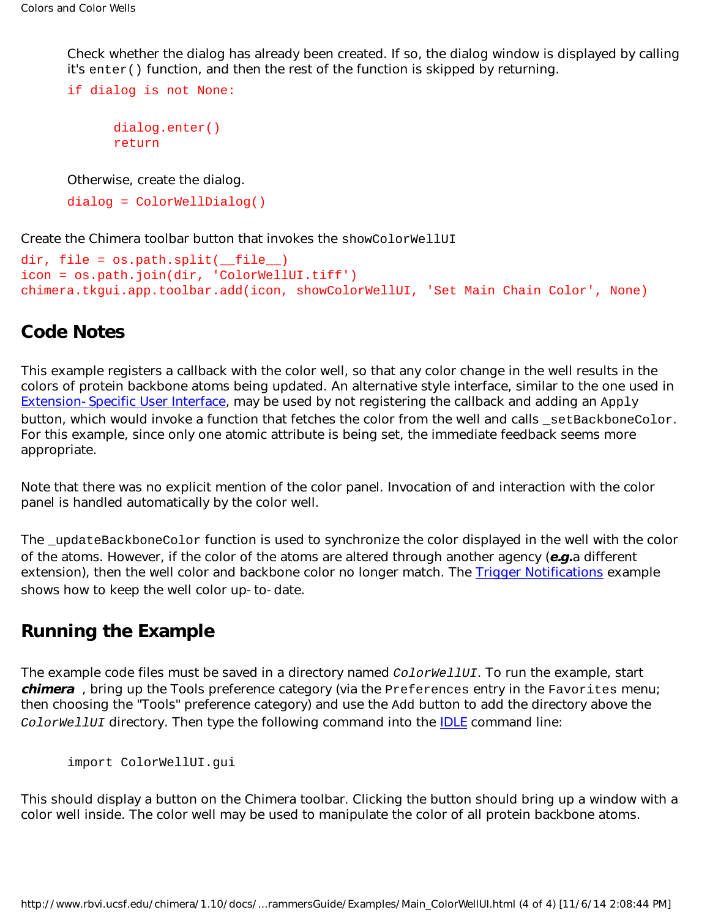Check whether the dialog has already been created. If so, the dialog window is displayed by calling it's enter() function, and then the rest of the function is skipped by returning.

```
if dialog is not None:
```

```
dialog.enter() 
return
```
Otherwise, create the dialog.

dialog = ColorWellDialog()

Create the Chimera toolbar button that invokes the showColorWellUI

```
dir, file = os.path.split(\_file)icon = os.path.join(dir, 'ColorWellUI.tiff') 
chimera.tkgui.app.toolbar.add(icon, showColorWellUI, 'Set Main Chain Color', None)
```
## **Code Notes**

This example registers a callback with the color well, so that any color change in the well results in the colors of protein backbone atoms being updated. An alternative style interface, similar to the one used in [Extension-Specific User Interface,](#page-69-0) may be used by not registering the callback and adding an Apply button, which would invoke a function that fetches the color from the well and calls setBackboneColor. For this example, since only one atomic attribute is being set, the immediate feedback seems more appropriate.

Note that there was no explicit mention of the color panel. Invocation of and interaction with the color panel is handled automatically by the color well.

The \_updateBackboneColor function is used to synchronize the color displayed in the well with the color of the atoms. However, if the color of the atoms are altered through another agency (e.g. a different extension), then the well color and backbone color no longer match. The [Trigger Notifications](#page-79-0) example shows how to keep the well color up-to-date.

## **Running the Example**

The example code files must be saved in a directory named *ColorWellUI*. To run the example, start **chimera** , bring up the Tools preference category (via the Preferences entry in the Favorites menu; then choosing the "Tools" preference category) and use the Add button to add the directory above the *ColorWellUI* directory. Then type the following command into the [IDLE](http://www.rbvi.ucsf.edu/chimera/1.10/docs/ContributedSoftware/idle/idle.html) command line:

```
import ColorWellUI.gui
```
This should display a button on the Chimera toolbar. Clicking the button should bring up a window with a color well inside. The color well may be used to manipulate the color of all protein backbone atoms.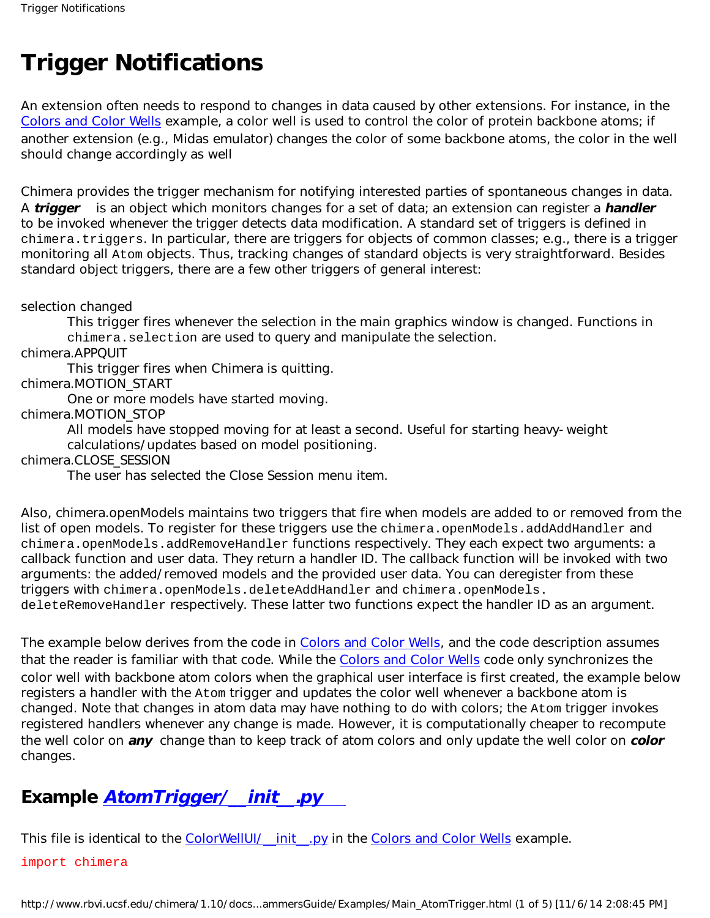<span id="page-79-0"></span>An extension often needs to respond to changes in data caused by other extensions. For instance, in the [Colors and Color Wells](#page-75-0) example, a color well is used to control the color of protein backbone atoms; if another extension (e.g., Midas emulator) changes the color of some backbone atoms, the color in the well should change accordingly as well

Chimera provides the trigger mechanism for notifying interested parties of spontaneous changes in data. A **trigger** is an object which monitors changes for a set of data; an extension can register a **handler** to be invoked whenever the trigger detects data modification. A standard set of triggers is defined in chimera.triggers. In particular, there are triggers for objects of common classes; e.g., there is a trigger monitoring all Atom objects. Thus, tracking changes of standard objects is very straightforward. Besides standard object triggers, there are a few other triggers of general interest:

selection changed

This trigger fires whenever the selection in the main graphics window is changed. Functions in chimera.selection are used to query and manipulate the selection.

chimera.APPQUIT

This trigger fires when Chimera is quitting.

chimera.MOTION\_START

One or more models have started moving.

chimera.MOTION\_STOP

All models have stopped moving for at least a second. Useful for starting heavy-weight calculations/updates based on model positioning.

chimera.CLOSE\_SESSION

The user has selected the Close Session menu item.

Also, chimera.openModels maintains two triggers that fire when models are added to or removed from the list of open models. To register for these triggers use the chimera.openModels.addAddHandler and chimera.openModels.addRemoveHandler functions respectively. They each expect two arguments: a callback function and user data. They return a handler ID. The callback function will be invoked with two arguments: the added/removed models and the provided user data. You can deregister from these triggers with chimera.openModels.deleteAddHandler and chimera.openModels. deleteRemoveHandler respectively. These latter two functions expect the handler ID as an argument.

The example below derives from the code in [Colors and Color Wells,](#page-75-0) and the code description assumes that the reader is familiar with that code. While the [Colors and Color Wells](#page-75-0) code only synchronizes the color well with backbone atom colors when the graphical user interface is first created, the example below registers a handler with the Atom trigger and updates the color well whenever a backbone atom is changed. Note that changes in atom data may have nothing to do with colors; the Atom trigger invokes registered handlers whenever any change is made. However, it is computationally cheaper to recompute the well color on **any** change than to keep track of atom colors and only update the well color on **color** changes.

# **Example [AtomTrigger/\\_\\_init\\_\\_.py](#page-139-0)**

This file is identical to the ColorWellUI/\_init\_.py in the [Colors and Color Wells](#page-75-0) example.

import chimera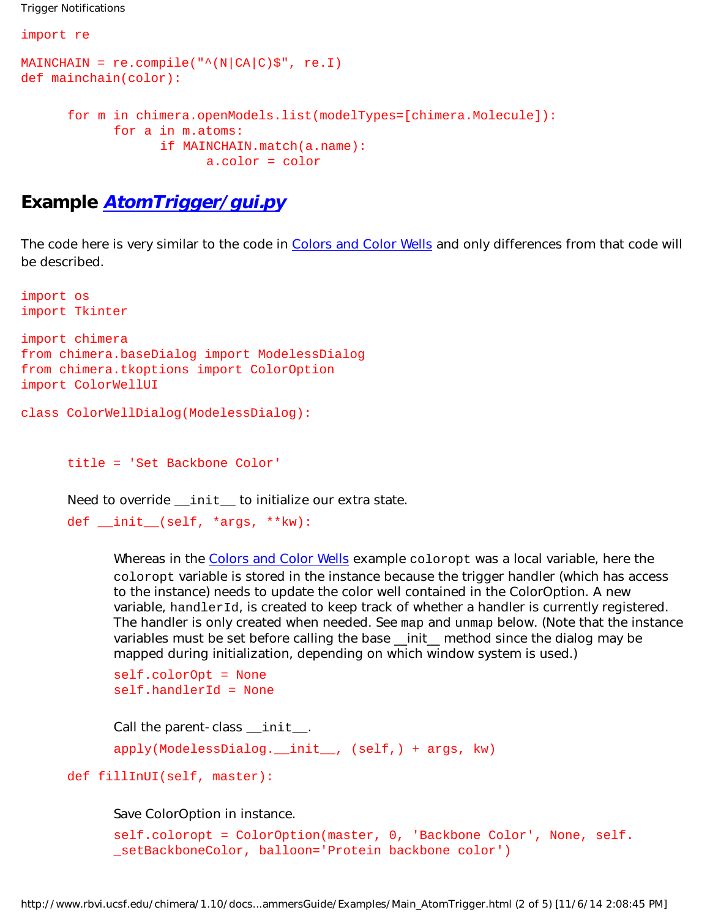```
import re 
MAINCHAIN = re.compile("^*(N|CA|C)\", re.I)
def mainchain(color): 
      for m in chimera.openModels.list(modelTypes=[chimera.Molecule]): 
            for a in m.atoms: 
                   if MAINCHAIN.match(a.name): 
                         a.color = color
```
## **Example [AtomTrigger/gui.py](#page-140-0)**

The code here is very similar to the code in [Colors and Color Wells](#page-75-0) and only differences from that code will be described.

```
import os 
import Tkinter 
import chimera 
from chimera.baseDialog import ModelessDialog 
from chimera.tkoptions import ColorOption 
import ColorWellUI 
class ColorWellDialog(ModelessDialog):
```
title = 'Set Backbone Color'

Need to override \_\_init\_\_ to initialize our extra state.

```
def __init_(self, *args, **kw):
```
Whereas in the [Colors and Color Wells](#page-75-0) example coloropt was a local variable, here the coloropt variable is stored in the instance because the trigger handler (which has access to the instance) needs to update the color well contained in the ColorOption. A new variable, handlerId, is created to keep track of whether a handler is currently registered. The handler is only created when needed. See map and unmap below. (Note that the instance variables must be set before calling the base \_\_init\_\_ method since the dialog may be mapped during initialization, depending on which window system is used.)

```
self.colorOpt = None 
self.handlerId = None
```

```
Call the parent-class __init__.
apply(ModelessDialog.__init__, (self,) + args, kw)
```
def fillInUI(self, master):

Save ColorOption in instance.

```
self.coloropt = ColorOption(master, 0, 'Backbone Color', None, self.
_setBackboneColor, balloon='Protein backbone color')
```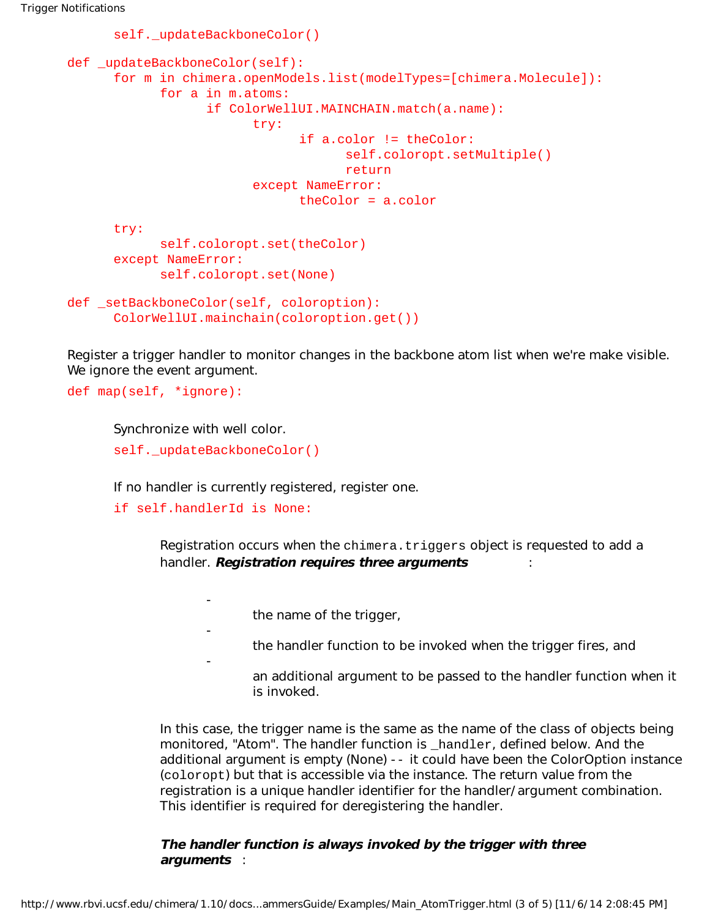```
self._updateBackboneColor() 
def _updateBackboneColor(self): 
      for m in chimera.openModels.list(modelTypes=[chimera.Molecule]): 
            for a in m.atoms: 
                   if ColorWellUI.MAINCHAIN.match(a.name): 
                         try: 
                                if a.color != theColor: 
                                      self.coloropt.setMultiple() 
                                      return 
                         except NameError: 
                                theColor = a.color 
      try: 
            self.coloropt.set(theColor) 
      except NameError: 
            self.coloropt.set(None) 
def _setBackboneColor(self, coloroption): 
      ColorWellUI.mainchain(coloroption.get())
```
Register a trigger handler to monitor changes in the backbone atom list when we're make visible. We ignore the event argument.

def map(self, \*ignore):

Synchronize with well color.

self.\_updateBackboneColor()

If no handler is currently registered, register one.

```
if self.handlerId is None:
```
-

-

-

Registration occurs when the chimera.triggers object is requested to add a handler. **Registration requires three arguments** :

- the name of the trigger,
- the handler function to be invoked when the trigger fires, and
	- an additional argument to be passed to the handler function when it is invoked.

In this case, the trigger name is the same as the name of the class of objects being monitored, "Atom". The handler function is \_handler, defined below. And the additional argument is empty (None) -- it could have been the ColorOption instance (coloropt) but that is accessible via the instance. The return value from the registration is a unique handler identifier for the handler/argument combination. This identifier is required for deregistering the handler.

#### **The handler function is always invoked by the trigger with three arguments** :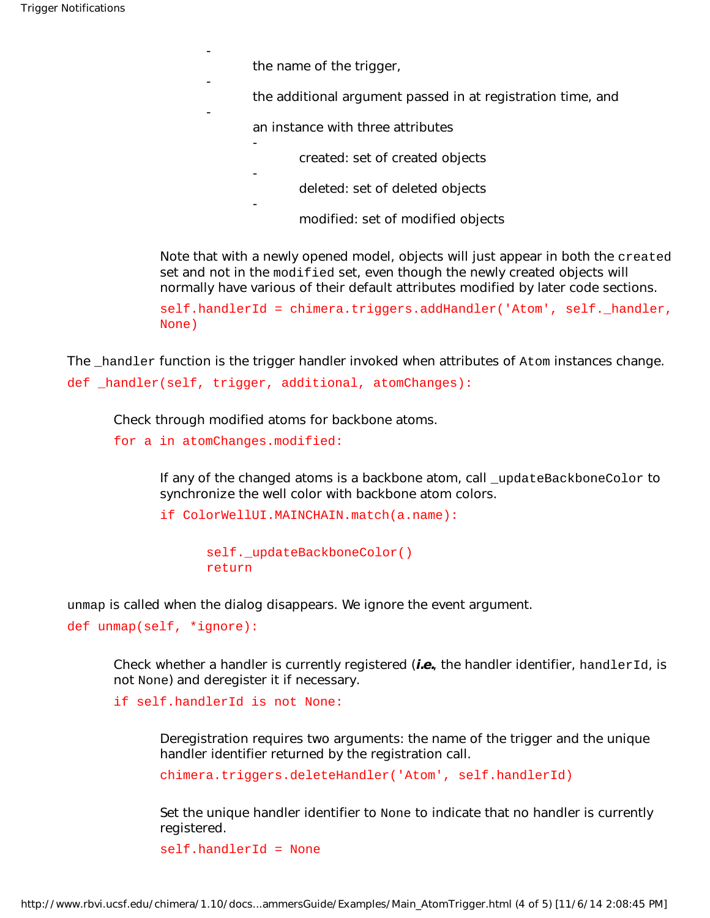- the name of the trigger,
- the additional argument passed in at registration time, and

an instance with three attributes

- created: set of created objects
- deleted: set of deleted objects
	- modified: set of modified objects

Note that with a newly opened model, objects will just appear in both the created set and not in the modified set, even though the newly created objects will normally have various of their default attributes modified by later code sections.

self.handlerId = chimera.triggers.addHandler('Atom', self.\_handler, None)

The \_handler function is the trigger handler invoked when attributes of Atom instances change.

def \_handler(self, trigger, additional, atomChanges):

Check through modified atoms for backbone atoms.

for a in atomChanges.modified:

-

-

-

-

-

-

If any of the changed atoms is a backbone atom, call \_updateBackboneColor to synchronize the well color with backbone atom colors.

if ColorWellUI.MAINCHAIN.match(a.name):

```
self._updateBackboneColor() 
return
```
unmap is called when the dialog disappears. We ignore the event argument.

def unmap(self, \*ignore):

Check whether a handler is currently registered (**i.e.**, the handler identifier, handlerId, is not None) and deregister it if necessary.

if self.handlerId is not None:

Deregistration requires two arguments: the name of the trigger and the unique handler identifier returned by the registration call.

chimera.triggers.deleteHandler('Atom', self.handlerId)

Set the unique handler identifier to None to indicate that no handler is currently registered.

self.handlerId = None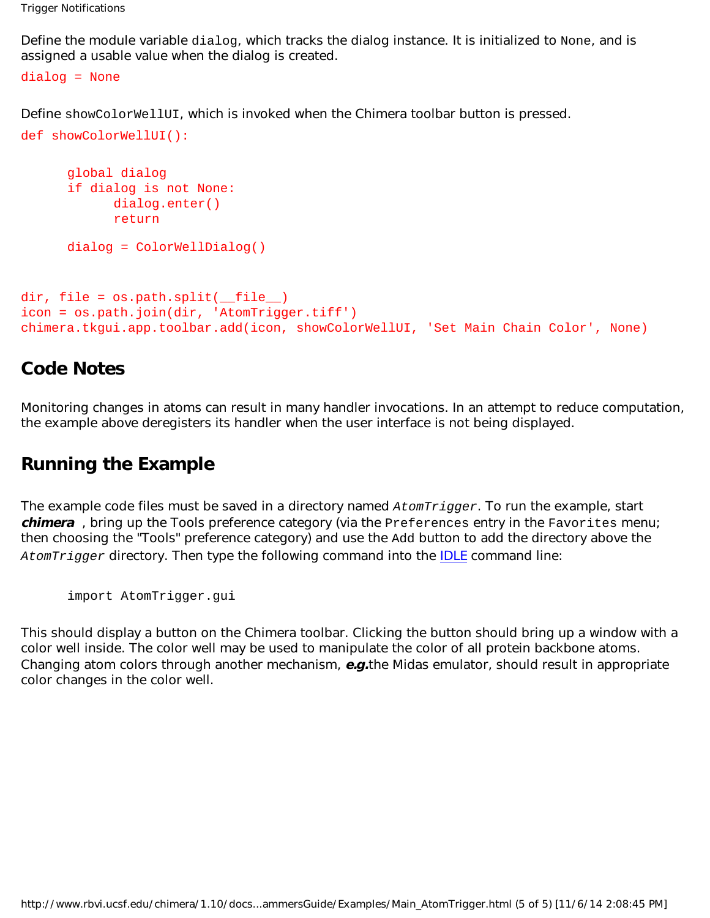Define the module variable dialog, which tracks the dialog instance. It is initialized to None, and is assigned a usable value when the dialog is created.

dialog = None

Define showColorWellUI, which is invoked when the Chimera toolbar button is pressed.

```
def showColorWellUI(): 
      global dialog 
      if dialog is not None: 
            dialog.enter() 
            return 
      dialog = ColorWellDialog() 
dir, file = os.path.split(\_file)icon = os.path.join(dir, 'AtomTrigger.tiff') 
chimera.tkgui.app.toolbar.add(icon, showColorWellUI, 'Set Main Chain Color', None)
```
## **Code Notes**

Monitoring changes in atoms can result in many handler invocations. In an attempt to reduce computation, the example above deregisters its handler when the user interface is not being displayed.

## **Running the Example**

The example code files must be saved in a directory named *AtomTrigger*. To run the example, start **chimera** , bring up the Tools preference category (via the Preferences entry in the Favorites menu; then choosing the "Tools" preference category) and use the Add button to add the directory above the *AtomTrigger* directory. Then type the following command into the [IDLE](http://www.rbvi.ucsf.edu/chimera/1.10/docs/ContributedSoftware/idle/idle.html) command line:

import AtomTrigger.gui

This should display a button on the Chimera toolbar. Clicking the button should bring up a window with a color well inside. The color well may be used to manipulate the color of all protein backbone atoms. Changing atom colors through another mechanism, **e.g.**, the Midas emulator, should result in appropriate color changes in the color well.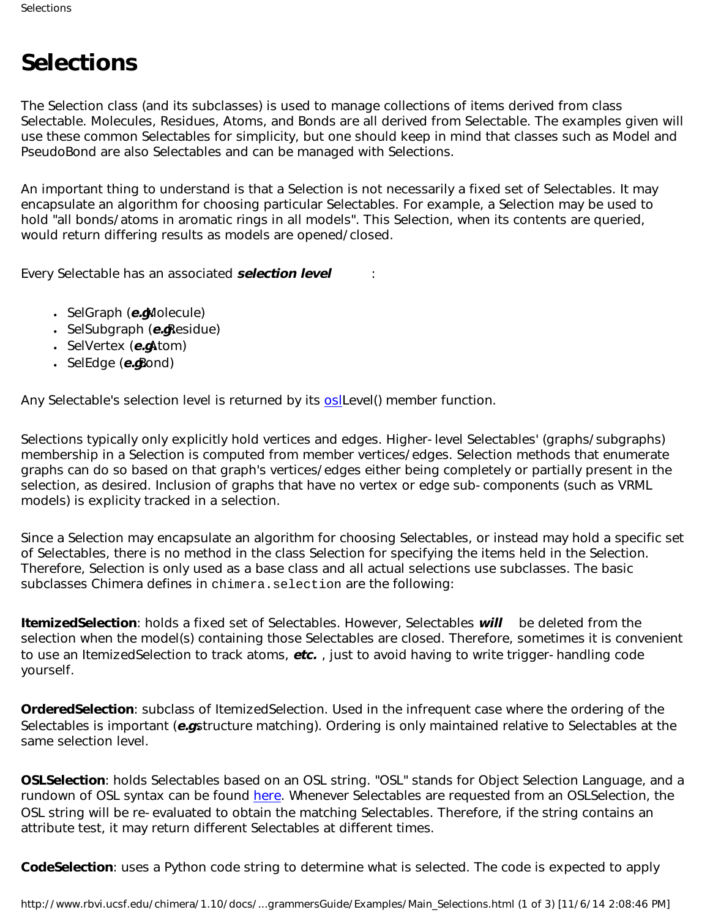# **Selections**

The Selection class (and its subclasses) is used to manage collections of items derived from class Selectable. Molecules, Residues, Atoms, and Bonds are all derived from Selectable. The examples given will use these common Selectables for simplicity, but one should keep in mind that classes such as Model and PseudoBond are also Selectables and can be managed with Selections.

An important thing to understand is that a Selection is not necessarily a fixed set of Selectables. It may encapsulate an algorithm for choosing particular Selectables. For example, a Selection may be used to hold "all bonds/atoms in aromatic rings in all models". This Selection, when its contents are queried, would return differing results as models are opened/closed.

Every Selectable has an associated **selection level** :

- SelGraph (**e.g.**Molecule)
- SelSubgraph (**e.g.**Residue)
- SelVertex (**e.g.**Atom)
- SelEdge (**e.g.**Bond)

Any Selectable's selection level is returned by its [osl](#page-143-0)Level() member function.

Selections typically only explicitly hold vertices and edges. Higher-level Selectables' (graphs/subgraphs) membership in a Selection is computed from member vertices/edges. Selection methods that enumerate graphs can do so based on that graph's vertices/edges either being completely or partially present in the selection, as desired. Inclusion of graphs that have no vertex or edge sub-components (such as VRML models) is explicity tracked in a selection.

Since a Selection may encapsulate an algorithm for choosing Selectables, or instead may hold a specific set of Selectables, there is no method in the class Selection for specifying the items held in the Selection. Therefore, Selection is only used as a base class and all actual selections use subclasses. The basic subclasses Chimera defines in chimera.selection are the following:

**ItemizedSelection**: holds a fixed set of Selectables. However, Selectables **will** be deleted from the selection when the model(s) containing those Selectables are closed. Therefore, sometimes it is convenient to use an ItemizedSelection to track atoms, **etc.** , just to avoid having to write trigger-handling code yourself.

**OrderedSelection**: subclass of ItemizedSelection. Used in the infrequent case where the ordering of the Selectables is important (e.gstructure matching). Ordering is only maintained relative to Selectables at the same selection level.

**OSLSelection**: holds Selectables based on an OSL string. "OSL" stands for Object Selection Language, and a rundown of OSL syntax can be found [here](#page-144-0). Whenever Selectables are requested from an OSLSelection, the OSL string will be re-evaluated to obtain the matching Selectables. Therefore, if the string contains an attribute test, it may return different Selectables at different times.

**CodeSelection**: uses a Python code string to determine what is selected. The code is expected to apply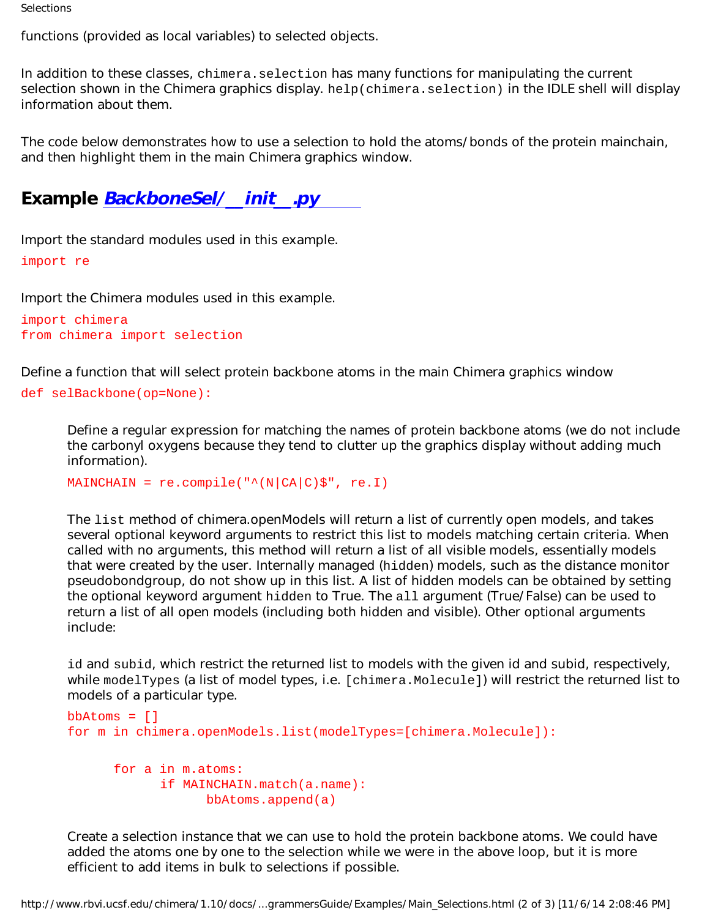**Selections** 

functions (provided as local variables) to selected objects.

In addition to these classes, chimera.selection has many functions for manipulating the current selection shown in the Chimera graphics display. help(chimera.selection) in the IDLE shell will display information about them.

The code below demonstrates how to use a selection to hold the atoms/bonds of the protein mainchain, and then highlight them in the main Chimera graphics window.

# **Example [BackboneSel/\\_\\_init\\_\\_.py](#page-145-0)**

Import the standard modules used in this example.

import re

Import the Chimera modules used in this example.

```
import chimera 
from chimera import selection
```
Define a function that will select protein backbone atoms in the main Chimera graphics window

```
def selBackbone(op=None):
```
Define a regular expression for matching the names of protein backbone atoms (we do not include the carbonyl oxygens because they tend to clutter up the graphics display without adding much information).

```
MAINCHAIN = re.compile("^(N|CA|C)$", re.I)
```
The list method of chimera.openModels will return a list of currently open models, and takes several optional keyword arguments to restrict this list to models matching certain criteria. When called with no arguments, this method will return a list of all visible models, essentially models that were created by the user. Internally managed (hidden) models, such as the distance monitor pseudobondgroup, do not show up in this list. A list of hidden models can be obtained by setting the optional keyword argument hidden to True. The all argument (True/False) can be used to return a list of all open models (including both hidden and visible). Other optional arguments include:

id and subid, which restrict the returned list to models with the given id and subid, respectively, while modelTypes (a list of model types, i.e. [chimera.Molecule]) will restrict the returned list to models of a particular type.

```
bbAtoms = []for m in chimera.openModels.list(modelTypes=[chimera.Molecule]): 
      for a in m.atoms: 
            if MAINCHAIN.match(a.name): 
                  bbAtoms.append(a)
```
Create a selection instance that we can use to hold the protein backbone atoms. We could have added the atoms one by one to the selection while we were in the above loop, but it is more efficient to add items in bulk to selections if possible.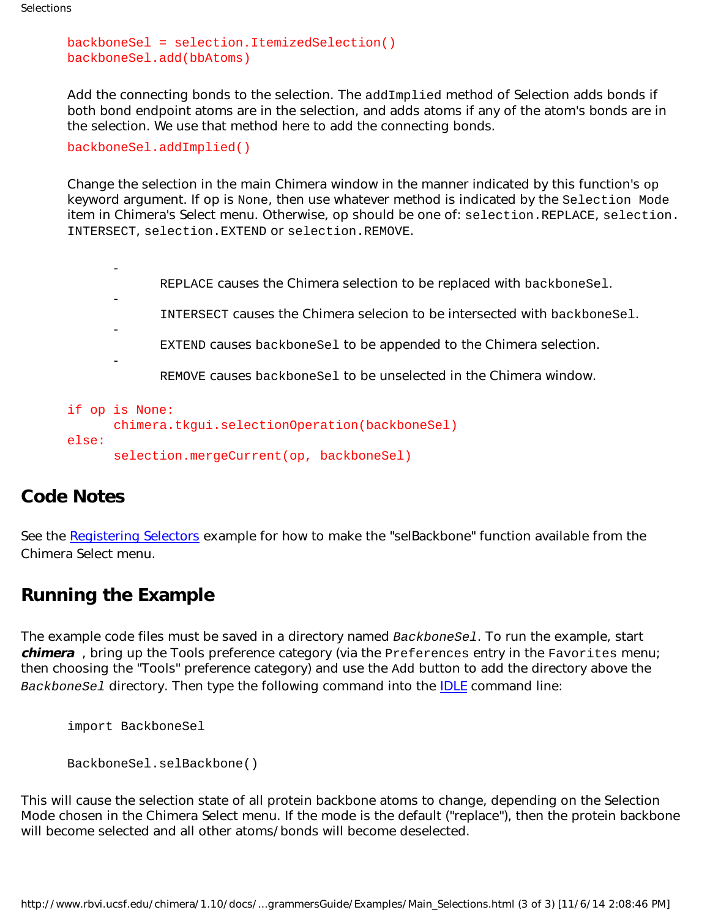```
backboneSel = selection.ItemizedSelection() 
backboneSel.add(bbAtoms)
```
Add the connecting bonds to the selection. The addImplied method of Selection adds bonds if both bond endpoint atoms are in the selection, and adds atoms if any of the atom's bonds are in the selection. We use that method here to add the connecting bonds.

backboneSel.addImplied()

Change the selection in the main Chimera window in the manner indicated by this function's op keyword argument. If op is None, then use whatever method is indicated by the Selection Mode item in Chimera's Select menu. Otherwise, op should be one of: selection. REPLACE, selection. INTERSECT, selection.EXTEND or selection.REMOVE.

REPLACE causes the Chimera selection to be replaced with backboneSel.

- INTERSECT causes the Chimera selecion to be intersected with backboneSel.
- EXTEND causes backboneSel to be appended to the Chimera selection.

REMOVE causes backboneSel to be unselected in the Chimera window.

```
if op is None: 
      chimera.tkgui.selectionOperation(backboneSel) 
else: 
      selection.mergeCurrent(op, backboneSel)
```
### **Code Notes**

See the [Registering Selectors](#page-147-0) example for how to make the "selBackbone" function available from the Chimera Select menu.

## **Running the Example**

-

-

The example code files must be saved in a directory named *BackboneSel*. To run the example, start **chimera** , bring up the Tools preference category (via the Preferences entry in the Favorites menu; then choosing the "Tools" preference category) and use the Add button to add the directory above the *BackboneSel* directory. Then type the following command into the [IDLE](http://www.rbvi.ucsf.edu/chimera/1.10/docs/ContributedSoftware/idle/idle.html) command line:

import BackboneSel

```
BackboneSel.selBackbone()
```
This will cause the selection state of all protein backbone atoms to change, depending on the Selection Mode chosen in the Chimera Select menu. If the mode is the default ("replace"), then the protein backbone will become selected and all other atoms/bonds will become deselected.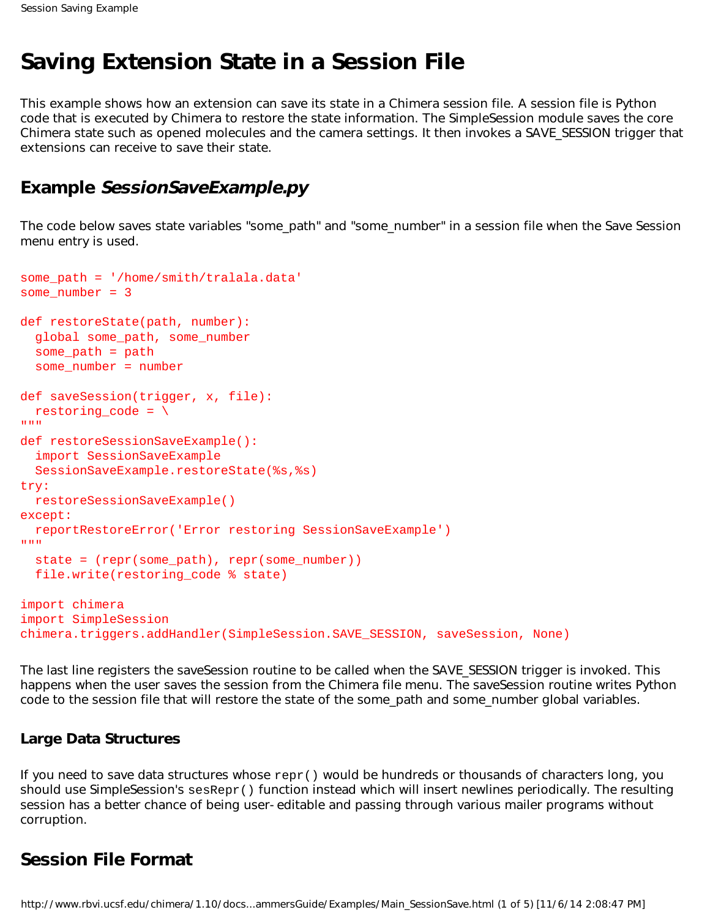# **Saving Extension State in a Session File**

This example shows how an extension can save its state in a Chimera session file. A session file is Python code that is executed by Chimera to restore the state information. The SimpleSession module saves the core Chimera state such as opened molecules and the camera settings. It then invokes a SAVE\_SESSION trigger that extensions can receive to save their state.

## **Example SessionSaveExample.py**

The code below saves state variables "some\_path" and "some\_number" in a session file when the Save Session menu entry is used.

```
some path = '/home/smith/tralala.data'
some number = 3def restoreState(path, number):
   global some_path, some_number
  some path = path some_number = number
def saveSession(trigger, x, file):
 restoring_code = \setminus"'' ""
def restoreSessionSaveExample():
   import SessionSaveExample
   SessionSaveExample.restoreState(%s,%s)
try:
   restoreSessionSaveExample()
except:
   reportRestoreError('Error restoring SessionSaveExample')
"""
   state = (repr(some_path), repr(some_number))
   file.write(restoring_code % state)
import chimera
import SimpleSession
chimera.triggers.addHandler(SimpleSession.SAVE_SESSION, saveSession, None)
```
The last line registers the saveSession routine to be called when the SAVE\_SESSION trigger is invoked. This happens when the user saves the session from the Chimera file menu. The saveSession routine writes Python code to the session file that will restore the state of the some\_path and some\_number global variables.

#### **Large Data Structures**

If you need to save data structures whose  $rep<sub>f</sub>()$  would be hundreds or thousands of characters long, you should use SimpleSession's sesRepr() function instead which will insert newlines periodically. The resulting session has a better chance of being user-editable and passing through various mailer programs without corruption.

# **Session File Format**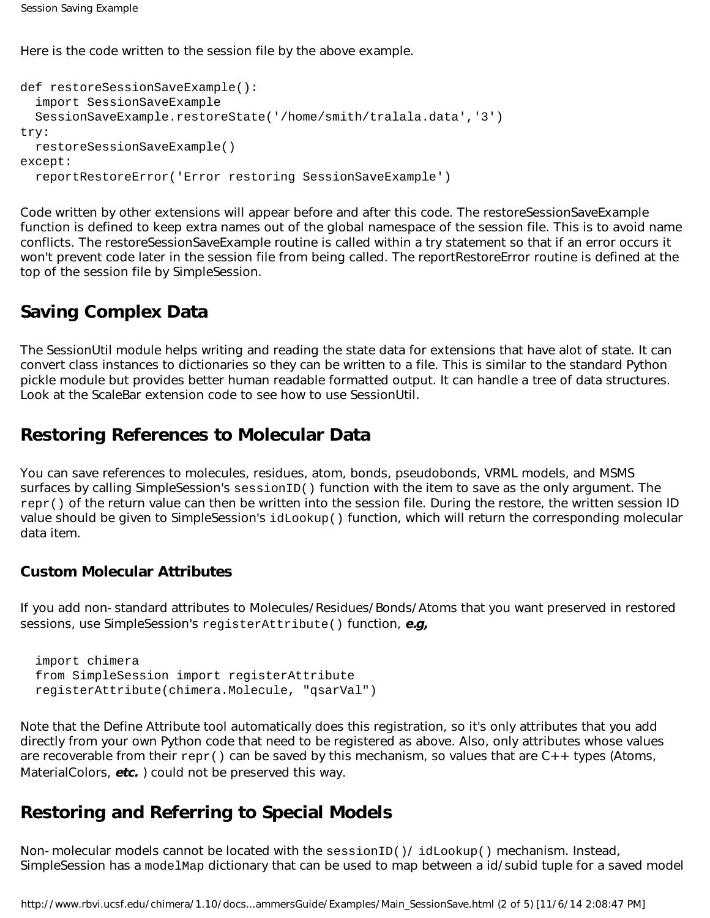Session Saving Example

Here is the code written to the session file by the above example.

```
def restoreSessionSaveExample():
   import SessionSaveExample
   SessionSaveExample.restoreState('/home/smith/tralala.data','3')
try:
   restoreSessionSaveExample()
except:
   reportRestoreError('Error restoring SessionSaveExample')
```
Code written by other extensions will appear before and after this code. The restoreSessionSaveExample function is defined to keep extra names out of the global namespace of the session file. This is to avoid name conflicts. The restoreSessionSaveExample routine is called within a try statement so that if an error occurs it won't prevent code later in the session file from being called. The reportRestoreError routine is defined at the top of the session file by SimpleSession.

# **Saving Complex Data**

The SessionUtil module helps writing and reading the state data for extensions that have alot of state. It can convert class instances to dictionaries so they can be written to a file. This is similar to the standard Python pickle module but provides better human readable formatted output. It can handle a tree of data structures. Look at the ScaleBar extension code to see how to use SessionUtil.

# **Restoring References to Molecular Data**

You can save references to molecules, residues, atom, bonds, pseudobonds, VRML models, and MSMS surfaces by calling SimpleSession's sessionID() function with the item to save as the only argument. The repr() of the return value can then be written into the session file. During the restore, the written session ID value should be given to SimpleSession's idLookup() function, which will return the corresponding molecular data item.

#### **Custom Molecular Attributes**

If you add non-standard attributes to Molecules/Residues/Bonds/Atoms that you want preserved in restored sessions, use SimpleSession's registerAttribute() function, **e.g,**:

```
 import chimera
 from SimpleSession import registerAttribute
 registerAttribute(chimera.Molecule, "qsarVal")
```
Note that the Define Attribute tool automatically does this registration, so it's only attributes that you add directly from your own Python code that need to be registered as above. Also, only attributes whose values are recoverable from their  $r_{\text{epr}}(x)$  can be saved by this mechanism, so values that are  $C_{+}$ + types (Atoms, MaterialColors, **etc.** ) could not be preserved this way.

# **Restoring and Referring to Special Models**

Non-molecular models cannot be located with the sessionID()/ idLookup() mechanism. Instead, SimpleSession has a modelMap dictionary that can be used to map between a id/subid tuple for a saved model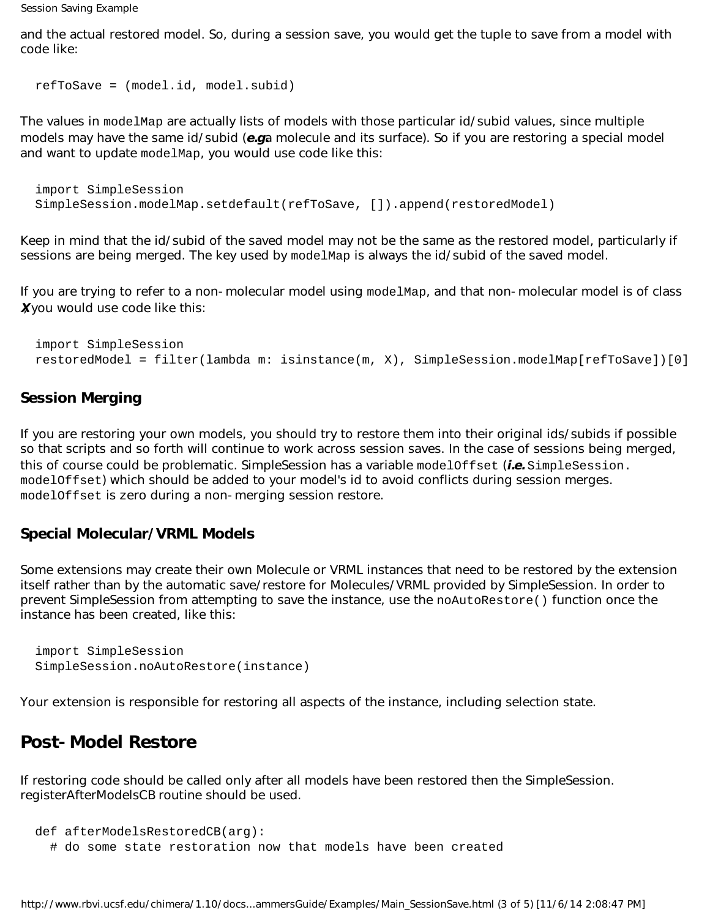Session Saving Example

and the actual restored model. So, during a session save, you would get the tuple to save from a model with code like:

```
 refToSave = (model.id, model.subid)
```
The values in modelMap are actually lists of models with those particular id/subid values, since multiple models may have the same id/subid (*e.ga* molecule and its surface). So if you are restoring a special model and want to update modelMap, you would use code like this:

```
 import SimpleSession
 SimpleSession.modelMap.setdefault(refToSave, []).append(restoredModel)
```
Keep in mind that the id/subid of the saved model may not be the same as the restored model, particularly if sessions are being merged. The key used by modelMap is always the id/subid of the saved model.

If you are trying to refer to a non-molecular model using modelMap, and that non-molecular model is of class X you would use code like this:

```
 import SimpleSession
 restoredModel = filter(lambda m: isinstance(m, X), SimpleSession.modelMap[refToSave])[0]
```
#### **Session Merging**

If you are restoring your own models, you should try to restore them into their original ids/subids if possible so that scripts and so forth will continue to work across session saves. In the case of sessions being merged, this of course could be problematic. SimpleSession has a variable modelOffset (**i.e.** SimpleSession. modelOffset) which should be added to your model's id to avoid conflicts during session merges. modelOffset is zero during a non-merging session restore.

#### **Special Molecular/VRML Models**

Some extensions may create their own Molecule or VRML instances that need to be restored by the extension itself rather than by the automatic save/restore for Molecules/VRML provided by SimpleSession. In order to prevent SimpleSession from attempting to save the instance, use the noAutoRestore() function once the instance has been created, like this:

```
 import SimpleSession
 SimpleSession.noAutoRestore(instance)
```
Your extension is responsible for restoring all aspects of the instance, including selection state.

### **Post-Model Restore**

If restoring code should be called only after all models have been restored then the SimpleSession. registerAfterModelsCB routine should be used.

```
 def afterModelsRestoredCB(arg):
   # do some state restoration now that models have been created
```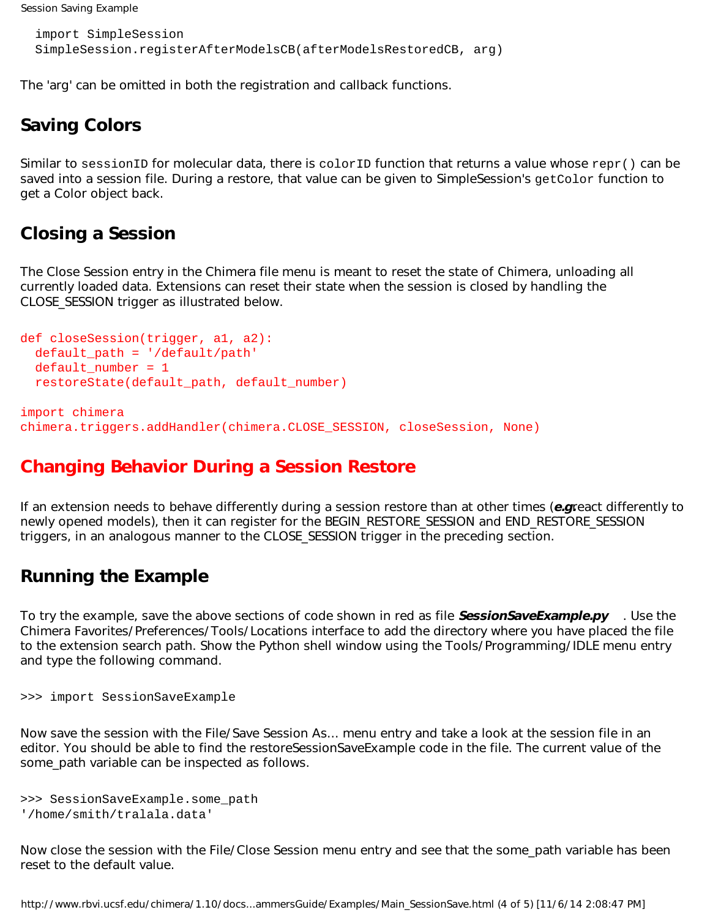Session Saving Example

```
 import SimpleSession
 SimpleSession.registerAfterModelsCB(afterModelsRestoredCB, arg)
```
The 'arg' can be omitted in both the registration and callback functions.

## **Saving Colors**

Similar to sessionID for molecular data, there is colorID function that returns a value whose repr() can be saved into a session file. During a restore, that value can be given to SimpleSession's getColor function to get a Color object back.

## **Closing a Session**

The Close Session entry in the Chimera file menu is meant to reset the state of Chimera, unloading all currently loaded data. Extensions can reset their state when the session is closed by handling the CLOSE\_SESSION trigger as illustrated below.

```
def closeSession(trigger, al, a2):
   default_path = '/default/path'
   default_number = 1
   restoreState(default_path, default_number)
import chimera
chimera.triggers.addHandler(chimera.CLOSE_SESSION, closeSession, None)
```
## **Changing Behavior During a Session Restore**

If an extension needs to behave differently during a session restore than at other times (*e. g*react differently to newly opened models), then it can register for the BEGIN\_RESTORE\_SESSION and END\_RESTORE\_SESSION triggers, in an analogous manner to the CLOSE\_SESSION trigger in the preceding section.

## **Running the Example**

To try the example, save the above sections of code shown in red as file **SessionSaveExample.py** . Use the Chimera Favorites/Preferences/Tools/Locations interface to add the directory where you have placed the file to the extension search path. Show the Python shell window using the Tools/Programming/IDLE menu entry and type the following command.

```
>>> import SessionSaveExample
```
Now save the session with the File/Save Session As... menu entry and take a look at the session file in an editor. You should be able to find the restoreSessionSaveExample code in the file. The current value of the some\_path variable can be inspected as follows.

```
>>> SessionSaveExample.some_path
'/home/smith/tralala.data'
```
Now close the session with the File/Close Session menu entry and see that the some\_path variable has been reset to the default value.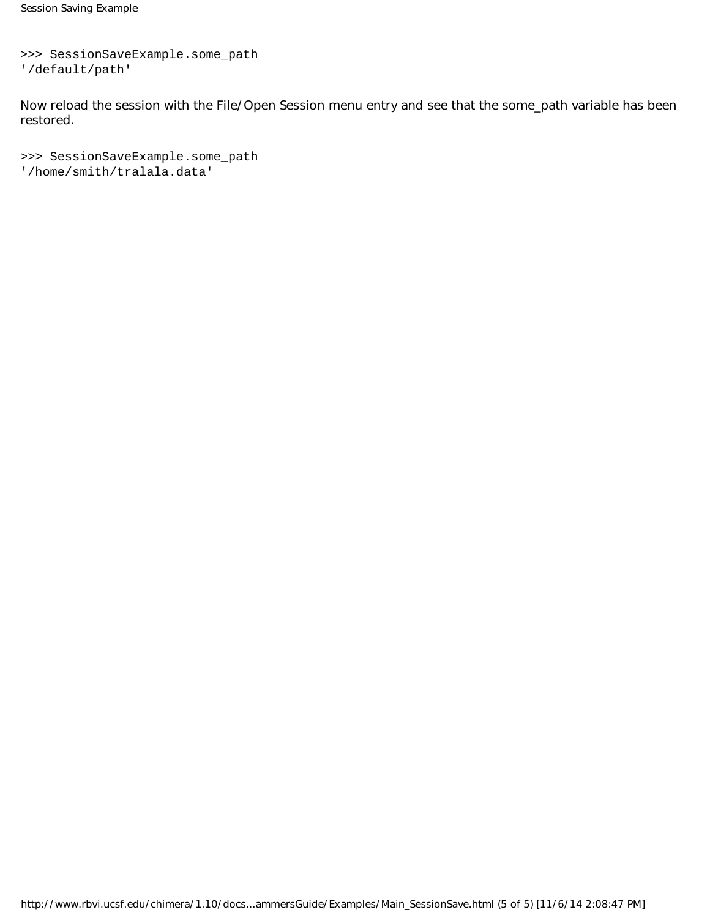```
>>> SessionSaveExample.some_path
'/default/path'
```
Now reload the session with the File/Open Session menu entry and see that the some\_path variable has been restored.

>>> SessionSaveExample.some\_path '/home/smith/tralala.data'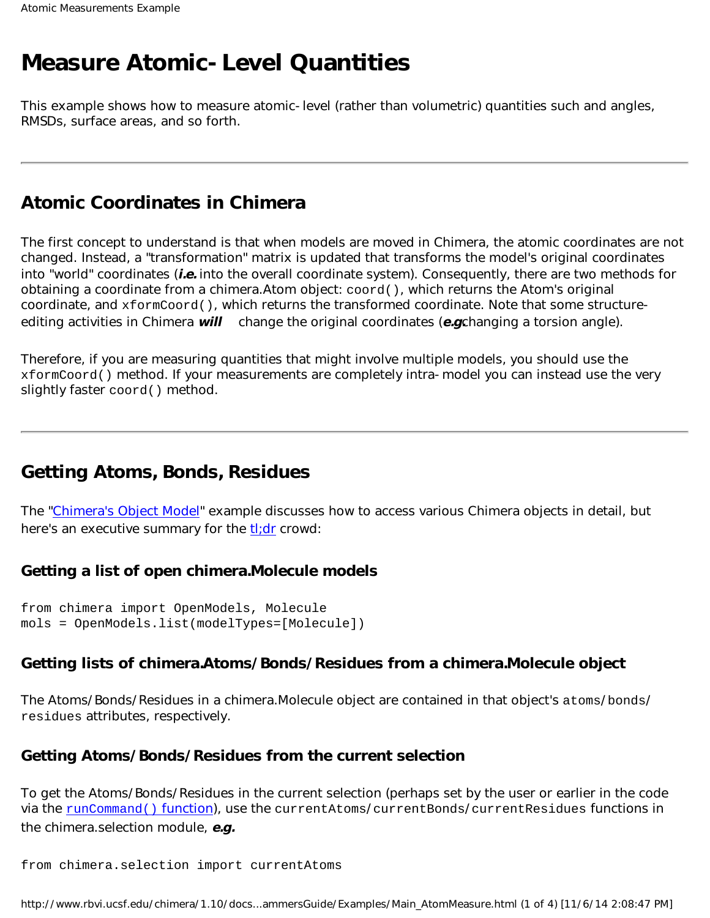# **Measure Atomic-Level Quantities**

This example shows how to measure atomic-level (rather than volumetric) quantities such and angles, RMSDs, surface areas, and so forth.

## **Atomic Coordinates in Chimera**

The first concept to understand is that when models are moved in Chimera, the atomic coordinates are not changed. Instead, a "transformation" matrix is updated that transforms the model's original coordinates into "world" coordinates (**i.e.** into the overall coordinate system). Consequently, there are two methods for obtaining a coordinate from a chimera.Atom object: coord(), which returns the Atom's original coordinate, and xformCoord(), which returns the transformed coordinate. Note that some structureediting activities in Chimera will change the original coordinates (e.gchanging a torsion angle).

Therefore, if you are measuring quantities that might involve multiple models, you should use the xformCoord() method. If your measurements are completely intra-model you can instead use the very slightly faster coord() method.

## **Getting Atoms, Bonds, Residues**

The "[Chimera's Object Model](#page-45-0)" example discusses how to access various Chimera objects in detail, but here's an executive summary for the  $t$ , dr crowd:

#### **Getting a list of open chimera.Molecule models**

```
from chimera import OpenModels, Molecule
mols = OpenModels.list(modelTypes=[Molecule])
```
#### **Getting lists of chimera.Atoms/Bonds/Residues from a chimera.Molecule object**

The Atoms/Bonds/Residues in a chimera.Molecule object are contained in that object's atoms/bonds/ residues attributes, respectively.

#### **Getting Atoms/Bonds/Residues from the current selection**

To get the Atoms/Bonds/Residues in the current selection (perhaps set by the user or earlier in the code via the [runCommand\(\)](#page-24-0) function), use the currentAtoms/currentBonds/currentResidues functions in the chimera.selection module, **e.g.**:

```
from chimera.selection import currentAtoms
```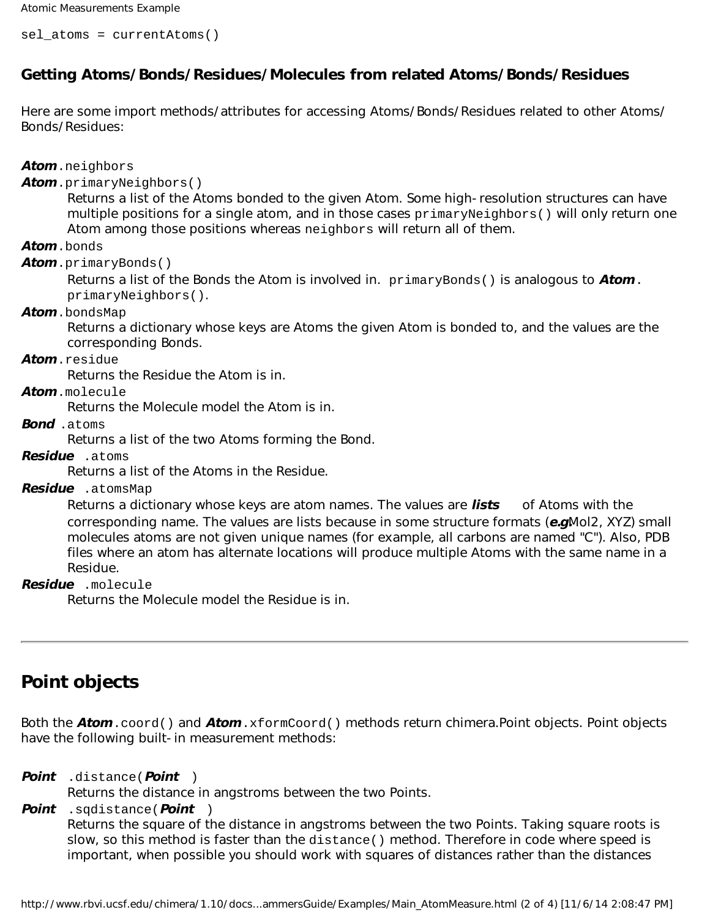sel atoms = currentAtoms()

#### **Getting Atoms/Bonds/Residues/Molecules from related Atoms/Bonds/Residues**

Here are some import methods/attributes for accessing Atoms/Bonds/Residues related to other Atoms/ Bonds/Residues:

**Atom**.neighbors

**Atom**.primaryNeighbors()

Returns a list of the Atoms bonded to the given Atom. Some high-resolution structures can have multiple positions for a single atom, and in those cases primaryNeighbors() will only return one Atom among those positions whereas neighbors will return all of them.

- **Atom**.bonds
- **Atom**.primaryBonds()

Returns a list of the Bonds the Atom is involved in. primaryBonds() is analogous to **Atom**. primaryNeighbors().

**Atom**.bondsMap

Returns a dictionary whose keys are Atoms the given Atom is bonded to, and the values are the corresponding Bonds.

**Atom**.residue

Returns the Residue the Atom is in.

**Atom**.molecule

Returns the Molecule model the Atom is in.

**Bond** .atoms

Returns a list of the two Atoms forming the Bond.

**Residue** .atoms

Returns a list of the Atoms in the Residue.

**Residue** .atomsMap

Returns a dictionary whose keys are atom names. The values are **lists** of Atoms with the corresponding name. The values are lists because in some structure formats (**e.g.** Mol2, XYZ) small molecules atoms are not given unique names (for example, all carbons are named "C"). Also, PDB files where an atom has alternate locations will produce multiple Atoms with the same name in a Residue.

**Residue** .molecule

Returns the Molecule model the Residue is in.

## **Point objects**

Both the **Atom**.coord() and **Atom**.xformCoord() methods return chimera.Point objects. Point objects have the following built-in measurement methods:

**Point** .distance(**Point** )

Returns the distance in angstroms between the two Points.

**Point** .sqdistance(**Point** )

Returns the square of the distance in angstroms between the two Points. Taking square roots is slow, so this method is faster than the distance() method. Therefore in code where speed is important, when possible you should work with squares of distances rather than the distances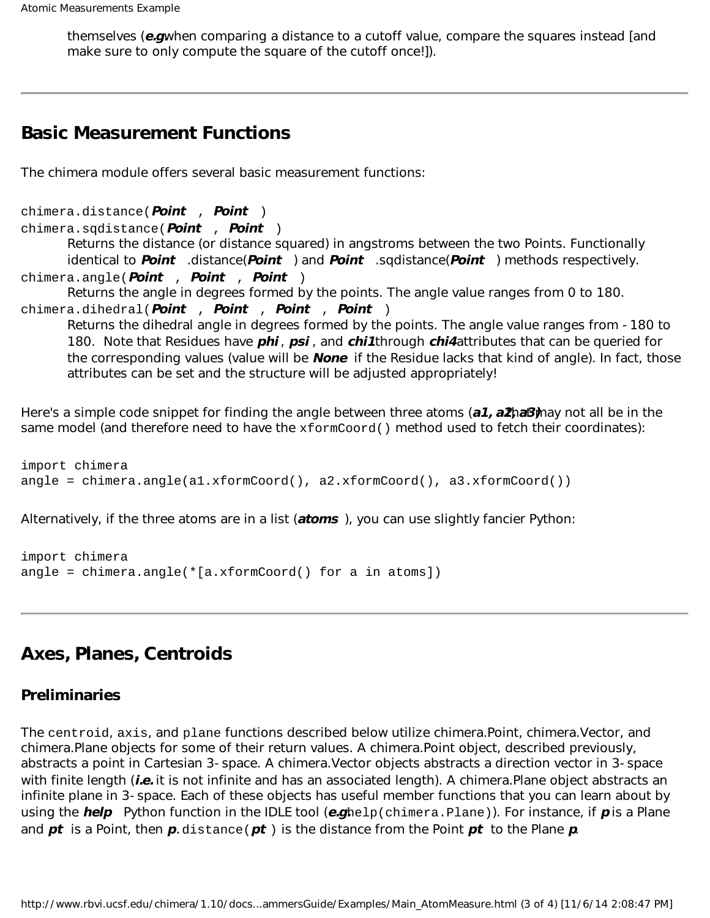themselves (e.gwhen comparing a distance to a cutoff value, compare the squares instead [and make sure to only compute the square of the cutoff once!]).

### **Basic Measurement Functions**

The chimera module offers several basic measurement functions:

```
chimera.distance(Point , Point )
```
chimera.sqdistance(**Point** , **Point** )

Returns the distance (or distance squared) in angstroms between the two Points. Functionally identical to **Point** .distance(**Point** ) and **Point** .sqdistance(**Point** ) methods respectively. chimera.angle(**Point** , **Point** , **Point** )

Returns the angle in degrees formed by the points. The angle value ranges from 0 to 180. chimera.dihedral(**Point** , **Point** , **Point** , **Point** )

Returns the dihedral angle in degrees formed by the points. The angle value ranges from -180 to 180. Note that Residues have **phi** , **psi** , and **chi1** through **chi4** attributes that can be queried for the corresponding values (value will be **None** if the Residue lacks that kind of angle). In fact, those attributes can be set and the structure will be adjusted appropriately!

Here's a simple code snippet for finding the angle between three atoms (a1, a**2** hab may not all be in the same model (and therefore need to have the xformCoord() method used to fetch their coordinates):

```
import chimera
angle = chimera.angle(a1.xformCoord(), a2.xformCoord(), a3.xformCoord())
```
Alternatively, if the three atoms are in a list (**atoms** ), you can use slightly fancier Python:

```
import chimera
angle = chimera.angle(*[a.xformCoord() for a in atoms])
```
## **Axes, Planes, Centroids**

#### **Preliminaries**

The centroid, axis, and plane functions described below utilize chimera.Point, chimera.Vector, and chimera.Plane objects for some of their return values. A chimera.Point object, described previously, abstracts a point in Cartesian 3-space. A chimera.Vector objects abstracts a direction vector in 3-space with finite length (**i.e.** it is not infinite and has an associated length). A chimera.Plane object abstracts an infinite plane in 3-space. Each of these objects has useful member functions that you can learn about by using the **help** Python function in the IDLE tool (e.ghelp(chimera.Plane)). For instance, if p is a Plane and **pt** is a Point, then **p**.distance(**pt** ) is the distance from the Point **pt** to the Plane **p**.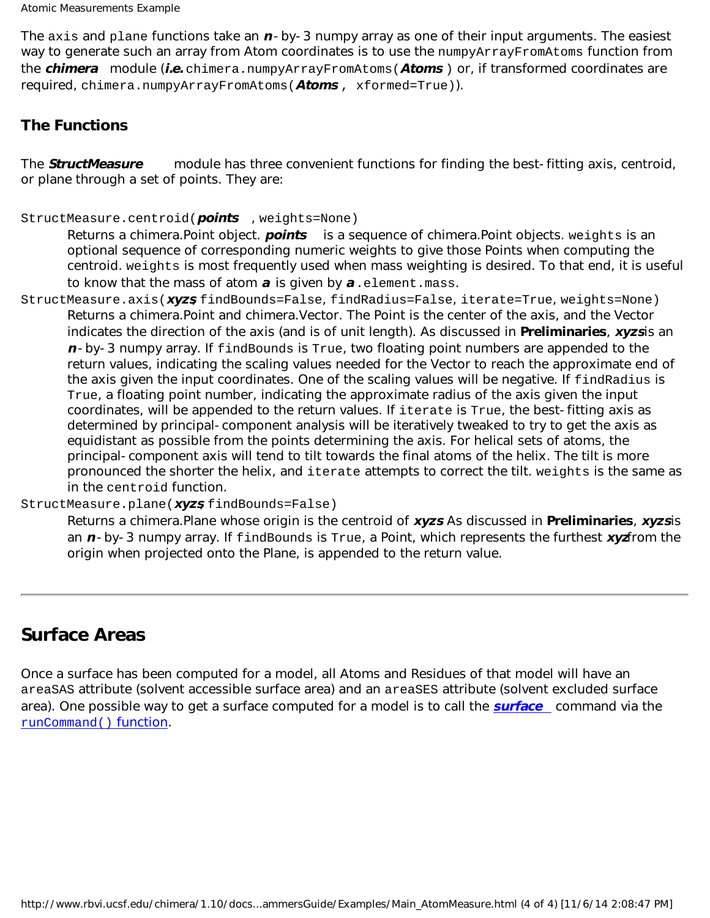The axis and plane functions take an **<sup>n</sup>** -by-3 numpy array as one of their input arguments. The easiest way to generate such an array from Atom coordinates is to use the numpyArrayFromAtoms function from the **chimera** module (**i.e.** chimera.numpyArrayFromAtoms(**Atoms** ) or, if transformed coordinates are required, chimera.numpyArrayFromAtoms(**Atoms** , xformed=True)).

### **The Functions**

The **StructMeasure** module has three convenient functions for finding the best-fitting axis, centroid, or plane through a set of points. They are:

StructMeasure.centroid(**points** , weights=None)

Returns a chimera.Point object. **points** is a sequence of chimera.Point objects. weights is an optional sequence of corresponding numeric weights to give those Points when computing the centroid. weights is most frequently used when mass weighting is desired. To that end, it is useful to know that the mass of atom **a** is given by **<sup>a</sup>** .element.mass.

StructMeasure.axis(**xyzs**, findBounds=False, findRadius=False, iterate=True, weights=None) Returns a chimera.Point and chimera.Vector. The Point is the center of the axis, and the Vector indicates the direction of the axis (and is of unit length). As discussed in **Preliminaries**, **xyzs** is an **<sup>n</sup>** -by-3 numpy array. If findBounds is True, two floating point numbers are appended to the return values, indicating the scaling values needed for the Vector to reach the approximate end of the axis given the input coordinates. One of the scaling values will be negative. If findRadius is True, a floating point number, indicating the approximate radius of the axis given the input coordinates, will be appended to the return values. If iterate is True, the best-fitting axis as determined by principal-component analysis will be iteratively tweaked to try to get the axis as equidistant as possible from the points determining the axis. For helical sets of atoms, the principal-component axis will tend to tilt towards the final atoms of the helix. The tilt is more pronounced the shorter the helix, and iterate attempts to correct the tilt. weights is the same as in the centroid function.

StructMeasure.plane(**xyzs**, findBounds=False)

Returns a chimera.Plane whose origin is the centroid of **xyzs**. As discussed in **Preliminaries**, **xyzs** is an  $n$ -by-3 numpy array. If findBounds is True, a Point, which represents the furthest **xyz** from the origin when projected onto the Plane, is appended to the return value.

# **Surface Areas**

Once a surface has been computed for a model, all Atoms and Residues of that model will have an areaSAS attribute (solvent accessible surface area) and an areaSES attribute (solvent excluded surface area). One possible way to get a surface computed for a model is to call the **[surface](http://www.rbvi.ucsf.edu/chimera/1.10/docs/UsersGuide/midas/surface.html)** command via the [runCommand\(\)](#page-24-0) function.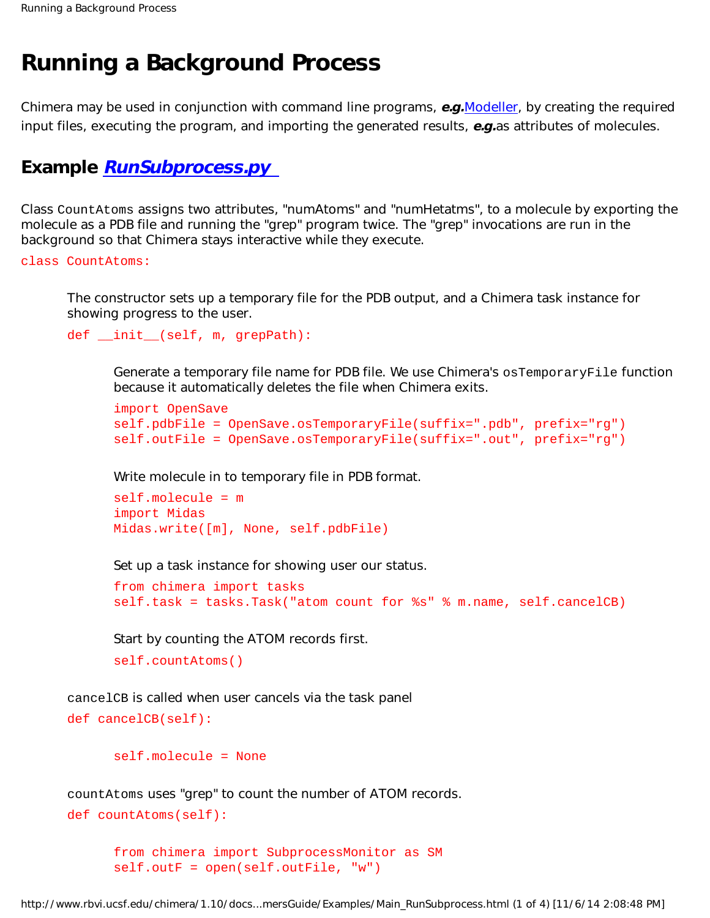# **Running a Background Process**

Chimera may be used in conjunction with command line programs, e.g. [Modeller,](http://www.salilab.org/modeller/) by creating the required input files, executing the program, and importing the generated results, e.g. as attributes of molecules.

### **Example [RunSubprocess.py](#page-148-0)**

Class CountAtoms assigns two attributes, "numAtoms" and "numHetatms", to a molecule by exporting the molecule as a PDB file and running the "grep" program twice. The "grep" invocations are run in the background so that Chimera stays interactive while they execute.

```
class CountAtoms:
```
The constructor sets up a temporary file for the PDB output, and a Chimera task instance for showing progress to the user.

```
def __init__(self, m, grepPath):
```
Generate a temporary file name for PDB file. We use Chimera's osTemporaryFile function because it automatically deletes the file when Chimera exits.

```
import OpenSave 
self.pdbFile = OpenSave.osTemporaryFile(suffix=".pdb", prefix="rg") 
self.outFile = OpenSave.osTemporaryFile(suffix=".out", prefix="rg")
```
Write molecule in to temporary file in PDB format.

```
self.molecule = m 
import Midas 
Midas.write([m], None, self.pdbFile)
```
Set up a task instance for showing user our status.

```
from chimera import tasks 
self.task = tasks.Task("atom count for %s" % m.name, self.cancelCB)
```
Start by counting the ATOM records first.

```
self.countAtoms()
```
cancelCB is called when user cancels via the task panel

```
def cancelCB(self):
```
self.molecule = None

countAtoms uses "grep" to count the number of ATOM records.

```
def countAtoms(self):
```
from chimera import SubprocessMonitor as SM self.outF = open(self.outFile, "w")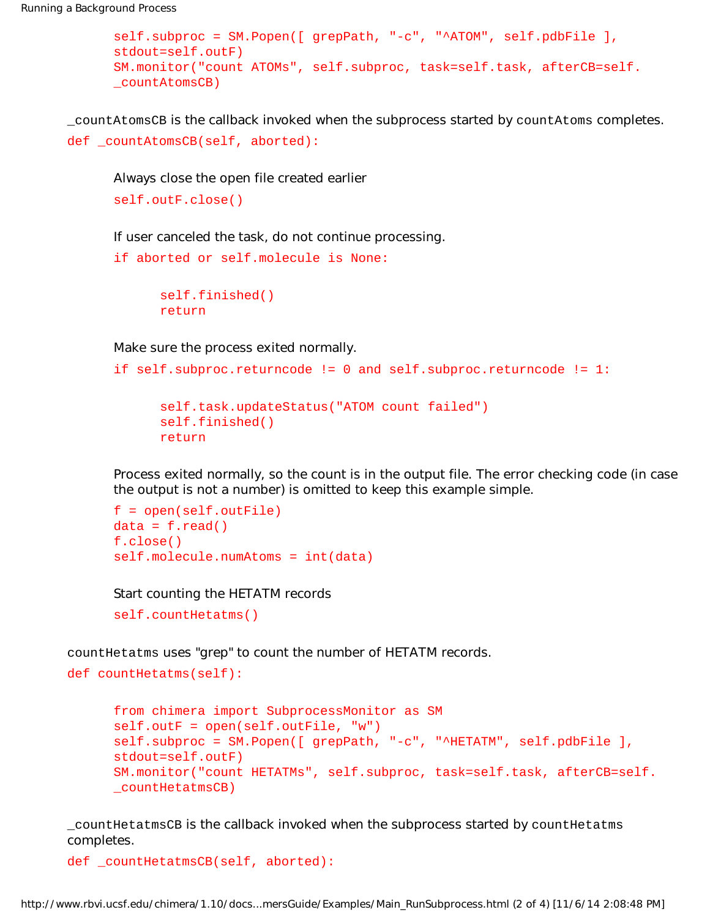```
self.subproc = SM.Popen([ grepPath, "-c", "^ATOM", self.pdbFile ], 
stdout=self.outF) 
SM.monitor("count ATOMs", self.subproc, task=self.task, afterCB=self.
_countAtomsCB)
```
\_countAtomsCB is the callback invoked when the subprocess started by countAtoms completes. def countAtomsCB(self, aborted):

Always close the open file created earlier

```
self.outF.close()
```
If user canceled the task, do not continue processing.

```
if aborted or self.molecule is None:
```

```
self.finished() 
return
```
Make sure the process exited normally.

```
if self.subproc.returncode != 0 and self.subproc.returncode != 1:
```

```
self.task.updateStatus("ATOM count failed")
self.finished() 
return
```
Process exited normally, so the count is in the output file. The error checking code (in case the output is not a number) is omitted to keep this example simple.

```
f = open(self.outFile)data = f.read()f.close() 
self.molecule.numAtoms = int(data)
```
Start counting the HETATM records

self.countHetatms()

countHetatms uses "grep" to count the number of HETATM records.

```
def countHetatms(self):
```

```
from chimera import SubprocessMonitor as SM 
self.outF = open(self.outFile, "w") 
self.subproc = SM.Popen([ grepPath, "-c", "^HETATM", self.pdbFile ], 
stdout=self.outF) 
SM.monitor("count HETATMs", self.subproc, task=self.task, afterCB=self.
_countHetatmsCB)
```
\_countHetatmsCB is the callback invoked when the subprocess started by countHetatms completes.

def \_countHetatmsCB(self, aborted):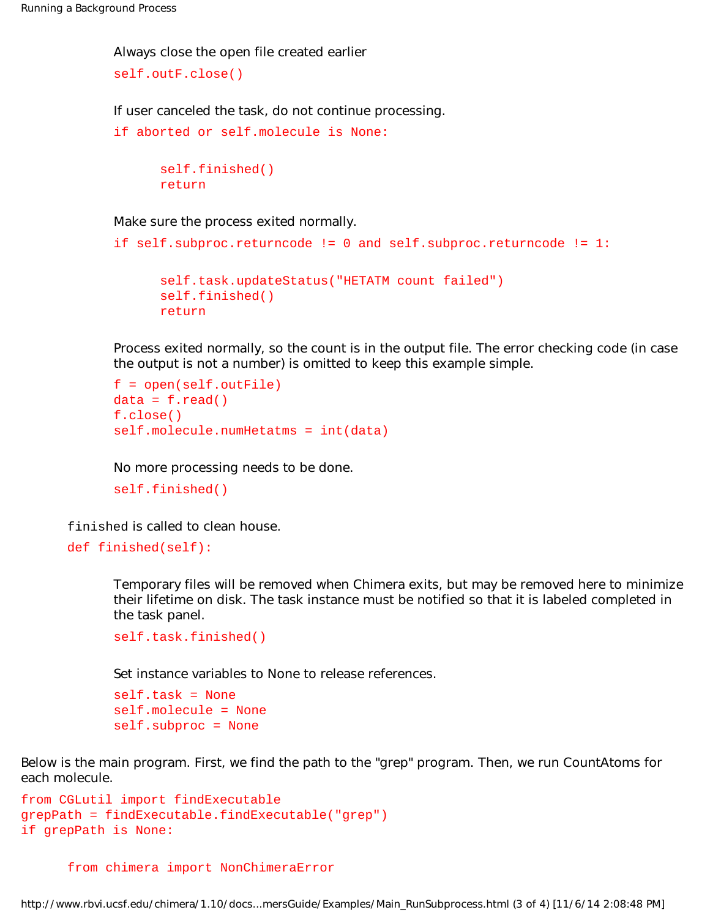Always close the open file created earlier

```
self.outF.close()
```
If user canceled the task, do not continue processing.

```
if aborted or self.molecule is None:
```

```
self.finished() 
return
```
Make sure the process exited normally.

```
if self.subproc.returncode != 0 and self.subproc.returncode != 1:
```

```
self.task.updateStatus("HETATM count failed")
self.finished() 
return
```
Process exited normally, so the count is in the output file. The error checking code (in case the output is not a number) is omitted to keep this example simple.

```
f = open(self.outFile)data = f.read()f.close() 
self.molecule.numHetatms = int(data)
```
No more processing needs to be done.

```
self.finished()
```
finished is called to clean house.

#### def finished(self):

Temporary files will be removed when Chimera exits, but may be removed here to minimize their lifetime on disk. The task instance must be notified so that it is labeled completed in the task panel.

```
self.task.finished()
```
Set instance variables to None to release references.

```
self.task = None 
self.molecule = None 
self.subproc = None
```
Below is the main program. First, we find the path to the "grep" program. Then, we run CountAtoms for each molecule.

```
from CGLutil import findExecutable 
grepPath = findExecutable.findExecutable("grep") 
if grepPath is None:
```

```
from chimera import NonChimeraError
```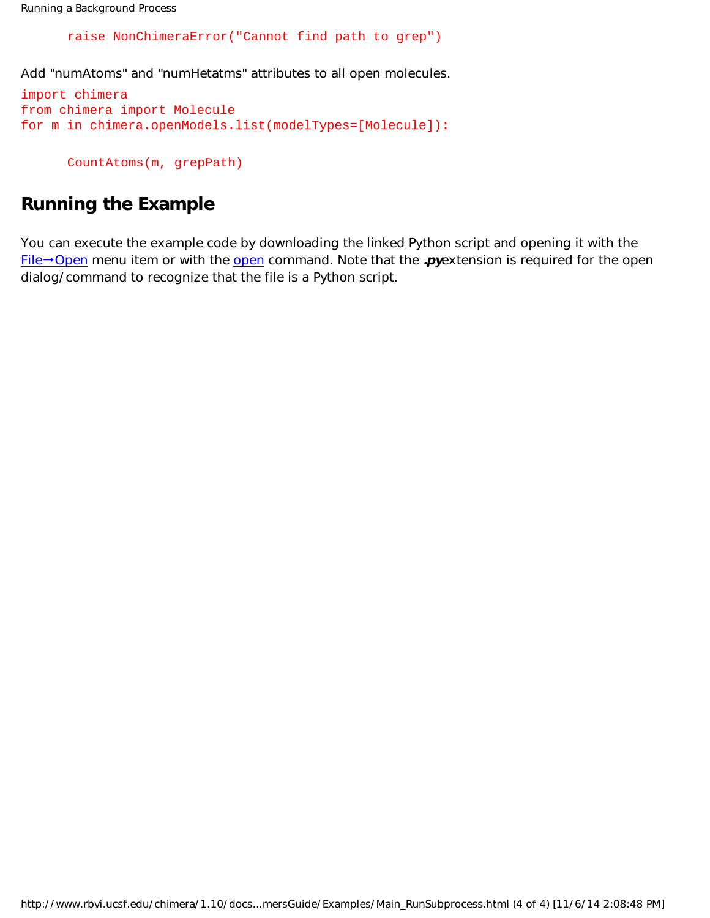Running a Background Process

```
raise NonChimeraError("Cannot find path to grep")
```
Add "numAtoms" and "numHetatms" attributes to all open molecules.

```
import chimera 
from chimera import Molecule 
for m in chimera.openModels.list(modelTypes=[Molecule]):
```
CountAtoms(m, grepPath)

## **Running the Example**

You can execute the example code by downloading the linked Python script and opening it with the File→[Open](http://www.cgl.ucsf.edu/chimera/docs/UsersGuide/opensave.html#opendialog) menu item or with the [open](http://www.cgl.ucsf.edu/chimera/docs/UsersGuide/midas/open.html) command. Note that the *.py* extension is required for the open dialog/command to recognize that the file is a Python script.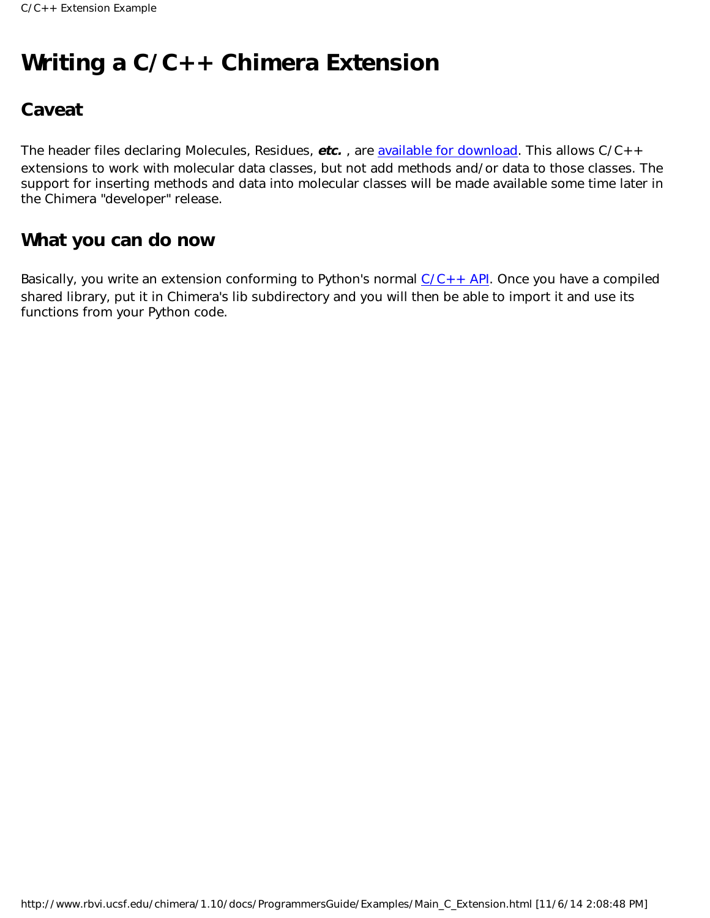# **Writing a C/C++ Chimera Extension**

# **Caveat**

The header files declaring Molecules, Residues, etc., are [available for download.](#page-0-0) This allows C/C++ extensions to work with molecular data classes, but not add methods and/or data to those classes. The support for inserting methods and data into molecular classes will be made available some time later in the Chimera "developer" release.

# **What you can do now**

Basically, you write an extension conforming to Python's normal  $C/C++$  API. Once you have a compiled shared library, put it in Chimera's lib subdirectory and you will then be able to import it and use its functions from your Python code.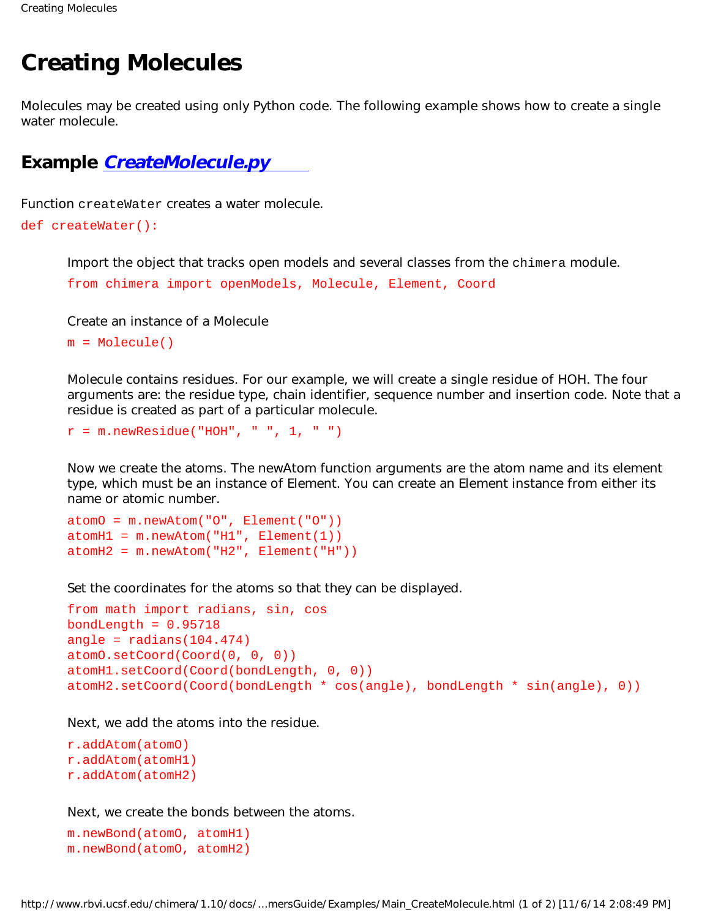# **Creating Molecules**

Molecules may be created using only Python code. The following example shows how to create a single water molecule.

### **Example [CreateMolecule.py](#page-152-0)**

Function createWater creates a water molecule.

```
def createWater():
```
Import the object that tracks open models and several classes from the chimera module.

```
from chimera import openModels, Molecule, Element, Coord
```
Create an instance of a Molecule

```
m = Molecule()
```
Molecule contains residues. For our example, we will create a single residue of HOH. The four arguments are: the residue type, chain identifier, sequence number and insertion code. Note that a residue is created as part of a particular molecule.

```
r = m.newResidue("HOH", " ", 1, " "")
```
Now we create the atoms. The newAtom function arguments are the atom name and its element type, which must be an instance of Element. You can create an Element instance from either its name or atomic number.

```
atomO = m.newAtom("O", Element("O")) 
atomH1 = m.newAtom("H1", Element(1)) 
atomH2 = m.newAtom("H2", Element("H"))
```
Set the coordinates for the atoms so that they can be displayed.

```
from math import radians, sin, cos 
bondLength = 0.95718angle = radians(104.474)atomO.setCoord(Coord(0, 0, 0)) 
atomH1.setCoord(Coord(bondLength, 0, 0)) 
atomH2.setCoord(Coord(bondLength * cos(angle), bondLength * sin(angle), 0))
```
Next, we add the atoms into the residue.

```
r.addAtom(atomO) 
r.addAtom(atomH1) 
r.addAtom(atomH2)
```
Next, we create the bonds between the atoms.

```
m.newBond(atomO, atomH1) 
m.newBond(atomO, atomH2)
```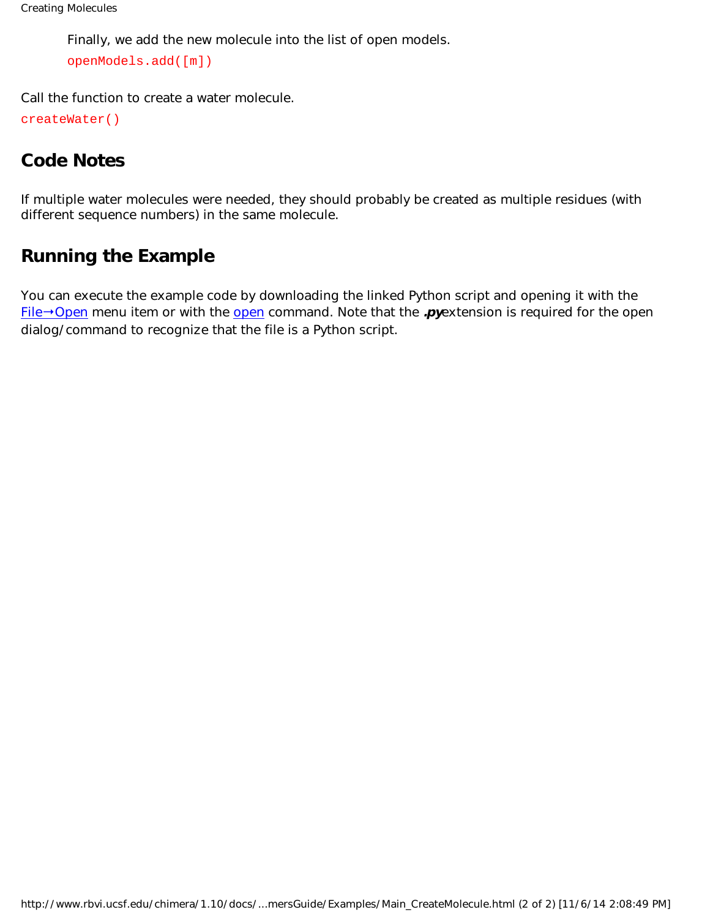Finally, we add the new molecule into the list of open models.

openModels.add([m])

Call the function to create a water molecule.

createWater()

# **Code Notes**

If multiple water molecules were needed, they should probably be created as multiple residues (with different sequence numbers) in the same molecule.

# **Running the Example**

You can execute the example code by downloading the linked Python script and opening it with the File→[Open](http://www.cgl.ucsf.edu/chimera/docs/UsersGuide/opensave.html#opendialog) menu item or with the [open](http://www.cgl.ucsf.edu/chimera/docs/UsersGuide/midas/open.html) command. Note that the *pyextension* is required for the open dialog/command to recognize that the file is a Python script.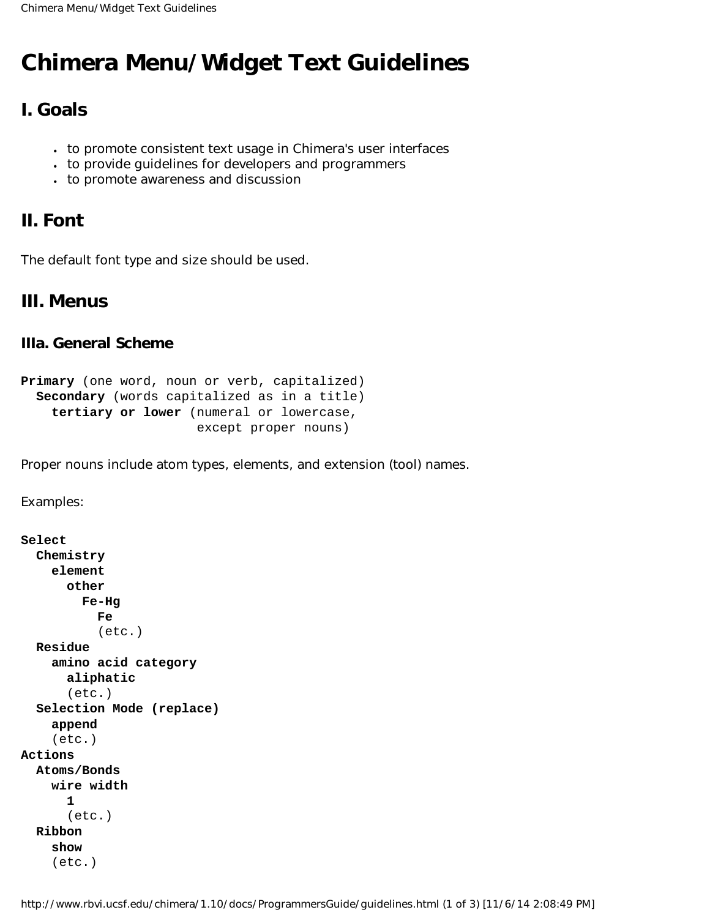# **Chimera Menu/Widget Text Guidelines**

# **I. Goals**

- to promote consistent text usage in Chimera's user interfaces
- to provide guidelines for developers and programmers
- to promote awareness and discussion

# **II. Font**

The default font type and size should be used.

## **III. Menus**

#### **IIIa. General Scheme**

```
Primary (one word, noun or verb, capitalized)
   Secondary (words capitalized as in a title)
     tertiary or lower (numeral or lowercase,
                         except proper nouns)
```
Proper nouns include atom types, elements, and extension (tool) names.

Examples:

```
Select
   Chemistry
     element
        other
          Fe-Hg
            Fe
             (etc.)
   Residue
     amino acid category
        aliphatic
        (etc.)
   Selection Mode (replace)
     append
      (etc.)
Actions
   Atoms/Bonds
     wire width
        1
        (etc.)
   Ribbon
     show
      (etc.)
```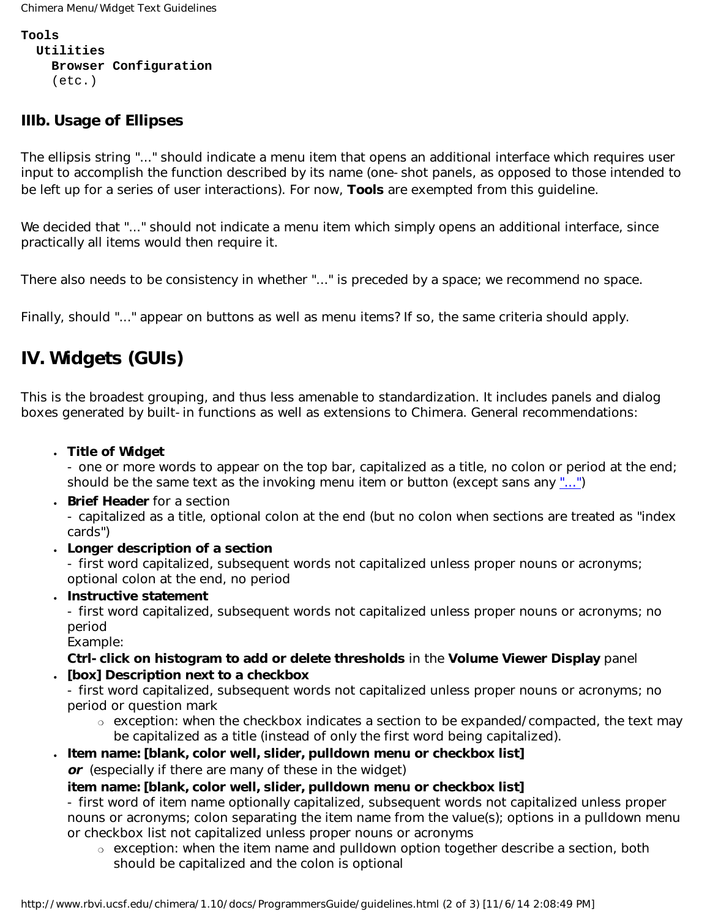Chimera Menu/Widget Text Guidelines

**Tools Utilities Browser Configuration** (etc.)

### <span id="page-104-0"></span>**IIIb. Usage of Ellipses**

The ellipsis string "..." should indicate a menu item that opens an additional interface which requires user input to accomplish the function described by its name (one-shot panels, as opposed to those intended to be left up for a series of user interactions). For now, **Tools** are exempted from this guideline.

We decided that "..." should not indicate a menu item which simply opens an additional interface, since practically all items would then require it.

There also needs to be consistency in whether "..." is preceded by a space; we recommend no space.

Finally, should "..." appear on buttons as well as menu items? If so, the same criteria should apply.

# **IV. Widgets (GUIs)**

This is the broadest grouping, and thus less amenable to standardization. It includes panels and dialog boxes generated by built-in functions as well as extensions to Chimera. General recommendations:

#### ● **Title of Widget**

- one or more words to appear on the top bar, capitalized as a title, no colon or period at the end; should be the same text as the invoking menu item or button (except sans any ["..."](#page-104-0))

• **Brief Header** for a section

- capitalized as a title, optional colon at the end (but no colon when sections are treated as "index cards")

● **Longer description of a section** - first word capitalized, subsequent words not capitalized unless proper nouns or acronyms;

optional colon at the end, no period

● **Instructive statement**

- first word capitalized, subsequent words not capitalized unless proper nouns or acronyms; no period

Example:

**Ctrl-click on histogram to add or delete thresholds** in the **Volume Viewer Display** panel

● **[box] Description next to a checkbox**

- first word capitalized, subsequent words not capitalized unless proper nouns or acronyms; no period or question mark

- ❍ exception: when the checkbox indicates a section to be expanded/compacted, the text may be capitalized as a title (instead of only the first word being capitalized).
- **Item name: [blank, color well, slider, pulldown menu or checkbox list] or** (especially if there are many of these in the widget)

**item name: [blank, color well, slider, pulldown menu or checkbox list]**

- first word of item name optionally capitalized, subsequent words not capitalized unless proper nouns or acronyms; colon separating the item name from the value(s); options in a pulldown menu or checkbox list not capitalized unless proper nouns or acronyms

❍ exception: when the item name and pulldown option together describe a section, both should be capitalized and the colon is optional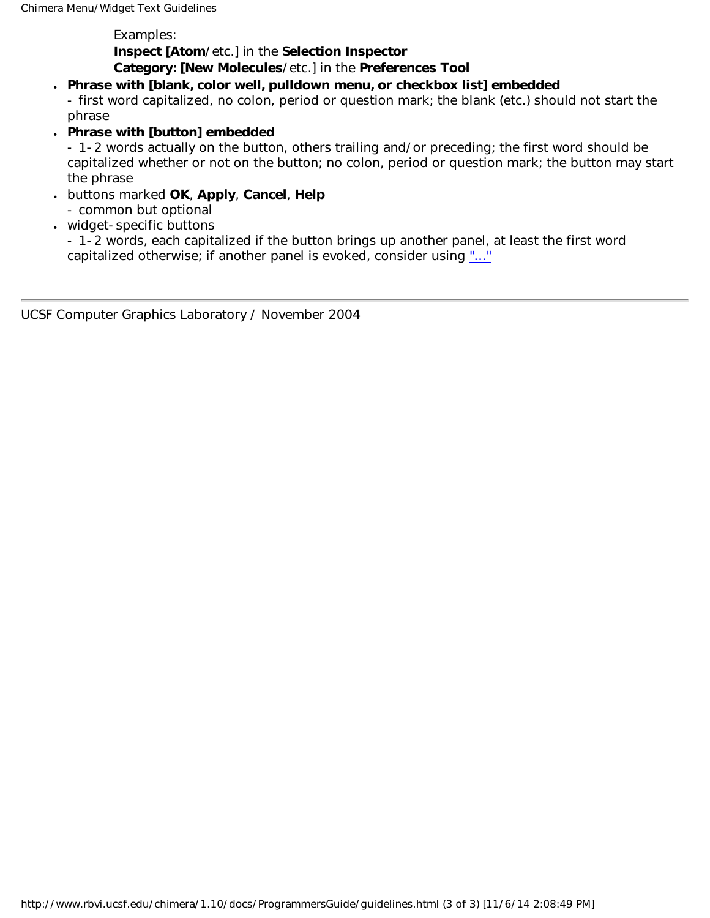Examples:

**Inspect [Atom**/etc.] in the **Selection Inspector**

**Category: [New Molecules**/etc.] in the **Preferences Tool**

● **Phrase with [blank, color well, pulldown menu, or checkbox list] embedded**

- first word capitalized, no colon, period or question mark; the blank (etc.) should not start the phrase

● **Phrase with [button] embedded**

- 1-2 words actually on the button, others trailing and/or preceding; the first word should be capitalized whether or not on the button; no colon, period or question mark; the button may start the phrase

- buttons marked **OK**, **Apply**, **Cancel**, **Help** - common but optional
- widget-specific buttons

- 1-2 words, each capitalized if the button brings up another panel, at least the first word capitalized otherwise; if another panel is evoked, consider using ["..."](#page-104-0)

UCSF Computer Graphics Laboratory / November 2004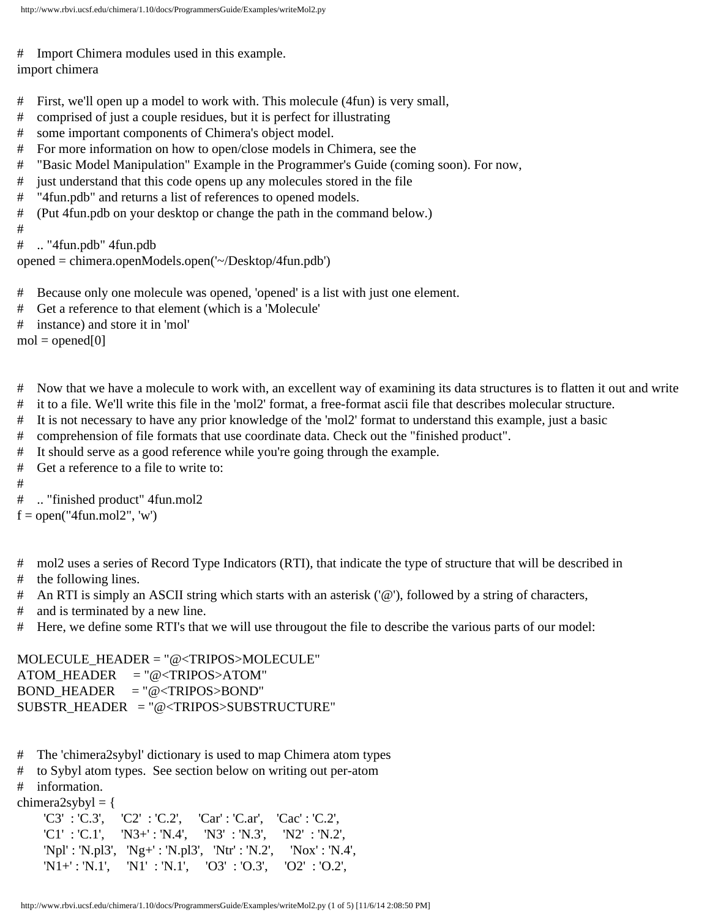# Import Chimera modules used in this example. import chimera

- # First, we'll open up a model to work with. This molecule (4fun) is very small,
- # comprised of just a couple residues, but it is perfect for illustrating
- # some important components of Chimera's object model.
- # For more information on how to open/close models in Chimera, see the
- # "Basic Model Manipulation" Example in the Programmer's Guide (coming soon). For now,
- # just understand that this code opens up any molecules stored in the file
- # "4fun.pdb" and returns a list of references to opened models.
- # (Put 4fun.pdb on your desktop or change the path in the command below.)
- #
- # .. "4fun.pdb" 4fun.pdb

opened = chimera.openModels.open('~/Desktop/4fun.pdb')

# Because only one molecule was opened, 'opened' is a list with just one element.

# Get a reference to that element (which is a 'Molecule'

# instance) and store it in 'mol'

 $mol = opened[0]$ 

# Now that we have a molecule to work with, an excellent way of examining its data structures is to flatten it out and write

# it to a file. We'll write this file in the 'mol2' format, a free-format ascii file that describes molecular structure.

# It is not necessary to have any prior knowledge of the 'mol2' format to understand this example, just a basic

# comprehension of file formats that use coordinate data. Check out the "finished product".

# It should serve as a good reference while you're going through the example.

- # Get a reference to a file to write to:
- #
- # .. "finished product" 4fun.mol2

 $f = open("4fun.mol2", 'w')$ 

# mol2 uses a series of Record Type Indicators (RTI), that indicate the type of structure that will be described in

- # the following lines.
- # An RTI is simply an ASCII string which starts with an asterisk ('@'), followed by a string of characters,
- # and is terminated by a new line.
- # Here, we define some RTI's that we will use througout the file to describe the various parts of our model:

MOLECULE\_HEADER = "@<TRIPOS>MOLECULE" ATOM\_HEADER = "@<TRIPOS>ATOM"  $BOND$  HEADER  $= "@BOND"$ SUBSTR\_HEADER = "@<TRIPOS>SUBSTRUCTURE"

# The 'chimera2sybyl' dictionary is used to map Chimera atom types

# to Sybyl atom types. See section below on writing out per-atom

# information.

chimera2sybyl =  $\{$ 

 'C3' : 'C.3', 'C2' : 'C.2', 'Car' : 'C.ar', 'Cac' : 'C.2', 'C1' : 'C.1', 'N3+' : 'N.4', 'N3' : 'N.3', 'N2' : 'N.2', 'Npl' : 'N.pl3', 'Ng+' : 'N.pl3', 'Ntr' : 'N.2', 'Nox' : 'N.4', 'N1+' : 'N.1', 'N1' : 'N.1', 'O3' : 'O.3', 'O2' : 'O.2',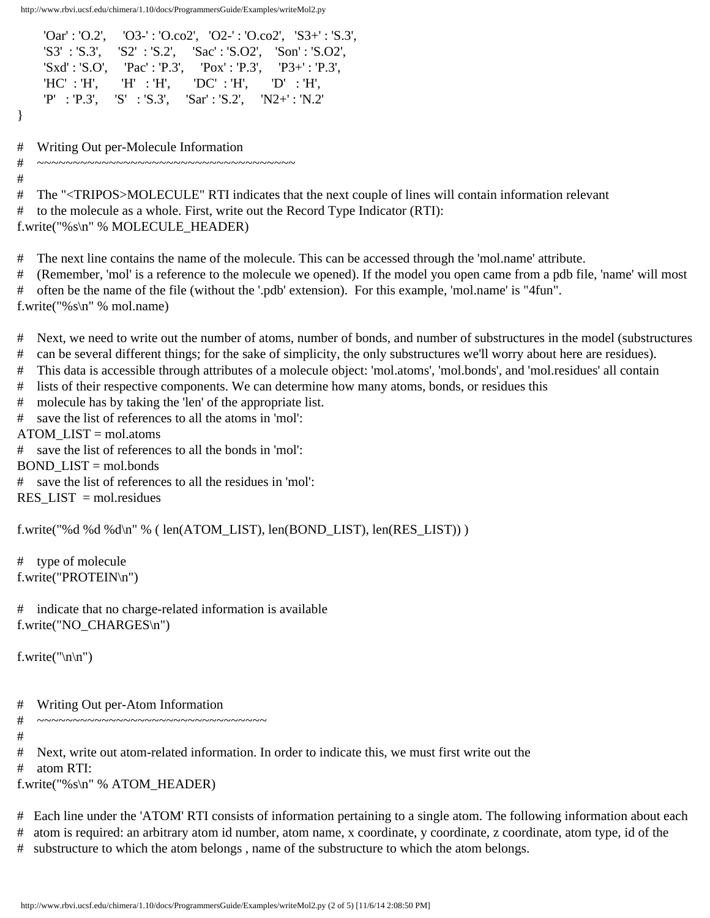http://www.rbvi.ucsf.edu/chimera/1.10/docs/ProgrammersGuide/Examples/writeMol2.py

 'Oar' : 'O.2', 'O3-' : 'O.co2', 'O2-' : 'O.co2', 'S3+' : 'S.3', 'S3' : 'S.3', 'S2' : 'S.2', 'Sac' : 'S.O2', 'Son' : 'S.O2', 'Sxd' : 'S.O', 'Pac' : 'P.3', 'Pox' : 'P.3', 'P3+' : 'P.3', 'HC' : 'H', 'H' : 'H', 'DC' : 'H', 'D' : 'H', 'P' : 'P.3', 'S' : 'S.3', 'Sar' : 'S.2', 'N2+' : 'N.2' }

# Writing Out per-Molecule Information # ~~~~~~~~~~~~~~~~~~~~~~~~~~~~~~~~~~~~

#

# The "<TRIPOS>MOLECULE" RTI indicates that the next couple of lines will contain information relevant

# to the molecule as a whole. First, write out the Record Type Indicator (RTI):

f.write("%s\n" % MOLECULE\_HEADER)

# The next line contains the name of the molecule. This can be accessed through the 'mol.name' attribute.

# (Remember, 'mol' is a reference to the molecule we opened). If the model you open came from a pdb file, 'name' will most # often be the name of the file (without the '.pdb' extension). For this example, 'mol.name' is "4fun".

f.write("%s\n" % mol.name)

# Next, we need to write out the number of atoms, number of bonds, and number of substructures in the model (substructures

# can be several different things; for the sake of simplicity, the only substructures we'll worry about here are residues).

- # This data is accessible through attributes of a molecule object: 'mol.atoms', 'mol.bonds', and 'mol.residues' all contain
- # lists of their respective components. We can determine how many atoms, bonds, or residues this

# molecule has by taking the 'len' of the appropriate list.

# save the list of references to all the atoms in 'mol':

 $A$ TOM  $LIST = mol.atoms$ 

# save the list of references to all the bonds in 'mol':

BOND\_LIST = mol.bonds

# save the list of references to all the residues in 'mol':

RES  $LIST = mol.residues$ 

f.write("%d %d %d\n" % ( len(ATOM\_LIST), len(BOND\_LIST), len(RES\_LIST)) )

# type of molecule f.write("PROTEIN\n")

# indicate that no charge-related information is available f.write("NO\_CHARGES\n")

f.write(" $\ln\$ n")

# Writing Out per-Atom Information

# ~~~~~~~~~~~~~~~~~~~~~~~~~~~~~~~~ #

# Next, write out atom-related information. In order to indicate this, we must first write out the

# atom RTI:

f.write("%s\n" % ATOM\_HEADER)

# Each line under the 'ATOM' RTI consists of information pertaining to a single atom. The following information about each

# atom is required: an arbitrary atom id number, atom name, x coordinate, y coordinate, z coordinate, atom type, id of the

# substructure to which the atom belongs , name of the substructure to which the atom belongs.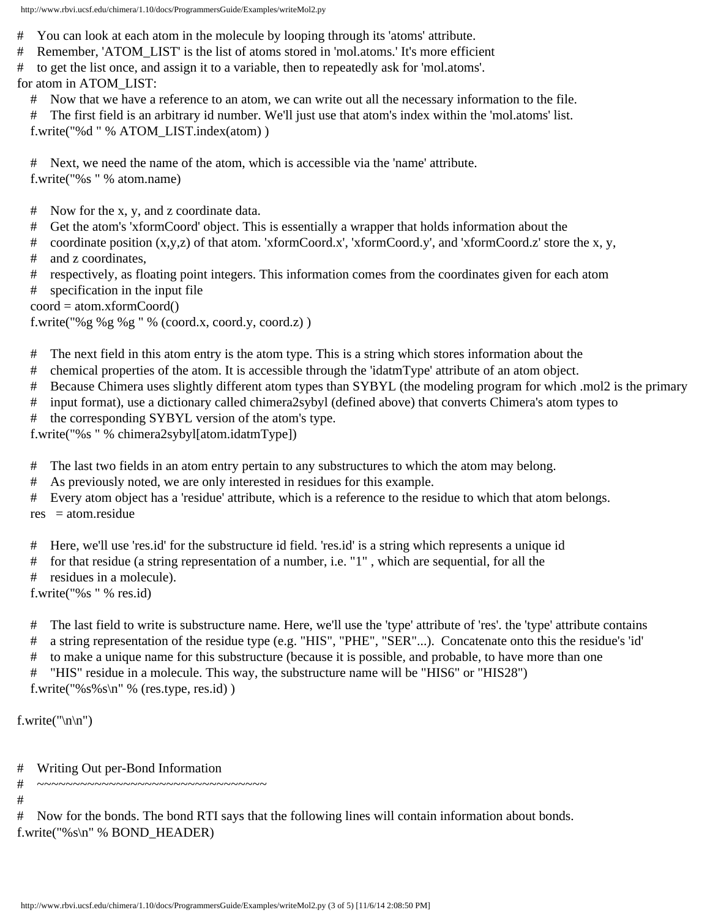http://www.rbvi.ucsf.edu/chimera/1.10/docs/ProgrammersGuide/Examples/writeMol2.py

- # You can look at each atom in the molecule by looping through its 'atoms' attribute.
- # Remember, 'ATOM\_LIST' is the list of atoms stored in 'mol.atoms.' It's more efficient
- # to get the list once, and assign it to a variable, then to repeatedly ask for 'mol.atoms'.

for atom in ATOM\_LIST:

- # Now that we have a reference to an atom, we can write out all the necessary information to the file.
- # The first field is an arbitrary id number. We'll just use that atom's index within the 'mol.atoms' list. f.write("%d " % ATOM\_LIST.index(atom) )

 # Next, we need the name of the atom, which is accessible via the 'name' attribute. f.write("%s " % atom.name)

- # Now for the x, y, and z coordinate data.
- # Get the atom's 'xformCoord' object. This is essentially a wrapper that holds information about the
- # coordinate position (x,y,z) of that atom. 'xformCoord.x', 'xformCoord.y', and 'xformCoord.z' store the x, y,
- # and z coordinates,
- # respectively, as floating point integers. This information comes from the coordinates given for each atom
- # specification in the input file

 $coord = atom.xformCoord()$ 

f.write("%g %g %g " % (coord.x, coord.y, coord.z) )

- # The next field in this atom entry is the atom type. This is a string which stores information about the
- # chemical properties of the atom. It is accessible through the 'idatmType' attribute of an atom object.
- # Because Chimera uses slightly different atom types than SYBYL (the modeling program for which .mol2 is the primary
- # input format), use a dictionary called chimera2sybyl (defined above) that converts Chimera's atom types to
- # the corresponding SYBYL version of the atom's type.

f.write("%s " % chimera2sybyl[atom.idatmType])

- # The last two fields in an atom entry pertain to any substructures to which the atom may belong.
- # As previously noted, we are only interested in residues for this example.
- # Every atom object has a 'residue' attribute, which is a reference to the residue to which that atom belongs.

 $res = atom.residue$ 

# Here, we'll use 'res.id' for the substructure id field. 'res.id' is a string which represents a unique id

- # for that residue (a string representation of a number, i.e. "1" , which are sequential, for all the
- # residues in a molecule).

f.write("%s " % res.id)

- # The last field to write is substructure name. Here, we'll use the 'type' attribute of 'res'. the 'type' attribute contains
- # a string representation of the residue type (e.g. "HIS", "PHE", "SER"...). Concatenate onto this the residue's 'id'
- # to make a unique name for this substructure (because it is possible, and probable, to have more than one
- # "HIS" residue in a molecule. This way, the substructure name will be "HIS6" or "HIS28")

f.write("%s%s\n" % (res.type, res.id))

f.write(" $\ln\$ n")

- # Writing Out per-Bond Information
- # ~~~~~~~~~~~~~~~~~~~~~~~~~~~~~~~~
- #
- # Now for the bonds. The bond RTI says that the following lines will contain information about bonds. f.write("%s\n" % BOND\_HEADER)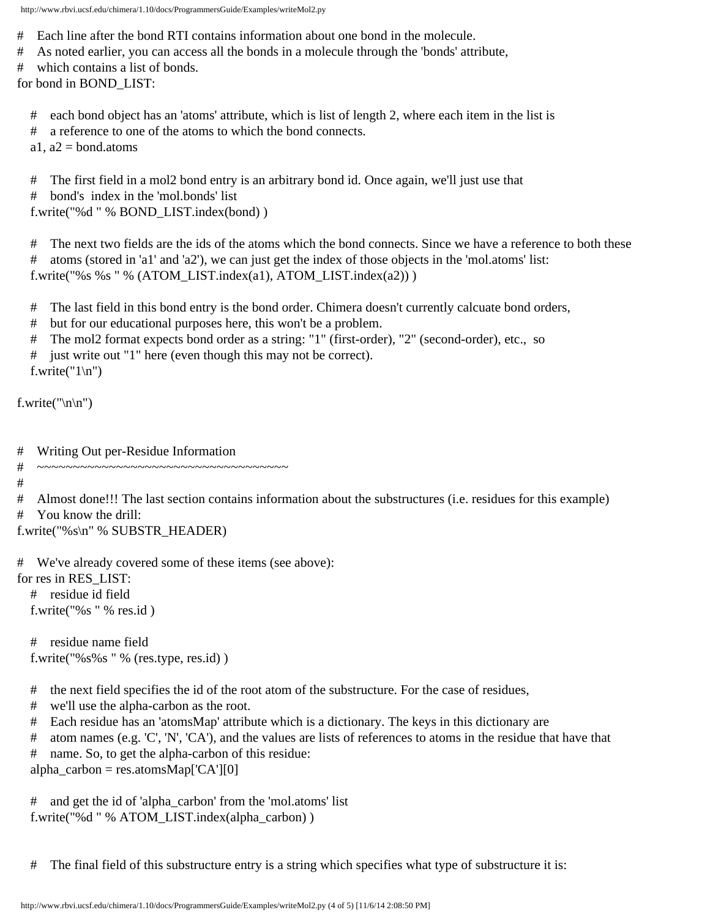http://www.rbvi.ucsf.edu/chimera/1.10/docs/ProgrammersGuide/Examples/writeMol2.py

# Each line after the bond RTI contains information about one bond in the molecule.

# As noted earlier, you can access all the bonds in a molecule through the 'bonds' attribute,

# which contains a list of bonds.

for bond in BOND\_LIST:

# each bond object has an 'atoms' attribute, which is list of length 2, where each item in the list is

# a reference to one of the atoms to which the bond connects.

a1,  $a2 = bond.atoms$ 

# The first field in a mol2 bond entry is an arbitrary bond id. Once again, we'll just use that

# bond's index in the 'mol.bonds' list

f.write("%d " % BOND\_LIST.index(bond) )

 # The next two fields are the ids of the atoms which the bond connects. Since we have a reference to both these # atoms (stored in 'a1' and 'a2'), we can just get the index of those objects in the 'mol.atoms' list: f.write("%s %s " % (ATOM\_LIST.index(a1), ATOM\_LIST.index(a2)) )

# The last field in this bond entry is the bond order. Chimera doesn't currently calcuate bond orders,

# but for our educational purposes here, this won't be a problem.

# The mol2 format expects bond order as a string: "1" (first-order), "2" (second-order), etc., so

# just write out "1" here (even though this may not be correct).

f.write(" $1\ln$ ")

f.write(" $\ln\$ n")

# Writing Out per-Residue Information

# ~~~~~~~~~~~~~~~~~~~~~~~~~~~~~~~~~~~

#

# Almost done!!! The last section contains information about the substructures (i.e. residues for this example) # You know the drill:

f.write("%s\n" % SUBSTR\_HEADER)

# We've already covered some of these items (see above):

for res in RES\_LIST:

 # residue id field f.write("%s " % res.id )

 # residue name field f.write("%s%s " % (res.type, res.id) )

# the next field specifies the id of the root atom of the substructure. For the case of residues,

# we'll use the alpha-carbon as the root.

# Each residue has an 'atomsMap' attribute which is a dictionary. The keys in this dictionary are

# atom names (e.g. 'C', 'N', 'CA'), and the values are lists of references to atoms in the residue that have that

# name. So, to get the alpha-carbon of this residue:

 $alpha_c$ arbon = res.atomsMap['CA'][0]

 # and get the id of 'alpha\_carbon' from the 'mol.atoms' list f.write("%d " % ATOM\_LIST.index(alpha\_carbon) )

# The final field of this substructure entry is a string which specifies what type of substructure it is: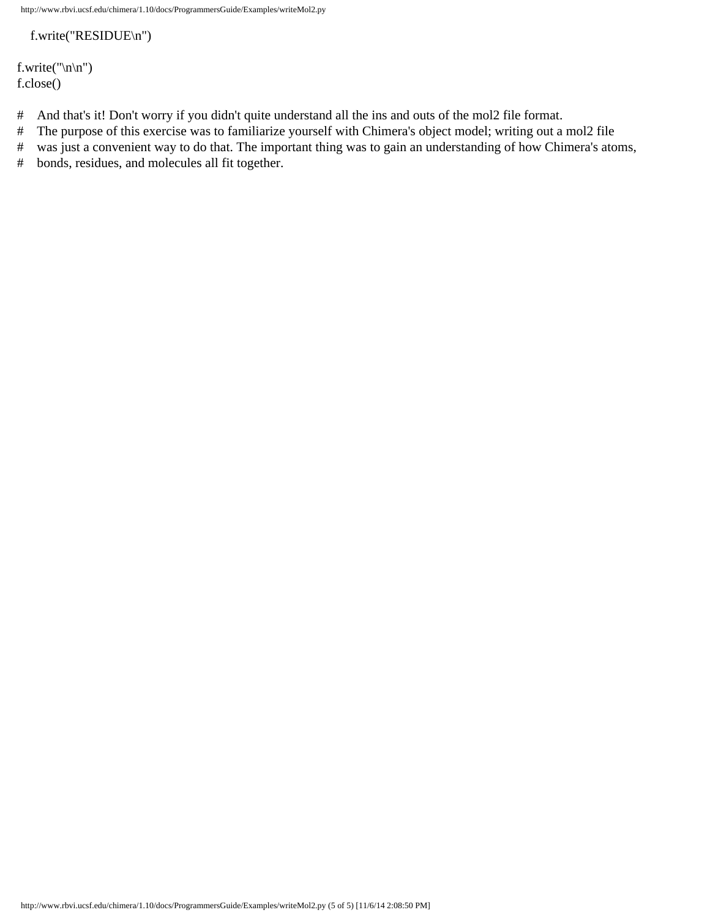http://www.rbvi.ucsf.edu/chimera/1.10/docs/ProgrammersGuide/Examples/writeMol2.py

f.write("RESIDUE\n")

f.write(" $\ln\$ n") f.close()

- # And that's it! Don't worry if you didn't quite understand all the ins and outs of the mol2 file format.
- # The purpose of this exercise was to familiarize yourself with Chimera's object model; writing out a mol2 file
- # was just a convenient way to do that. The important thing was to gain an understanding of how Chimera's atoms,
- # bonds, residues, and molecules all fit together.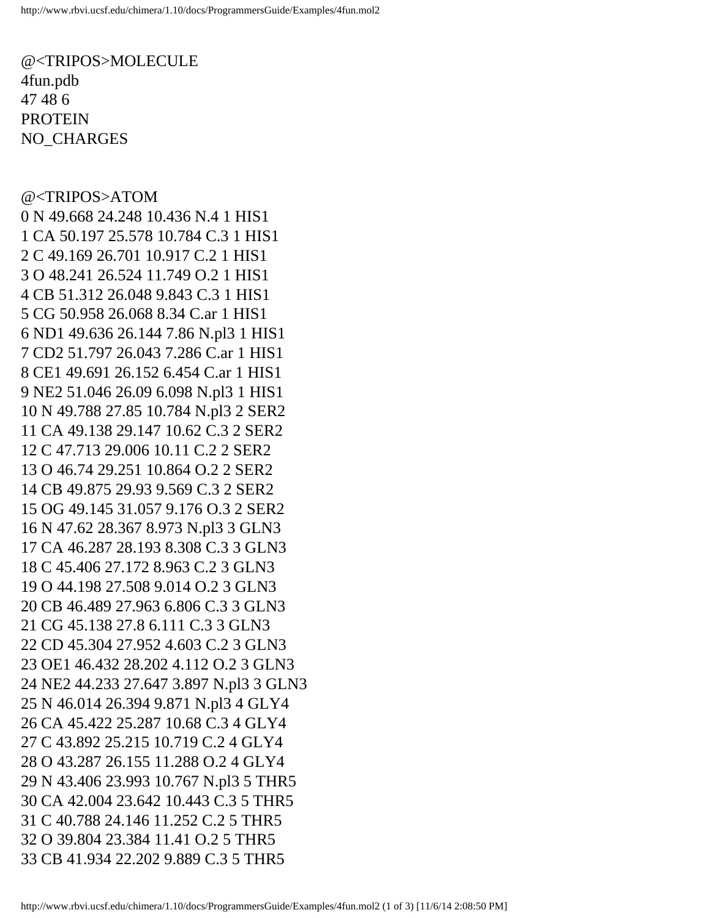@<TRIPOS>MOLECULE 4fun.pdb 47 48 6 PROTEIN NO\_CHARGES

@<TRIPOS>ATOM 0 N 49.668 24.248 10.436 N.4 1 HIS1 1 CA 50.197 25.578 10.784 C.3 1 HIS1 2 C 49.169 26.701 10.917 C.2 1 HIS1 3 O 48.241 26.524 11.749 O.2 1 HIS1 4 CB 51.312 26.048 9.843 C.3 1 HIS1 5 CG 50.958 26.068 8.34 C.ar 1 HIS1 6 ND1 49.636 26.144 7.86 N.pl3 1 HIS1 7 CD2 51.797 26.043 7.286 C.ar 1 HIS1 8 CE1 49.691 26.152 6.454 C.ar 1 HIS1 9 NE2 51.046 26.09 6.098 N.pl3 1 HIS1 10 N 49.788 27.85 10.784 N.pl3 2 SER2 11 CA 49.138 29.147 10.62 C.3 2 SER2 12 C 47.713 29.006 10.11 C.2 2 SER2 13 O 46.74 29.251 10.864 O.2 2 SER2 14 CB 49.875 29.93 9.569 C.3 2 SER2 15 OG 49.145 31.057 9.176 O.3 2 SER2 16 N 47.62 28.367 8.973 N.pl3 3 GLN3 17 CA 46.287 28.193 8.308 C.3 3 GLN3 18 C 45.406 27.172 8.963 C.2 3 GLN3 19 O 44.198 27.508 9.014 O.2 3 GLN3 20 CB 46.489 27.963 6.806 C.3 3 GLN3 21 CG 45.138 27.8 6.111 C.3 3 GLN3 22 CD 45.304 27.952 4.603 C.2 3 GLN3 23 OE1 46.432 28.202 4.112 O.2 3 GLN3 24 NE2 44.233 27.647 3.897 N.pl3 3 GLN3 25 N 46.014 26.394 9.871 N.pl3 4 GLY4 26 CA 45.422 25.287 10.68 C.3 4 GLY4 27 C 43.892 25.215 10.719 C.2 4 GLY4 28 O 43.287 26.155 11.288 O.2 4 GLY4 29 N 43.406 23.993 10.767 N.pl3 5 THR5 30 CA 42.004 23.642 10.443 C.3 5 THR5 31 C 40.788 24.146 11.252 C.2 5 THR5 32 O 39.804 23.384 11.41 O.2 5 THR5 33 CB 41.934 22.202 9.889 C.3 5 THR5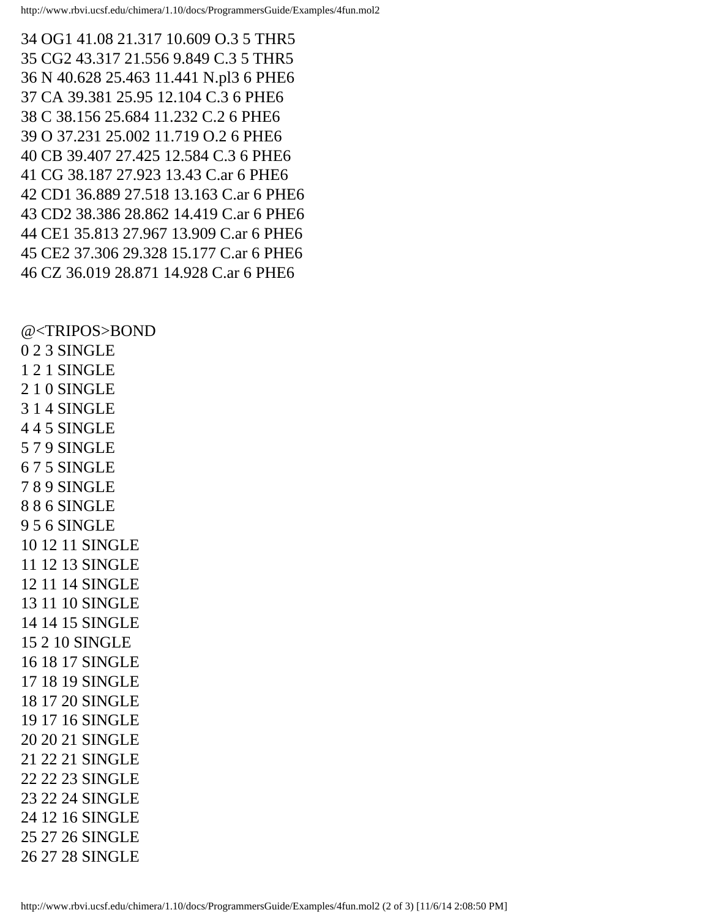34 OG1 41.08 21.317 10.609 O.3 5 THR5 35 CG2 43.317 21.556 9.849 C.3 5 THR5 36 N 40.628 25.463 11.441 N.pl3 6 PHE6 37 CA 39.381 25.95 12.104 C.3 6 PHE6 38 C 38.156 25.684 11.232 C.2 6 PHE6 39 O 37.231 25.002 11.719 O.2 6 PHE6 40 CB 39.407 27.425 12.584 C.3 6 PHE6 41 CG 38.187 27.923 13.43 C.ar 6 PHE6 42 CD1 36.889 27.518 13.163 C.ar 6 PHE6 43 CD2 38.386 28.862 14.419 C.ar 6 PHE6 44 CE1 35.813 27.967 13.909 C.ar 6 PHE6 45 CE2 37.306 29.328 15.177 C.ar 6 PHE6 46 CZ 36.019 28.871 14.928 C.ar 6 PHE6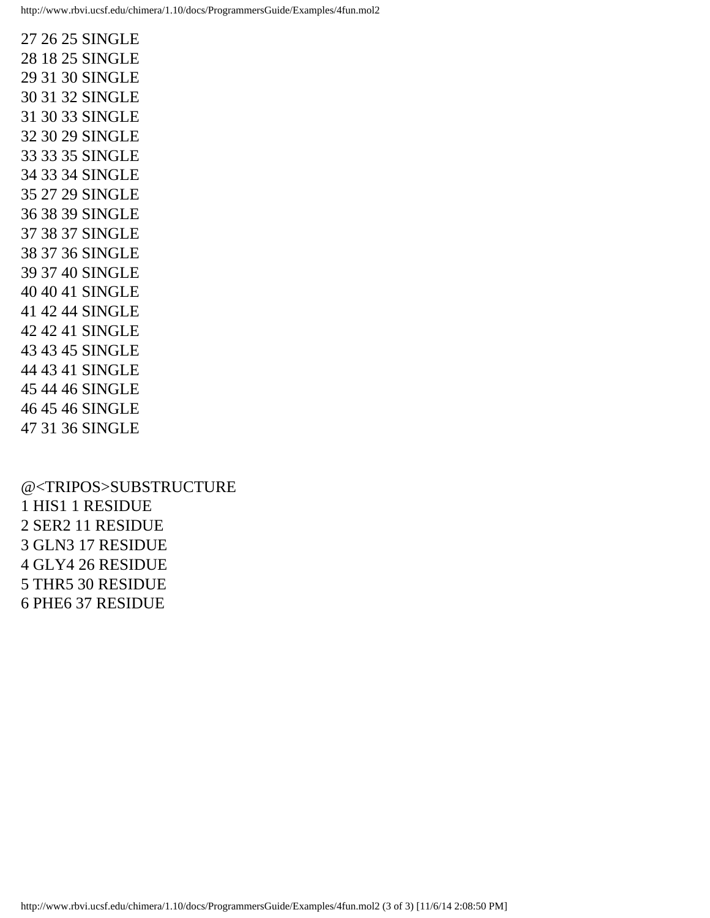@<TRIPOS>SUBSTRUCTURE 1 HIS1 1 RESIDUE 2 SER2 11 RESIDUE 3 GLN3 17 RESIDUE 4 GLY4 26 RESIDUE 5 THR5 30 RESIDUE 6 PHE6 37 RESIDUE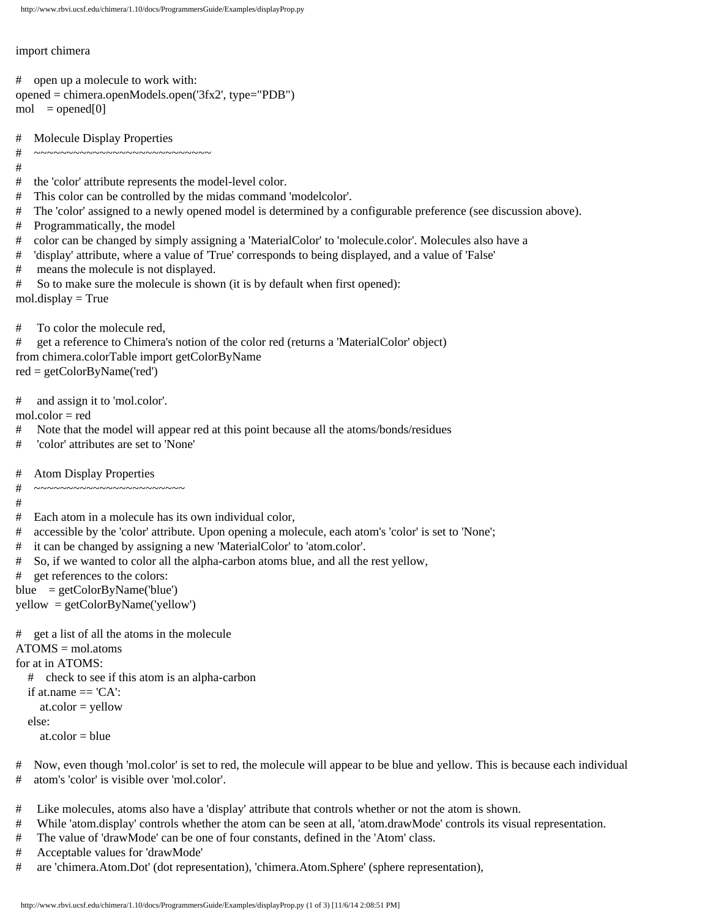http://www.rbvi.ucsf.edu/chimera/1.10/docs/ProgrammersGuide/Examples/displayProp.py

import chimera

```
# open up a molecule to work with:
opened = chimera.openModels.open('3fx2', type="PDB")
mol = opened[0]
```
- # Molecule Display Properties
- $\#$  ~~~~~~~~~~~~~~~~~~~~~~~~~~~~~~
- #
- # the 'color' attribute represents the model-level color.
- # This color can be controlled by the midas command 'modelcolor'.
- # The 'color' assigned to a newly opened model is determined by a configurable preference (see discussion above).
- # Programmatically, the model
- # color can be changed by simply assigning a 'MaterialColor' to 'molecule.color'. Molecules also have a
- # 'display' attribute, where a value of 'True' corresponds to being displayed, and a value of 'False'
- # means the molecule is not displayed.
- # So to make sure the molecule is shown (it is by default when first opened):
- $mol.$ display = True
- # To color the molecule red,
- # get a reference to Chimera's notion of the color red (returns a 'MaterialColor' object)
- from chimera.colorTable import getColorByName

```
red = getColorByName('red')
```
- # and assign it to 'mol.color'.
- mol.color = red
- # Note that the model will appear red at this point because all the atoms/bonds/residues
- # 'color' attributes are set to 'None'
- # Atom Display Properties
- $#$  ~~~~~~~~~~~~~~~~~~~~~~~~~~
- #
- # Each atom in a molecule has its own individual color,
- # accessible by the 'color' attribute. Upon opening a molecule, each atom's 'color' is set to 'None';
- # it can be changed by assigning a new 'MaterialColor' to 'atom.color'.
- # So, if we wanted to color all the alpha-carbon atoms blue, and all the rest yellow,
- # get references to the colors:
- blue  $= getColorByName('blue')$
- yellow = getColorByName('yellow')
- # get a list of all the atoms in the molecule

## $A$ TOMS = mol.atoms

```
for at in ATOMS:
```
 # check to see if this atom is an alpha-carbon if at  $name == 'CA':$ at.color = yellow

```
 else:
```

```
at. color = blue
```
- # Now, even though 'mol.color' is set to red, the molecule will appear to be blue and yellow. This is because each individual
- # atom's 'color' is visible over 'mol.color'.
- # Like molecules, atoms also have a 'display' attribute that controls whether or not the atom is shown.
- # While 'atom.display' controls whether the atom can be seen at all, 'atom.drawMode' controls its visual representation.
- # The value of 'drawMode' can be one of four constants, defined in the 'Atom' class.
- # Acceptable values for 'drawMode'
- # are 'chimera.Atom.Dot' (dot representation), 'chimera.Atom.Sphere' (sphere representation),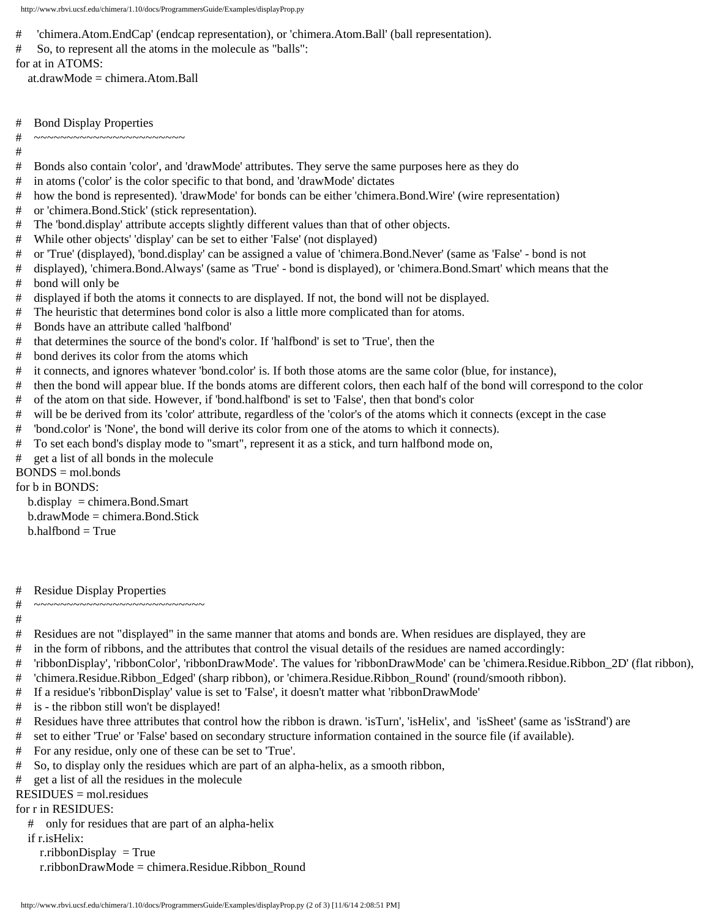http://www.rbvi.ucsf.edu/chimera/1.10/docs/ProgrammersGuide/Examples/displayProp.py

# 'chimera.Atom.EndCap' (endcap representation), or 'chimera.Atom.Ball' (ball representation).

# So, to represent all the atoms in the molecule as "balls":

for at in ATOMS:

at.drawMode = chimera.Atom.Ball

# Bond Display Properties

# ~~~~~~~~~~~~~~~~~~~~~~~ #

- # Bonds also contain 'color', and 'drawMode' attributes. They serve the same purposes here as they do
- # in atoms ('color' is the color specific to that bond, and 'drawMode' dictates
- # how the bond is represented). 'drawMode' for bonds can be either 'chimera.Bond.Wire' (wire representation)
- # or 'chimera.Bond.Stick' (stick representation).
- # The 'bond.display' attribute accepts slightly different values than that of other objects.
- # While other objects' 'display' can be set to either 'False' (not displayed)
- # or 'True' (displayed), 'bond.display' can be assigned a value of 'chimera.Bond.Never' (same as 'False' bond is not
- # displayed), 'chimera.Bond.Always' (same as 'True' bond is displayed), or 'chimera.Bond.Smart' which means that the # bond will only be
- # displayed if both the atoms it connects to are displayed. If not, the bond will not be displayed.
- # The heuristic that determines bond color is also a little more complicated than for atoms.
- # Bonds have an attribute called 'halfbond'
- # that determines the source of the bond's color. If 'halfbond' is set to 'True', then the
- # bond derives its color from the atoms which
- # it connects, and ignores whatever 'bond.color' is. If both those atoms are the same color (blue, for instance),
- # then the bond will appear blue. If the bonds atoms are different colors, then each half of the bond will correspond to the color
- # of the atom on that side. However, if 'bond.halfbond' is set to 'False', then that bond's color
- # will be be derived from its 'color' attribute, regardless of the 'color's of the atoms which it connects (except in the case
- # 'bond.color' is 'None', the bond will derive its color from one of the atoms to which it connects).
- # To set each bond's display mode to "smart", represent it as a stick, and turn halfbond mode on,
- # get a list of all bonds in the molecule

# $BONDS = mol.$ bonds

for b in BONDS:

 b.display = chimera.Bond.Smart b.drawMode = chimera.Bond.Stick  $b\text{-}halfbond = True$ 

# Residue Display Properties

 $\#$  ~~~~~~~~~~~~~~~~~~~~~~~~~~~~

#

- # Residues are not "displayed" in the same manner that atoms and bonds are. When residues are displayed, they are
- # in the form of ribbons, and the attributes that control the visual details of the residues are named accordingly:
- # 'ribbonDisplay', 'ribbonColor', 'ribbonDrawMode'. The values for 'ribbonDrawMode' can be 'chimera.Residue.Ribbon\_2D' (flat ribbon),
- # 'chimera.Residue.Ribbon\_Edged' (sharp ribbon), or 'chimera.Residue.Ribbon\_Round' (round/smooth ribbon).
- # If a residue's 'ribbonDisplay' value is set to 'False', it doesn't matter what 'ribbonDrawMode'
- # is the ribbon still won't be displayed!
- # Residues have three attributes that control how the ribbon is drawn. 'isTurn', 'isHelix', and 'isSheet' (same as 'isStrand') are
- # set to either 'True' or 'False' based on secondary structure information contained in the source file (if available).
- # For any residue, only one of these can be set to 'True'.
- # So, to display only the residues which are part of an alpha-helix, as a smooth ribbon,
- # get a list of all the residues in the molecule

RESIDUES = mol.residues

### for r in RESIDUES:

# only for residues that are part of an alpha-helix

if r.isHelix:

 $r.ribbonDisplay = True$ 

r.ribbonDrawMode = chimera.Residue.Ribbon\_Round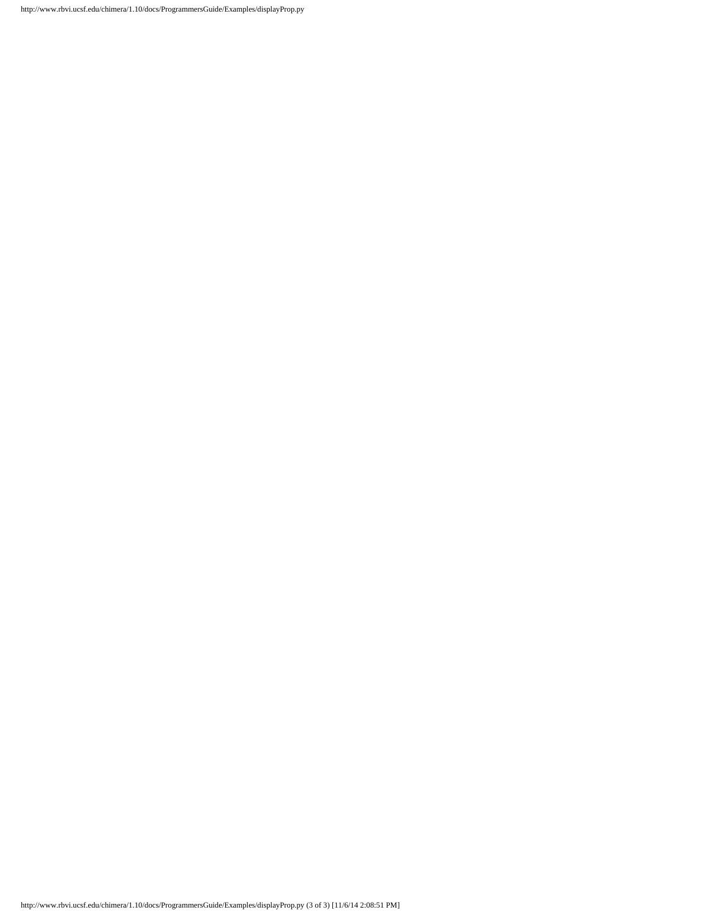http://www.rbvi.ucsf.edu/chimera/1.10/docs/ProgrammersGuide/Examples/displayProp.py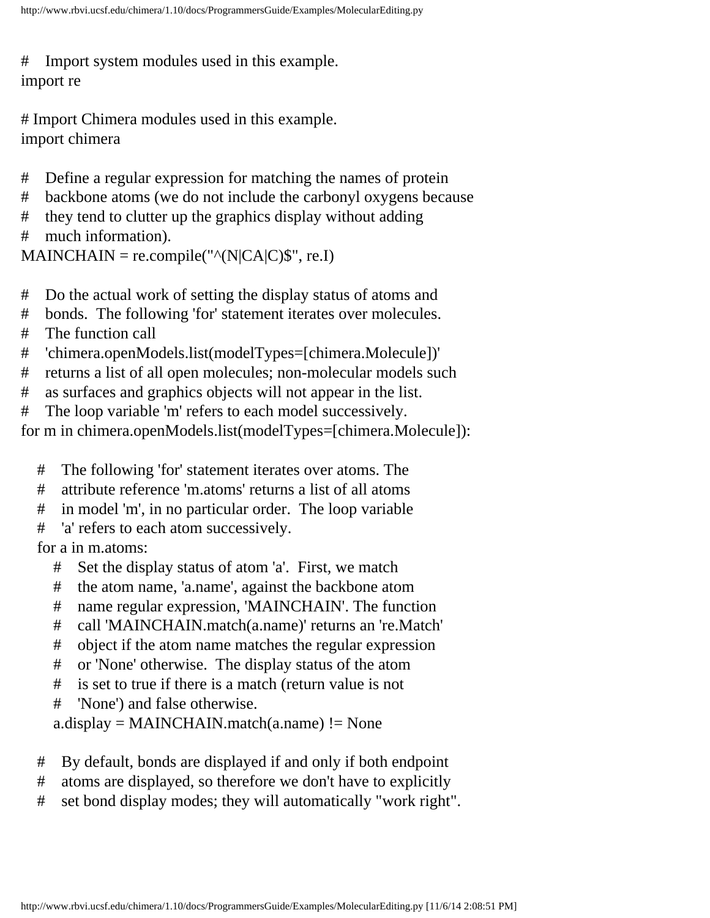<span id="page-117-0"></span># Import system modules used in this example. import re

# Import Chimera modules used in this example. import chimera

- # Define a regular expression for matching the names of protein
- # backbone atoms (we do not include the carbonyl oxygens because
- # they tend to clutter up the graphics display without adding
- # much information).

 $MAINCHAIN = re.compile("^(N|CA|C)\$ ", re.I)

- # Do the actual work of setting the display status of atoms and
- # bonds. The following 'for' statement iterates over molecules.
- # The function call
- # 'chimera.openModels.list(modelTypes=[chimera.Molecule])'
- # returns a list of all open molecules; non-molecular models such
- # as surfaces and graphics objects will not appear in the list.
- # The loop variable 'm' refers to each model successively.

for m in chimera.openModels.list(modelTypes=[chimera.Molecule]):

- # The following 'for' statement iterates over atoms. The
- # attribute reference 'm.atoms' returns a list of all atoms
- # in model 'm', in no particular order. The loop variable
- # 'a' refers to each atom successively.

for a in m.atoms:

- # Set the display status of atom 'a'. First, we match
- # the atom name, 'a.name', against the backbone atom
- # name regular expression, 'MAINCHAIN'. The function
- # call 'MAINCHAIN.match(a.name)' returns an 're.Match'
- # object if the atom name matches the regular expression
- # or 'None' otherwise. The display status of the atom
- # is set to true if there is a match (return value is not
- # 'None') and false otherwise.

 $a.display = **MAINCHAIN**.match(*a*.name) != None$ 

- # By default, bonds are displayed if and only if both endpoint
- # atoms are displayed, so therefore we don't have to explicitly
- # set bond display modes; they will automatically "work right".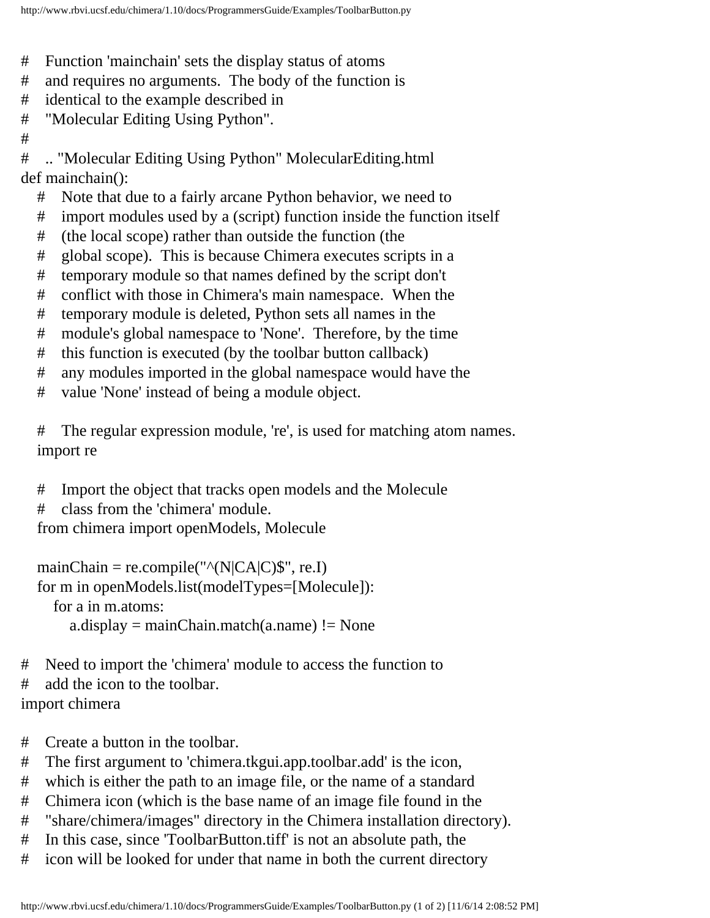- <span id="page-118-0"></span># Function 'mainchain' sets the display status of atoms
- # and requires no arguments. The body of the function is
- # identical to the example described in
- # "Molecular Editing Using Python".
- #

# .. "Molecular Editing Using Python" MolecularEditing.html def mainchain():

- # Note that due to a fairly arcane Python behavior, we need to
- # import modules used by a (script) function inside the function itself
- # (the local scope) rather than outside the function (the
- # global scope). This is because Chimera executes scripts in a
- # temporary module so that names defined by the script don't
- # conflict with those in Chimera's main namespace. When the
- # temporary module is deleted, Python sets all names in the
- # module's global namespace to 'None'. Therefore, by the time
- # this function is executed (by the toolbar button callback)
- # any modules imported in the global namespace would have the
- # value 'None' instead of being a module object.

 # The regular expression module, 're', is used for matching atom names. import re

- # Import the object that tracks open models and the Molecule
- # class from the 'chimera' module.

from chimera import openModels, Molecule

```
mainChain = re.compile("^N(N|CA|C)\math>, re.I)
 for m in openModels.list(modelTypes=[Molecule]):
   for a in m.atoms:
     a.display = mainChain.match(a.name) != None
```
# Need to import the 'chimera' module to access the function to

```
# add the icon to the toolbar.
```
import chimera

- # Create a button in the toolbar.
- # The first argument to 'chimera.tkgui.app.toolbar.add' is the icon,
- # which is either the path to an image file, or the name of a standard
- # Chimera icon (which is the base name of an image file found in the
- # "share/chimera/images" directory in the Chimera installation directory).
- # In this case, since 'ToolbarButton.tiff' is not an absolute path, the
- # icon will be looked for under that name in both the current directory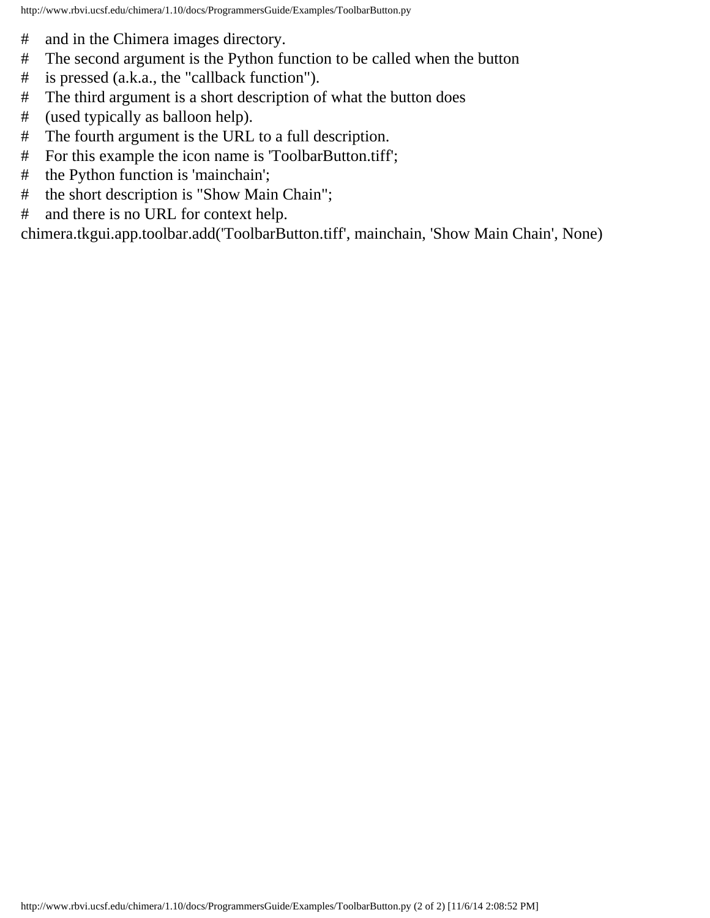http://www.rbvi.ucsf.edu/chimera/1.10/docs/ProgrammersGuide/Examples/ToolbarButton.py

- # and in the Chimera images directory.
- # The second argument is the Python function to be called when the button
- # is pressed (a.k.a., the "callback function").
- # The third argument is a short description of what the button does
- # (used typically as balloon help).
- # The fourth argument is the URL to a full description.
- # For this example the icon name is 'ToolbarButton.tiff';
- # the Python function is 'mainchain';
- # the short description is "Show Main Chain";
- # and there is no URL for context help.

chimera.tkgui.app.toolbar.add('ToolbarButton.tiff', mainchain, 'Show Main Chain', None)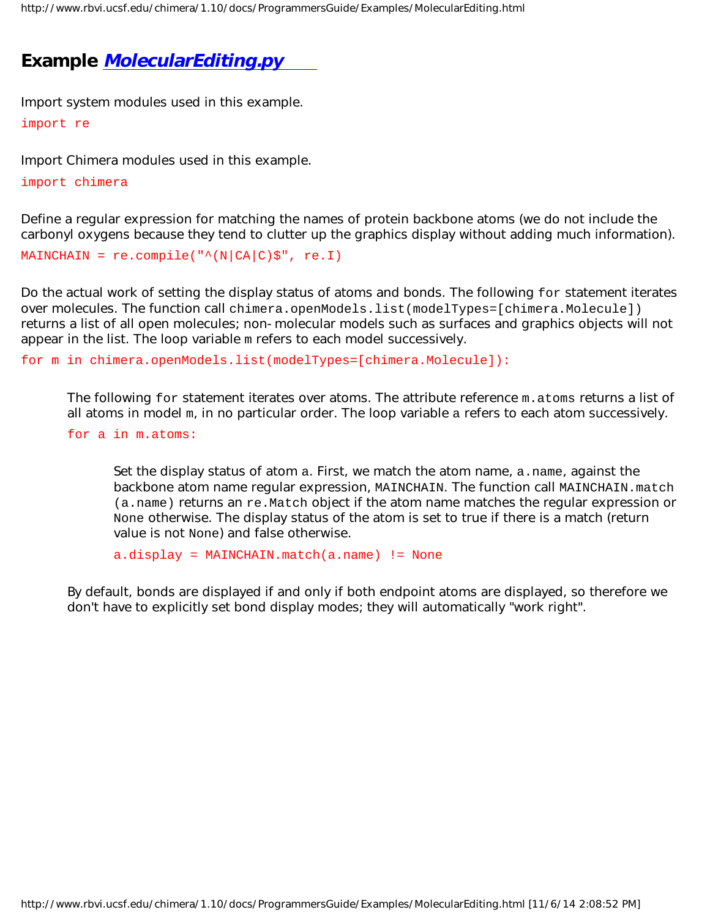<span id="page-120-0"></span>http://www.rbvi.ucsf.edu/chimera/1.10/docs/ProgrammersGuide/Examples/MolecularEditing.html

# **Example [MolecularEditing.py](#page-117-0)**

Import system modules used in this example.

import re

Import Chimera modules used in this example.

import chimera

Define a regular expression for matching the names of protein backbone atoms (we do not include the carbonyl oxygens because they tend to clutter up the graphics display without adding much information).

MAINCHAIN =  $re.compile("^*(N|CA|C)\$ ", re.I)

Do the actual work of setting the display status of atoms and bonds. The following for statement iterates over molecules. The function call chimera.openModels.list(modelTypes=[chimera.Molecule]) returns a list of all open molecules; non-molecular models such as surfaces and graphics objects will not appear in the list. The loop variable m refers to each model successively.

for m in chimera.openModels.list(modelTypes=[chimera.Molecule]):

The following for statement iterates over atoms. The attribute reference m. atoms returns a list of all atoms in model m, in no particular order. The loop variable a refers to each atom successively.

for a in m.atoms:

Set the display status of atom  $a$ . First, we match the atom name,  $a$ ,  $n$  ame, against the backbone atom name regular expression, MAINCHAIN. The function call MAINCHAIN.match (a.name) returns an re.Match object if the atom name matches the regular expression or None otherwise. The display status of the atom is set to true if there is a match (return value is not None) and false otherwise.

a.display = MAINCHAIN.match(a.name) != None

By default, bonds are displayed if and only if both endpoint atoms are displayed, so therefore we don't have to explicitly set bond display modes; they will automatically "work right".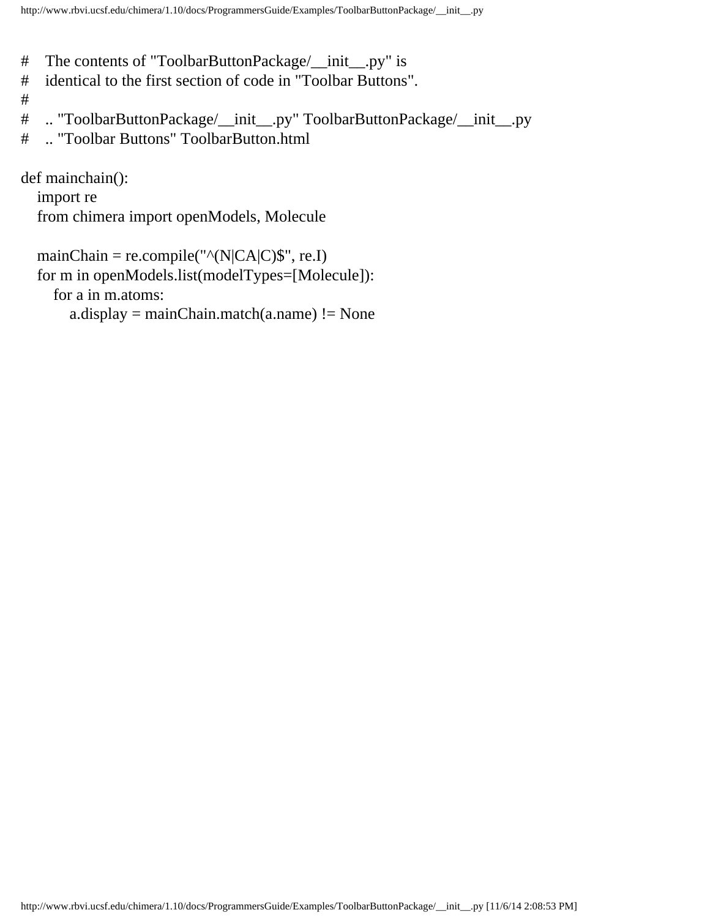- # The contents of "ToolbarButtonPackage/\_\_init\_\_.py" is
- # identical to the first section of code in "Toolbar Buttons".
- #
- # .. "ToolbarButtonPackage/\_\_init\_\_.py" ToolbarButtonPackage/\_\_init\_\_.py
- # .. "Toolbar Buttons" ToolbarButton.html

def mainchain(): import re from chimera import openModels, Molecule

mainChain = re.compile(" $\land$ (N|CA|C)\$", re.I) for m in openModels.list(modelTypes=[Molecule]): for a in m.atoms:  $a.display = mainChain-match(a.name) != None$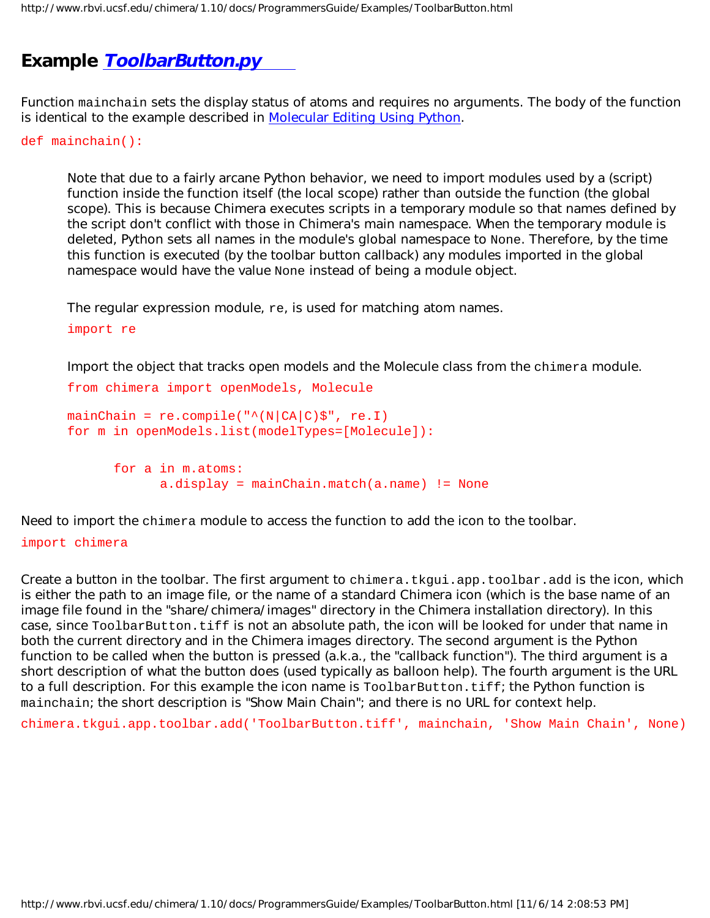# **Example [ToolbarButton.py](#page-118-0)**

Function mainchain sets the display status of atoms and requires no arguments. The body of the function is identical to the example described in [Molecular Editing Using Python](#page-120-0).

def mainchain():

Note that due to a fairly arcane Python behavior, we need to import modules used by a (script) function inside the function itself (the local scope) rather than outside the function (the global scope). This is because Chimera executes scripts in a temporary module so that names defined by the script don't conflict with those in Chimera's main namespace. When the temporary module is deleted, Python sets all names in the module's global namespace to None. Therefore, by the time this function is executed (by the toolbar button callback) any modules imported in the global namespace would have the value None instead of being a module object.

The regular expression module,  $r =$ , is used for matching atom names.

import re

Import the object that tracks open models and the Molecule class from the chimera module.

```
from chimera import openModels, Molecule 
mainChain = re.compile("^(N|CA|C)\", re.I)
for m in openModels.list(modelTypes=[Molecule]): 
      for a in m.atoms: 
            a.display = mainChain.match(a.name) != None
```
Need to import the chimera module to access the function to add the icon to the toolbar.

## import chimera

Create a button in the toolbar. The first argument to chimera.tkgui.app.toolbar.add is the icon, which is either the path to an image file, or the name of a standard Chimera icon (which is the base name of an image file found in the "share/chimera/images" directory in the Chimera installation directory). In this case, since ToolbarButton.tiff is not an absolute path, the icon will be looked for under that name in both the current directory and in the Chimera images directory. The second argument is the Python function to be called when the button is pressed (a.k.a., the "callback function"). The third argument is a short description of what the button does (used typically as balloon help). The fourth argument is the URL to a full description. For this example the icon name is ToolbarButton.tiff; the Python function is mainchain; the short description is "Show Main Chain"; and there is no URL for context help.

chimera.tkgui.app.toolbar.add('ToolbarButton.tiff', mainchain, 'Show Main Chain', None)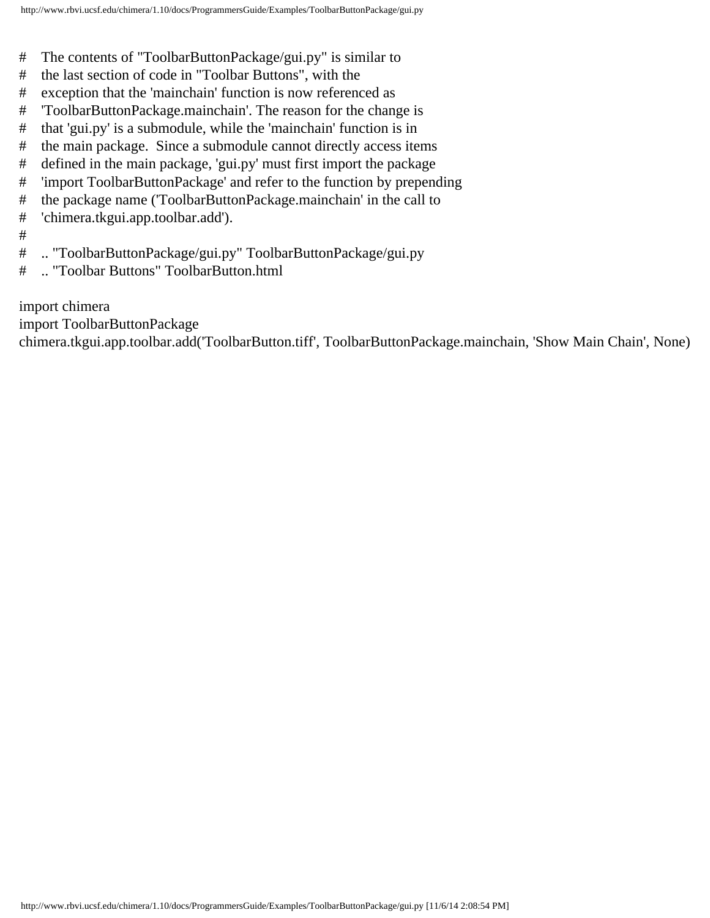- # The contents of "ToolbarButtonPackage/gui.py" is similar to
- # the last section of code in "Toolbar Buttons", with the
- # exception that the 'mainchain' function is now referenced as
- # 'ToolbarButtonPackage.mainchain'. The reason for the change is
- # that 'gui.py' is a submodule, while the 'mainchain' function is in
- # the main package. Since a submodule cannot directly access items
- # defined in the main package, 'gui.py' must first import the package
- # 'import ToolbarButtonPackage' and refer to the function by prepending
- # the package name ('ToolbarButtonPackage.mainchain' in the call to
- # 'chimera.tkgui.app.toolbar.add').
- #
- # .. "ToolbarButtonPackage/gui.py" ToolbarButtonPackage/gui.py
- # .. "Toolbar Buttons" ToolbarButton.html

import chimera

import ToolbarButtonPackage

chimera.tkgui.app.toolbar.add('ToolbarButton.tiff', ToolbarButtonPackage.mainchain, 'Show Main Chain', None)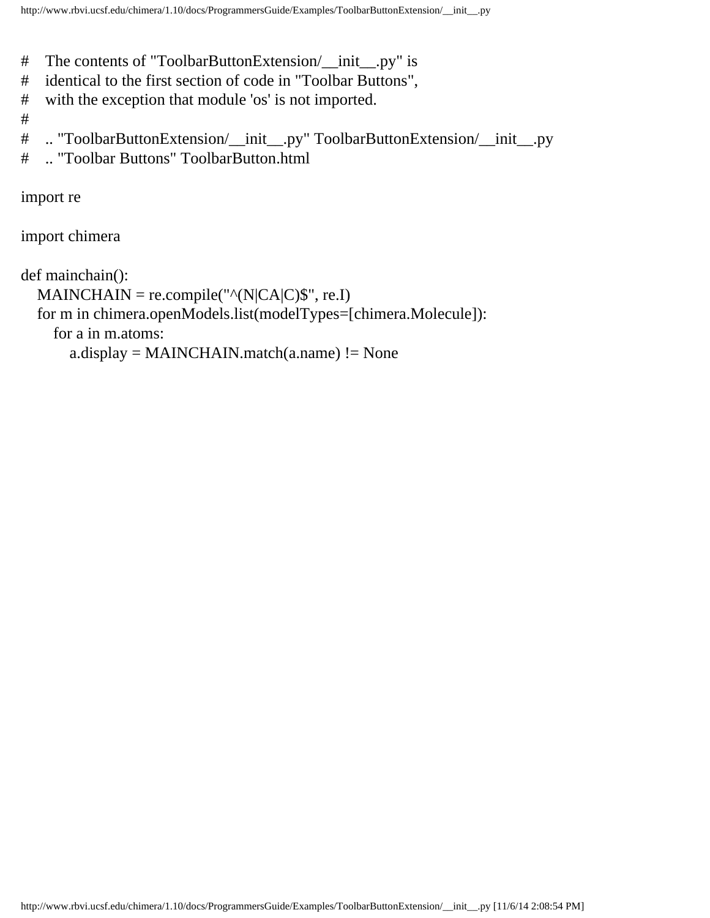- # The contents of "ToolbarButtonExtension/\_\_init\_\_.py" is
- # identical to the first section of code in "Toolbar Buttons",
- # with the exception that module 'os' is not imported.
- #
- # .. "ToolbarButtonExtension/\_\_init\_\_.py" ToolbarButtonExtension/\_\_init\_\_.py
- # .. "Toolbar Buttons" ToolbarButton.html

import re

import chimera

def mainchain():  $MAINCHAIN = re.compile("^(N|CA|C)\$ ", re.I) for m in chimera.openModels.list(modelTypes=[chimera.Molecule]): for a in m.atoms:  $a.display = MAINCHAIN.match(a.name) != None$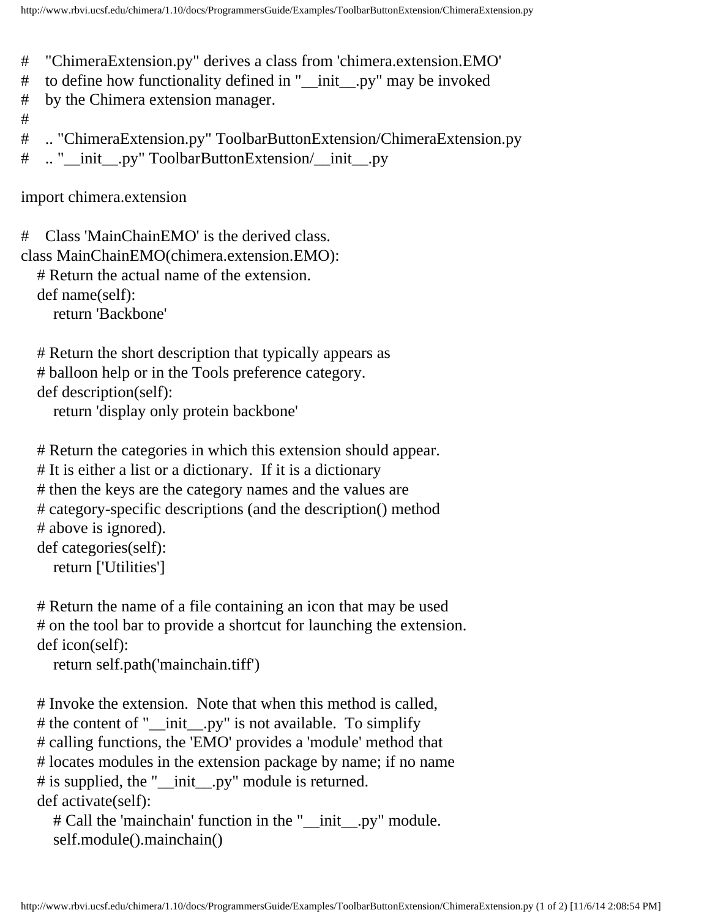# "ChimeraExtension.py" derives a class from 'chimera.extension.EMO'

```
# to define how functionality defined in "__init__.py" may be invoked
```

```
# by the Chimera extension manager.
```
#

# .. "ChimeraExtension.py" ToolbarButtonExtension/ChimeraExtension.py

# .. "\_\_init\_\_.py" ToolbarButtonExtension/\_\_init\_\_.py

```
import chimera.extension
```

```
# Class 'MainChainEMO' is the derived class.
class MainChainEMO(chimera.extension.EMO):
   # Return the actual name of the extension.
   def name(self):
     return 'Backbone'
```

```
 # Return the short description that typically appears as
 # balloon help or in the Tools preference category.
 def description(self):
```
return 'display only protein backbone'

```
 # Return the categories in which this extension should appear.
 # It is either a list or a dictionary. If it is a dictionary
 # then the keys are the category names and the values are
 # category-specific descriptions (and the description() method
 # above is ignored).
 def categories(self):
   return ['Utilities']
```
 # Return the name of a file containing an icon that may be used # on the tool bar to provide a shortcut for launching the extension. def icon(self):

```
 return self.path('mainchain.tiff')
```
# Invoke the extension. Note that when this method is called,

# the content of "\_\_init\_\_.py" is not available. To simplify

# calling functions, the 'EMO' provides a 'module' method that

# locates modules in the extension package by name; if no name

# is supplied, the "\_init\_\_.py" module is returned. def activate(self):

```
 # Call the 'mainchain' function in the "__init__.py" module.
 self.module().mainchain()
```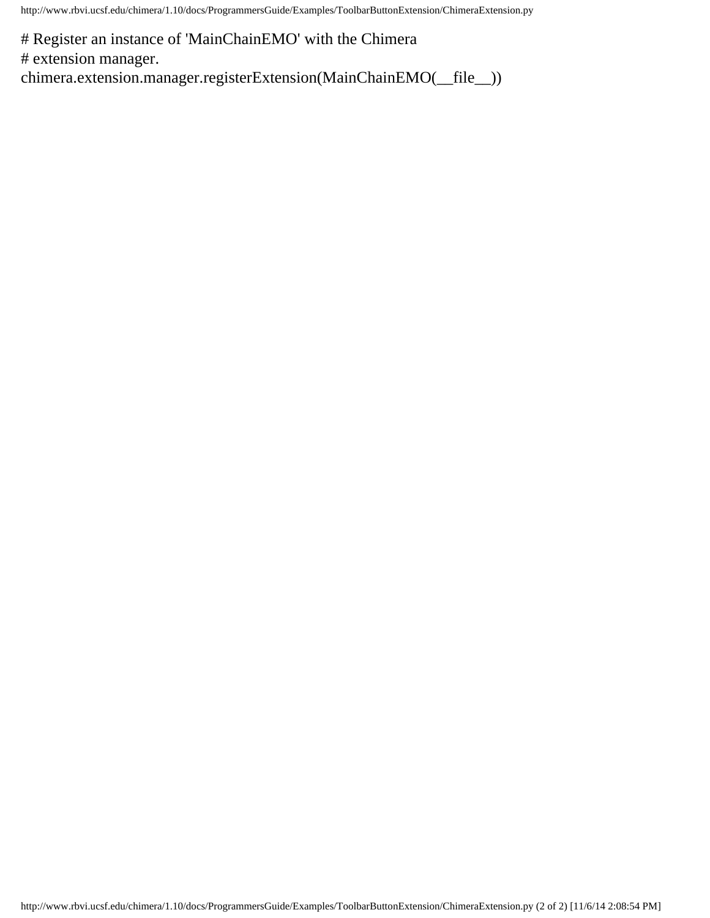http://www.rbvi.ucsf.edu/chimera/1.10/docs/ProgrammersGuide/Examples/ToolbarButtonExtension/ChimeraExtension.py

# Register an instance of 'MainChainEMO' with the Chimera # extension manager. chimera.extension.manager.registerExtension(MainChainEMO(\_\_file\_\_))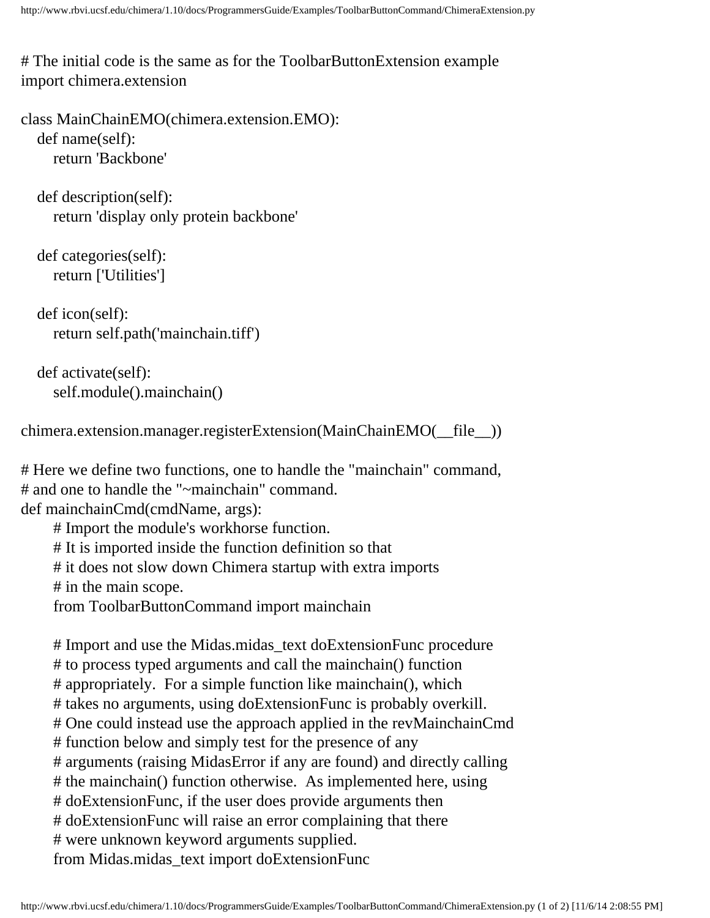# The initial code is the same as for the ToolbarButtonExtension example import chimera.extension

```
class MainChainEMO(chimera.extension.EMO):
   def name(self):
     return 'Backbone'
```

```
 def description(self):
   return 'display only protein backbone'
```

```
 def categories(self):
   return ['Utilities']
```

```
 def icon(self):
   return self.path('mainchain.tiff')
```

```
 def activate(self):
   self.module().mainchain()
```

```
chimera.extension.manager.registerExtension(MainChainEMO(__file__))
```
# Here we define two functions, one to handle the "mainchain" command, # and one to handle the "~mainchain" command. def mainchainCmd(cmdName, args):

 # Import the module's workhorse function. # It is imported inside the function definition so that # it does not slow down Chimera startup with extra imports # in the main scope. from ToolbarButtonCommand import mainchain # Import and use the Midas.midas\_text doExtensionFunc procedure # to process typed arguments and call the mainchain() function # appropriately. For a simple function like mainchain(), which # takes no arguments, using doExtensionFunc is probably overkill. # One could instead use the approach applied in the revMainchainCmd

# function below and simply test for the presence of any

# arguments (raising MidasError if any are found) and directly calling

# the mainchain() function otherwise. As implemented here, using

# doExtensionFunc, if the user does provide arguments then

# doExtensionFunc will raise an error complaining that there

# were unknown keyword arguments supplied.

from Midas.midas\_text import doExtensionFunc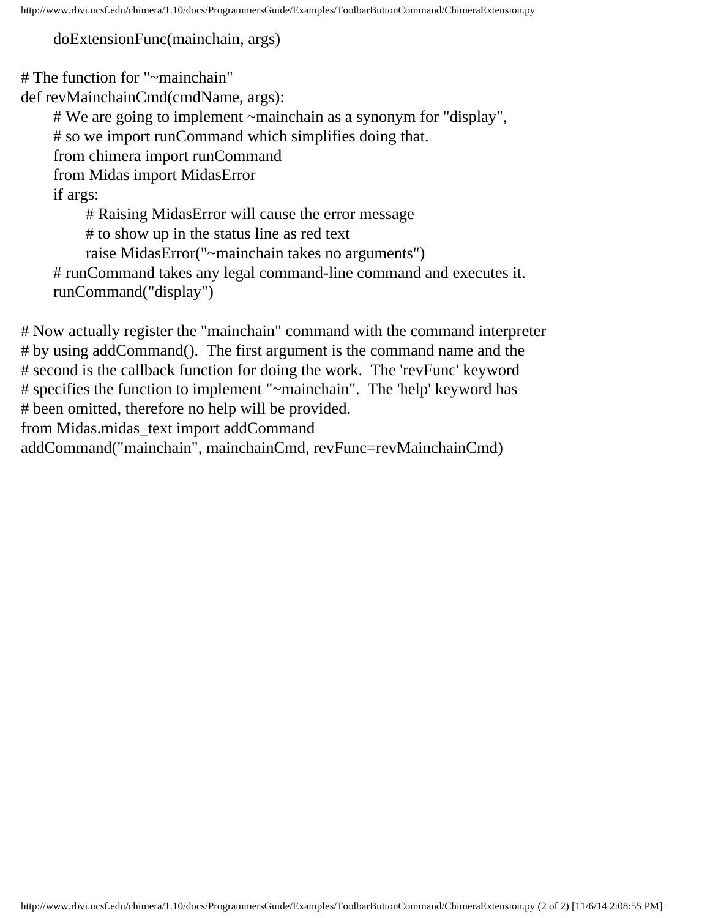http://www.rbvi.ucsf.edu/chimera/1.10/docs/ProgrammersGuide/Examples/ToolbarButtonCommand/ChimeraExtension.py

doExtensionFunc(mainchain, args)

# The function for "~mainchain"

def revMainchainCmd(cmdName, args):

 # We are going to implement ~mainchain as a synonym for "display", # so we import runCommand which simplifies doing that. from chimera import runCommand from Midas import MidasError if args: # Raising MidasError will cause the error message

# to show up in the status line as red text

raise MidasError("~mainchain takes no arguments")

 # runCommand takes any legal command-line command and executes it. runCommand("display")

# Now actually register the "mainchain" command with the command interpreter # by using addCommand(). The first argument is the command name and the # second is the callback function for doing the work. The 'revFunc' keyword # specifies the function to implement "~mainchain". The 'help' keyword has # been omitted, therefore no help will be provided.

from Midas.midas\_text import addCommand

addCommand("mainchain", mainchainCmd, revFunc=revMainchainCmd)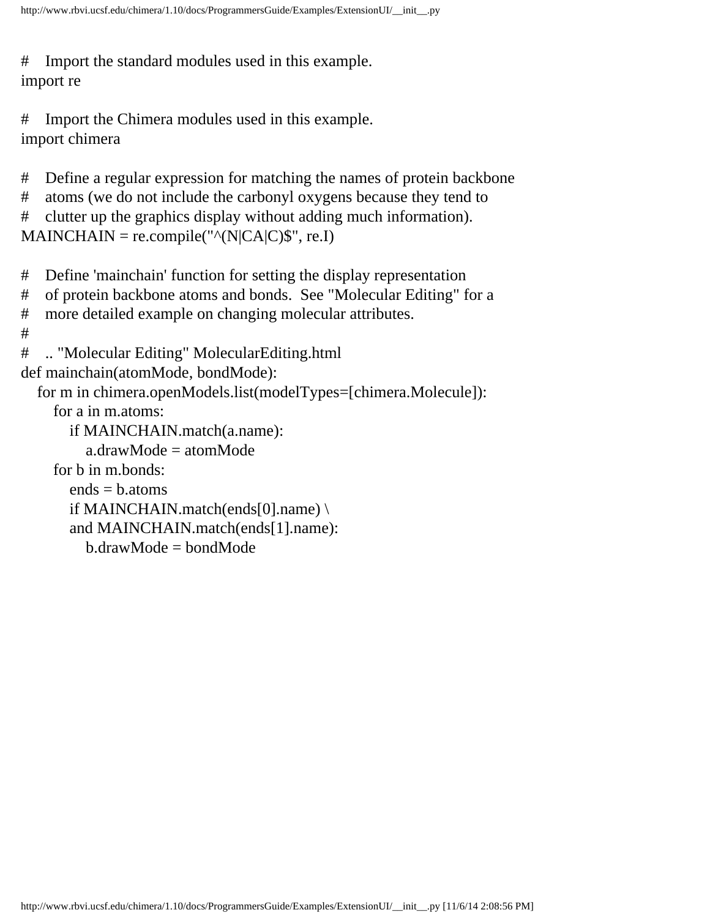```
http://www.rbvi.ucsf.edu/chimera/1.10/docs/ProgrammersGuide/Examples/ExtensionUI/__init__.py
```
# Import the standard modules used in this example. import re

# Import the Chimera modules used in this example. import chimera

# Define a regular expression for matching the names of protein backbone

```
# atoms (we do not include the carbonyl oxygens because they tend to
```
# clutter up the graphics display without adding much information).

 $MAINCHAIN = re.compile("^N(N|CA|C)$ \$", re.I)

# Define 'mainchain' function for setting the display representation

```
# of protein backbone atoms and bonds. See "Molecular Editing" for a
```
# more detailed example on changing molecular attributes.

#

```
# .. "Molecular Editing" MolecularEditing.html
```
def mainchain(atomMode, bondMode):

for m in chimera.openModels.list(modelTypes=[chimera.Molecule]):

for a in m.atoms:

```
 if MAINCHAIN.match(a.name):
```

```
 a.drawMode = atomMode
```
for b in m.bonds:

```
ends = b.atoms
```

```
 if MAINCHAIN.match(ends[0].name) \
```

```
 and MAINCHAIN.match(ends[1].name):
```

```
b.drawMode = bondMode
```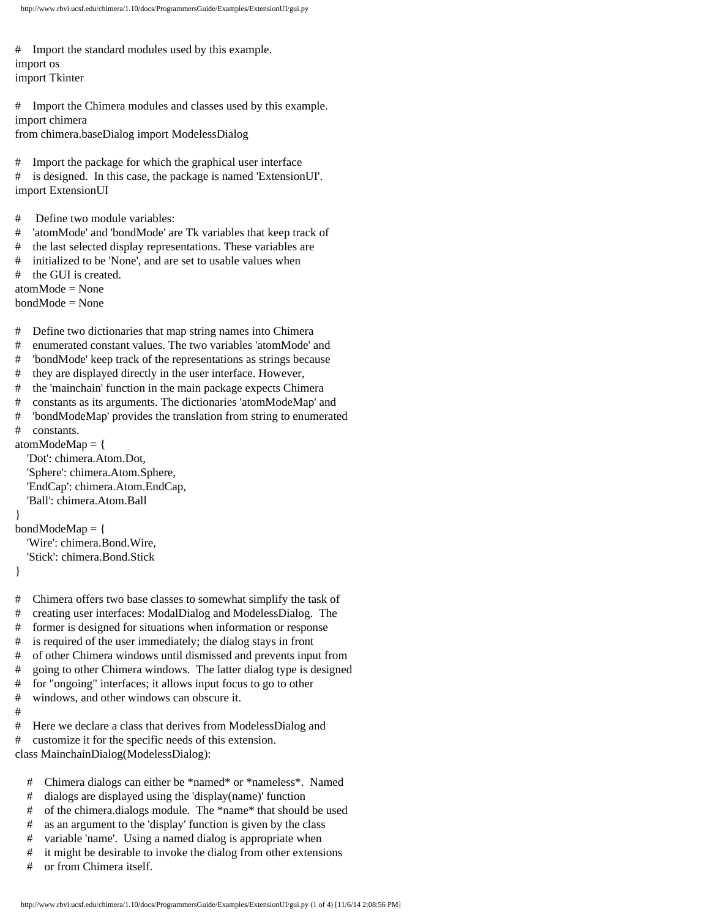# Import the standard modules used by this example. import os import Tkinter

# Import the Chimera modules and classes used by this example. import chimera from chimera.baseDialog import ModelessDialog

# Import the package for which the graphical user interface # is designed. In this case, the package is named 'ExtensionUI'. import ExtensionUI

- # Define two module variables:
- # 'atomMode' and 'bondMode' are Tk variables that keep track of
- # the last selected display representations. These variables are
- # initialized to be 'None', and are set to usable values when
- # the GUI is created.
- atomMode = None

 $bondMode = None$ 

- # Define two dictionaries that map string names into Chimera
- # enumerated constant values. The two variables 'atomMode' and
- # 'bondMode' keep track of the representations as strings because
- # they are displayed directly in the user interface. However,
- # the 'mainchain' function in the main package expects Chimera
- # constants as its arguments. The dictionaries 'atomModeMap' and
- # 'bondModeMap' provides the translation from string to enumerated
- # constants.

```
atomModeMap = {
   'Dot': chimera.Atom.Dot,
   'Sphere': chimera.Atom.Sphere,
   'EndCap': chimera.Atom.EndCap,
   'Ball': chimera.Atom.Ball
```
#### } bondModeMap  $=$  {

 'Wire': chimera.Bond.Wire, 'Stick': chimera.Bond.Stick

}

- # Chimera offers two base classes to somewhat simplify the task of
- # creating user interfaces: ModalDialog and ModelessDialog. The
- # former is designed for situations when information or response
- # is required of the user immediately; the dialog stays in front
- # of other Chimera windows until dismissed and prevents input from
- # going to other Chimera windows. The latter dialog type is designed
- # for "ongoing" interfaces; it allows input focus to go to other
- # windows, and other windows can obscure it.
- #
- # Here we declare a class that derives from ModelessDialog and
- # customize it for the specific needs of this extension.
- class MainchainDialog(ModelessDialog):
	- # Chimera dialogs can either be \*named\* or \*nameless\*. Named
	- # dialogs are displayed using the 'display(name)' function
	- # of the chimera.dialogs module. The \*name\* that should be used
	- # as an argument to the 'display' function is given by the class
	- # variable 'name'. Using a named dialog is appropriate when
	- # it might be desirable to invoke the dialog from other extensions
	- # or from Chimera itself.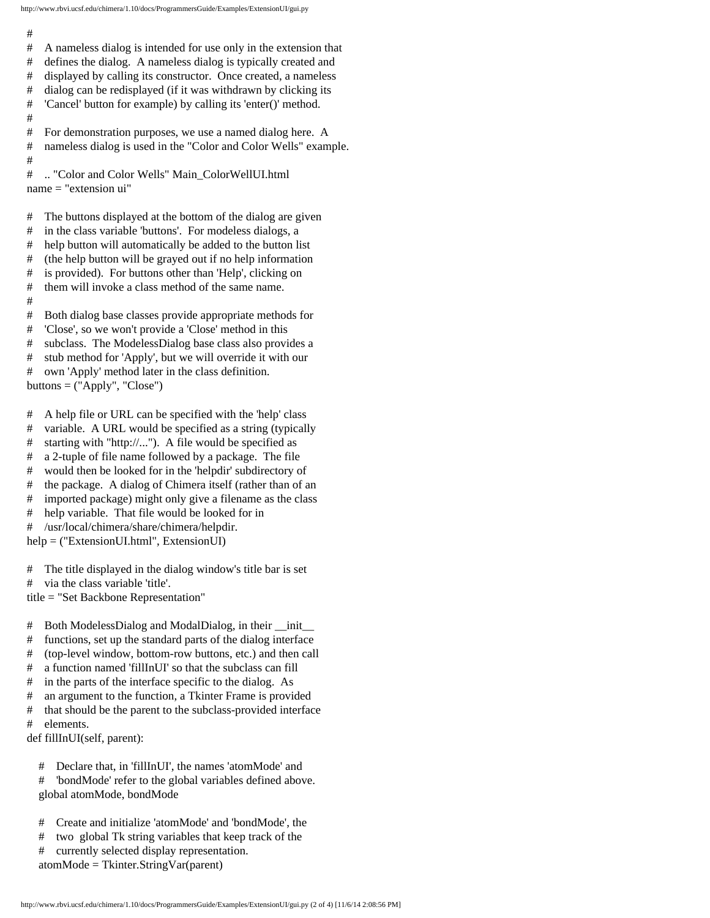- #
- # A nameless dialog is intended for use only in the extension that
- # defines the dialog. A nameless dialog is typically created and
- # displayed by calling its constructor. Once created, a nameless
- # dialog can be redisplayed (if it was withdrawn by clicking its
- # 'Cancel' button for example) by calling its 'enter()' method.
- #
- # For demonstration purposes, we use a named dialog here. A
- # nameless dialog is used in the "Color and Color Wells" example.
- #

 # .. "Color and Color Wells" Main\_ColorWellUI.html name = "extension ui"

# The buttons displayed at the bottom of the dialog are given

# in the class variable 'buttons'. For modeless dialogs, a

# help button will automatically be added to the button list

# (the help button will be grayed out if no help information

# is provided). For buttons other than 'Help', clicking on

- # them will invoke a class method of the same name.
- #

# Both dialog base classes provide appropriate methods for

# 'Close', so we won't provide a 'Close' method in this

# subclass. The ModelessDialog base class also provides a

# stub method for 'Apply', but we will override it with our

 # own 'Apply' method later in the class definition.  $buttons = ("Apply", "Close")$ 

# A help file or URL can be specified with the 'help' class

- # variable. A URL would be specified as a string (typically
- # starting with "http://..."). A file would be specified as
- # a 2-tuple of file name followed by a package. The file
- # would then be looked for in the 'helpdir' subdirectory of
- # the package. A dialog of Chimera itself (rather than of an
- # imported package) might only give a filename as the class
- # help variable. That file would be looked for in
- # /usr/local/chimera/share/chimera/helpdir.

help = ("ExtensionUI.html", ExtensionUI)

# The title displayed in the dialog window's title bar is set

# via the class variable 'title'.

title = "Set Backbone Representation"

# Both ModelessDialog and ModalDialog, in their \_\_init\_\_

- # functions, set up the standard parts of the dialog interface
- # (top-level window, bottom-row buttons, etc.) and then call
- # a function named 'fillInUI' so that the subclass can fill

# in the parts of the interface specific to the dialog. As

# an argument to the function, a Tkinter Frame is provided

# that should be the parent to the subclass-provided interface

# elements.

def fillInUI(self, parent):

# Declare that, in 'fillInUI', the names 'atomMode' and

'bondMode' refer to the global variables defined above. global atomMode, bondMode

# Create and initialize 'atomMode' and 'bondMode', the

- # two global Tk string variables that keep track of the
- # currently selected display representation.

atomMode = Tkinter.StringVar(parent)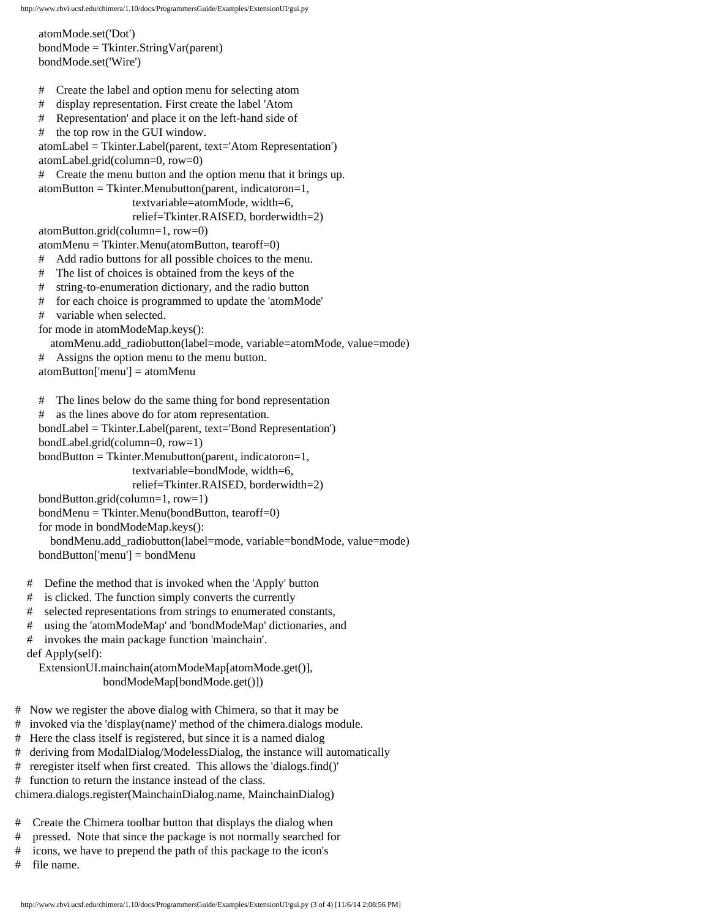```
 atomMode.set('Dot')
 bondMode = Tkinter.StringVar(parent)
 bondMode.set('Wire')
```
- # Create the label and option menu for selecting atom
- # display representation. First create the label 'Atom
- # Representation' and place it on the left-hand side of

```
 # the top row in the GUI window.
```

```
 atomLabel = Tkinter.Label(parent, text='Atom Representation')
 atomLabel.grid(column=0, row=0)
```

```
 # Create the menu button and the option menu that it brings up.
```
atomButton = Tkinter.Menubutton(parent, indicatoron=1,

 textvariable=atomMode, width=6, relief=Tkinter.RAISED, borderwidth=2)

atomButton.grid(column=1, row=0)

 $atomMenu = Tkinter.Menu(atomButton, tearoff=0)$ 

- # Add radio buttons for all possible choices to the menu.
- # The list of choices is obtained from the keys of the
- # string-to-enumeration dictionary, and the radio button
- # for each choice is programmed to update the 'atomMode'
- variable when selected.

for mode in atomModeMap.keys():

- atomMenu.add\_radiobutton(label=mode, variable=atomMode, value=mode)
- # Assigns the option menu to the menu button.

atomButton['menu'] = atomMenu

# The lines below do the same thing for bond representation

# as the lines above do for atom representation.

```
 bondLabel = Tkinter.Label(parent, text='Bond Representation')
```

```
 bondLabel.grid(column=0, row=1)
```
bondButton = Tkinter.Menubutton(parent, indicatoron=1,

textvariable=bondMode, width=6,

#### relief=Tkinter.RAISED, borderwidth=2)

```
 bondButton.grid(column=1, row=1)
```
bondMenu = Tkinter.Menu(bondButton, tearoff=0)

for mode in bondModeMap.keys():

 bondMenu.add\_radiobutton(label=mode, variable=bondMode, value=mode) bondButton['menu'] = bondMenu

- # Define the method that is invoked when the 'Apply' button
- # is clicked. The function simply converts the currently
- # selected representations from strings to enumerated constants,
- # using the 'atomModeMap' and 'bondModeMap' dictionaries, and
- # invokes the main package function 'mainchain'.

def Apply(self):

 ExtensionUI.mainchain(atomModeMap[atomMode.get()], bondModeMap[bondMode.get()])

- # Now we register the above dialog with Chimera, so that it may be
- # invoked via the 'display(name)' method of the chimera.dialogs module.
- # Here the class itself is registered, but since it is a named dialog
- # deriving from ModalDialog/ModelessDialog, the instance will automatically
- # reregister itself when first created. This allows the 'dialogs.find()'
- # function to return the instance instead of the class.

chimera.dialogs.register(MainchainDialog.name, MainchainDialog)

- # Create the Chimera toolbar button that displays the dialog when
- # pressed. Note that since the package is not normally searched for
- # icons, we have to prepend the path of this package to the icon's
- # file name.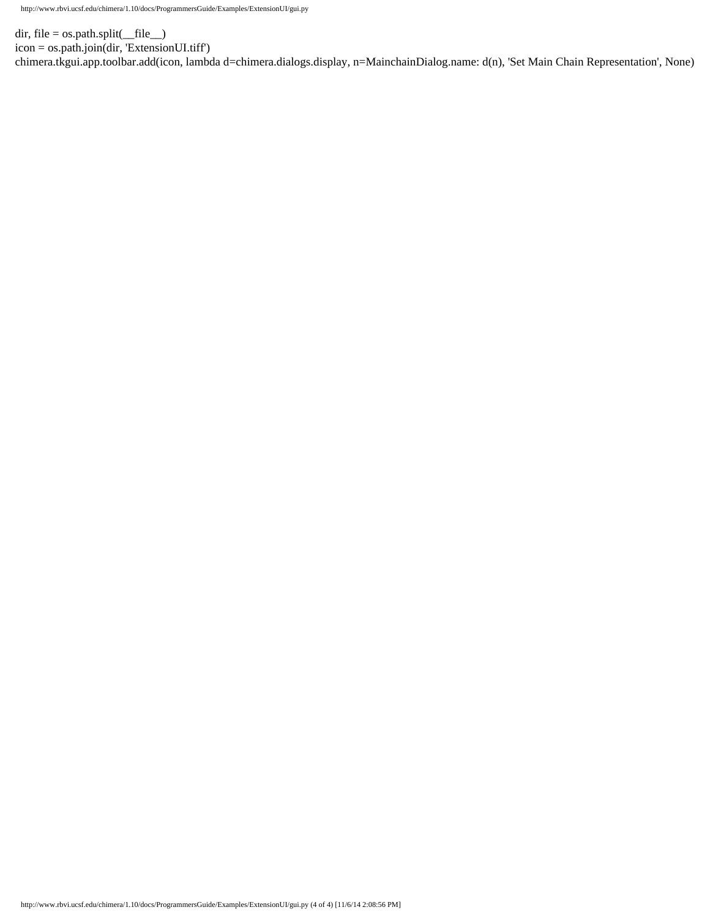$dir, file = os.path.split(\_file)$ icon = os.path.join(dir, 'ExtensionUI.tiff')

chimera.tkgui.app.toolbar.add(icon, lambda d=chimera.dialogs.display, n=MainchainDialog.name: d(n), 'Set Main Chain Representation', None)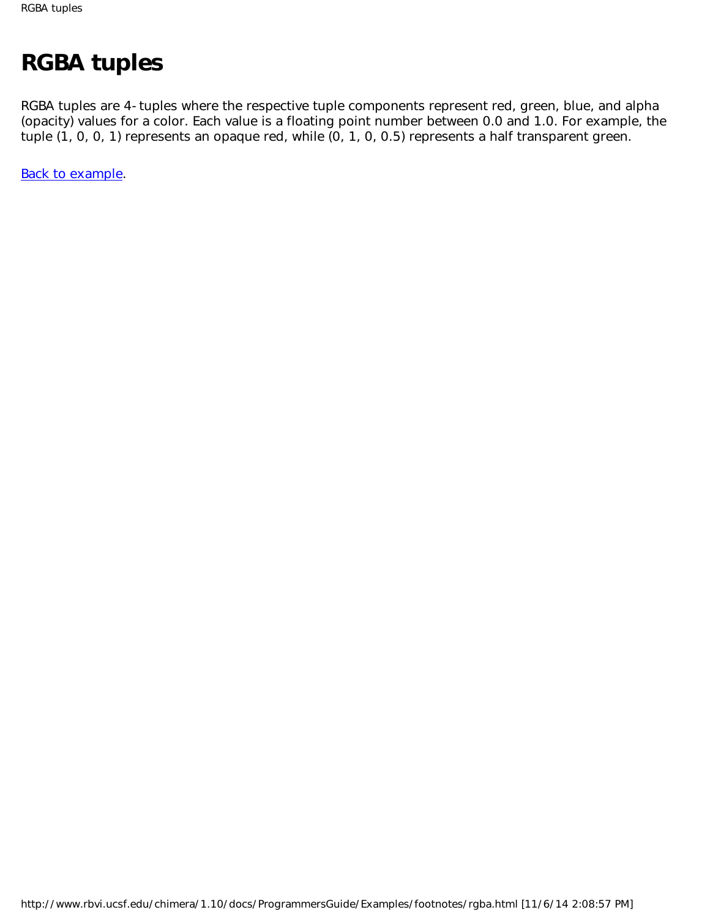# **RGBA tuples**

RGBA tuples are 4-tuples where the respective tuple components represent red, green, blue, and alpha (opacity) values for a color. Each value is a floating point number between 0.0 and 1.0. For example, the tuple (1, 0, 0, 1) represents an opaque red, while (0, 1, 0, 0.5) represents a half transparent green.

[Back to example.](#page-75-0)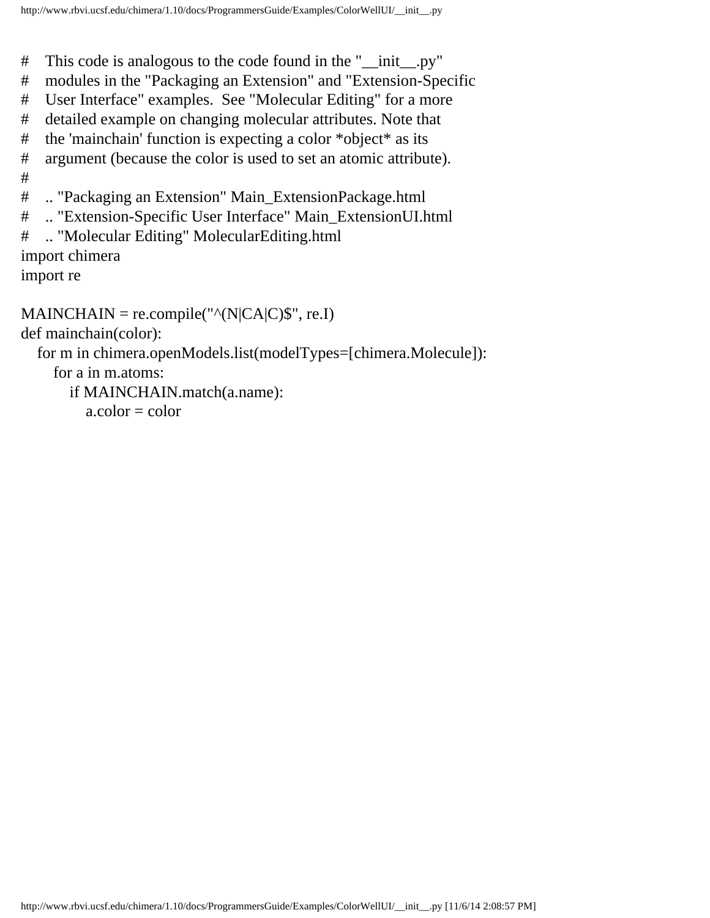# This code is analogous to the code found in the "\_\_init\_\_.py"

- # modules in the "Packaging an Extension" and "Extension-Specific
- # User Interface" examples. See "Molecular Editing" for a more
- # detailed example on changing molecular attributes. Note that
- # the 'mainchain' function is expecting a color \*object\* as its
- # argument (because the color is used to set an atomic attribute).
- #
- # .. "Packaging an Extension" Main\_ExtensionPackage.html
- # .. "Extension-Specific User Interface" Main\_ExtensionUI.html
- # .. "Molecular Editing" MolecularEditing.html

import chimera

import re

```
MAINCHAIN = re.compile("^(N|CA|C)$", re.I)
```
def mainchain(color):

for m in chimera.openModels.list(modelTypes=[chimera.Molecule]):

for a in m.atoms:

if MAINCHAIN.match(a.name):

 $a_{\rm c}$  color = color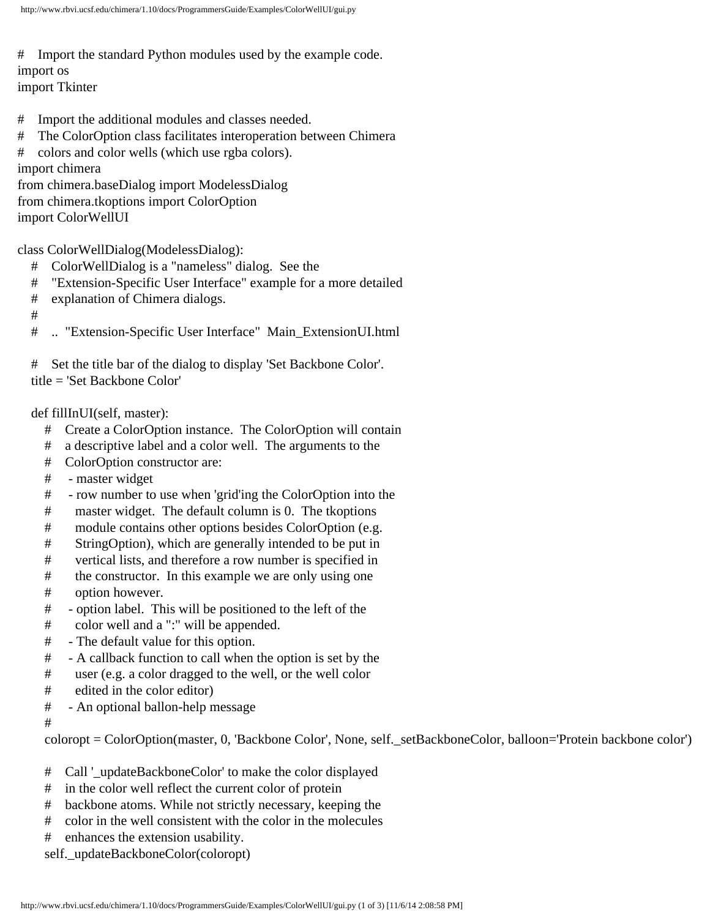# Import the standard Python modules used by the example code. import os import Tkinter

- # Import the additional modules and classes needed.
- # The ColorOption class facilitates interoperation between Chimera

# colors and color wells (which use rgba colors).

import chimera

from chimera.baseDialog import ModelessDialog from chimera.tkoptions import ColorOption import ColorWellUI

class ColorWellDialog(ModelessDialog):

- # ColorWellDialog is a "nameless" dialog. See the
- # "Extension-Specific User Interface" example for a more detailed
- # explanation of Chimera dialogs.
- #
- 
- # .. "Extension-Specific User Interface" Main\_ExtensionUI.html

 # Set the title bar of the dialog to display 'Set Backbone Color'. title = 'Set Backbone Color'

def fillInUI(self, master):

- # Create a ColorOption instance. The ColorOption will contain
- # a descriptive label and a color well. The arguments to the
- # ColorOption constructor are:
- # master widget
- # row number to use when 'grid'ing the ColorOption into the
- # master widget. The default column is 0. The tkoptions
- # module contains other options besides ColorOption (e.g.
- # StringOption), which are generally intended to be put in
- # vertical lists, and therefore a row number is specified in
- # the constructor. In this example we are only using one # option however.
- # option label. This will be positioned to the left of the
- # color well and a ":" will be appended.
- # The default value for this option.
- # A callback function to call when the option is set by the
- # user (e.g. a color dragged to the well, or the well color
- # edited in the color editor)
- # An optional ballon-help message

#

coloropt = ColorOption(master, 0, 'Backbone Color', None, self.\_setBackboneColor, balloon='Protein backbone color')

- # Call '\_updateBackboneColor' to make the color displayed
- # in the color well reflect the current color of protein
- # backbone atoms. While not strictly necessary, keeping the
- # color in the well consistent with the color in the molecules
- # enhances the extension usability.

self.\_updateBackboneColor(coloropt)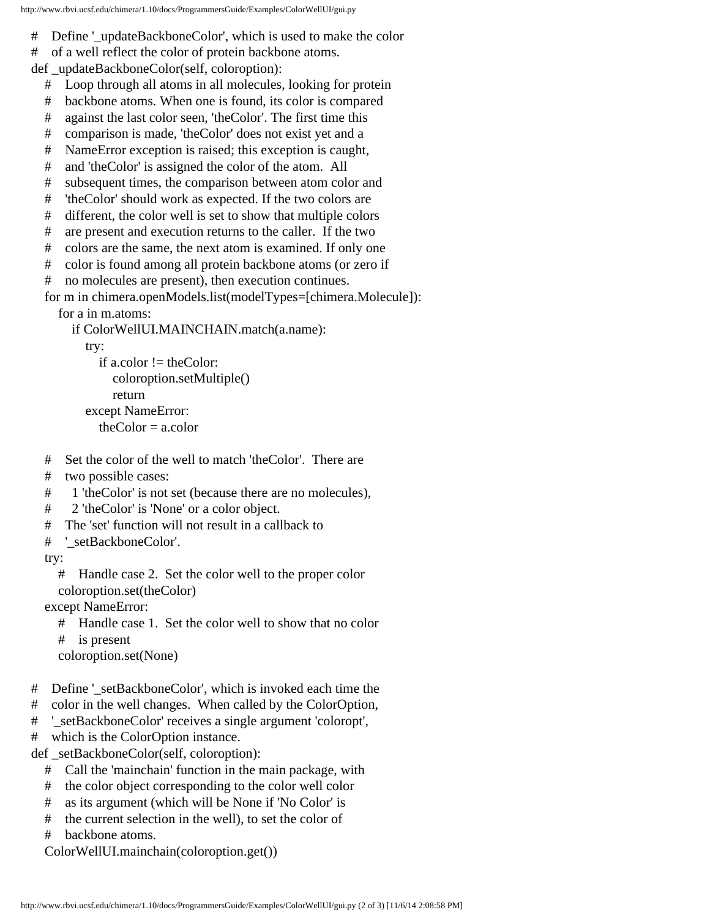- # Define '\_updateBackboneColor', which is used to make the color
- # of a well reflect the color of protein backbone atoms.
- def \_updateBackboneColor(self, coloroption):
	- # Loop through all atoms in all molecules, looking for protein
	- # backbone atoms. When one is found, its color is compared
	- # against the last color seen, 'theColor'. The first time this
	- # comparison is made, 'theColor' does not exist yet and a
	- # NameError exception is raised; this exception is caught,
	- # and 'theColor' is assigned the color of the atom. All
	- # subsequent times, the comparison between atom color and
	- # 'theColor' should work as expected. If the two colors are
	- # different, the color well is set to show that multiple colors
	- # are present and execution returns to the caller. If the two
	- # colors are the same, the next atom is examined. If only one
	- # color is found among all protein backbone atoms (or zero if
	- # no molecules are present), then execution continues.
	- for m in chimera.openModels.list(modelTypes=[chimera.Molecule]):

for a in m.atoms:

if ColorWellUI.MAINCHAIN.match(a.name):

try:

```
 if a.color != theColor:
      coloroption.setMultiple()
      return
 except NameError:
  theColor = a.color
```
- # Set the color of the well to match 'theColor'. There are
- # two possible cases:
- # 1 'theColor' is not set (because there are no molecules),
- # 2 'theColor' is 'None' or a color object.
- # The 'set' function will not result in a callback to
- # 'setBackboneColor'.
- try:

 # Handle case 2. Set the color well to the proper color coloroption.set(theColor)

except NameError:

- # Handle case 1. Set the color well to show that no color
- # is present

coloroption.set(None)

- # Define '\_setBackboneColor', which is invoked each time the
- # color in the well changes. When called by the ColorOption,
- # '\_setBackboneColor' receives a single argument 'coloropt',
- # which is the ColorOption instance.
- def setBackboneColor(self, coloroption):
	- # Call the 'mainchain' function in the main package, with
	- # the color object corresponding to the color well color
	- # as its argument (which will be None if 'No Color' is
	- # the current selection in the well), to set the color of
	- # backbone atoms.
	- ColorWellUI.mainchain(coloroption.get())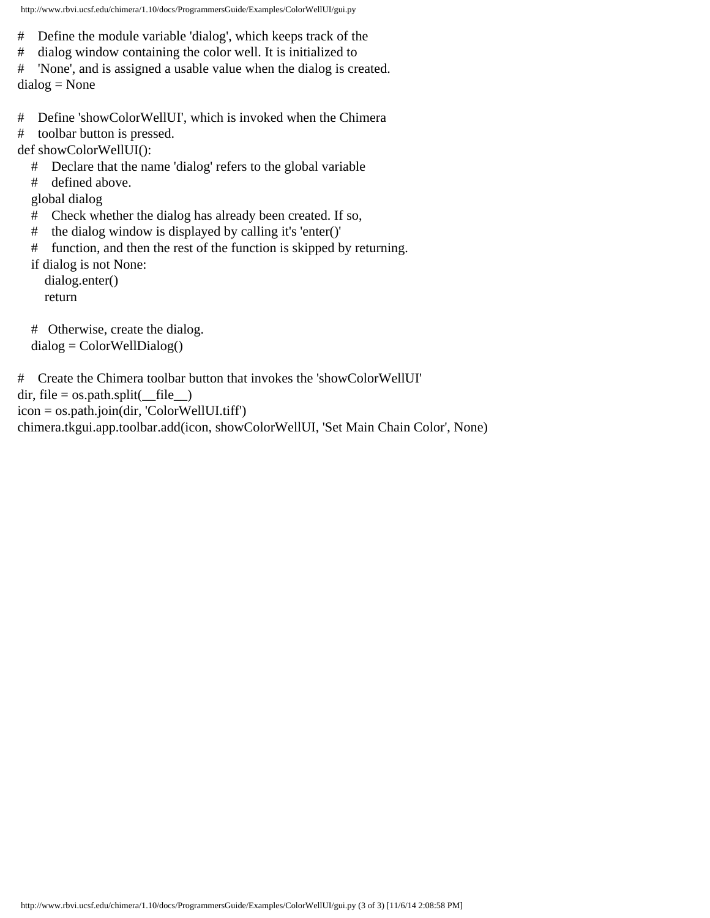http://www.rbvi.ucsf.edu/chimera/1.10/docs/ProgrammersGuide/Examples/ColorWellUI/gui.py

- # Define the module variable 'dialog', which keeps track of the
- # dialog window containing the color well. It is initialized to
- # 'None', and is assigned a usable value when the dialog is created.  $dialog = None$
- # Define 'showColorWellUI', which is invoked when the Chimera
- # toolbar button is pressed.
- def showColorWellUI():
	- # Declare that the name 'dialog' refers to the global variable
	- # defined above.
	- global dialog
	- # Check whether the dialog has already been created. If so,
	- # the dialog window is displayed by calling it's 'enter()'
	- # function, and then the rest of the function is skipped by returning.
	- if dialog is not None: dialog.enter()
		- return
		-
	- # Otherwise, create the dialog.
	- dialog = ColorWellDialog()
- # Create the Chimera toolbar button that invokes the 'showColorWellUI'
- $dir, file = os.path.split(\n file)\n$

icon = os.path.join(dir, 'ColorWellUI.tiff')

chimera.tkgui.app.toolbar.add(icon, showColorWellUI, 'Set Main Chain Color', None)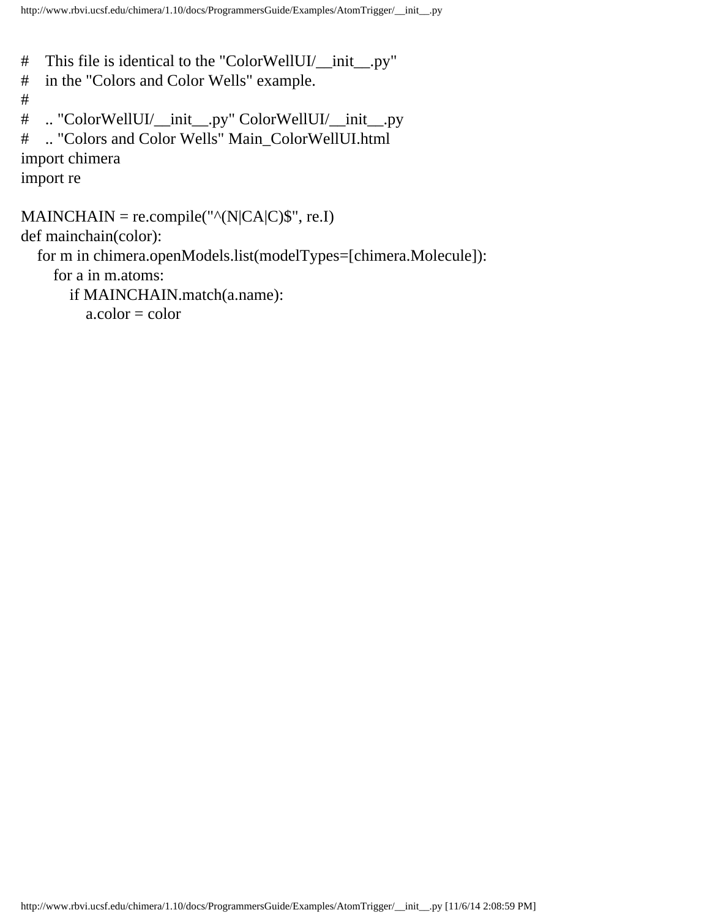# This file is identical to the "ColorWellUI/\_\_init\_\_.py"

```
# in the "Colors and Color Wells" example.
```
#

# .. "ColorWellUI/\_\_init\_\_.py" ColorWellUI/\_\_init\_\_.py

```
# .. "Colors and Color Wells" Main_ColorWellUI.html
```
import chimera

import re

```
MAINCHAIN = re.compile("^(N|CA|C)\", re.I)
```
def mainchain(color):

```
 for m in chimera.openModels.list(modelTypes=[chimera.Molecule]):
```
for a in m.atoms:

```
 if MAINCHAIN.match(a.name):
```
 $a_{\rm c}$  color = color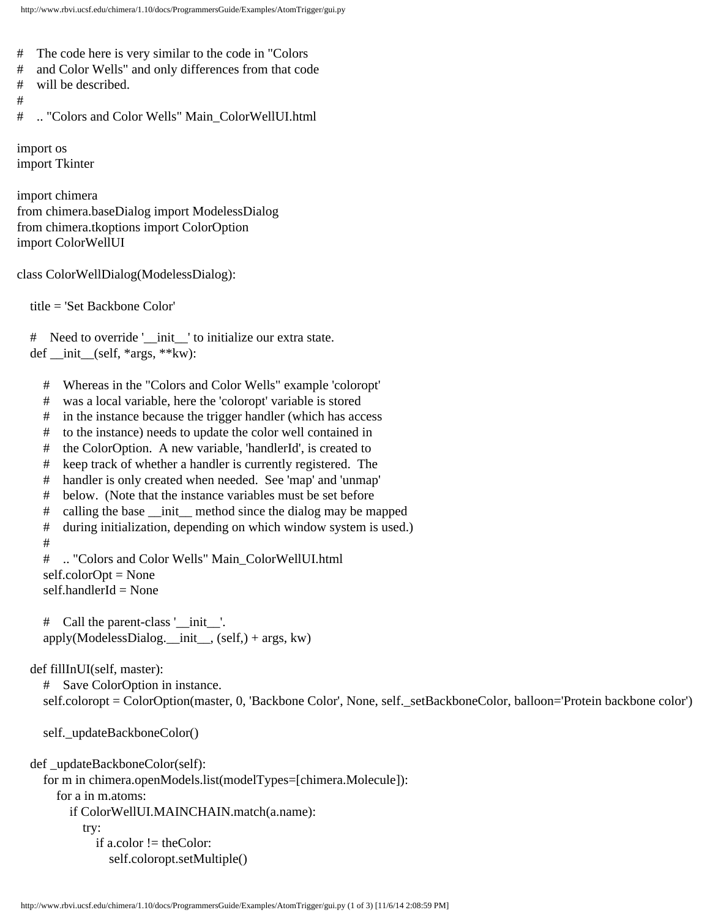- # The code here is very similar to the code in "Colors
- # and Color Wells" and only differences from that code
- # will be described.
- #

# .. "Colors and Color Wells" Main\_ColorWellUI.html

import os import Tkinter

import chimera from chimera.baseDialog import ModelessDialog from chimera.tkoptions import ColorOption import ColorWellUI

class ColorWellDialog(ModelessDialog):

title = 'Set Backbone Color'

```
 # Need to override '__init__' to initialize our extra state.
def \__init\__(self, *args, **kw):
```
- # Whereas in the "Colors and Color Wells" example 'coloropt'
- # was a local variable, here the 'coloropt' variable is stored
- # in the instance because the trigger handler (which has access
- # to the instance) needs to update the color well contained in
- # the ColorOption. A new variable, 'handlerId', is created to
- # keep track of whether a handler is currently registered. The
- # handler is only created when needed. See 'map' and 'unmap'
- # below. (Note that the instance variables must be set before
- # calling the base \_\_init\_\_ method since the dialog may be mapped
- # during initialization, depending on which window system is used.)
- #

# .. "Colors and Color Wells" Main\_ColorWellUI.html

self.colorOpt = None

 $self.handlerId = None$ 

```
 # Call the parent-class '__init__'.
apply(ModelessDialog. init , (self.) + args, kw)
```
def fillInUI(self, master):

 # Save ColorOption in instance. self.coloropt = ColorOption(master, 0, 'Backbone Color', None, self.\_setBackboneColor, balloon='Protein backbone color')

```
 self._updateBackboneColor()
```

```
 def _updateBackboneColor(self):
   for m in chimera.openModels.list(modelTypes=[chimera.Molecule]):
      for a in m.atoms:
        if ColorWellUI.MAINCHAIN.match(a.name):
          try:
             if a.color != theColor:
               self.coloropt.setMultiple()
```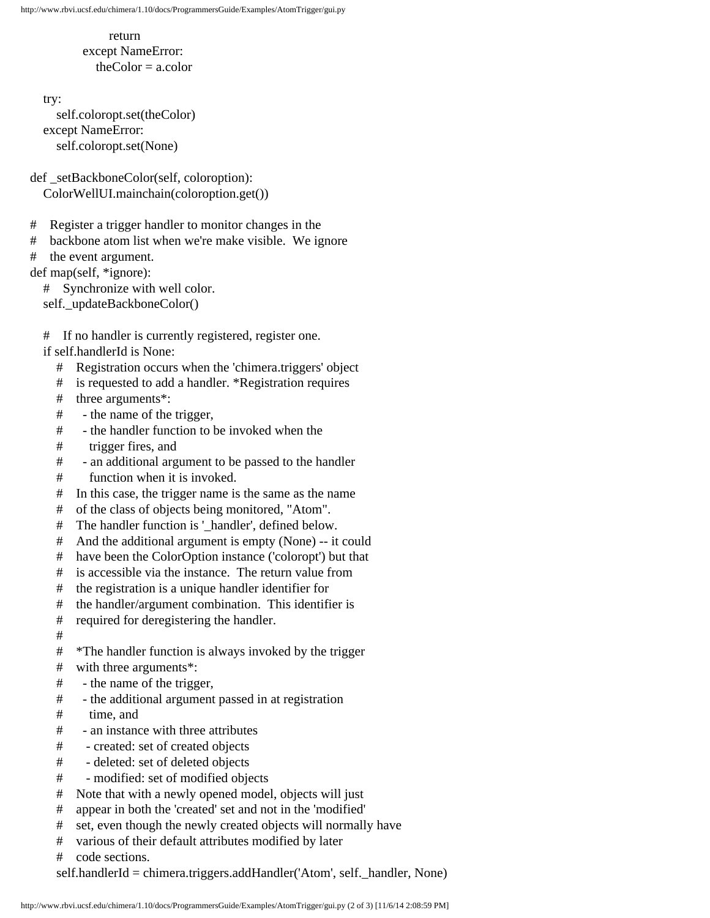return except NameError:  $theColor = a-color$ 

### try:

 self.coloropt.set(theColor) except NameError: self.coloropt.set(None)

 def \_setBackboneColor(self, coloroption): ColorWellUI.mainchain(coloroption.get())

- # Register a trigger handler to monitor changes in the
- # backbone atom list when we're make visible. We ignore
- # the event argument.

def map(self, \*ignore):

- # Synchronize with well color.
- self.\_updateBackboneColor()
- # If no handler is currently registered, register one.

## if self.handlerId is None:

- # Registration occurs when the 'chimera.triggers' object
- # is requested to add a handler. \*Registration requires
- # three arguments\*:
- # the name of the trigger,
- # the handler function to be invoked when the
- # trigger fires, and
- # an additional argument to be passed to the handler
- # function when it is invoked.
- # In this case, the trigger name is the same as the name
- # of the class of objects being monitored, "Atom".
- # The handler function is '\_handler', defined below.
- # And the additional argument is empty (None) -- it could
- # have been the ColorOption instance ('coloropt') but that
- # is accessible via the instance. The return value from
- # the registration is a unique handler identifier for
- # the handler/argument combination. This identifier is
- # required for deregistering the handler.
- #
- # \*The handler function is always invoked by the trigger
- # with three arguments\*:
- # the name of the trigger,
- # the additional argument passed in at registration # time, and
- # an instance with three attributes
- # created: set of created objects
- # deleted: set of deleted objects
- # modified: set of modified objects
- # Note that with a newly opened model, objects will just
- # appear in both the 'created' set and not in the 'modified'
- # set, even though the newly created objects will normally have
- # various of their default attributes modified by later
- # code sections.

self.handlerId = chimera.triggers.addHandler('Atom', self.\_handler, None)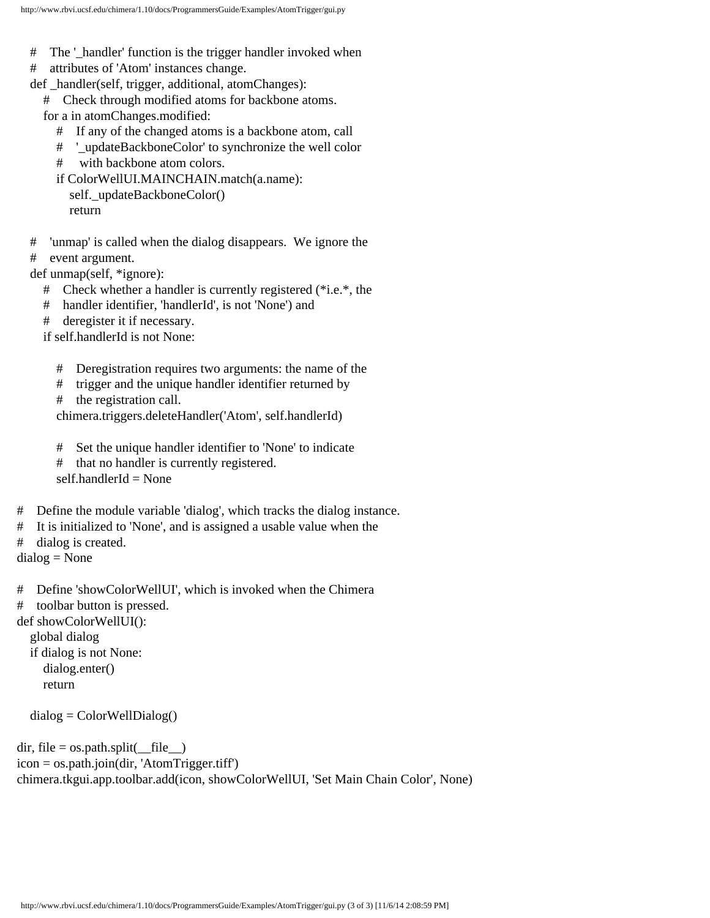- # The '\_handler' function is the trigger handler invoked when
- # attributes of 'Atom' instances change.
- def \_handler(self, trigger, additional, atomChanges):
	- # Check through modified atoms for backbone atoms.
	- for a in atomChanges.modified:
		- # If any of the changed atoms is a backbone atom, call
		- # '\_updateBackboneColor' to synchronize the well color
		- # with backbone atom colors.
		- if ColorWellUI.MAINCHAIN.match(a.name): self.\_updateBackboneColor() return
- # 'unmap' is called when the dialog disappears. We ignore the
- # event argument.

def unmap(self, \*ignore):

- # Check whether a handler is currently registered (\*i.e.\*, the
- # handler identifier, 'handlerId', is not 'None') and

# deregister it if necessary.

if self.handlerId is not None:

- # Deregistration requires two arguments: the name of the
- # trigger and the unique handler identifier returned by

# the registration call.

chimera.triggers.deleteHandler('Atom', self.handlerId)

- # Set the unique handler identifier to 'None' to indicate
- # that no handler is currently registered. self.handlerId = None
- # Define the module variable 'dialog', which tracks the dialog instance.
- # It is initialized to 'None', and is assigned a usable value when the
- # dialog is created.

 $dialog = None$ 

- # Define 'showColorWellUI', which is invoked when the Chimera
- # toolbar button is pressed.

def showColorWellUI():

global dialog

 if dialog is not None: dialog.enter() return

 $dialog = ColorWellDialog()$ 

```
dir, file = \sigmas.path.split(\epsilon file )
icon = os.path.join(dir, 'AtomTrigger.tiff')
chimera.tkgui.app.toolbar.add(icon, showColorWellUI, 'Set Main Chain Color', None)
```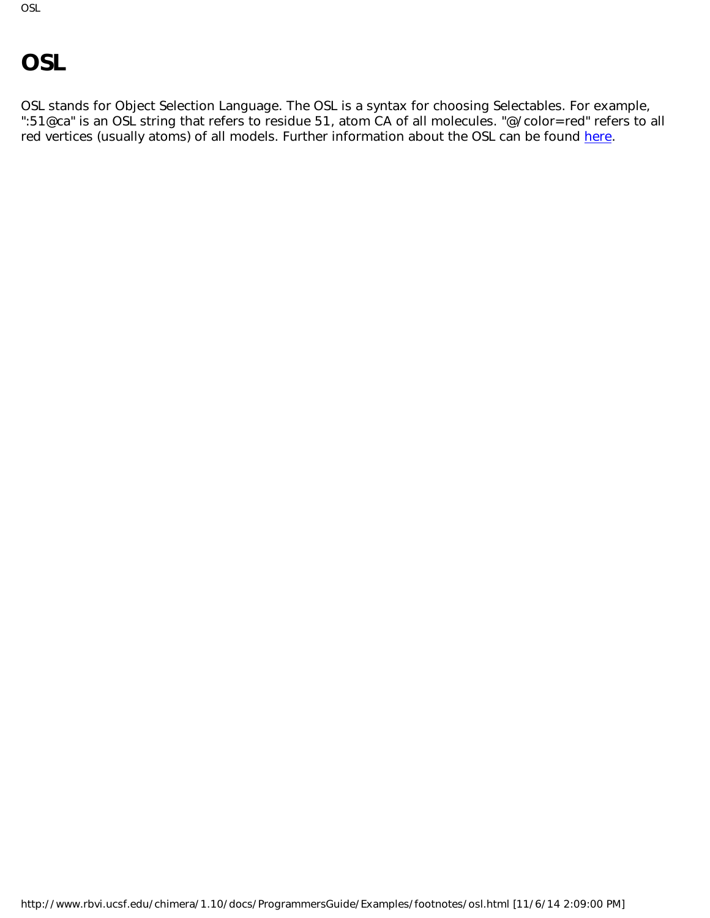# **OSL**

OSL stands for Object Selection Language. The OSL is a syntax for choosing Selectables. For example, ":51@ca" is an OSL string that refers to residue 51, atom CA of all molecules. "@/color=red" refers to all red vertices (usually atoms) of all models. Further information about the OSL can be found [here.](#page-144-0)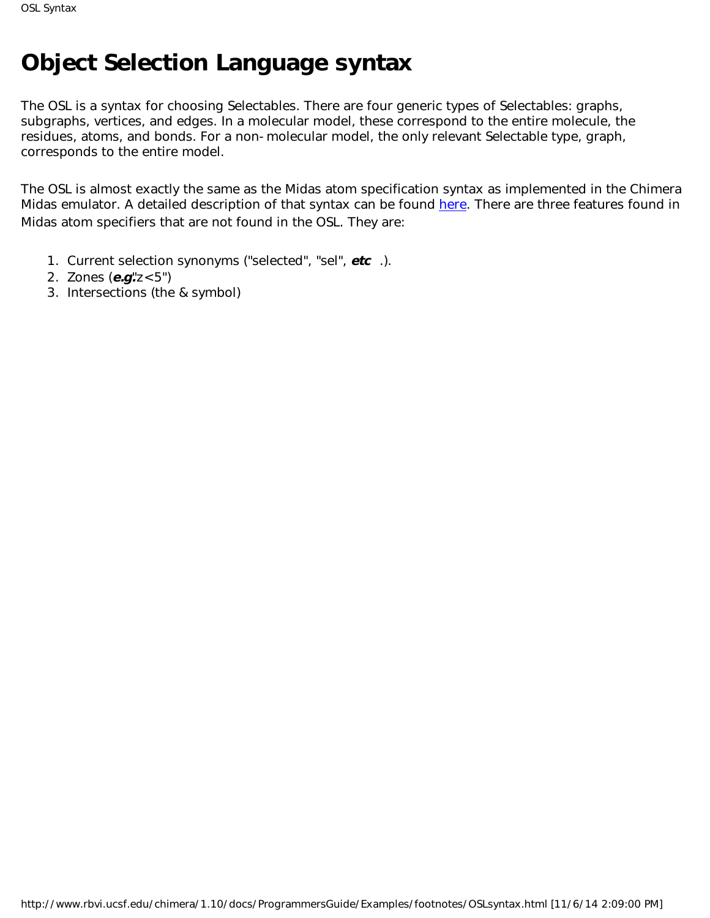## <span id="page-144-0"></span>**Object Selection Language syntax**

The OSL is a syntax for choosing Selectables. There are four generic types of Selectables: graphs, subgraphs, vertices, and edges. In a molecular model, these correspond to the entire molecule, the residues, atoms, and bonds. For a non-molecular model, the only relevant Selectable type, graph, corresponds to the entire model.

The OSL is almost exactly the same as the Midas atom specification syntax as implemented in the Chimera Midas emulator. A detailed description of that syntax can be found [here](http://www.rbvi.ucsf.edu/chimera/1.10/docs/UsersGuide/midas/atom_spec.html). There are three features found in Midas atom specifiers that are not found in the OSL. They are:

- 1. Current selection synonyms ("selected", "sel", **etc** .).
- 2. Zones (*e.g*"z<5")
- 3. Intersections (the & symbol)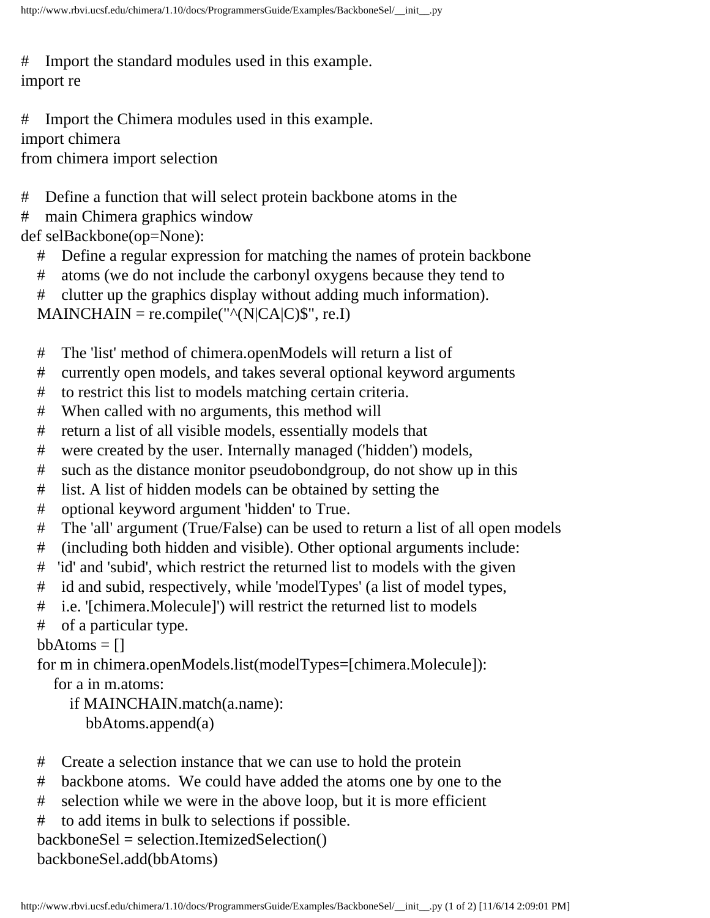# Import the standard modules used in this example. import re

# Import the Chimera modules used in this example. import chimera from chimera import selection

# Define a function that will select protein backbone atoms in the

# main Chimera graphics window

def selBackbone(op=None):

- # Define a regular expression for matching the names of protein backbone
- # atoms (we do not include the carbonyl oxygens because they tend to
- # clutter up the graphics display without adding much information).

 $MAINCHAIN = re.compile("^(N|CA|C)\$ ", re.I)

- # The 'list' method of chimera.openModels will return a list of
- # currently open models, and takes several optional keyword arguments
- # to restrict this list to models matching certain criteria.
- # When called with no arguments, this method will
- # return a list of all visible models, essentially models that
- # were created by the user. Internally managed ('hidden') models,
- # such as the distance monitor pseudobondgroup, do not show up in this
- # list. A list of hidden models can be obtained by setting the
- # optional keyword argument 'hidden' to True.
- # The 'all' argument (True/False) can be used to return a list of all open models
- # (including both hidden and visible). Other optional arguments include:
- # 'id' and 'subid', which restrict the returned list to models with the given
- # id and subid, respectively, while 'modelTypes' (a list of model types,
- # i.e. '[chimera.Molecule]') will restrict the returned list to models

# of a particular type.

 $bbAtoms = []$ 

for m in chimera.openModels.list(modelTypes=[chimera.Molecule]):

for a in m.atoms:

if MAINCHAIN.match(a.name):

bbAtoms.append(a)

- # Create a selection instance that we can use to hold the protein
- # backbone atoms. We could have added the atoms one by one to the
- # selection while we were in the above loop, but it is more efficient
- # to add items in bulk to selections if possible.

backboneSel = selection.ItemizedSelection()

backboneSel.add(bbAtoms)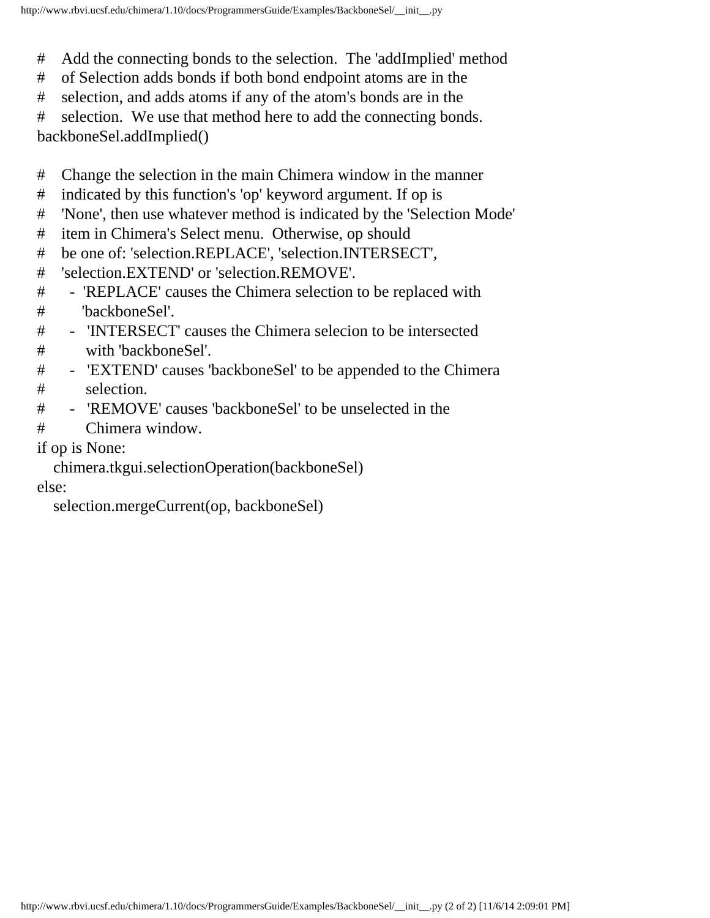- # Add the connecting bonds to the selection. The 'addImplied' method
- # of Selection adds bonds if both bond endpoint atoms are in the
- # selection, and adds atoms if any of the atom's bonds are in the
- # selection. We use that method here to add the connecting bonds.

backboneSel.addImplied()

- # Change the selection in the main Chimera window in the manner
- # indicated by this function's 'op' keyword argument. If op is
- # 'None', then use whatever method is indicated by the 'Selection Mode'
- # item in Chimera's Select menu. Otherwise, op should
- # be one of: 'selection.REPLACE', 'selection.INTERSECT',
- # 'selection.EXTEND' or 'selection.REMOVE'.
- # 'REPLACE' causes the Chimera selection to be replaced with # 'backboneSel'.
- # 'INTERSECT' causes the Chimera selecion to be intersected
- # with 'backboneSel'.
- # 'EXTEND' causes 'backboneSel' to be appended to the Chimera # selection.
- # 'REMOVE' causes 'backboneSel' to be unselected in the
- # Chimera window.
- if op is None:

chimera.tkgui.selectionOperation(backboneSel)

else:

selection.mergeCurrent(op, backboneSel)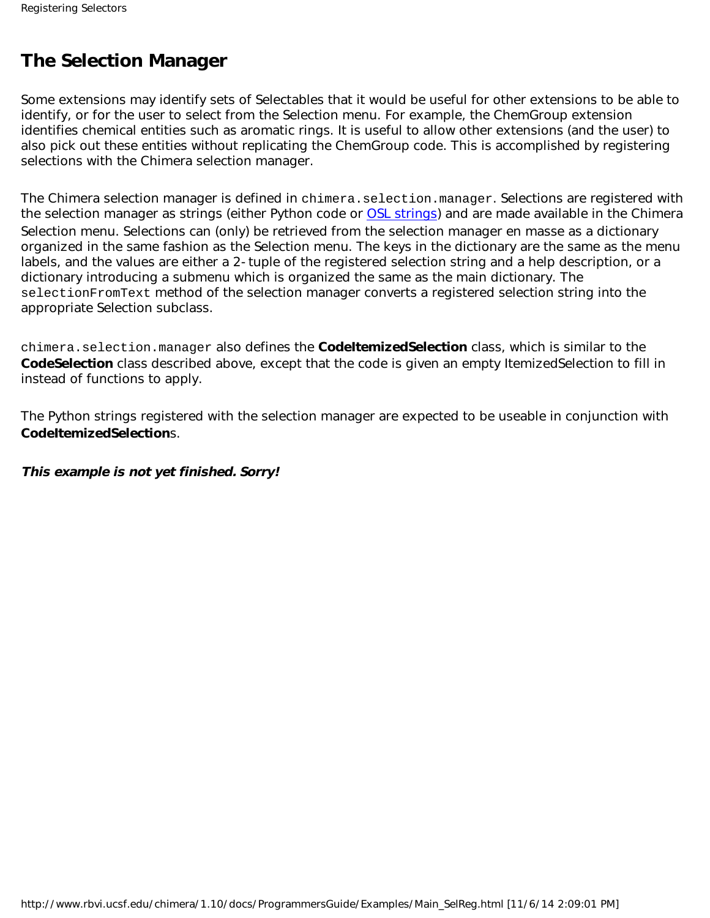## **The Selection Manager**

Some extensions may identify sets of Selectables that it would be useful for other extensions to be able to identify, or for the user to select from the Selection menu. For example, the ChemGroup extension identifies chemical entities such as aromatic rings. It is useful to allow other extensions (and the user) to also pick out these entities without replicating the ChemGroup code. This is accomplished by registering selections with the Chimera selection manager.

The Chimera selection manager is defined in chimera.selection.manager. Selections are registered with the selection manager as strings (either Python code or [OSL strings](#page-144-0)) and are made available in the Chimera Selection menu. Selections can (only) be retrieved from the selection manager en masse as a dictionary organized in the same fashion as the Selection menu. The keys in the dictionary are the same as the menu labels, and the values are either a 2-tuple of the registered selection string and a help description, or a dictionary introducing a submenu which is organized the same as the main dictionary. The selectionFromText method of the selection manager converts a registered selection string into the appropriate Selection subclass.

chimera.selection.manager also defines the **CodeItemizedSelection** class, which is similar to the **CodeSelection** class described above, except that the code is given an empty ItemizedSelection to fill in instead of functions to apply.

The Python strings registered with the selection manager are expected to be useable in conjunction with **CodeItemizedSelection**s.

**This example is not yet finished. Sorry!**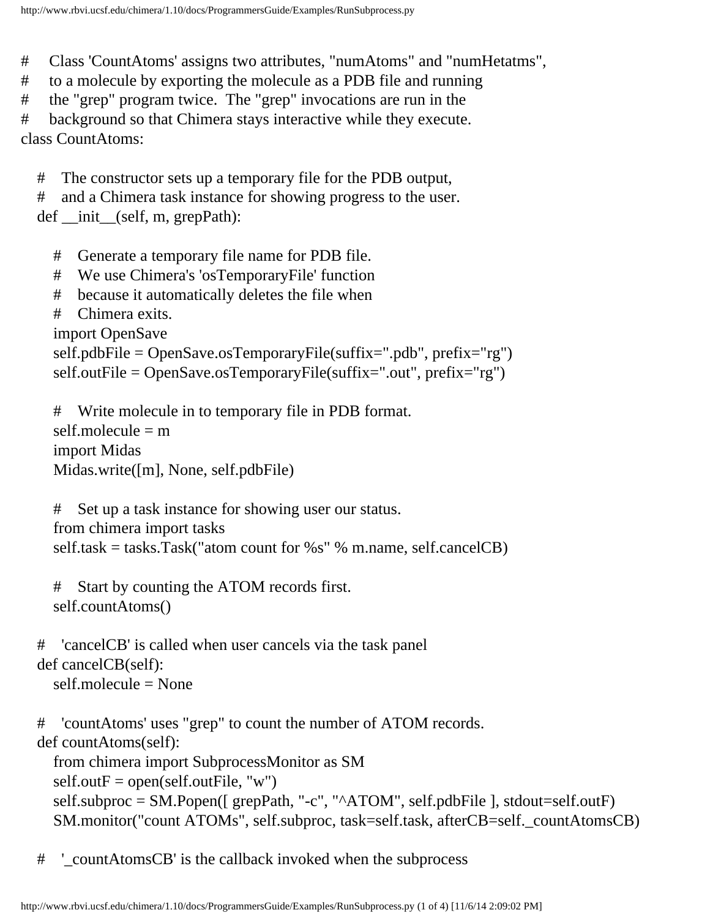# Class 'CountAtoms' assigns two attributes, "numAtoms" and "numHetatms",

```
# to a molecule by exporting the molecule as a PDB file and running
```
# the "grep" program twice. The "grep" invocations are run in the

# background so that Chimera stays interactive while they execute.

```
class CountAtoms:
```
# The constructor sets up a temporary file for the PDB output,

```
 # and a Chimera task instance for showing progress to the user.
```
def \_\_init (self, m, grepPath):

- # Generate a temporary file name for PDB file.
- # We use Chimera's 'osTemporaryFile' function
- # because it automatically deletes the file when
- # Chimera exits.

```
 import OpenSave
 self.pdbFile = OpenSave.osTemporaryFile(suffix=".pdb", prefix="rg")
 self.outFile = OpenSave.osTemporaryFile(suffix=".out", prefix="rg")
```
 # Write molecule in to temporary file in PDB format. self.molecule = m import Midas Midas.write([m], None, self.pdbFile)

```
 # Set up a task instance for showing user our status.
 from chimera import tasks
 self.task = tasks.Task("atom count for %s" % m.name, self.cancelCB)
```

```
 # Start by counting the ATOM records first.
 self.countAtoms()
```
 # 'cancelCB' is called when user cancels via the task panel def cancelCB(self): self.molecule = None

```
 # 'countAtoms' uses "grep" to count the number of ATOM records.
 def countAtoms(self):
```

```
 from chimera import SubprocessMonitor as SM
self.outF = open(self.outFile, "w") self.subproc = SM.Popen([ grepPath, "-c", "^ATOM", self.pdbFile ], stdout=self.outF)
 SM.monitor("count ATOMs", self.subproc, task=self.task, afterCB=self._countAtomsCB)
```
# '\_countAtomsCB' is the callback invoked when the subprocess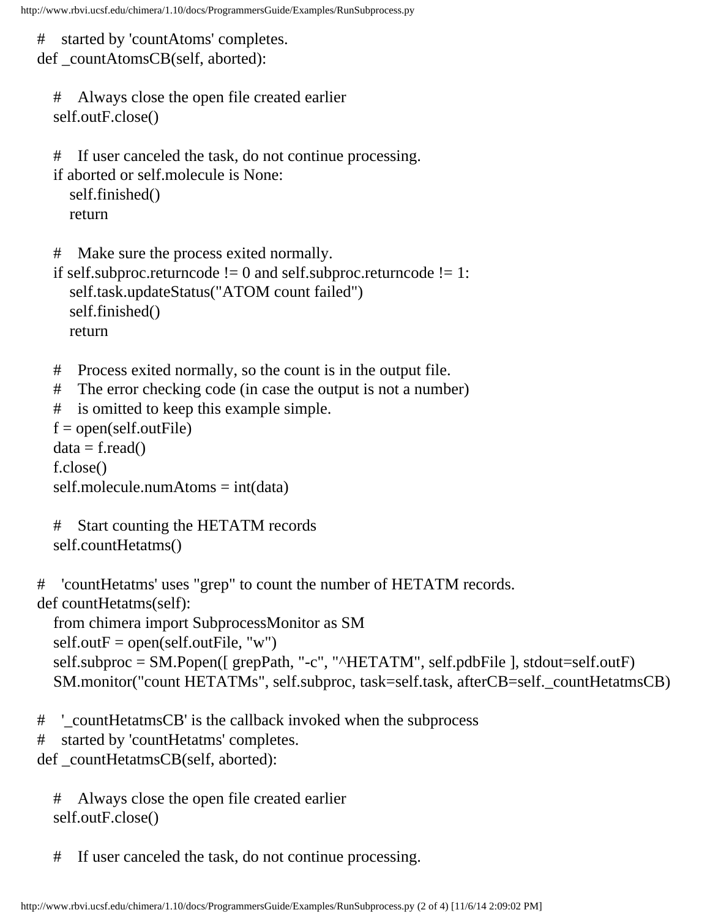```
 # started by 'countAtoms' completes.
def countAtomsCB(self, aborted):
```

```
 # Always close the open file created earlier
 self.outF.close()
```
# If user canceled the task, do not continue processing.

if aborted or self.molecule is None:

```
 self.finished()
 return
```

```
 # Make sure the process exited normally.
```

```
if self.subproc.returncode != 0 and self.subproc.returncode != 1:
   self.task.updateStatus("ATOM count failed")
   self.finished()
   return
```
# Process exited normally, so the count is in the output file.

# The error checking code (in case the output is not a number)

```
 # is omitted to keep this example simple.
```

```
f = open(self.outFile)data = f.read() f.close()
 self.molecule.numAtoms = int(data)
```

```
 # Start counting the HETATM records
 self.countHetatms()
```

```
 # 'countHetatms' uses "grep" to count the number of HETATM records.
 def countHetatms(self):
```
 from chimera import SubprocessMonitor as SM  $self.outF = open(self.outFile, "w")$  self.subproc = SM.Popen([ grepPath, "-c", "^HETATM", self.pdbFile ], stdout=self.outF) SM.monitor("count HETATMs", self.subproc, task=self.task, afterCB=self.\_countHetatmsCB)

 # '\_countHetatmsCB' is the callback invoked when the subprocess # started by 'countHetatms' completes.

def \_countHetatmsCB(self, aborted):

 # Always close the open file created earlier self.outF.close()

# If user canceled the task, do not continue processing.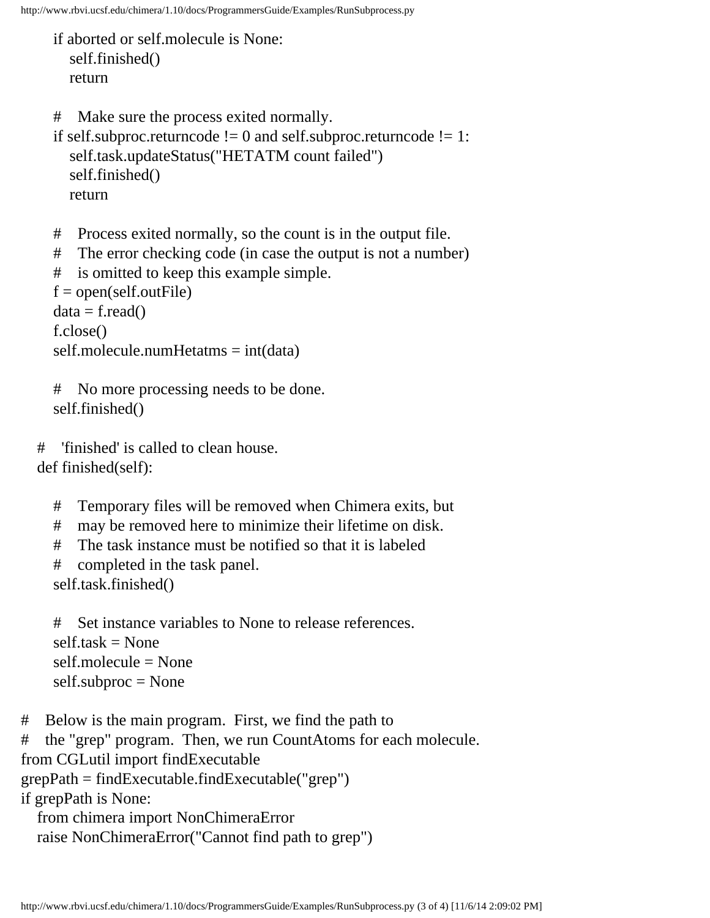```
http://www.rbvi.ucsf.edu/chimera/1.10/docs/ProgrammersGuide/Examples/RunSubprocess.py
```

```
 if aborted or self.molecule is None:
   self.finished()
   return
```

```
 # Make sure the process exited normally.
```

```
if self.subproc.returncode != 0 and self.subproc.returncode != 1:
   self.task.updateStatus("HETATM count failed")
   self.finished()
   return
```
# Process exited normally, so the count is in the output file.

# The error checking code (in case the output is not a number)

# is omitted to keep this example simple.

```
f = open(self.outFile)data = f.read() f.close()
 self.molecule.numHetatms = int(data)
```

```
 # No more processing needs to be done.
 self.finished()
```

```
 # 'finished' is called to clean house.
 def finished(self):
```
- # Temporary files will be removed when Chimera exits, but
- # may be removed here to minimize their lifetime on disk.
- # The task instance must be notified so that it is labeled

# completed in the task panel.

self.task.finished()

```
 # Set instance variables to None to release references.
self. task = None self.molecule = None
 self.subproc = None
```

```
# Below is the main program. First, we find the path to
# the "grep" program. Then, we run CountAtoms for each molecule.
from CGLutil import findExecutable
grepPath = findExecutable.findExecutable("grep")
if grepPath is None:
   from chimera import NonChimeraError
   raise NonChimeraError("Cannot find path to grep")
```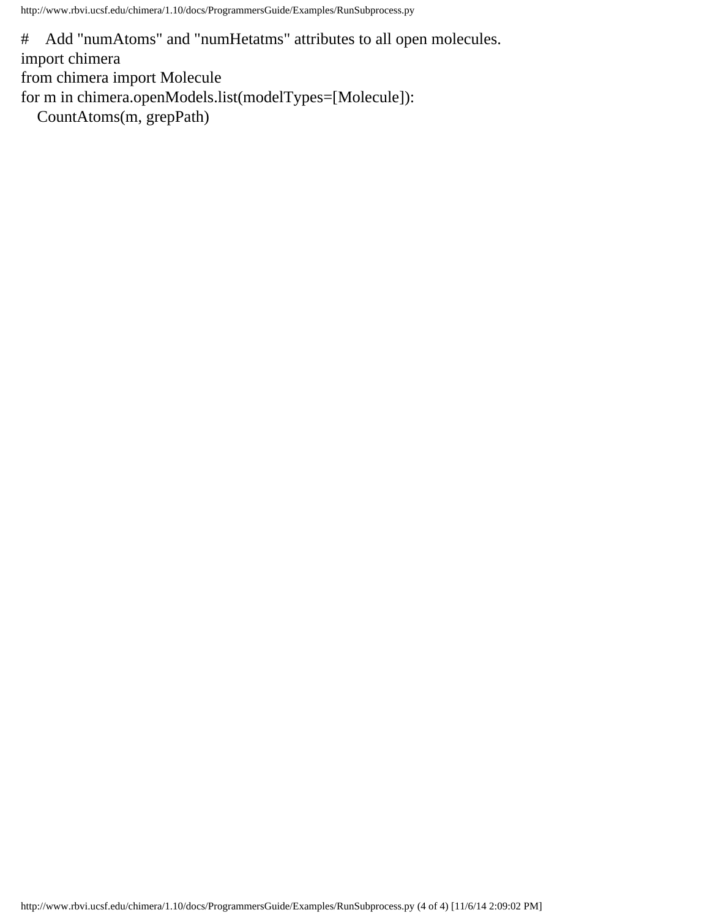http://www.rbvi.ucsf.edu/chimera/1.10/docs/ProgrammersGuide/Examples/RunSubprocess.py

# Add "numAtoms" and "numHetatms" attributes to all open molecules. import chimera from chimera import Molecule for m in chimera.openModels.list(modelTypes=[Molecule]): CountAtoms(m, grepPath)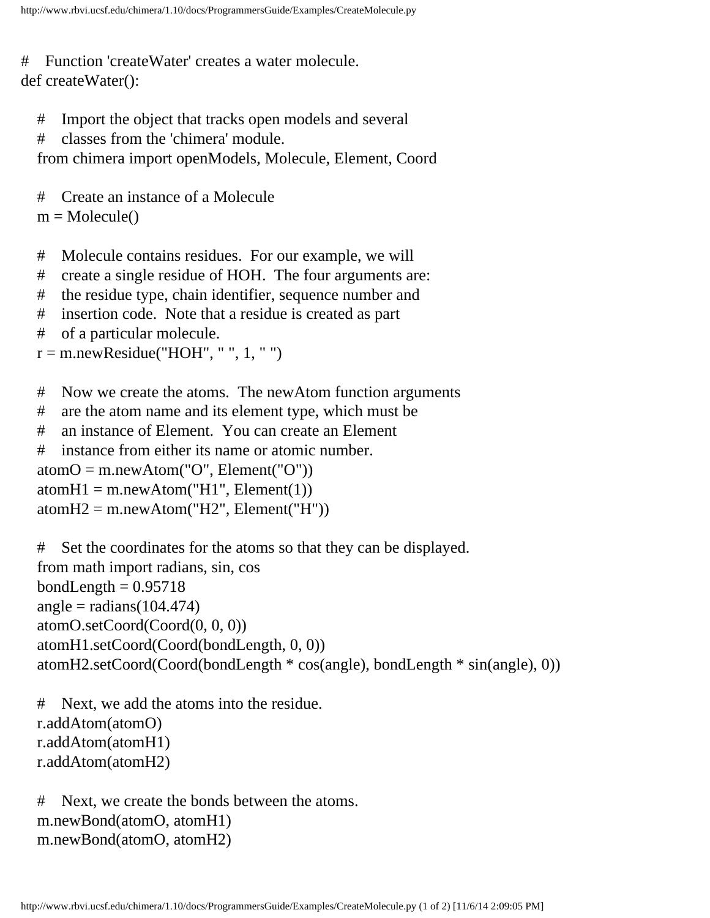# Function 'createWater' creates a water molecule. def createWater():

# Import the object that tracks open models and several

# classes from the 'chimera' module.

from chimera import openModels, Molecule, Element, Coord

```
 # Create an instance of a Molecule
```

```
m = \text{Molecule}()
```
# Molecule contains residues. For our example, we will

# create a single residue of HOH. The four arguments are:

# the residue type, chain identifier, sequence number and

# insertion code. Note that a residue is created as part

# of a particular molecule.

```
r = m.newResidue("HOH", " ", 1, "")
```
# Now we create the atoms. The newAtom function arguments

# are the atom name and its element type, which must be

# an instance of Element. You can create an Element

# instance from either its name or atomic number.

atomO = m.newAtom("O", Element("O"))

 $atomH1 = m.newAtom("H1", Element(1))$ 

atomH2 = m.newAtom("H2", Element("H"))

 # Set the coordinates for the atoms so that they can be displayed. from math import radians, sin, cos  $bondLength = 0.95718$ angle = radians $(104.474)$  atomO.setCoord(Coord(0, 0, 0)) atomH1.setCoord(Coord(bondLength, 0, 0)) atomH2.setCoord(Coord(bondLength \* cos(angle), bondLength \* sin(angle), 0))

 # Next, we add the atoms into the residue. r.addAtom(atomO) r.addAtom(atomH1) r.addAtom(atomH2)

 # Next, we create the bonds between the atoms. m.newBond(atomO, atomH1) m.newBond(atomO, atomH2)